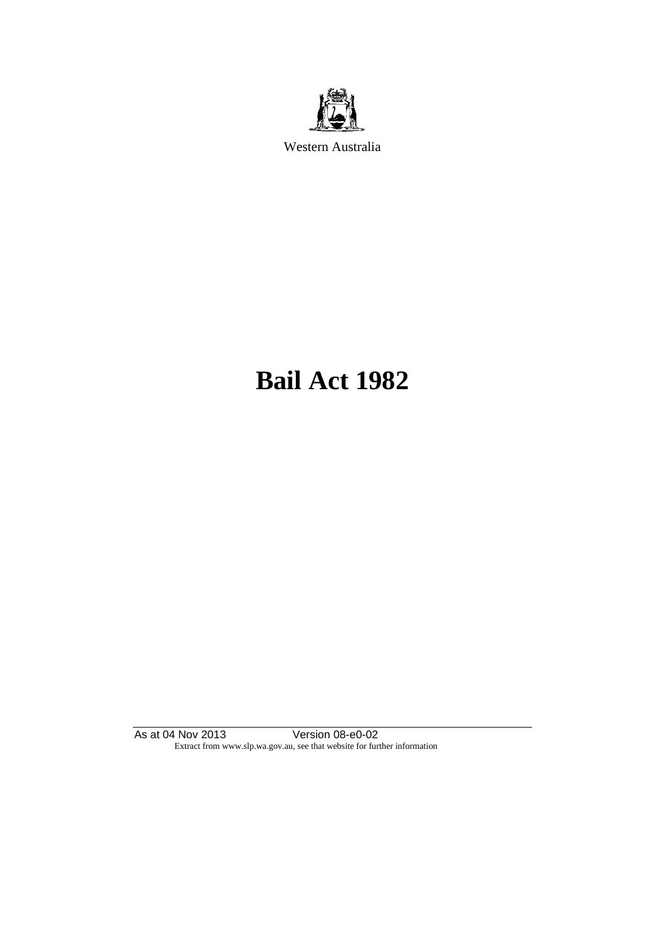

Western Australia

# **Bail Act 1982**

As at 04 Nov 2013 Version 08-e0-02 Extract from www.slp.wa.gov.au, see that website for further information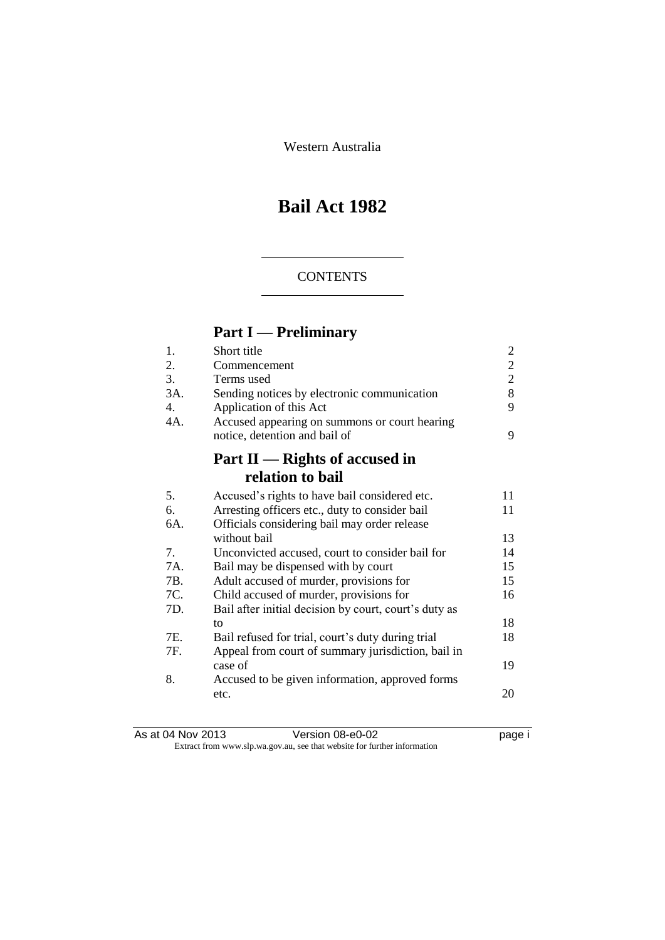Western Australia

## **Bail Act 1982**

### **CONTENTS**

## **Part I — Preliminary**

| 1.  | Short title                                           | 2              |
|-----|-------------------------------------------------------|----------------|
| 2.  | Commencement                                          | $\overline{2}$ |
| 3.  | Terms used                                            | $\overline{2}$ |
| 3A. | Sending notices by electronic communication           | 8              |
| 4.  | Application of this Act                               | 9              |
| 4A. | Accused appearing on summons or court hearing         |                |
|     | notice, detention and bail of                         | 9              |
|     | Part II — Rights of accused in                        |                |
|     | relation to bail                                      |                |
| 5.  | Accused's rights to have bail considered etc.         | 11             |
| 6.  | Arresting officers etc., duty to consider bail        | 11             |
| 6A. | Officials considering bail may order release          |                |
|     | without bail                                          | 13             |
| 7.  | Unconvicted accused, court to consider bail for       | 14             |
| 7A. | Bail may be dispensed with by court                   | 15             |
| 7B. | Adult accused of murder, provisions for               | 15             |
| 7C. | Child accused of murder, provisions for               | 16             |
| 7D. | Bail after initial decision by court, court's duty as |                |
|     | to                                                    | 18             |
| 7E. | Bail refused for trial, court's duty during trial     | 18             |
| 7F. | Appeal from court of summary jurisdiction, bail in    |                |
|     | case of                                               | 19             |
| 8.  | Accused to be given information, approved forms       |                |
|     | etc.                                                  | 20             |
|     |                                                       |                |

| As at 04 Nov 2013 | Version 08-e0-02                                                         | page i |
|-------------------|--------------------------------------------------------------------------|--------|
|                   | Extract from www.slp.wa.gov.au, see that website for further information |        |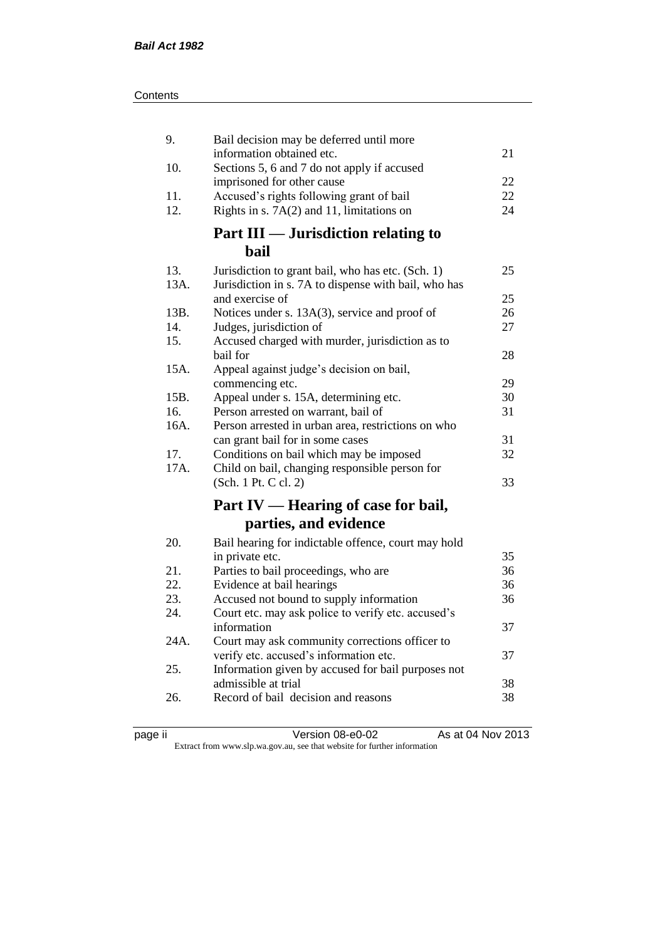| 9.   | Bail decision may be deferred until more                                                     |          |
|------|----------------------------------------------------------------------------------------------|----------|
| 10.  | information obtained etc.<br>Sections 5, 6 and 7 do not apply if accused                     | 21       |
|      | imprisoned for other cause                                                                   | 22       |
| 11.  | Accused's rights following grant of bail                                                     | 22       |
| 12.  | Rights in s. $7A(2)$ and 11, limitations on                                                  | 24       |
|      | Part III — Jurisdiction relating to                                                          |          |
|      | bail                                                                                         |          |
| 13.  | Jurisdiction to grant bail, who has etc. (Sch. 1)                                            | 25       |
| 13A. | Jurisdiction in s. 7A to dispense with bail, who has                                         |          |
|      | and exercise of                                                                              | 25       |
| 13B. | Notices under s. 13A(3), service and proof of                                                | 26       |
| 14.  | Judges, jurisdiction of                                                                      | 27       |
| 15.  | Accused charged with murder, jurisdiction as to                                              |          |
|      | bail for                                                                                     | 28       |
| 15A. | Appeal against judge's decision on bail,                                                     |          |
|      | commencing etc.                                                                              | 29       |
| 15B. | Appeal under s. 15A, determining etc.                                                        | 30       |
| 16.  | Person arrested on warrant, bail of                                                          | 31       |
| 16A. | Person arrested in urban area, restrictions on who                                           |          |
| 17.  | can grant bail for in some cases                                                             | 31<br>32 |
| 17A. | Conditions on bail which may be imposed<br>Child on bail, changing responsible person for    |          |
|      | (Sch. 1 Pt. C cl. 2)                                                                         | 33       |
|      |                                                                                              |          |
|      | Part IV — Hearing of case for bail,                                                          |          |
|      | parties, and evidence                                                                        |          |
| 20.  | Bail hearing for indictable offence, court may hold                                          |          |
|      | in private etc.                                                                              | 35       |
| 21.  | Parties to bail proceedings, who are                                                         | 36       |
| 22.  | Evidence at bail hearings                                                                    | 36       |
| 23.  | Accused not bound to supply information                                                      | 36       |
| 24.  | Court etc. may ask police to verify etc. accused's                                           |          |
|      | information                                                                                  | 37       |
| 24A. | Court may ask community corrections officer to                                               |          |
|      | verify etc. accused's information etc.<br>Information given by accused for bail purposes not | 37       |
| 25.  | admissible at trial                                                                          | 38       |
| 26.  | Record of bail decision and reasons                                                          | 38       |
|      |                                                                                              |          |

| . |  |
|---|--|
|   |  |

page ii Version 08-e0-02 As at 04 Nov 2013

Extract from www.slp.wa.gov.au, see that website for further information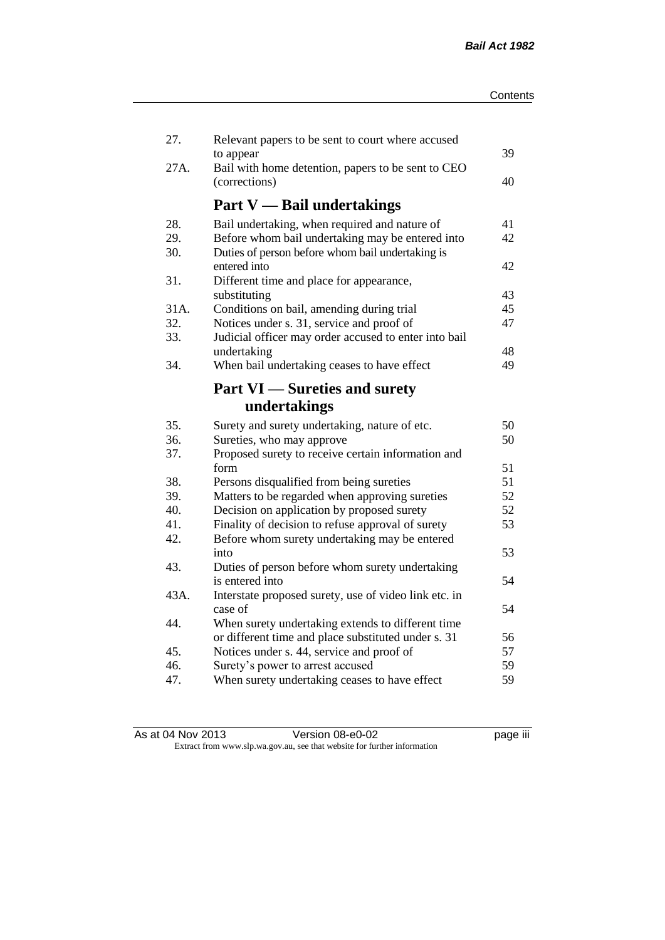| 27.  | Relevant papers to be sent to court where accused               |    |
|------|-----------------------------------------------------------------|----|
| 27A. | to appear<br>Bail with home detention, papers to be sent to CEO | 39 |
|      | (corrections)                                                   | 40 |
|      | <b>Part V</b> — Bail undertakings                               |    |
| 28.  | Bail undertaking, when required and nature of                   | 41 |
| 29.  | Before whom bail undertaking may be entered into                | 42 |
| 30.  | Duties of person before whom bail undertaking is                |    |
|      | entered into                                                    | 42 |
| 31.  | Different time and place for appearance,                        |    |
|      | substituting                                                    | 43 |
| 31A. | Conditions on bail, amending during trial                       | 45 |
| 32.  | Notices under s. 31, service and proof of                       | 47 |
| 33.  | Judicial officer may order accused to enter into bail           |    |
|      | undertaking                                                     | 48 |
| 34.  | When bail undertaking ceases to have effect                     | 49 |
|      | <b>Part VI</b> — Sureties and surety                            |    |
|      | undertakings                                                    |    |
| 35.  | Surety and surety undertaking, nature of etc.                   | 50 |
| 36.  | Sureties, who may approve                                       | 50 |
| 37.  | Proposed surety to receive certain information and              |    |
|      | form                                                            | 51 |
| 38.  | Persons disqualified from being sureties                        | 51 |
| 39.  | Matters to be regarded when approving sureties                  | 52 |
| 40.  | Decision on application by proposed surety                      | 52 |
| 41.  | Finality of decision to refuse approval of surety               | 53 |
| 42.  | Before whom surety undertaking may be entered                   |    |
|      | into                                                            | 53 |
| 43.  | Duties of person before whom surety undertaking                 |    |
|      | is entered into                                                 | 54 |
| 43A. | Interstate proposed surety, use of video link etc. in           |    |
|      | case of                                                         | 54 |
| 44.  | When surety undertaking extends to different time               |    |
|      | or different time and place substituted under s. 31             | 56 |
| 45.  | Notices under s. 44, service and proof of                       | 57 |
| 46.  | Surety's power to arrest accused                                | 59 |
| 47.  | When surety undertaking ceases to have effect                   | 59 |
|      |                                                                 |    |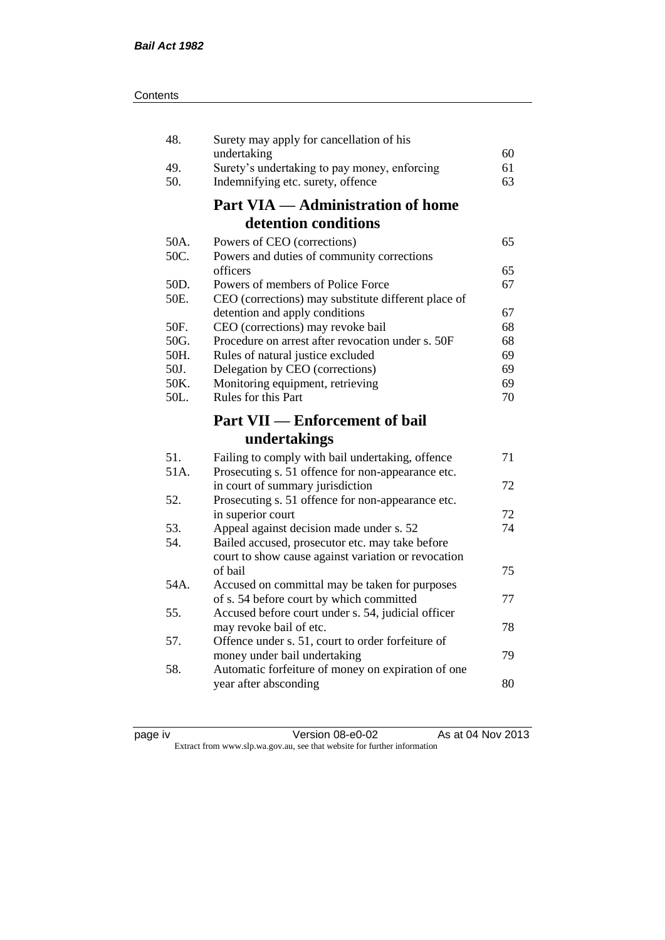| 48.  | Surety may apply for cancellation of his                                                              |    |
|------|-------------------------------------------------------------------------------------------------------|----|
|      | undertaking                                                                                           | 60 |
| 49.  | Surety's undertaking to pay money, enforcing                                                          | 61 |
| 50.  | Indemnifying etc. surety, offence                                                                     | 63 |
|      | <b>Part VIA — Administration of home</b>                                                              |    |
|      | detention conditions                                                                                  |    |
| 50A. | Powers of CEO (corrections)                                                                           | 65 |
| 50C. | Powers and duties of community corrections                                                            |    |
|      | officers                                                                                              | 65 |
| 50D. | Powers of members of Police Force                                                                     | 67 |
| 50E. | CEO (corrections) may substitute different place of                                                   |    |
|      | detention and apply conditions                                                                        | 67 |
| 50F. | CEO (corrections) may revoke bail                                                                     | 68 |
| 50G. | Procedure on arrest after revocation under s. 50F                                                     | 68 |
| 50H. | Rules of natural justice excluded                                                                     | 69 |
| 50J. | Delegation by CEO (corrections)                                                                       | 69 |
| 50K. | Monitoring equipment, retrieving                                                                      | 69 |
| 50L. | Rules for this Part                                                                                   | 70 |
|      |                                                                                                       |    |
|      | <b>Part VII — Enforcement of bail</b>                                                                 |    |
|      | undertakings                                                                                          |    |
| 51.  |                                                                                                       | 71 |
| 51A. | Failing to comply with bail undertaking, offence<br>Prosecuting s. 51 offence for non-appearance etc. |    |
|      | in court of summary jurisdiction                                                                      | 72 |
| 52.  | Prosecuting s. 51 offence for non-appearance etc.                                                     |    |
|      | in superior court                                                                                     | 72 |
| 53.  | Appeal against decision made under s. 52                                                              | 74 |
| 54.  | Bailed accused, prosecutor etc. may take before                                                       |    |
|      | court to show cause against variation or revocation                                                   |    |
|      | of bail                                                                                               | 75 |
| 54A. | Accused on committal may be taken for purposes                                                        |    |
|      | of s. 54 before court by which committed                                                              | 77 |
| 55.  | Accused before court under s. 54, judicial officer                                                    |    |
|      | may revoke bail of etc.                                                                               | 78 |
| 57.  | Offence under s. 51, court to order forfeiture of                                                     |    |
|      | money under bail undertaking                                                                          | 79 |
| 58.  | Automatic forfeiture of money on expiration of one                                                    |    |
|      | year after absconding                                                                                 | 80 |

| page | ιv |
|------|----|
|      |    |
|      |    |

page iv Version 08-e0-02 As at 04 Nov 2013 Extract from www.slp.wa.gov.au, see that website for further information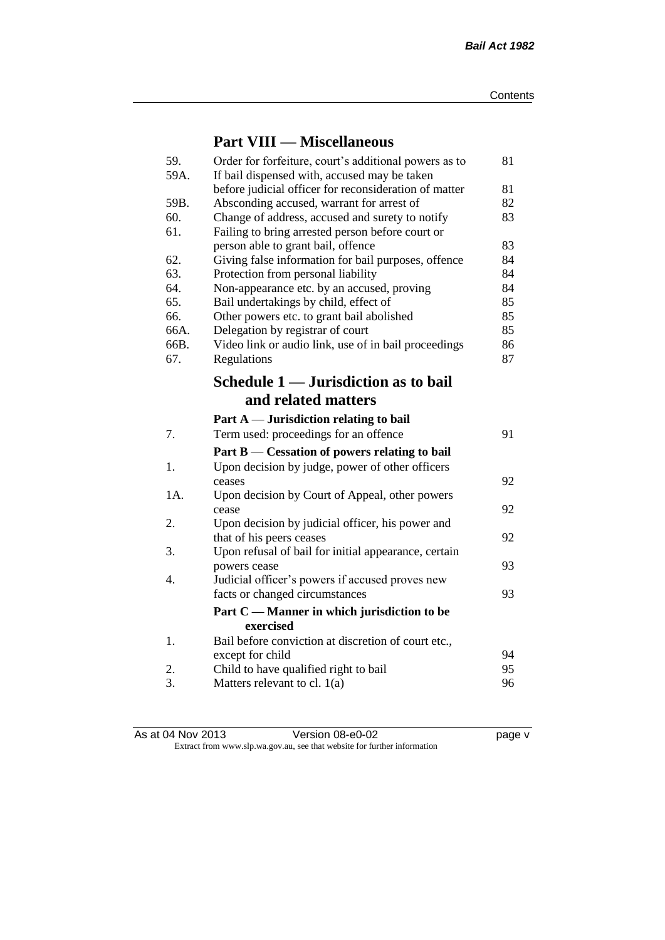## **Part VIII — Miscellaneous**

| 59.<br>59A. | Order for forfeiture, court's additional powers as to<br>If bail dispensed with, accused may be taken | 81 |
|-------------|-------------------------------------------------------------------------------------------------------|----|
|             | before judicial officer for reconsideration of matter                                                 | 81 |
| 59B.        | Absconding accused, warrant for arrest of                                                             | 82 |
| 60.         | Change of address, accused and surety to notify                                                       | 83 |
| 61.         | Failing to bring arrested person before court or                                                      |    |
|             | person able to grant bail, offence                                                                    | 83 |
| 62.         | Giving false information for bail purposes, offence                                                   | 84 |
| 63.         | Protection from personal liability                                                                    | 84 |
| 64.         | Non-appearance etc. by an accused, proving                                                            | 84 |
| 65.         | Bail undertakings by child, effect of                                                                 | 85 |
| 66.         | Other powers etc. to grant bail abolished                                                             | 85 |
| 66A.        | Delegation by registrar of court                                                                      | 85 |
| 66B.        | Video link or audio link, use of in bail proceedings                                                  | 86 |
| 67.         | Regulations                                                                                           | 87 |
|             | Schedule 1 — Jurisdiction as to bail                                                                  |    |
|             | and related matters                                                                                   |    |
|             | Part $A$ — Jurisdiction relating to bail                                                              |    |
| 7.          | Term used: proceedings for an offence                                                                 | 91 |
|             | Part $B$ — Cessation of powers relating to bail                                                       |    |
| 1.          | Upon decision by judge, power of other officers                                                       |    |
|             | ceases                                                                                                | 92 |
| 1A.         | Upon decision by Court of Appeal, other powers                                                        |    |
|             | cease                                                                                                 | 92 |
| 2.          | Upon decision by judicial officer, his power and                                                      |    |
|             | that of his peers ceases                                                                              | 92 |
| 3.          | Upon refusal of bail for initial appearance, certain                                                  |    |
|             | powers cease                                                                                          | 93 |
| 4.          | Judicial officer's powers if accused proves new                                                       |    |
|             | facts or changed circumstances                                                                        | 93 |
|             | Part C — Manner in which jurisdiction to be                                                           |    |
|             | exercised                                                                                             |    |
| 1.          | Bail before conviction at discretion of court etc.,                                                   |    |
|             | except for child                                                                                      | 94 |
| 2.<br>3.    | Child to have qualified right to bail                                                                 | 95 |
|             | Matters relevant to cl. $1(a)$                                                                        | 96 |

As at 04 Nov 2013 **Version 08-e0-02 Page v** page v Extract from www.slp.wa.gov.au, see that website for further information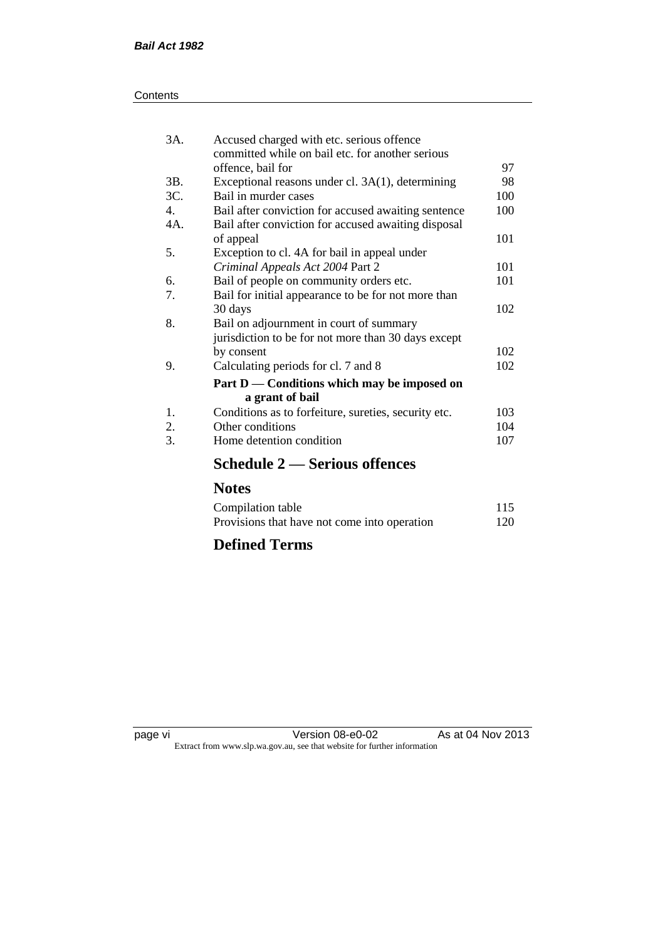| Contents |
|----------|
|----------|

| 3A.            | Accused charged with etc. serious offence<br>committed while on bail etc. for another serious |     |
|----------------|-----------------------------------------------------------------------------------------------|-----|
|                | offence, bail for                                                                             | 97  |
| 3B.            | Exceptional reasons under cl. 3A(1), determining                                              | 98  |
| 3C.            | Bail in murder cases                                                                          | 100 |
| $\mathbf{4}$ . | Bail after conviction for accused awaiting sentence                                           | 100 |
| 4A.            | Bail after conviction for accused awaiting disposal                                           |     |
|                | of appeal                                                                                     | 101 |
| 5.             | Exception to cl. 4A for bail in appeal under                                                  |     |
|                | Criminal Appeals Act 2004 Part 2                                                              | 101 |
| 6.             | Bail of people on community orders etc.                                                       | 101 |
| 7.             | Bail for initial appearance to be for not more than                                           |     |
|                | 30 days                                                                                       | 102 |
| 8.             | Bail on adjournment in court of summary                                                       |     |
|                | jurisdiction to be for not more than 30 days except                                           |     |
|                | by consent                                                                                    | 102 |
| 9.             | Calculating periods for cl. 7 and 8                                                           | 102 |
|                | Part D — Conditions which may be imposed on<br>a grant of bail                                |     |
| 1.             | Conditions as to forfeiture, sureties, security etc.                                          | 103 |
| 2.             | Other conditions                                                                              | 104 |
| 3.             | Home detention condition                                                                      | 107 |
|                | Schedule 2 — Serious offences                                                                 |     |

## **Notes**

| Compilation table                            | 115 |
|----------------------------------------------|-----|
| Provisions that have not come into operation | 120 |

## **Defined Terms**

page vi Version 08-e0-02 As at 04 Nov 2013 Extract from www.slp.wa.gov.au, see that website for further information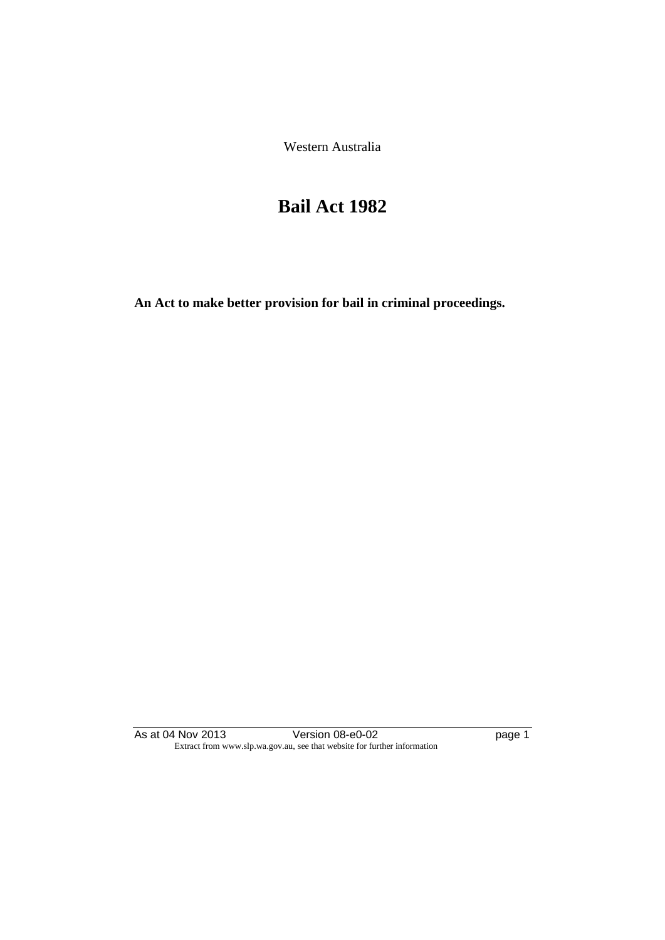Western Australia

## **Bail Act 1982**

**An Act to make better provision for bail in criminal proceedings.** 

As at 04 Nov 2013 **Details Accede 12 Version 08-e0-02 page 1** Extract from www.slp.wa.gov.au, see that website for further information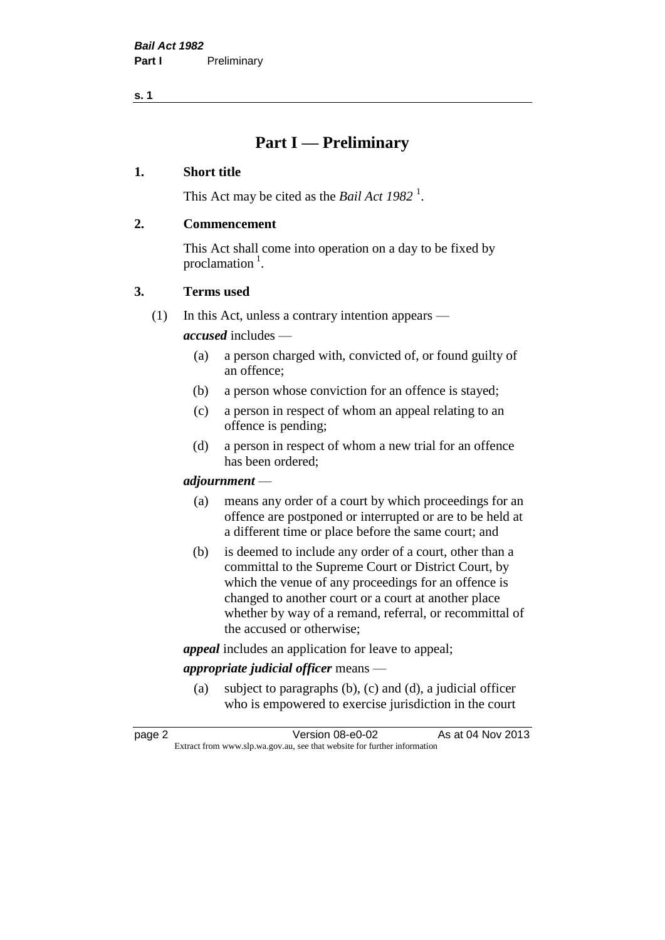**s. 1**

## **Part I — Preliminary**

#### **1. Short title**

This Act may be cited as the *Bail Act* 1982<sup>1</sup>.

#### **2. Commencement**

This Act shall come into operation on a day to be fixed by proclamation  $<sup>1</sup>$ .</sup>

#### **3. Terms used**

(1) In this Act, unless a contrary intention appears —

*accused* includes —

- (a) a person charged with, convicted of, or found guilty of an offence;
- (b) a person whose conviction for an offence is stayed;
- (c) a person in respect of whom an appeal relating to an offence is pending;
- (d) a person in respect of whom a new trial for an offence has been ordered;

#### *adjournment* —

- (a) means any order of a court by which proceedings for an offence are postponed or interrupted or are to be held at a different time or place before the same court; and
- (b) is deemed to include any order of a court, other than a committal to the Supreme Court or District Court, by which the venue of any proceedings for an offence is changed to another court or a court at another place whether by way of a remand, referral, or recommittal of the accused or otherwise;

*appeal* includes an application for leave to appeal;

#### *appropriate judicial officer* means —

(a) subject to paragraphs (b), (c) and (d), a judicial officer who is empowered to exercise jurisdiction in the court

| page 2 | Version 08-e0-02                                                         | As at 04 Nov 2013 |
|--------|--------------------------------------------------------------------------|-------------------|
|        | Extract from www.slp.wa.gov.au, see that website for further information |                   |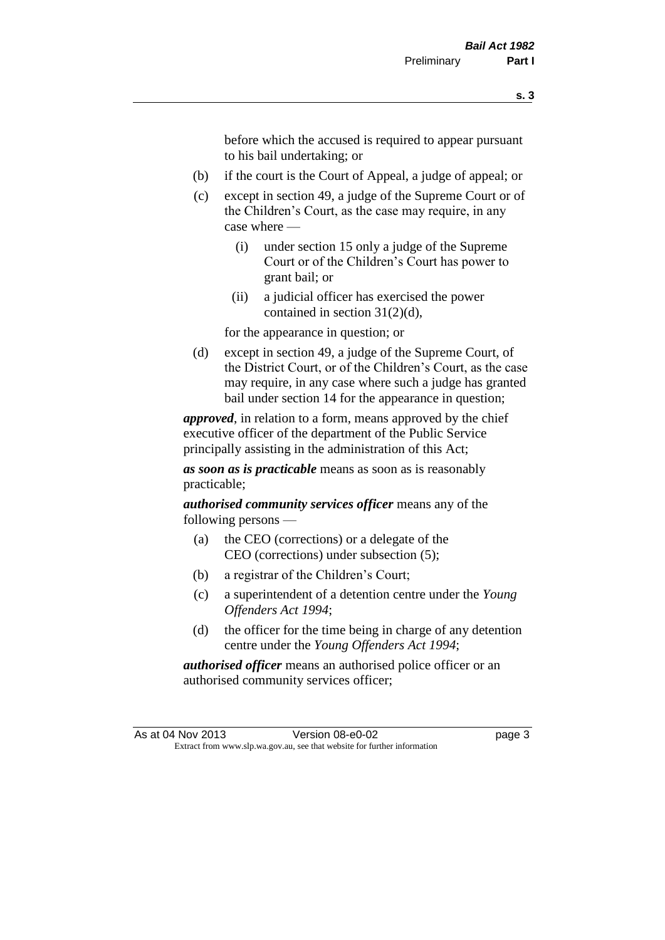before which the accused is required to appear pursuant to his bail undertaking; or

- (b) if the court is the Court of Appeal, a judge of appeal; or
- (c) except in section 49, a judge of the Supreme Court or of the Children's Court, as the case may require, in any case where —
	- (i) under section 15 only a judge of the Supreme Court or of the Children's Court has power to grant bail; or
	- (ii) a judicial officer has exercised the power contained in section 31(2)(d),

for the appearance in question; or

(d) except in section 49, a judge of the Supreme Court, of the District Court, or of the Children's Court, as the case may require, in any case where such a judge has granted bail under section 14 for the appearance in question;

*approved*, in relation to a form, means approved by the chief executive officer of the department of the Public Service principally assisting in the administration of this Act;

*as soon as is practicable* means as soon as is reasonably practicable;

*authorised community services officer* means any of the following persons —

- (a) the CEO (corrections) or a delegate of the CEO (corrections) under subsection (5);
- (b) a registrar of the Children's Court;
- (c) a superintendent of a detention centre under the *Young Offenders Act 1994*;
- (d) the officer for the time being in charge of any detention centre under the *Young Offenders Act 1994*;

*authorised officer* means an authorised police officer or an authorised community services officer;

As at 04 Nov 2013 Version 08-e0-02 Page 3 Extract from www.slp.wa.gov.au, see that website for further information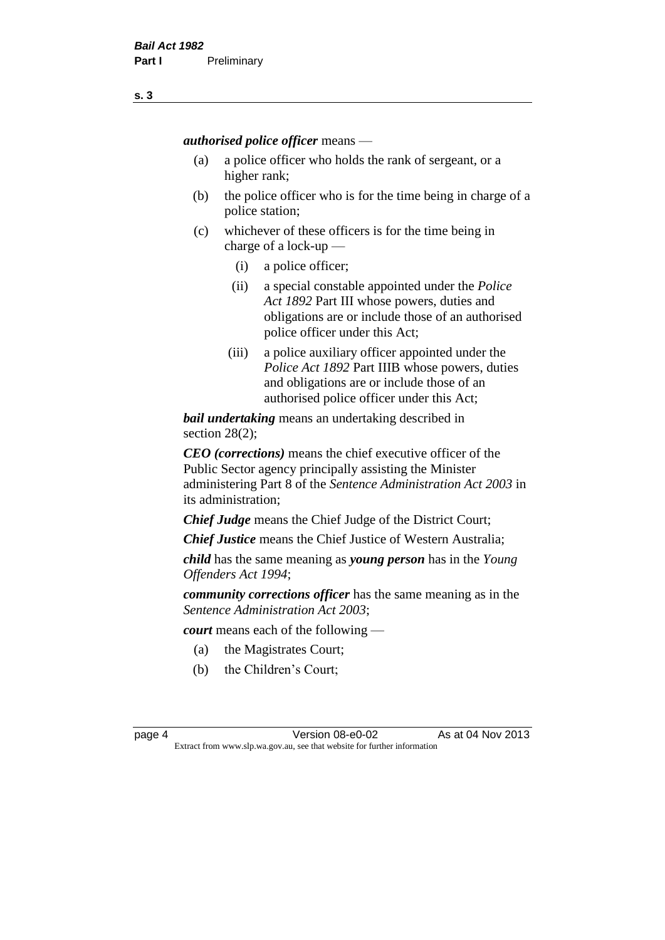*authorised police officer* means —

- (a) a police officer who holds the rank of sergeant, or a higher rank;
- (b) the police officer who is for the time being in charge of a police station;
- (c) whichever of these officers is for the time being in charge of a lock-up —
	- (i) a police officer;
	- (ii) a special constable appointed under the *Police Act 1892* Part III whose powers, duties and obligations are or include those of an authorised police officer under this Act;
	- (iii) a police auxiliary officer appointed under the *Police Act 1892* Part IIIB whose powers, duties and obligations are or include those of an authorised police officer under this Act;

*bail undertaking* means an undertaking described in section 28(2);

*CEO (corrections)* means the chief executive officer of the Public Sector agency principally assisting the Minister administering Part 8 of the *Sentence Administration Act 2003* in its administration;

*Chief Judge* means the Chief Judge of the District Court;

*Chief Justice* means the Chief Justice of Western Australia;

*child* has the same meaning as *young person* has in the *Young Offenders Act 1994*;

*community corrections officer* has the same meaning as in the *Sentence Administration Act 2003*;

*court* means each of the following —

- (a) the Magistrates Court;
- (b) the Children's Court;

page 4 Version 08-e0-02 As at 04 Nov 2013 Extract from www.slp.wa.gov.au, see that website for further information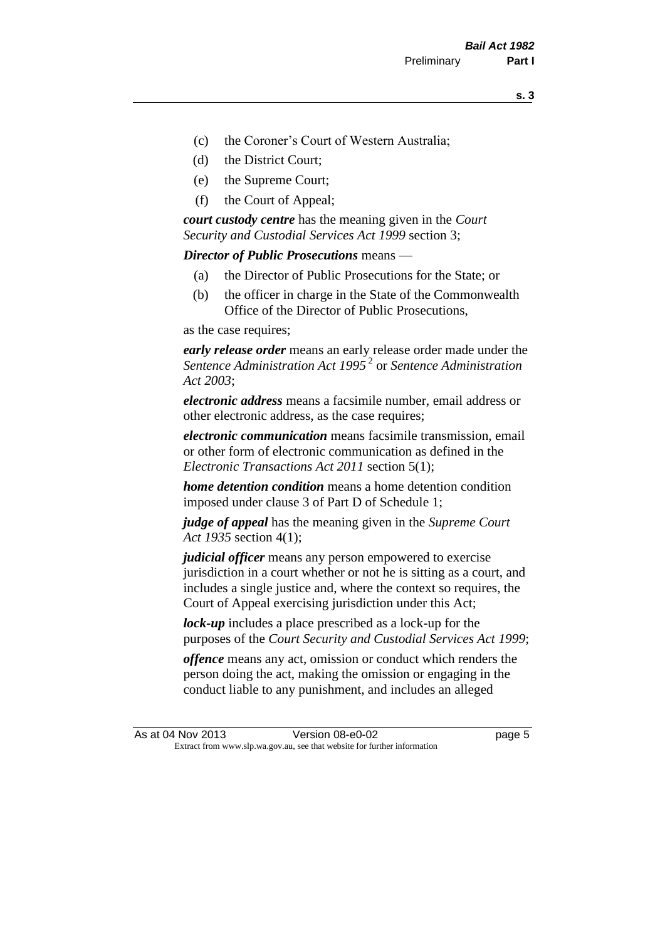- (c) the Coroner's Court of Western Australia;
- (d) the District Court;
- (e) the Supreme Court;
- (f) the Court of Appeal;

*court custody centre* has the meaning given in the *Court Security and Custodial Services Act 1999* section 3;

*Director of Public Prosecutions* means —

- (a) the Director of Public Prosecutions for the State; or
- (b) the officer in charge in the State of the Commonwealth Office of the Director of Public Prosecutions,

as the case requires;

*early release order* means an early release order made under the *Sentence Administration Act 1995* <sup>2</sup> or *Sentence Administration Act 2003*;

*electronic address* means a facsimile number, email address or other electronic address, as the case requires;

*electronic communication* means facsimile transmission, email or other form of electronic communication as defined in the *Electronic Transactions Act 2011* section 5(1);

*home detention condition* means a home detention condition imposed under clause 3 of Part D of Schedule 1;

*judge of appeal* has the meaning given in the *Supreme Court Act 1935* section 4(1);

*judicial officer* means any person empowered to exercise jurisdiction in a court whether or not he is sitting as a court, and includes a single justice and, where the context so requires, the Court of Appeal exercising jurisdiction under this Act;

*lock-up* includes a place prescribed as a lock-up for the purposes of the *Court Security and Custodial Services Act 1999*;

*offence* means any act, omission or conduct which renders the person doing the act, making the omission or engaging in the conduct liable to any punishment, and includes an alleged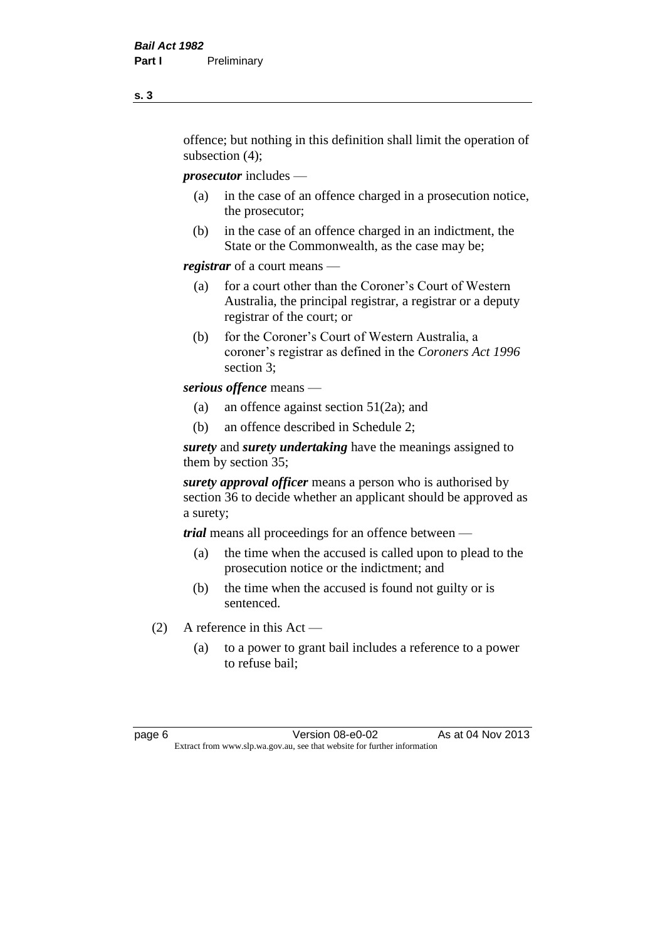offence; but nothing in this definition shall limit the operation of subsection (4);

*prosecutor* includes —

- (a) in the case of an offence charged in a prosecution notice, the prosecutor;
- (b) in the case of an offence charged in an indictment, the State or the Commonwealth, as the case may be;

*registrar* of a court means —

- (a) for a court other than the Coroner's Court of Western Australia, the principal registrar, a registrar or a deputy registrar of the court; or
- (b) for the Coroner's Court of Western Australia, a coroner's registrar as defined in the *Coroners Act 1996* section 3;

*serious offence* means —

- (a) an offence against section 51(2a); and
- (b) an offence described in Schedule 2;

*surety* and *surety undertaking* have the meanings assigned to them by section 35;

*surety approval officer* means a person who is authorised by section 36 to decide whether an applicant should be approved as a surety;

*trial* means all proceedings for an offence between —

- (a) the time when the accused is called upon to plead to the prosecution notice or the indictment; and
- (b) the time when the accused is found not guilty or is sentenced.
- (2) A reference in this Act
	- (a) to a power to grant bail includes a reference to a power to refuse bail;

page 6 Version 08-e0-02 As at 04 Nov 2013 Extract from www.slp.wa.gov.au, see that website for further information

**s. 3**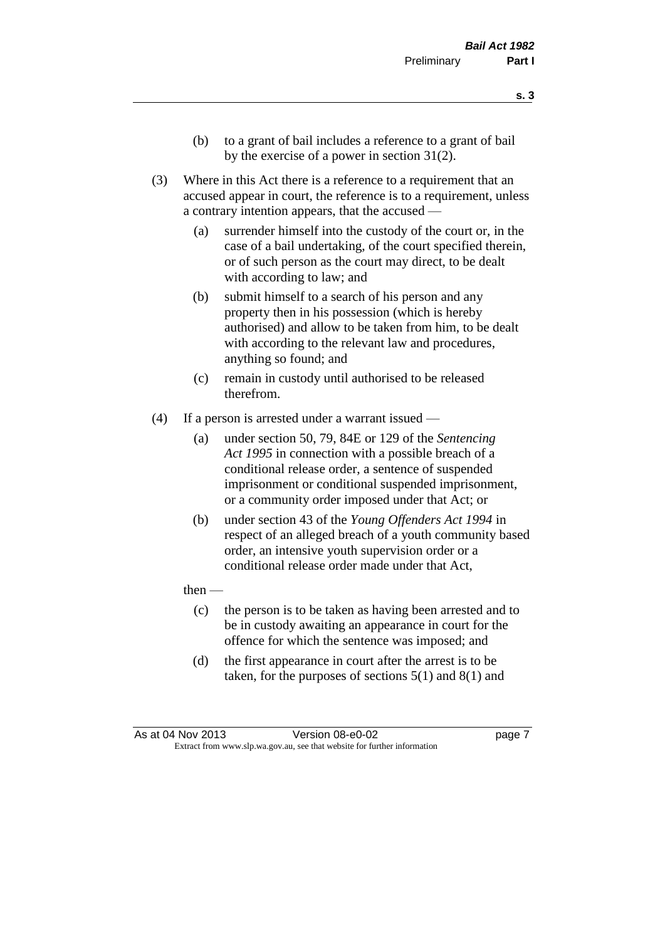- **s. 3**
- (b) to a grant of bail includes a reference to a grant of bail by the exercise of a power in section 31(2).
- (3) Where in this Act there is a reference to a requirement that an accused appear in court, the reference is to a requirement, unless a contrary intention appears, that the accused —
	- (a) surrender himself into the custody of the court or, in the case of a bail undertaking, of the court specified therein, or of such person as the court may direct, to be dealt with according to law; and
	- (b) submit himself to a search of his person and any property then in his possession (which is hereby authorised) and allow to be taken from him, to be dealt with according to the relevant law and procedures, anything so found; and
	- (c) remain in custody until authorised to be released therefrom.
- (4) If a person is arrested under a warrant issued
	- (a) under section 50, 79, 84E or 129 of the *Sentencing Act 1995* in connection with a possible breach of a conditional release order, a sentence of suspended imprisonment or conditional suspended imprisonment, or a community order imposed under that Act; or
	- (b) under section 43 of the *Young Offenders Act 1994* in respect of an alleged breach of a youth community based order, an intensive youth supervision order or a conditional release order made under that Act,
	- then
		- (c) the person is to be taken as having been arrested and to be in custody awaiting an appearance in court for the offence for which the sentence was imposed; and
		- (d) the first appearance in court after the arrest is to be taken, for the purposes of sections  $5(1)$  and  $8(1)$  and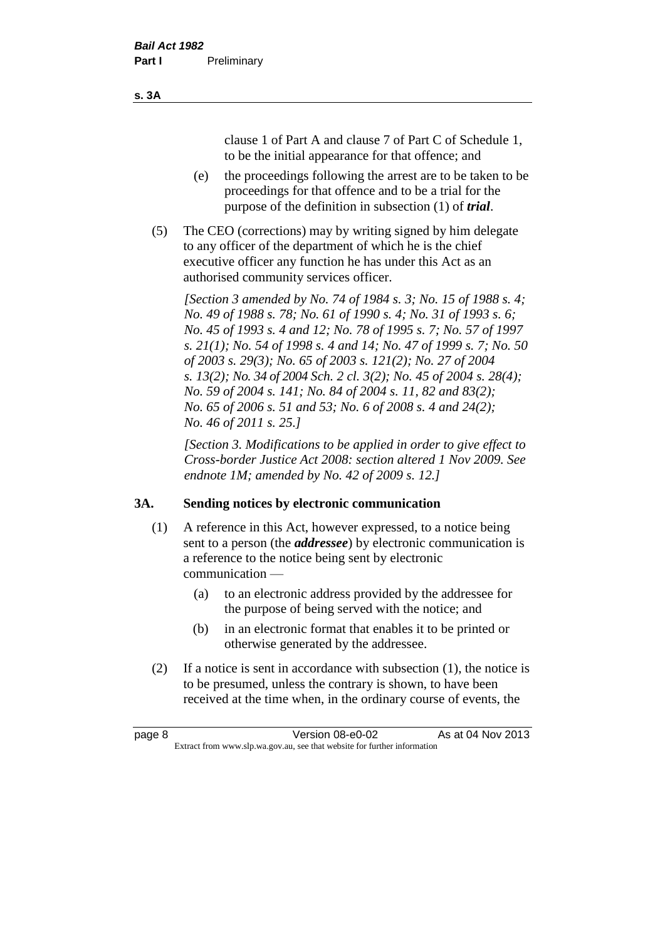clause 1 of Part A and clause 7 of Part C of Schedule 1, to be the initial appearance for that offence; and

- (e) the proceedings following the arrest are to be taken to be proceedings for that offence and to be a trial for the purpose of the definition in subsection (1) of *trial*.
- (5) The CEO (corrections) may by writing signed by him delegate to any officer of the department of which he is the chief executive officer any function he has under this Act as an authorised community services officer.

*[Section 3 amended by No. 74 of 1984 s. 3; No. 15 of 1988 s. 4; No. 49 of 1988 s. 78; No. 61 of 1990 s. 4; No. 31 of 1993 s. 6; No. 45 of 1993 s. 4 and 12; No. 78 of 1995 s. 7; No. 57 of 1997 s. 21(1); No. 54 of 1998 s. 4 and 14; No. 47 of 1999 s. 7; No. 50 of 2003 s. 29(3); No. 65 of 2003 s. 121(2); No. 27 of 2004 s. 13(2); No. 34 of 2004 Sch. 2 cl. 3(2); No. 45 of 2004 s. 28(4); No. 59 of 2004 s. 141; No. 84 of 2004 s. 11, 82 and 83(2); No. 65 of 2006 s. 51 and 53; No. 6 of 2008 s. 4 and 24(2); No. 46 of 2011 s. 25.]* 

*[Section 3. Modifications to be applied in order to give effect to Cross-border Justice Act 2008: section altered 1 Nov 2009. See endnote 1M; amended by No. 42 of 2009 s. 12.]*

#### **3A. Sending notices by electronic communication**

- (1) A reference in this Act, however expressed, to a notice being sent to a person (the *addressee*) by electronic communication is a reference to the notice being sent by electronic communication —
	- (a) to an electronic address provided by the addressee for the purpose of being served with the notice; and
	- (b) in an electronic format that enables it to be printed or otherwise generated by the addressee.
- (2) If a notice is sent in accordance with subsection (1), the notice is to be presumed, unless the contrary is shown, to have been received at the time when, in the ordinary course of events, the

| page 8 | Version 08-e0-02                                                         | As at 04 Nov 2013 |
|--------|--------------------------------------------------------------------------|-------------------|
|        | Extract from www.slp.wa.gov.au, see that website for further information |                   |

#### **s. 3A**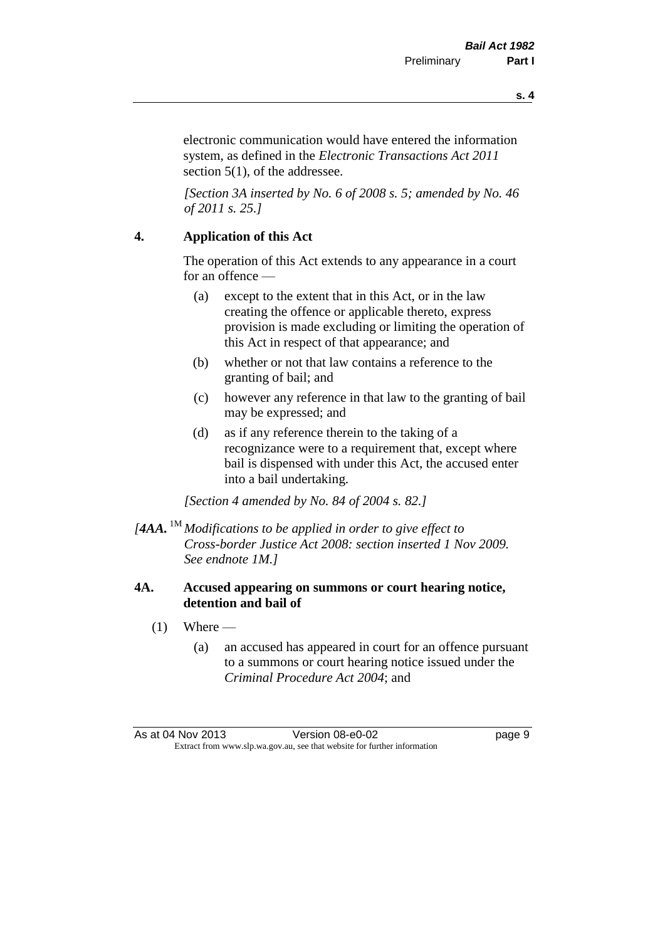**s. 4**

electronic communication would have entered the information system, as defined in the *Electronic Transactions Act 2011* section 5(1), of the addressee.

*[Section 3A inserted by No. 6 of 2008 s. 5; amended by No. 46 of 2011 s. 25.]*

#### **4. Application of this Act**

The operation of this Act extends to any appearance in a court for an offence —

- (a) except to the extent that in this Act, or in the law creating the offence or applicable thereto, express provision is made excluding or limiting the operation of this Act in respect of that appearance; and
- (b) whether or not that law contains a reference to the granting of bail; and
- (c) however any reference in that law to the granting of bail may be expressed; and
- (d) as if any reference therein to the taking of a recognizance were to a requirement that, except where bail is dispensed with under this Act, the accused enter into a bail undertaking.

*[Section 4 amended by No. 84 of 2004 s. 82.]*

*[4AA.* 1M *Modifications to be applied in order to give effect to Cross-border Justice Act 2008: section inserted 1 Nov 2009. See endnote 1M.]*

#### **4A. Accused appearing on summons or court hearing notice, detention and bail of**

- $(1)$  Where
	- (a) an accused has appeared in court for an offence pursuant to a summons or court hearing notice issued under the *Criminal Procedure Act 2004*; and

As at 04 Nov 2013 Version 08-e0-02 Page 9 Extract from www.slp.wa.gov.au, see that website for further information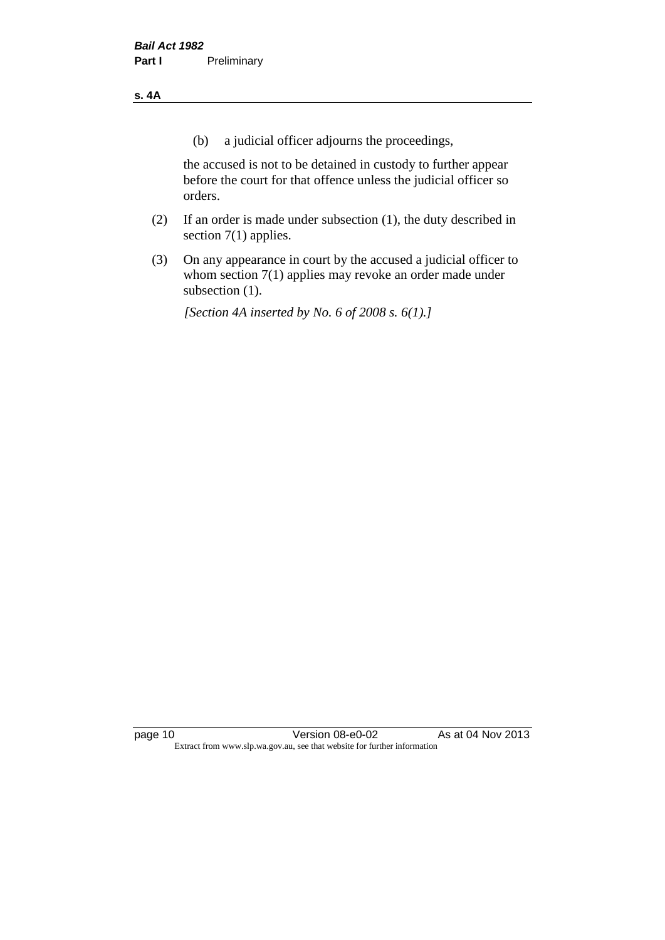#### **s. 4A**

(b) a judicial officer adjourns the proceedings,

the accused is not to be detained in custody to further appear before the court for that offence unless the judicial officer so orders.

- (2) If an order is made under subsection (1), the duty described in section 7(1) applies.
- (3) On any appearance in court by the accused a judicial officer to whom section 7(1) applies may revoke an order made under subsection (1).

*[Section 4A inserted by No. 6 of 2008 s. 6(1).]*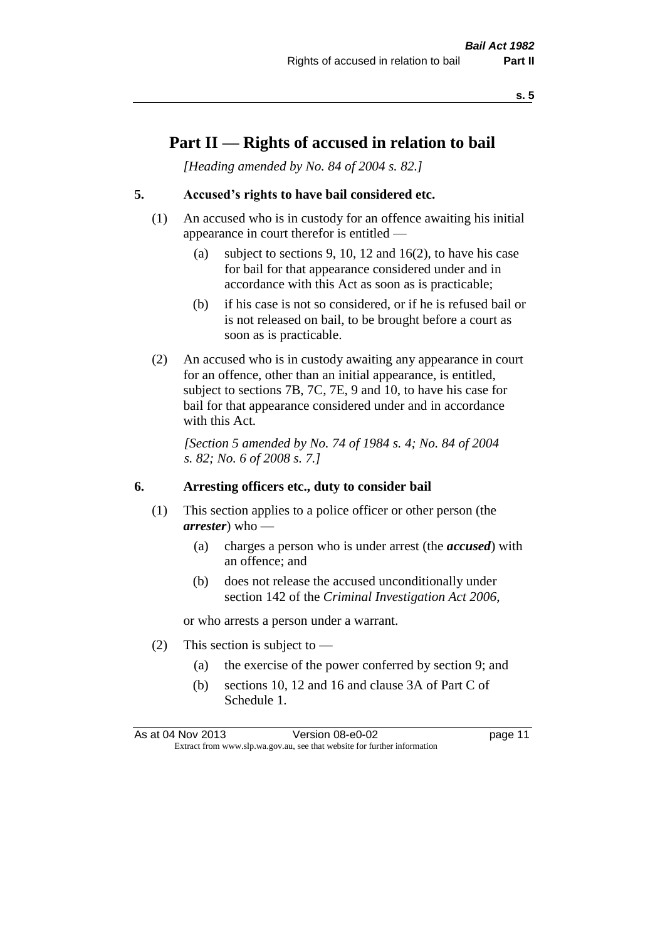### **Part II — Rights of accused in relation to bail**

*[Heading amended by No. 84 of 2004 s. 82.]* 

#### **5. Accused's rights to have bail considered etc.**

- (1) An accused who is in custody for an offence awaiting his initial appearance in court therefor is entitled —
	- (a) subject to sections 9, 10, 12 and 16(2), to have his case for bail for that appearance considered under and in accordance with this Act as soon as is practicable;
	- (b) if his case is not so considered, or if he is refused bail or is not released on bail, to be brought before a court as soon as is practicable.
- (2) An accused who is in custody awaiting any appearance in court for an offence, other than an initial appearance, is entitled, subject to sections 7B, 7C, 7E, 9 and 10, to have his case for bail for that appearance considered under and in accordance with this Act.

*[Section 5 amended by No. 74 of 1984 s. 4; No. 84 of 2004 s. 82; No. 6 of 2008 s. 7.]* 

#### **6. Arresting officers etc., duty to consider bail**

- (1) This section applies to a police officer or other person (the *arrester*) who —
	- (a) charges a person who is under arrest (the *accused*) with an offence; and
	- (b) does not release the accused unconditionally under section 142 of the *Criminal Investigation Act 2006*,

or who arrests a person under a warrant.

- (2) This section is subject to  $-$ 
	- (a) the exercise of the power conferred by section 9; and
	- (b) sections 10, 12 and 16 and clause 3A of Part C of Schedule 1.

As at 04 Nov 2013 Version 08-e0-02 Page 11 Extract from www.slp.wa.gov.au, see that website for further information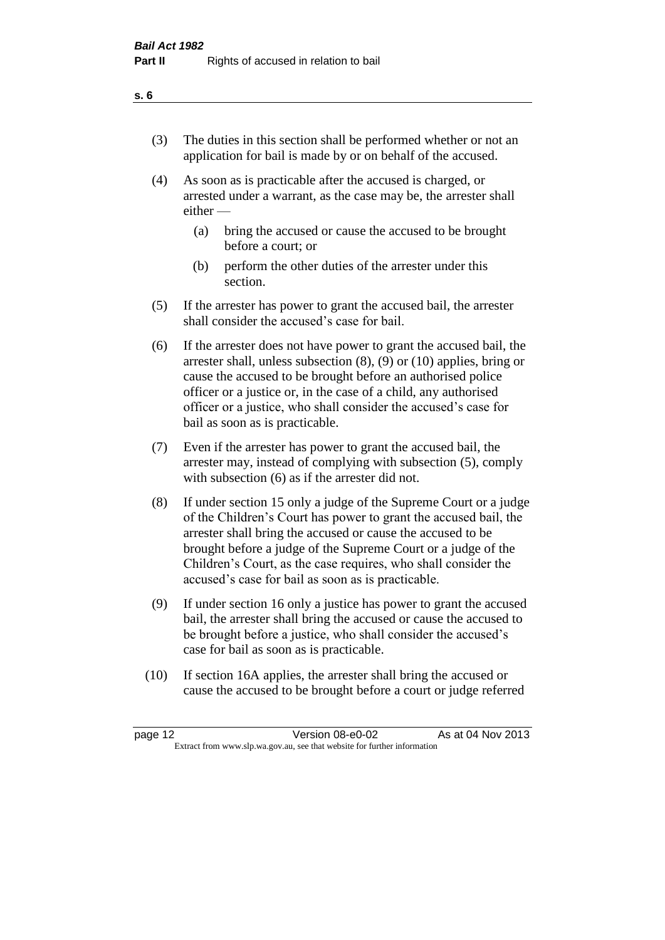- (3) The duties in this section shall be performed whether or not an application for bail is made by or on behalf of the accused.
- (4) As soon as is practicable after the accused is charged, or arrested under a warrant, as the case may be, the arrester shall either —
	- (a) bring the accused or cause the accused to be brought before a court; or
	- (b) perform the other duties of the arrester under this section.
- (5) If the arrester has power to grant the accused bail, the arrester shall consider the accused's case for bail.
- (6) If the arrester does not have power to grant the accused bail, the arrester shall, unless subsection (8), (9) or (10) applies, bring or cause the accused to be brought before an authorised police officer or a justice or, in the case of a child, any authorised officer or a justice, who shall consider the accused's case for bail as soon as is practicable.
- (7) Even if the arrester has power to grant the accused bail, the arrester may, instead of complying with subsection (5), comply with subsection (6) as if the arrester did not.
- (8) If under section 15 only a judge of the Supreme Court or a judge of the Children's Court has power to grant the accused bail, the arrester shall bring the accused or cause the accused to be brought before a judge of the Supreme Court or a judge of the Children's Court, as the case requires, who shall consider the accused's case for bail as soon as is practicable.
- (9) If under section 16 only a justice has power to grant the accused bail, the arrester shall bring the accused or cause the accused to be brought before a justice, who shall consider the accused's case for bail as soon as is practicable.
- (10) If section 16A applies, the arrester shall bring the accused or cause the accused to be brought before a court or judge referred

| page 12                                                                  | Version 08-e0-02 | As at 04 Nov 2013 |
|--------------------------------------------------------------------------|------------------|-------------------|
| Extract from www.slp.wa.gov.au, see that website for further information |                  |                   |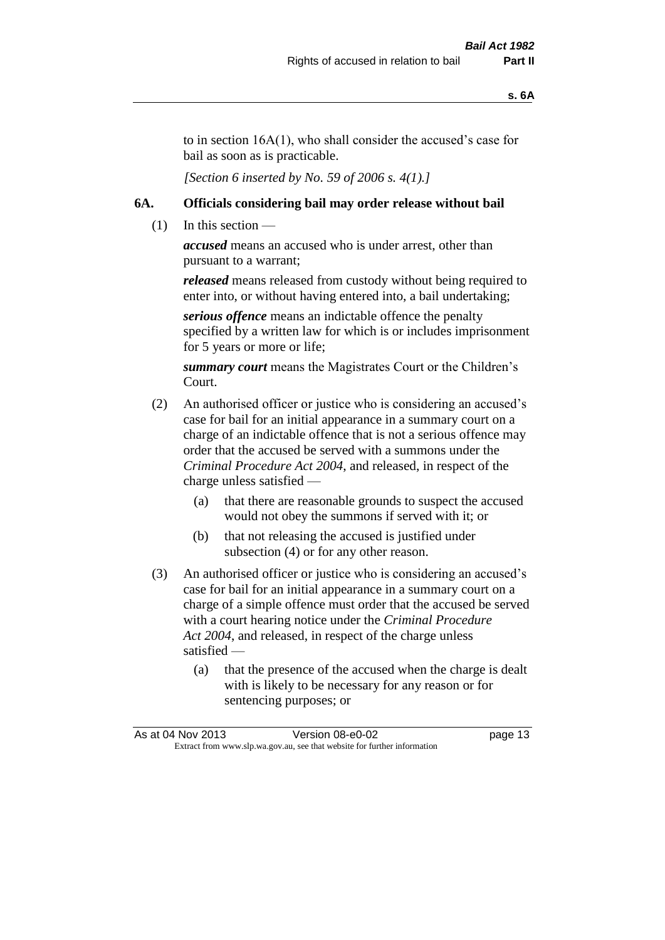to in section 16A(1), who shall consider the accused's case for bail as soon as is practicable.

*[Section 6 inserted by No. 59 of 2006 s. 4(1).]* 

#### **6A. Officials considering bail may order release without bail**

 $(1)$  In this section —

*accused* means an accused who is under arrest, other than pursuant to a warrant;

*released* means released from custody without being required to enter into, or without having entered into, a bail undertaking;

*serious offence* means an indictable offence the penalty specified by a written law for which is or includes imprisonment for 5 years or more or life;

*summary court* means the Magistrates Court or the Children's Court.

- (2) An authorised officer or justice who is considering an accused's case for bail for an initial appearance in a summary court on a charge of an indictable offence that is not a serious offence may order that the accused be served with a summons under the *Criminal Procedure Act 2004*, and released, in respect of the charge unless satisfied —
	- (a) that there are reasonable grounds to suspect the accused would not obey the summons if served with it; or
	- (b) that not releasing the accused is justified under subsection (4) or for any other reason.
- (3) An authorised officer or justice who is considering an accused's case for bail for an initial appearance in a summary court on a charge of a simple offence must order that the accused be served with a court hearing notice under the *Criminal Procedure Act 2004*, and released, in respect of the charge unless satisfied —
	- (a) that the presence of the accused when the charge is dealt with is likely to be necessary for any reason or for sentencing purposes; or

|                                                                          | As at 04 Nov 2013 | Version 08-e0-02 | page 13 |
|--------------------------------------------------------------------------|-------------------|------------------|---------|
| Extract from www.slp.wa.gov.au, see that website for further information |                   |                  |         |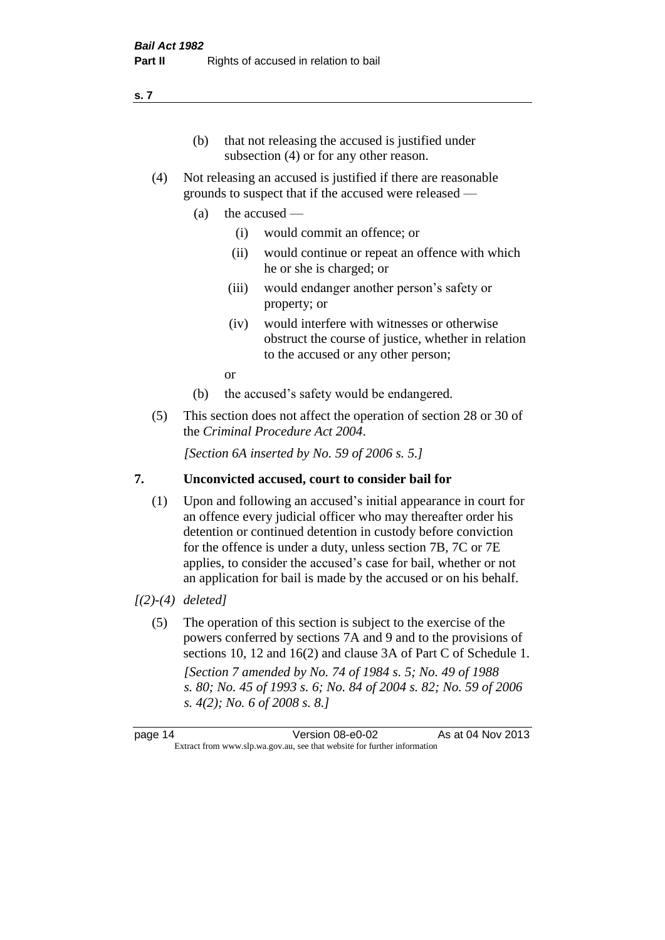## (b) that not releasing the accused is justified under

- subsection (4) or for any other reason.
- (4) Not releasing an accused is justified if there are reasonable grounds to suspect that if the accused were released —
	- (a) the accused
		- (i) would commit an offence; or
		- (ii) would continue or repeat an offence with which he or she is charged; or
		- (iii) would endanger another person's safety or property; or
		- (iv) would interfere with witnesses or otherwise obstruct the course of justice, whether in relation to the accused or any other person;

or

- (b) the accused's safety would be endangered.
- (5) This section does not affect the operation of section 28 or 30 of the *Criminal Procedure Act 2004*.

*[Section 6A inserted by No. 59 of 2006 s. 5.]* 

#### **7. Unconvicted accused, court to consider bail for**

(1) Upon and following an accused's initial appearance in court for an offence every judicial officer who may thereafter order his detention or continued detention in custody before conviction for the offence is under a duty, unless section 7B, 7C or 7E applies, to consider the accused's case for bail, whether or not an application for bail is made by the accused or on his behalf.

#### *[(2)-(4) deleted]*

(5) The operation of this section is subject to the exercise of the powers conferred by sections 7A and 9 and to the provisions of sections 10, 12 and 16(2) and clause 3A of Part C of Schedule 1. *[Section 7 amended by No. 74 of 1984 s. 5; No. 49 of 1988 s. 80; No. 45 of 1993 s. 6; No. 84 of 2004 s. 82; No. 59 of 2006 s. 4(2); No. 6 of 2008 s. 8.]* 

page 14 Version 08-e0-02 As at 04 Nov 2013 Extract from www.slp.wa.gov.au, see that website for further information

#### **s. 7**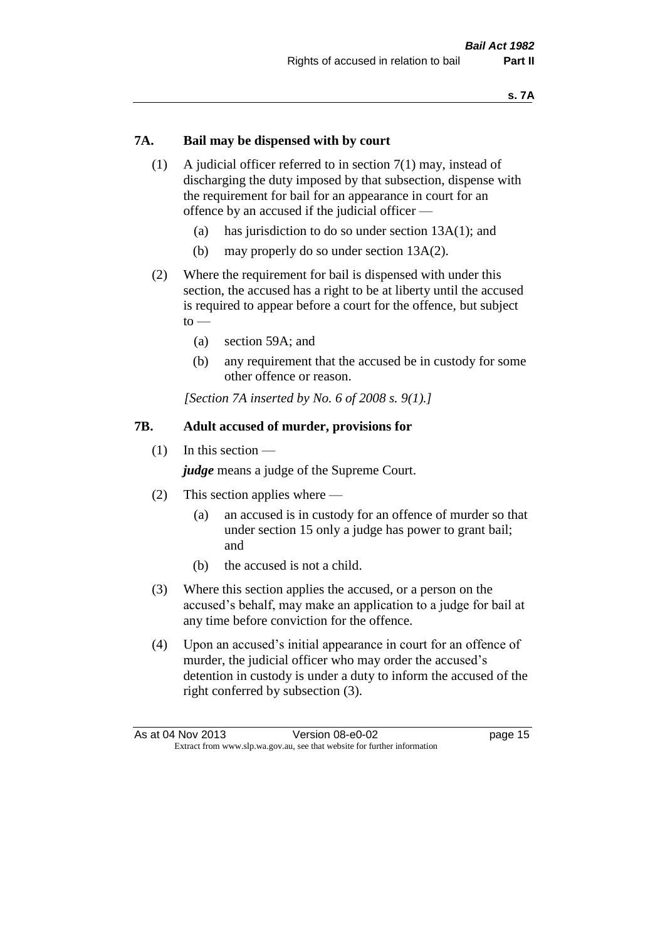#### **7A. Bail may be dispensed with by court**

- (1) A judicial officer referred to in section 7(1) may, instead of discharging the duty imposed by that subsection, dispense with the requirement for bail for an appearance in court for an offence by an accused if the judicial officer —
	- (a) has jurisdiction to do so under section 13A(1); and
	- (b) may properly do so under section 13A(2).
- (2) Where the requirement for bail is dispensed with under this section, the accused has a right to be at liberty until the accused is required to appear before a court for the offence, but subject  $to -$ 
	- (a) section 59A; and
	- (b) any requirement that the accused be in custody for some other offence or reason.

*[Section 7A inserted by No. 6 of 2008 s. 9(1).]*

#### **7B. Adult accused of murder, provisions for**

(1) In this section —

*judge* means a judge of the Supreme Court.

- (2) This section applies where
	- (a) an accused is in custody for an offence of murder so that under section 15 only a judge has power to grant bail; and
	- (b) the accused is not a child.
- (3) Where this section applies the accused, or a person on the accused's behalf, may make an application to a judge for bail at any time before conviction for the offence.
- (4) Upon an accused's initial appearance in court for an offence of murder, the judicial officer who may order the accused's detention in custody is under a duty to inform the accused of the right conferred by subsection (3).

|                                                                          | As at 04 Nov 2013 | Version 08-e0-02 | page 15 |
|--------------------------------------------------------------------------|-------------------|------------------|---------|
| Extract from www.slp.wa.gov.au, see that website for further information |                   |                  |         |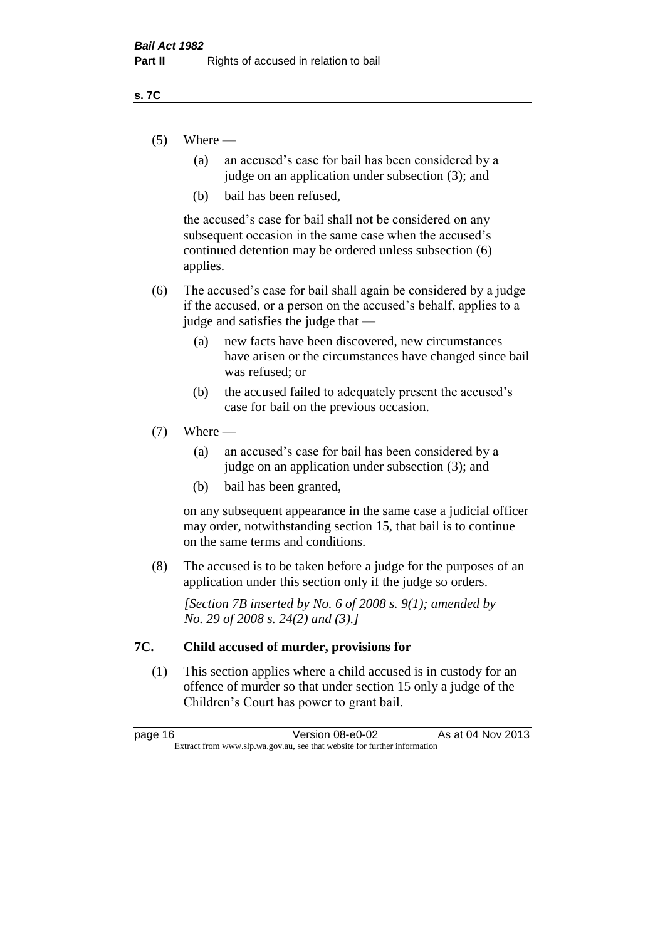#### **s. 7C**

- $(5)$  Where
	- (a) an accused's case for bail has been considered by a judge on an application under subsection (3); and
	- (b) bail has been refused,

the accused's case for bail shall not be considered on any subsequent occasion in the same case when the accused's continued detention may be ordered unless subsection (6) applies.

- (6) The accused's case for bail shall again be considered by a judge if the accused, or a person on the accused's behalf, applies to a judge and satisfies the judge that —
	- (a) new facts have been discovered, new circumstances have arisen or the circumstances have changed since bail was refused; or
	- (b) the accused failed to adequately present the accused's case for bail on the previous occasion.

#### $(7)$  Where —

- (a) an accused's case for bail has been considered by a judge on an application under subsection (3); and
- (b) bail has been granted,

on any subsequent appearance in the same case a judicial officer may order, notwithstanding section 15, that bail is to continue on the same terms and conditions.

(8) The accused is to be taken before a judge for the purposes of an application under this section only if the judge so orders.

*[Section 7B inserted by No. 6 of 2008 s. 9(1); amended by No. 29 of 2008 s. 24(2) and (3).]*

#### **7C. Child accused of murder, provisions for**

(1) This section applies where a child accused is in custody for an offence of murder so that under section 15 only a judge of the Children's Court has power to grant bail.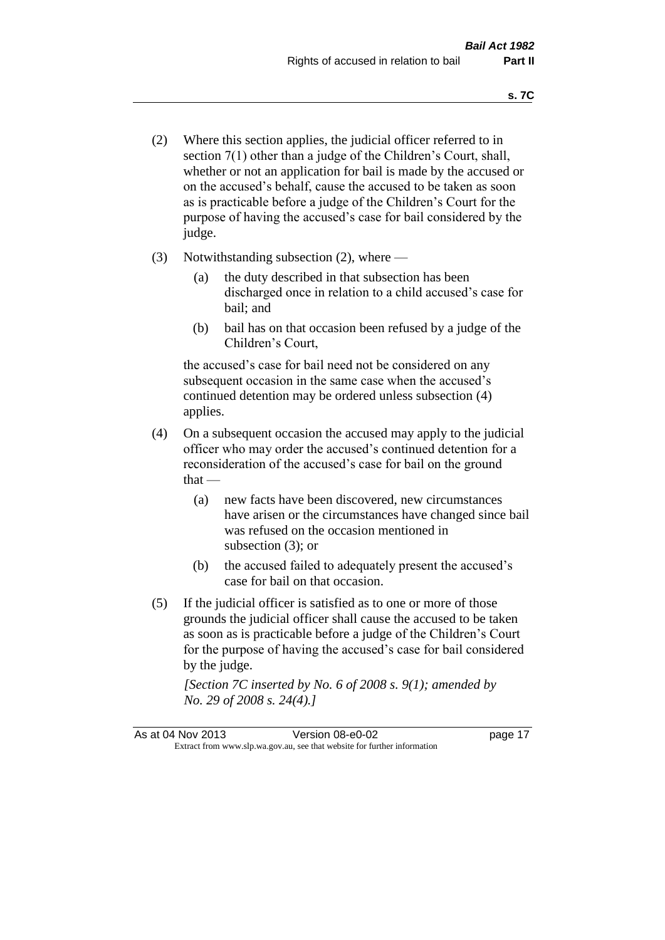- (2) Where this section applies, the judicial officer referred to in section 7(1) other than a judge of the Children's Court, shall, whether or not an application for bail is made by the accused or on the accused's behalf, cause the accused to be taken as soon as is practicable before a judge of the Children's Court for the purpose of having the accused's case for bail considered by the judge.
- (3) Notwithstanding subsection (2), where
	- (a) the duty described in that subsection has been discharged once in relation to a child accused's case for bail; and
	- (b) bail has on that occasion been refused by a judge of the Children's Court,

the accused's case for bail need not be considered on any subsequent occasion in the same case when the accused's continued detention may be ordered unless subsection (4) applies.

- (4) On a subsequent occasion the accused may apply to the judicial officer who may order the accused's continued detention for a reconsideration of the accused's case for bail on the ground  $that -$ 
	- (a) new facts have been discovered, new circumstances have arisen or the circumstances have changed since bail was refused on the occasion mentioned in subsection (3); or
	- (b) the accused failed to adequately present the accused's case for bail on that occasion.
- (5) If the judicial officer is satisfied as to one or more of those grounds the judicial officer shall cause the accused to be taken as soon as is practicable before a judge of the Children's Court for the purpose of having the accused's case for bail considered by the judge.

*[Section 7C inserted by No. 6 of 2008 s. 9(1); amended by No. 29 of 2008 s. 24(4).]*

As at 04 Nov 2013 Version 08-e0-02 Page 17 Extract from www.slp.wa.gov.au, see that website for further information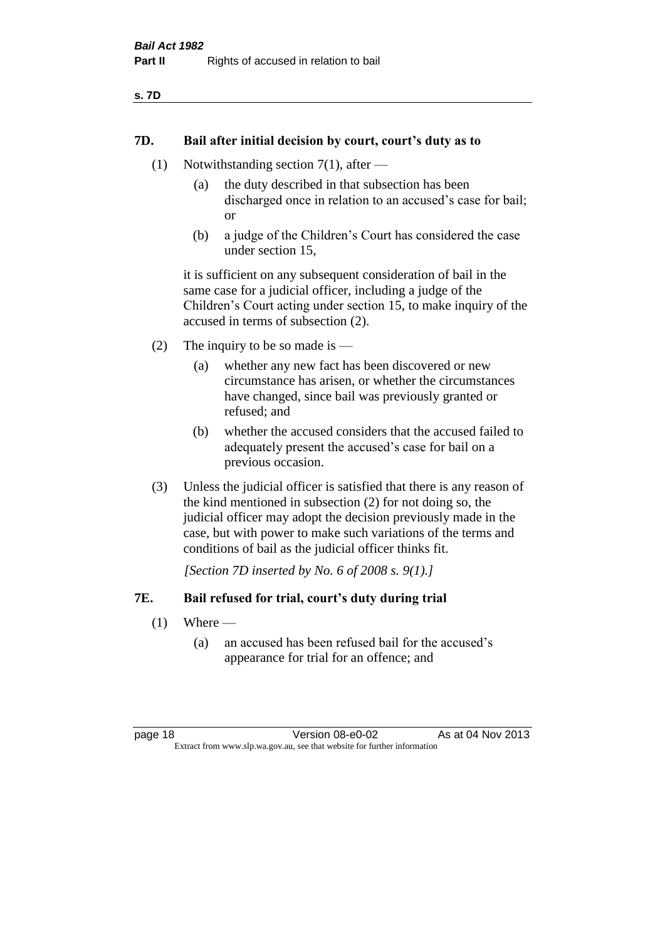#### **7D. Bail after initial decision by court, court's duty as to**

- (1) Notwithstanding section 7(1), after
	- (a) the duty described in that subsection has been discharged once in relation to an accused's case for bail; or
	- (b) a judge of the Children's Court has considered the case under section 15,

it is sufficient on any subsequent consideration of bail in the same case for a judicial officer, including a judge of the Children's Court acting under section 15, to make inquiry of the accused in terms of subsection (2).

- (2) The inquiry to be so made is  $-$ 
	- (a) whether any new fact has been discovered or new circumstance has arisen, or whether the circumstances have changed, since bail was previously granted or refused; and
	- (b) whether the accused considers that the accused failed to adequately present the accused's case for bail on a previous occasion.
- (3) Unless the judicial officer is satisfied that there is any reason of the kind mentioned in subsection (2) for not doing so, the judicial officer may adopt the decision previously made in the case, but with power to make such variations of the terms and conditions of bail as the judicial officer thinks fit.

*[Section 7D inserted by No. 6 of 2008 s. 9(1).]*

#### **7E. Bail refused for trial, court's duty during trial**

- $(1)$  Where
	- (a) an accused has been refused bail for the accused's appearance for trial for an offence; and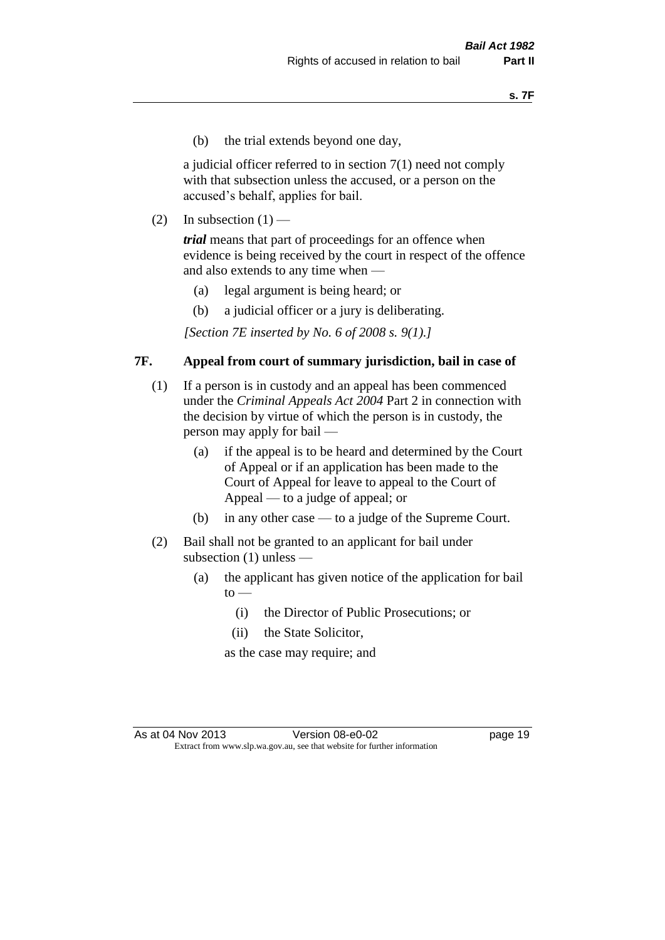(b) the trial extends beyond one day,

a judicial officer referred to in section 7(1) need not comply with that subsection unless the accused, or a person on the accused's behalf, applies for bail.

(2) In subsection  $(1)$  —

*trial* means that part of proceedings for an offence when evidence is being received by the court in respect of the offence and also extends to any time when —

- (a) legal argument is being heard; or
- (b) a judicial officer or a jury is deliberating.

*[Section 7E inserted by No. 6 of 2008 s. 9(1).]*

#### **7F. Appeal from court of summary jurisdiction, bail in case of**

- (1) If a person is in custody and an appeal has been commenced under the *Criminal Appeals Act 2004* Part 2 in connection with the decision by virtue of which the person is in custody, the person may apply for bail —
	- (a) if the appeal is to be heard and determined by the Court of Appeal or if an application has been made to the Court of Appeal for leave to appeal to the Court of Appeal — to a judge of appeal; or
	- (b) in any other case to a judge of the Supreme Court.
- (2) Bail shall not be granted to an applicant for bail under subsection (1) unless —
	- (a) the applicant has given notice of the application for bail  $to -$ 
		- (i) the Director of Public Prosecutions; or
		- (ii) the State Solicitor,

as the case may require; and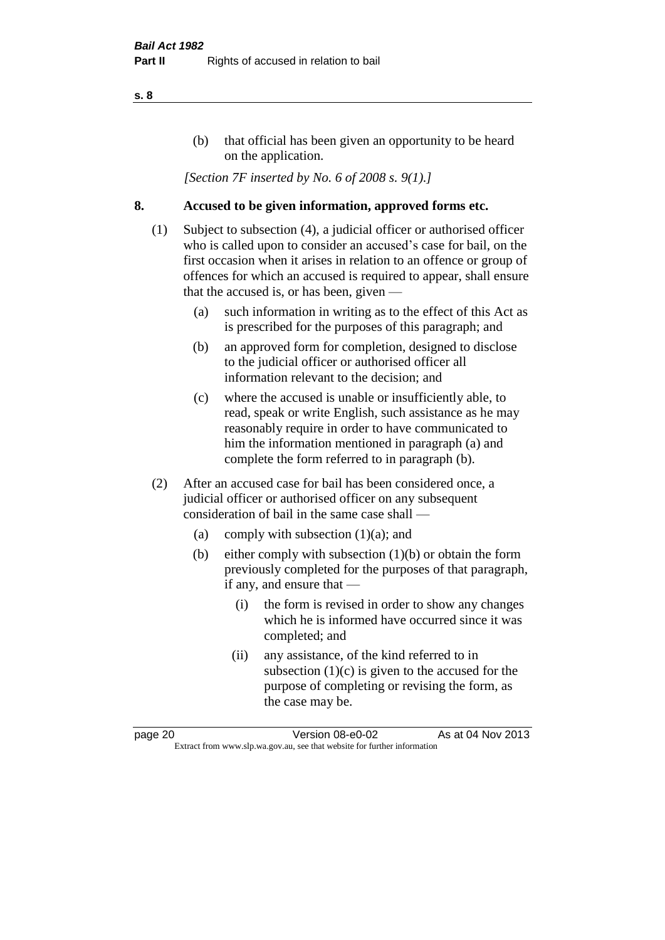#### (b) that official has been given an opportunity to be heard on the application.

*[Section 7F inserted by No. 6 of 2008 s. 9(1).]*

#### **8. Accused to be given information, approved forms etc.**

- (1) Subject to subsection (4), a judicial officer or authorised officer who is called upon to consider an accused's case for bail, on the first occasion when it arises in relation to an offence or group of offences for which an accused is required to appear, shall ensure that the accused is, or has been, given —
	- (a) such information in writing as to the effect of this Act as is prescribed for the purposes of this paragraph; and
	- (b) an approved form for completion, designed to disclose to the judicial officer or authorised officer all information relevant to the decision; and
	- (c) where the accused is unable or insufficiently able, to read, speak or write English, such assistance as he may reasonably require in order to have communicated to him the information mentioned in paragraph (a) and complete the form referred to in paragraph (b).
- (2) After an accused case for bail has been considered once, a judicial officer or authorised officer on any subsequent consideration of bail in the same case shall —
	- (a) comply with subsection (1)(a); and
	- (b) either comply with subsection (1)(b) or obtain the form previously completed for the purposes of that paragraph, if any, and ensure that —
		- (i) the form is revised in order to show any changes which he is informed have occurred since it was completed; and
		- (ii) any assistance, of the kind referred to in subsection  $(1)(c)$  is given to the accused for the purpose of completing or revising the form, as the case may be.

page 20 Version 08-e0-02 As at 04 Nov 2013 Extract from www.slp.wa.gov.au, see that website for further information

#### **s. 8**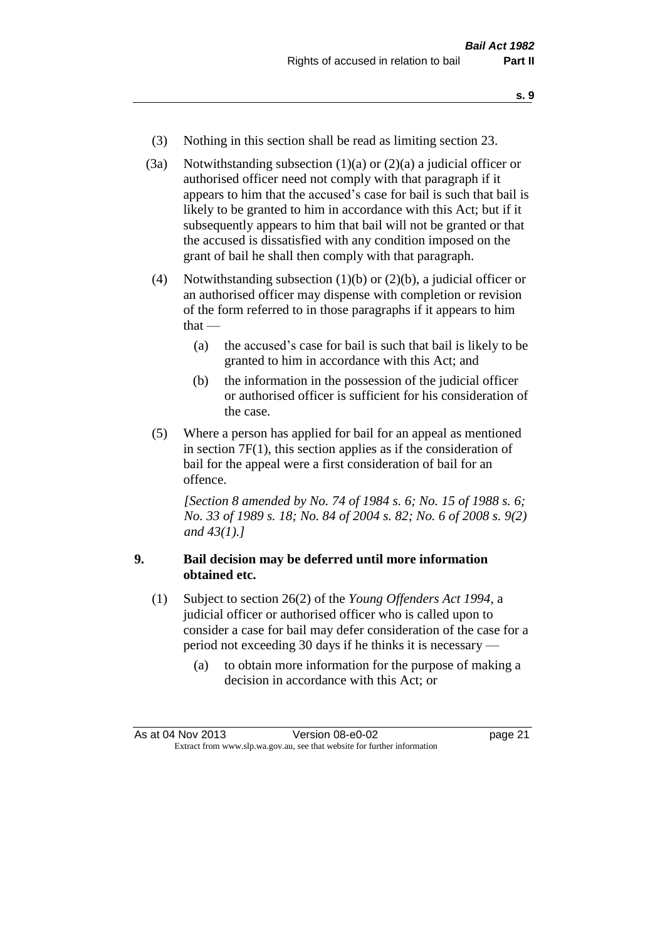- **s. 9**
- (3) Nothing in this section shall be read as limiting section 23.
- (3a) Notwithstanding subsection  $(1)(a)$  or  $(2)(a)$  a judicial officer or authorised officer need not comply with that paragraph if it appears to him that the accused's case for bail is such that bail is likely to be granted to him in accordance with this Act; but if it subsequently appears to him that bail will not be granted or that the accused is dissatisfied with any condition imposed on the grant of bail he shall then comply with that paragraph.
- (4) Notwithstanding subsection (1)(b) or (2)(b), a judicial officer or an authorised officer may dispense with completion or revision of the form referred to in those paragraphs if it appears to him that —
	- (a) the accused's case for bail is such that bail is likely to be granted to him in accordance with this Act; and
	- (b) the information in the possession of the judicial officer or authorised officer is sufficient for his consideration of the case.
- (5) Where a person has applied for bail for an appeal as mentioned in section 7F(1), this section applies as if the consideration of bail for the appeal were a first consideration of bail for an offence.

*[Section 8 amended by No. 74 of 1984 s. 6; No. 15 of 1988 s. 6; No. 33 of 1989 s. 18; No. 84 of 2004 s. 82; No. 6 of 2008 s. 9(2) and 43(1).]* 

#### **9. Bail decision may be deferred until more information obtained etc.**

- (1) Subject to section 26(2) of the *Young Offenders Act 1994*, a judicial officer or authorised officer who is called upon to consider a case for bail may defer consideration of the case for a period not exceeding 30 days if he thinks it is necessary —
	- (a) to obtain more information for the purpose of making a decision in accordance with this Act; or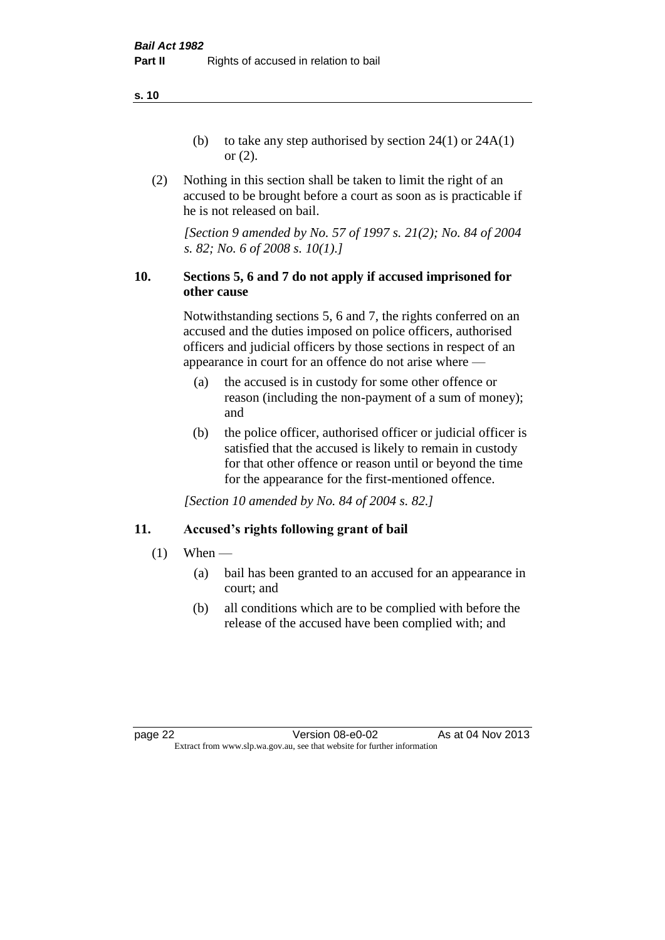**s. 10**

- (b) to take any step authorised by section  $24(1)$  or  $24A(1)$ or (2).
- (2) Nothing in this section shall be taken to limit the right of an accused to be brought before a court as soon as is practicable if he is not released on bail.

*[Section 9 amended by No. 57 of 1997 s. 21(2); No. 84 of 2004 s. 82; No. 6 of 2008 s. 10(1).]*

#### **10. Sections 5, 6 and 7 do not apply if accused imprisoned for other cause**

Notwithstanding sections 5, 6 and 7, the rights conferred on an accused and the duties imposed on police officers, authorised officers and judicial officers by those sections in respect of an appearance in court for an offence do not arise where —

- (a) the accused is in custody for some other offence or reason (including the non-payment of a sum of money); and
- (b) the police officer, authorised officer or judicial officer is satisfied that the accused is likely to remain in custody for that other offence or reason until or beyond the time for the appearance for the first-mentioned offence.

*[Section 10 amended by No. 84 of 2004 s. 82.]*

#### **11. Accused's rights following grant of bail**

- $(1)$  When
	- (a) bail has been granted to an accused for an appearance in court; and
	- (b) all conditions which are to be complied with before the release of the accused have been complied with; and

page 22 Version 08-e0-02 As at 04 Nov 2013 Extract from www.slp.wa.gov.au, see that website for further information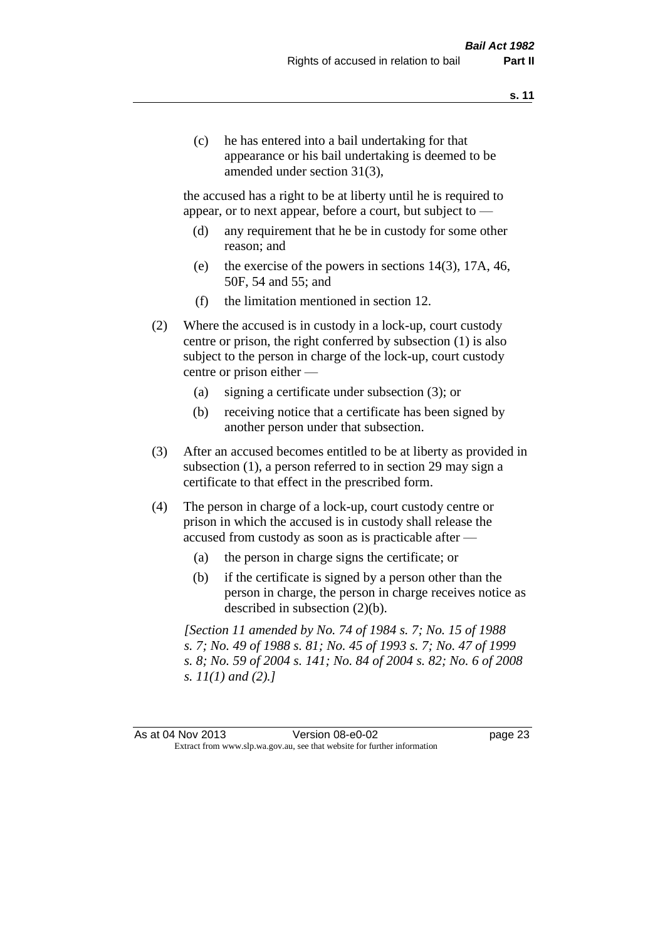(c) he has entered into a bail undertaking for that appearance or his bail undertaking is deemed to be amended under section 31(3),

the accused has a right to be at liberty until he is required to appear, or to next appear, before a court, but subject to —

- (d) any requirement that he be in custody for some other reason; and
- (e) the exercise of the powers in sections 14(3), 17A, 46, 50F, 54 and 55; and
- (f) the limitation mentioned in section 12.
- (2) Where the accused is in custody in a lock-up, court custody centre or prison, the right conferred by subsection (1) is also subject to the person in charge of the lock-up, court custody centre or prison either —
	- (a) signing a certificate under subsection (3); or
	- (b) receiving notice that a certificate has been signed by another person under that subsection.
- (3) After an accused becomes entitled to be at liberty as provided in subsection (1), a person referred to in section 29 may sign a certificate to that effect in the prescribed form.
- (4) The person in charge of a lock-up, court custody centre or prison in which the accused is in custody shall release the accused from custody as soon as is practicable after —
	- (a) the person in charge signs the certificate; or
	- (b) if the certificate is signed by a person other than the person in charge, the person in charge receives notice as described in subsection (2)(b).

*[Section 11 amended by No. 74 of 1984 s. 7; No. 15 of 1988 s. 7; No. 49 of 1988 s. 81; No. 45 of 1993 s. 7; No. 47 of 1999 s. 8; No. 59 of 2004 s. 141; No. 84 of 2004 s. 82; No. 6 of 2008 s. 11(1) and (2).]* 

As at 04 Nov 2013 Version 08-e0-02 Page 23 Extract from www.slp.wa.gov.au, see that website for further information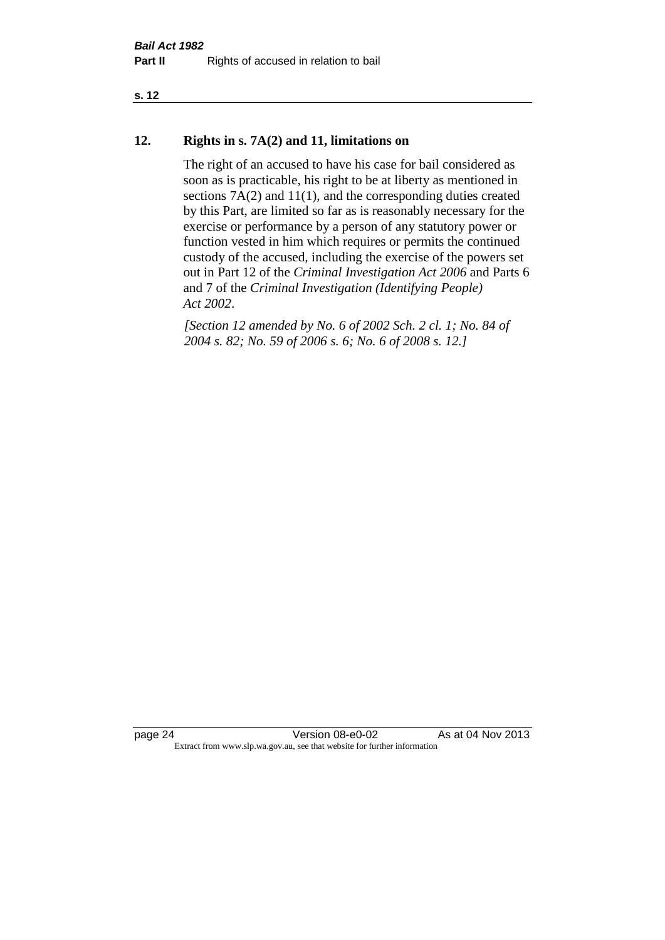#### **s. 12**

#### **12. Rights in s. 7A(2) and 11, limitations on**

The right of an accused to have his case for bail considered as soon as is practicable, his right to be at liberty as mentioned in sections 7A(2) and 11(1), and the corresponding duties created by this Part, are limited so far as is reasonably necessary for the exercise or performance by a person of any statutory power or function vested in him which requires or permits the continued custody of the accused, including the exercise of the powers set out in Part 12 of the *Criminal Investigation Act 2006* and Parts 6 and 7 of the *Criminal Investigation (Identifying People) Act 2002*.

*[Section 12 amended by No. 6 of 2002 Sch. 2 cl. 1; No. 84 of 2004 s. 82; No. 59 of 2006 s. 6; No. 6 of 2008 s. 12.]*

page 24 Version 08-e0-02 As at 04 Nov 2013 Extract from www.slp.wa.gov.au, see that website for further information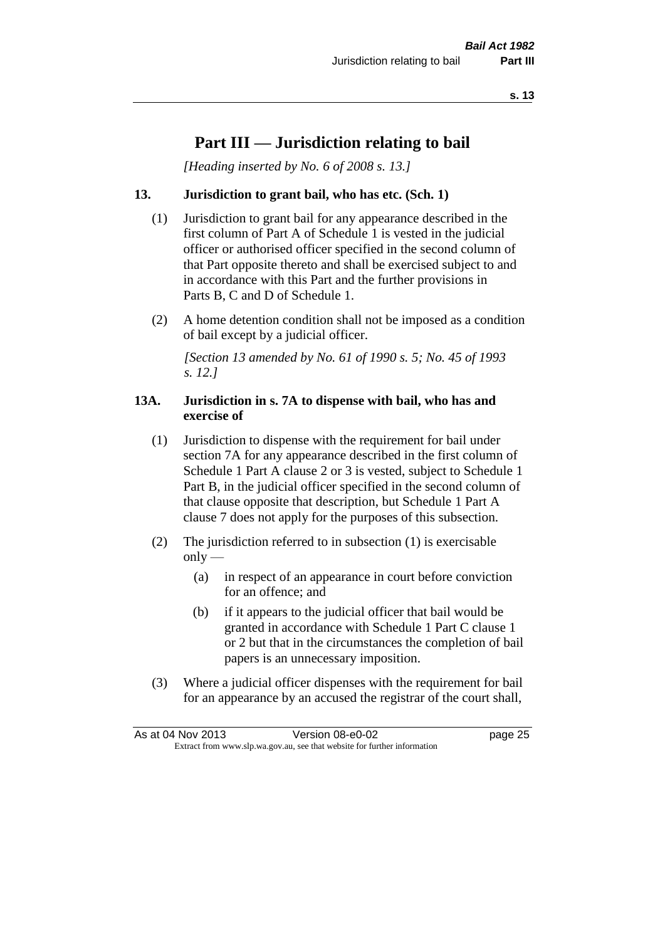## **Part III — Jurisdiction relating to bail**

*[Heading inserted by No. 6 of 2008 s. 13.]*

#### **13. Jurisdiction to grant bail, who has etc. (Sch. 1)**

- (1) Jurisdiction to grant bail for any appearance described in the first column of Part A of Schedule 1 is vested in the judicial officer or authorised officer specified in the second column of that Part opposite thereto and shall be exercised subject to and in accordance with this Part and the further provisions in Parts B, C and D of Schedule 1.
- (2) A home detention condition shall not be imposed as a condition of bail except by a judicial officer.

*[Section 13 amended by No. 61 of 1990 s. 5; No. 45 of 1993 s. 12.]* 

#### **13A. Jurisdiction in s. 7A to dispense with bail, who has and exercise of**

- (1) Jurisdiction to dispense with the requirement for bail under section 7A for any appearance described in the first column of Schedule 1 Part A clause 2 or 3 is vested, subject to Schedule 1 Part B, in the judicial officer specified in the second column of that clause opposite that description, but Schedule 1 Part A clause 7 does not apply for the purposes of this subsection.
- (2) The jurisdiction referred to in subsection (1) is exercisable  $only$ —
	- (a) in respect of an appearance in court before conviction for an offence; and
	- (b) if it appears to the judicial officer that bail would be granted in accordance with Schedule 1 Part C clause 1 or 2 but that in the circumstances the completion of bail papers is an unnecessary imposition.
- (3) Where a judicial officer dispenses with the requirement for bail for an appearance by an accused the registrar of the court shall,

| As at 04 Nov 2013                                                        |  | Version 08-e0-02 | page 25 |
|--------------------------------------------------------------------------|--|------------------|---------|
| Extract from www.slp.wa.gov.au, see that website for further information |  |                  |         |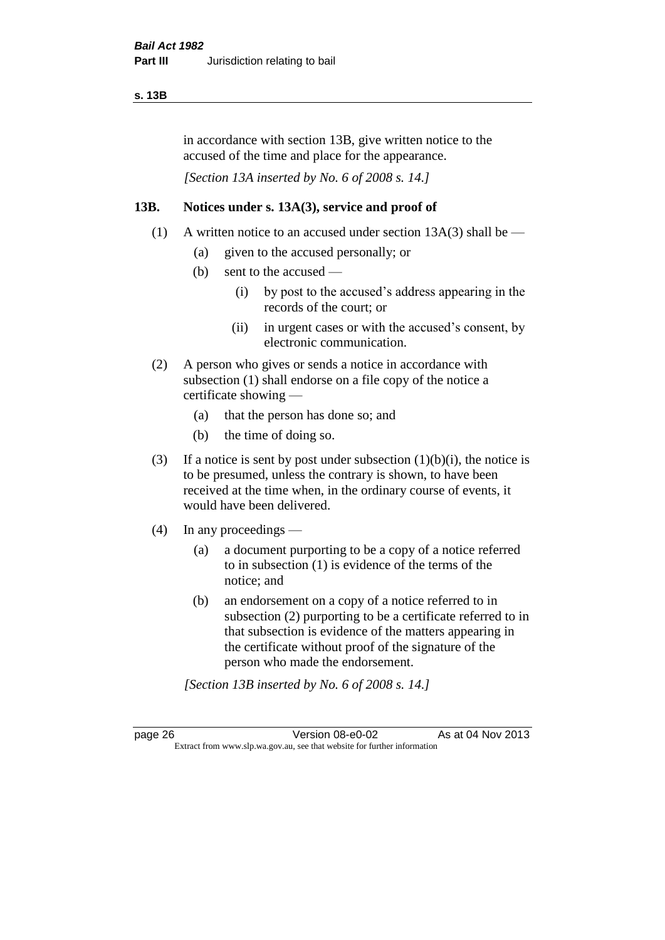#### **s. 13B**

in accordance with section 13B, give written notice to the accused of the time and place for the appearance.

*[Section 13A inserted by No. 6 of 2008 s. 14.]*

#### **13B. Notices under s. 13A(3), service and proof of**

- (1) A written notice to an accused under section  $13A(3)$  shall be
	- (a) given to the accused personally; or
	- (b) sent to the accused
		- (i) by post to the accused's address appearing in the records of the court; or
		- (ii) in urgent cases or with the accused's consent, by electronic communication.
- (2) A person who gives or sends a notice in accordance with subsection (1) shall endorse on a file copy of the notice a certificate showing —
	- (a) that the person has done so; and
	- (b) the time of doing so.
- (3) If a notice is sent by post under subsection  $(1)(b)(i)$ , the notice is to be presumed, unless the contrary is shown, to have been received at the time when, in the ordinary course of events, it would have been delivered.
- (4) In any proceedings
	- (a) a document purporting to be a copy of a notice referred to in subsection (1) is evidence of the terms of the notice; and
	- (b) an endorsement on a copy of a notice referred to in subsection (2) purporting to be a certificate referred to in that subsection is evidence of the matters appearing in the certificate without proof of the signature of the person who made the endorsement.

*[Section 13B inserted by No. 6 of 2008 s. 14.]*

page 26 Version 08-e0-02 As at 04 Nov 2013 Extract from www.slp.wa.gov.au, see that website for further information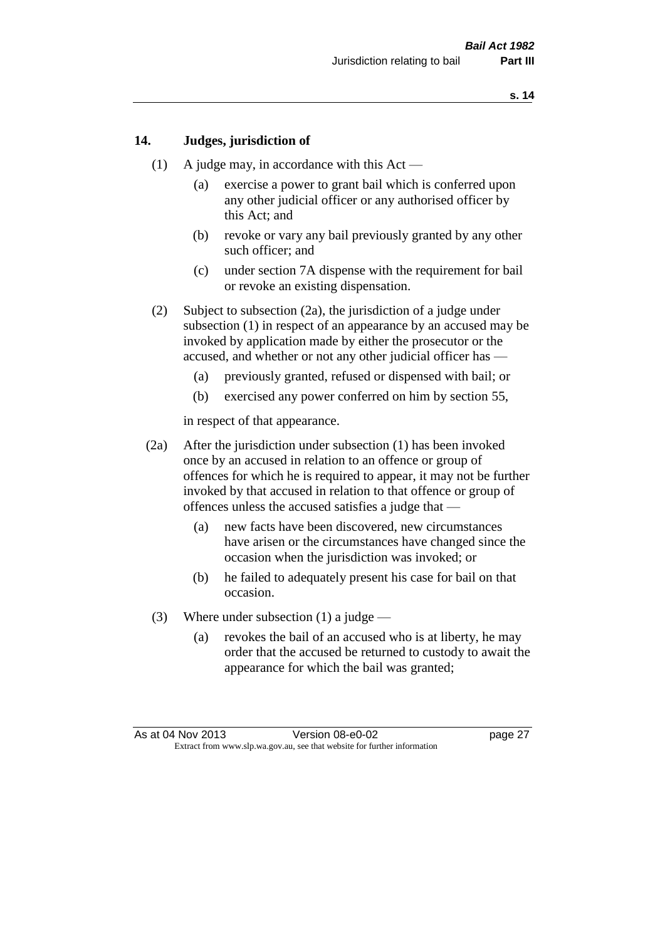#### **14. Judges, jurisdiction of**

- (1) A judge may, in accordance with this  $Act -$ 
	- (a) exercise a power to grant bail which is conferred upon any other judicial officer or any authorised officer by this Act; and
	- (b) revoke or vary any bail previously granted by any other such officer; and
	- (c) under section 7A dispense with the requirement for bail or revoke an existing dispensation.
- (2) Subject to subsection (2a), the jurisdiction of a judge under subsection (1) in respect of an appearance by an accused may be invoked by application made by either the prosecutor or the accused, and whether or not any other judicial officer has —
	- (a) previously granted, refused or dispensed with bail; or
	- (b) exercised any power conferred on him by section 55,

in respect of that appearance.

- (2a) After the jurisdiction under subsection (1) has been invoked once by an accused in relation to an offence or group of offences for which he is required to appear, it may not be further invoked by that accused in relation to that offence or group of offences unless the accused satisfies a judge that —
	- (a) new facts have been discovered, new circumstances have arisen or the circumstances have changed since the occasion when the jurisdiction was invoked; or
	- (b) he failed to adequately present his case for bail on that occasion.
- (3) Where under subsection (1) a judge
	- (a) revokes the bail of an accused who is at liberty, he may order that the accused be returned to custody to await the appearance for which the bail was granted;

As at 04 Nov 2013 Version 08-e0-02 Page 27 Extract from www.slp.wa.gov.au, see that website for further information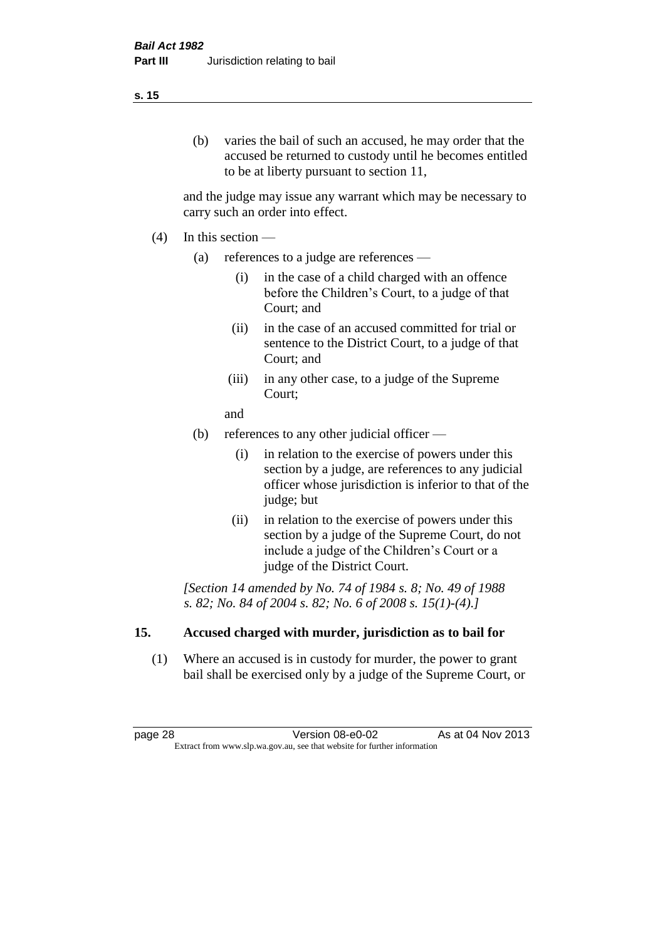#### (b) varies the bail of such an accused, he may order that the accused be returned to custody until he becomes entitled to be at liberty pursuant to section 11,

and the judge may issue any warrant which may be necessary to carry such an order into effect.

- (4) In this section
	- (a) references to a judge are references
		- (i) in the case of a child charged with an offence before the Children's Court, to a judge of that Court; and
		- (ii) in the case of an accused committed for trial or sentence to the District Court, to a judge of that Court; and
		- (iii) in any other case, to a judge of the Supreme Court;
		- and
	- (b) references to any other judicial officer
		- (i) in relation to the exercise of powers under this section by a judge, are references to any judicial officer whose jurisdiction is inferior to that of the judge; but
		- (ii) in relation to the exercise of powers under this section by a judge of the Supreme Court, do not include a judge of the Children's Court or a judge of the District Court.

*[Section 14 amended by No. 74 of 1984 s. 8; No. 49 of 1988 s. 82; No. 84 of 2004 s. 82; No. 6 of 2008 s. 15(1)-(4).]* 

#### **15. Accused charged with murder, jurisdiction as to bail for**

(1) Where an accused is in custody for murder, the power to grant bail shall be exercised only by a judge of the Supreme Court, or

page 28 **Version 08-e0-02** As at 04 Nov 2013 Extract from www.slp.wa.gov.au, see that website for further information

#### **s. 15**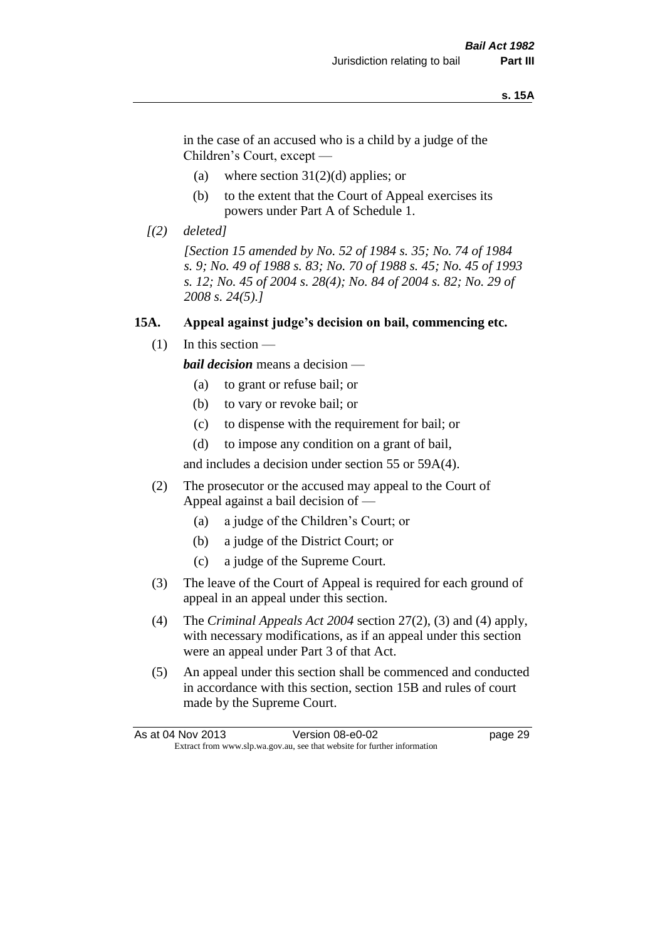#### **s. 15A**

in the case of an accused who is a child by a judge of the Children's Court, except —

- (a) where section  $31(2)(d)$  applies; or
- (b) to the extent that the Court of Appeal exercises its powers under Part A of Schedule 1.
- *[(2) deleted]*

*[Section 15 amended by No. 52 of 1984 s. 35; No. 74 of 1984 s. 9; No. 49 of 1988 s. 83; No. 70 of 1988 s. 45; No. 45 of 1993 s. 12; No. 45 of 2004 s. 28(4); No. 84 of 2004 s. 82; No. 29 of 2008 s. 24(5).]* 

#### **15A. Appeal against judge's decision on bail, commencing etc.**

 $(1)$  In this section —

*bail decision* means a decision —

- (a) to grant or refuse bail; or
- (b) to vary or revoke bail; or
- (c) to dispense with the requirement for bail; or
- (d) to impose any condition on a grant of bail,

and includes a decision under section 55 or 59A(4).

- (2) The prosecutor or the accused may appeal to the Court of Appeal against a bail decision of —
	- (a) a judge of the Children's Court; or
	- (b) a judge of the District Court; or
	- (c) a judge of the Supreme Court.
- (3) The leave of the Court of Appeal is required for each ground of appeal in an appeal under this section.
- (4) The *Criminal Appeals Act 2004* section 27(2), (3) and (4) apply, with necessary modifications, as if an appeal under this section were an appeal under Part 3 of that Act.
- (5) An appeal under this section shall be commenced and conducted in accordance with this section, section 15B and rules of court made by the Supreme Court.

| As at 04 Nov 2013 | Version 08-e0-02                                                         | page 29 |
|-------------------|--------------------------------------------------------------------------|---------|
|                   | Extract from www.slp.wa.gov.au, see that website for further information |         |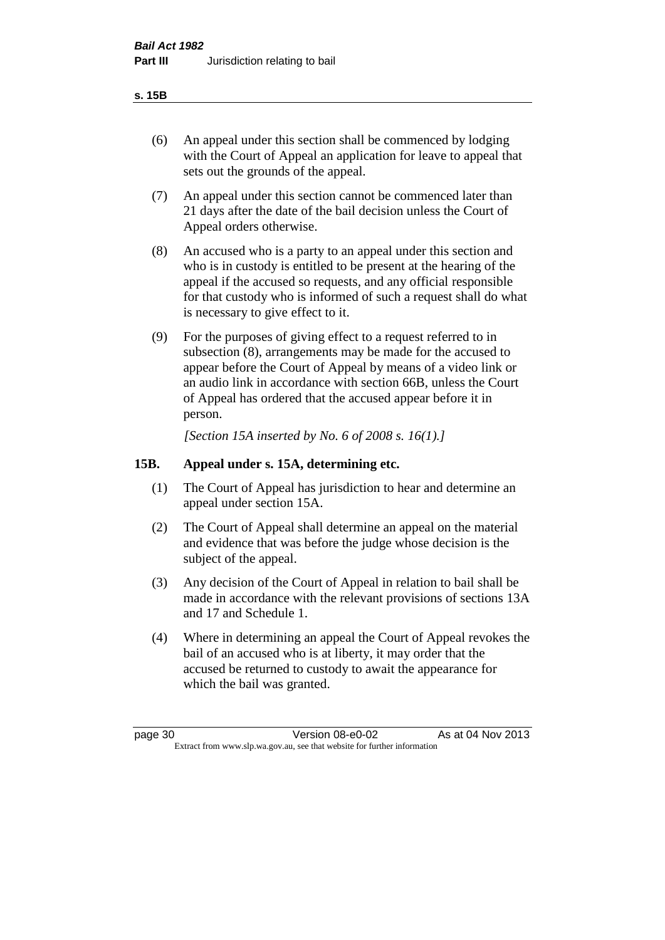#### **s. 15B**

- (6) An appeal under this section shall be commenced by lodging with the Court of Appeal an application for leave to appeal that sets out the grounds of the appeal.
- (7) An appeal under this section cannot be commenced later than 21 days after the date of the bail decision unless the Court of Appeal orders otherwise.
- (8) An accused who is a party to an appeal under this section and who is in custody is entitled to be present at the hearing of the appeal if the accused so requests, and any official responsible for that custody who is informed of such a request shall do what is necessary to give effect to it.
- (9) For the purposes of giving effect to a request referred to in subsection (8), arrangements may be made for the accused to appear before the Court of Appeal by means of a video link or an audio link in accordance with section 66B, unless the Court of Appeal has ordered that the accused appear before it in person.

*[Section 15A inserted by No. 6 of 2008 s. 16(1).]*

#### **15B. Appeal under s. 15A, determining etc.**

- (1) The Court of Appeal has jurisdiction to hear and determine an appeal under section 15A.
- (2) The Court of Appeal shall determine an appeal on the material and evidence that was before the judge whose decision is the subject of the appeal.
- (3) Any decision of the Court of Appeal in relation to bail shall be made in accordance with the relevant provisions of sections 13A and 17 and Schedule 1.
- (4) Where in determining an appeal the Court of Appeal revokes the bail of an accused who is at liberty, it may order that the accused be returned to custody to await the appearance for which the bail was granted.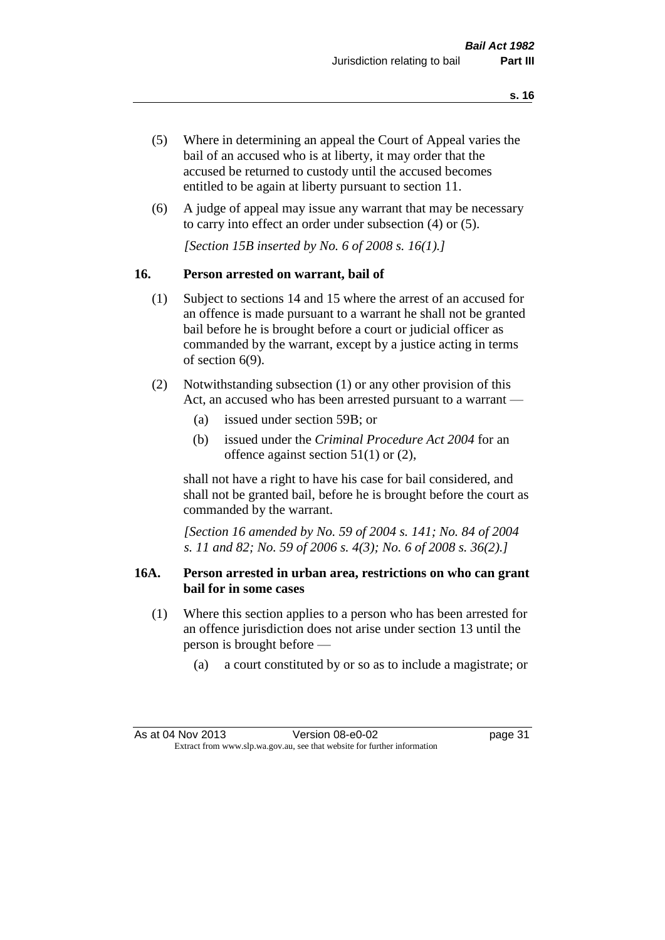- (5) Where in determining an appeal the Court of Appeal varies the bail of an accused who is at liberty, it may order that the accused be returned to custody until the accused becomes entitled to be again at liberty pursuant to section 11.
- (6) A judge of appeal may issue any warrant that may be necessary to carry into effect an order under subsection (4) or (5).

*[Section 15B inserted by No. 6 of 2008 s. 16(1).]*

#### **16. Person arrested on warrant, bail of**

- (1) Subject to sections 14 and 15 where the arrest of an accused for an offence is made pursuant to a warrant he shall not be granted bail before he is brought before a court or judicial officer as commanded by the warrant, except by a justice acting in terms of section 6(9).
- (2) Notwithstanding subsection (1) or any other provision of this Act, an accused who has been arrested pursuant to a warrant —
	- (a) issued under section 59B; or
	- (b) issued under the *Criminal Procedure Act 2004* for an offence against section 51(1) or (2),

shall not have a right to have his case for bail considered, and shall not be granted bail, before he is brought before the court as commanded by the warrant.

*[Section 16 amended by No. 59 of 2004 s. 141; No. 84 of 2004 s. 11 and 82; No. 59 of 2006 s. 4(3); No. 6 of 2008 s. 36(2).]*

#### **16A. Person arrested in urban area, restrictions on who can grant bail for in some cases**

- (1) Where this section applies to a person who has been arrested for an offence jurisdiction does not arise under section 13 until the person is brought before —
	- (a) a court constituted by or so as to include a magistrate; or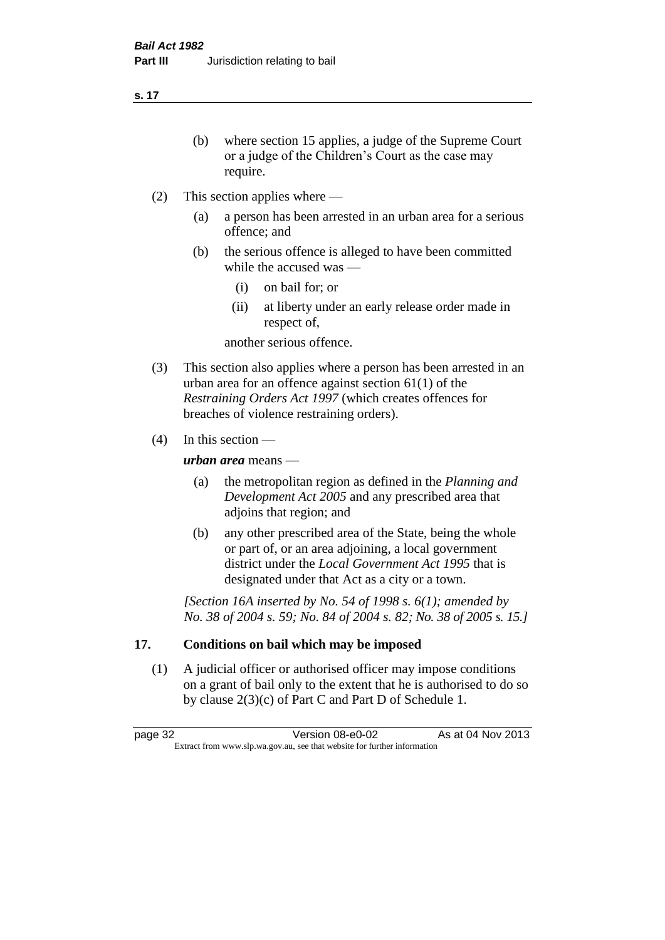**s. 17**

- (b) where section 15 applies, a judge of the Supreme Court or a judge of the Children's Court as the case may require.
- (2) This section applies where
	- (a) a person has been arrested in an urban area for a serious offence; and
	- (b) the serious offence is alleged to have been committed while the accused was —
		- (i) on bail for; or
		- (ii) at liberty under an early release order made in respect of,

another serious offence.

- (3) This section also applies where a person has been arrested in an urban area for an offence against section 61(1) of the *Restraining Orders Act 1997* (which creates offences for breaches of violence restraining orders).
- (4) In this section —

*urban area* means —

- (a) the metropolitan region as defined in the *Planning and Development Act 2005* and any prescribed area that adjoins that region; and
- (b) any other prescribed area of the State, being the whole or part of, or an area adjoining, a local government district under the *Local Government Act 1995* that is designated under that Act as a city or a town.

*[Section 16A inserted by No. 54 of 1998 s. 6(1); amended by No. 38 of 2004 s. 59; No. 84 of 2004 s. 82; No. 38 of 2005 s. 15.]*

## **17. Conditions on bail which may be imposed**

(1) A judicial officer or authorised officer may impose conditions on a grant of bail only to the extent that he is authorised to do so by clause 2(3)(c) of Part C and Part D of Schedule 1.

page 32 Version 08-e0-02 As at 04 Nov 2013 Extract from www.slp.wa.gov.au, see that website for further information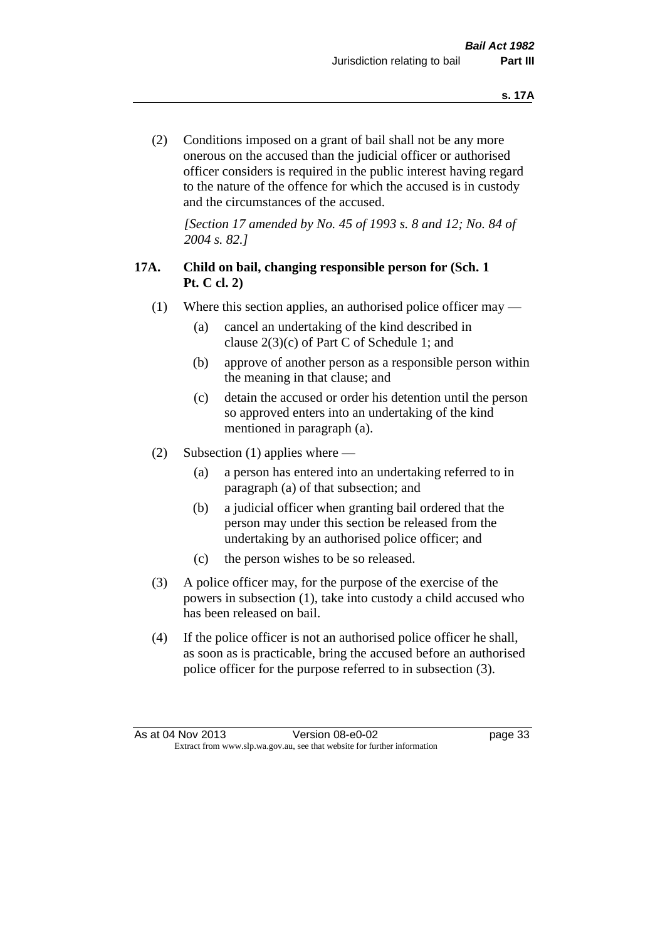(2) Conditions imposed on a grant of bail shall not be any more onerous on the accused than the judicial officer or authorised officer considers is required in the public interest having regard to the nature of the offence for which the accused is in custody and the circumstances of the accused.

*[Section 17 amended by No. 45 of 1993 s. 8 and 12; No. 84 of 2004 s. 82.]* 

## **17A. Child on bail, changing responsible person for (Sch. 1 Pt. C cl. 2)**

- (1) Where this section applies, an authorised police officer may
	- (a) cancel an undertaking of the kind described in clause 2(3)(c) of Part C of Schedule 1; and
	- (b) approve of another person as a responsible person within the meaning in that clause; and
	- (c) detain the accused or order his detention until the person so approved enters into an undertaking of the kind mentioned in paragraph (a).
- (2) Subsection (1) applies where
	- (a) a person has entered into an undertaking referred to in paragraph (a) of that subsection; and
	- (b) a judicial officer when granting bail ordered that the person may under this section be released from the undertaking by an authorised police officer; and
	- (c) the person wishes to be so released.
- (3) A police officer may, for the purpose of the exercise of the powers in subsection (1), take into custody a child accused who has been released on bail.
- (4) If the police officer is not an authorised police officer he shall, as soon as is practicable, bring the accused before an authorised police officer for the purpose referred to in subsection (3).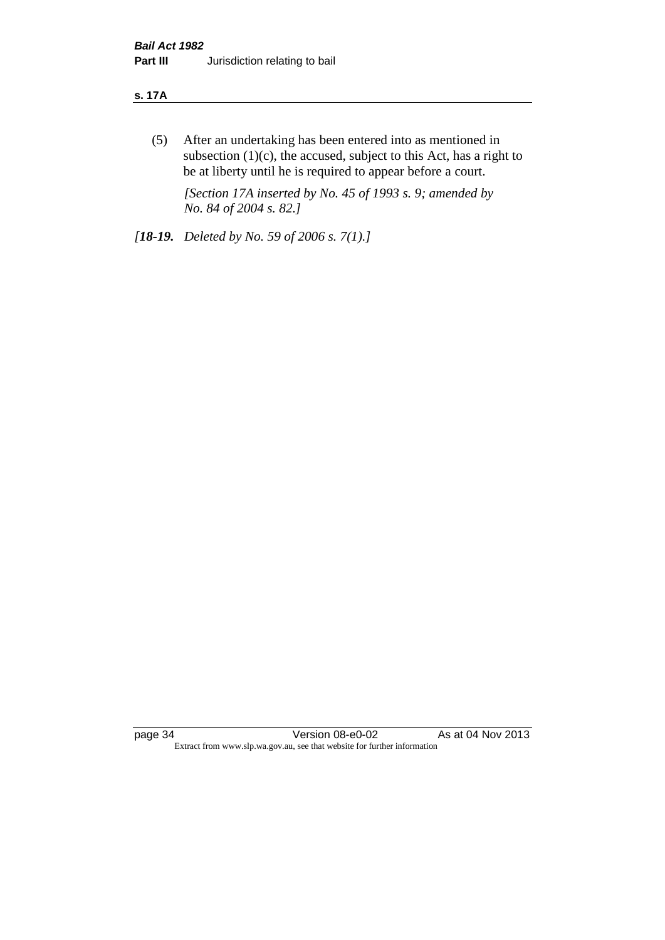#### **s. 17A**

(5) After an undertaking has been entered into as mentioned in subsection  $(1)(c)$ , the accused, subject to this Act, has a right to be at liberty until he is required to appear before a court.

*[Section 17A inserted by No. 45 of 1993 s. 9; amended by No. 84 of 2004 s. 82.]* 

*[18-19. Deleted by No. 59 of 2006 s. 7(1).]*

page 34 Version 08-e0-02 As at 04 Nov 2013 Extract from www.slp.wa.gov.au, see that website for further information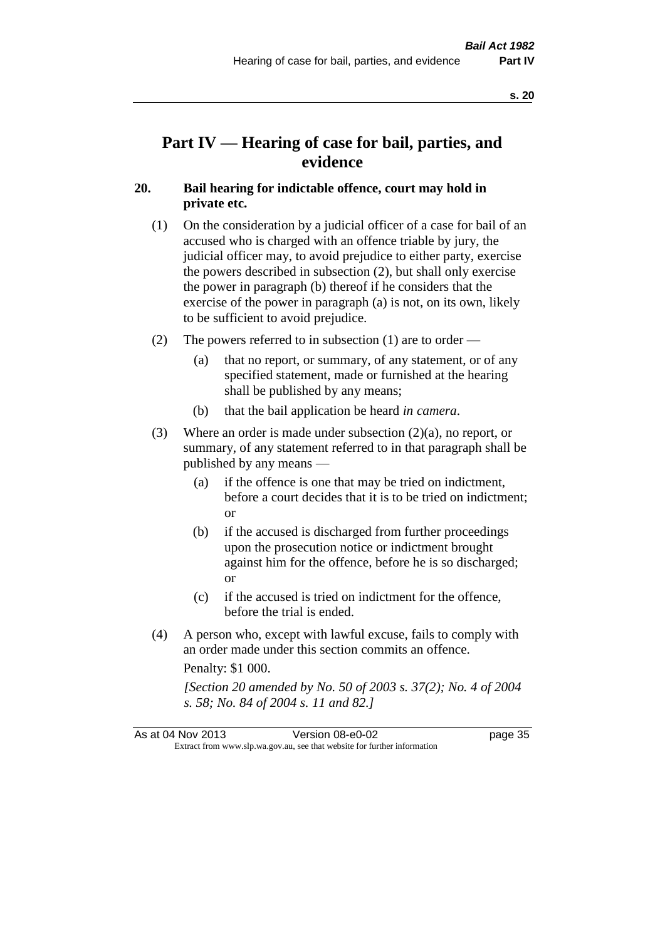**s. 20**

# **Part IV — Hearing of case for bail, parties, and evidence**

## **20. Bail hearing for indictable offence, court may hold in private etc.**

- (1) On the consideration by a judicial officer of a case for bail of an accused who is charged with an offence triable by jury, the judicial officer may, to avoid prejudice to either party, exercise the powers described in subsection (2), but shall only exercise the power in paragraph (b) thereof if he considers that the exercise of the power in paragraph (a) is not, on its own, likely to be sufficient to avoid prejudice.
- (2) The powers referred to in subsection (1) are to order
	- (a) that no report, or summary, of any statement, or of any specified statement, made or furnished at the hearing shall be published by any means;
	- (b) that the bail application be heard *in camera*.
- (3) Where an order is made under subsection (2)(a), no report, or summary, of any statement referred to in that paragraph shall be published by any means —
	- (a) if the offence is one that may be tried on indictment, before a court decides that it is to be tried on indictment; or
	- (b) if the accused is discharged from further proceedings upon the prosecution notice or indictment brought against him for the offence, before he is so discharged; or
	- (c) if the accused is tried on indictment for the offence, before the trial is ended.
- (4) A person who, except with lawful excuse, fails to comply with an order made under this section commits an offence.

Penalty: \$1 000.

*[Section 20 amended by No. 50 of 2003 s. 37(2); No. 4 of 2004 s. 58; No. 84 of 2004 s. 11 and 82.]*

| As at 04 Nov 2013 | Version 08-e0-02                                                         | page 35 |
|-------------------|--------------------------------------------------------------------------|---------|
|                   | Extract from www.slp.wa.gov.au, see that website for further information |         |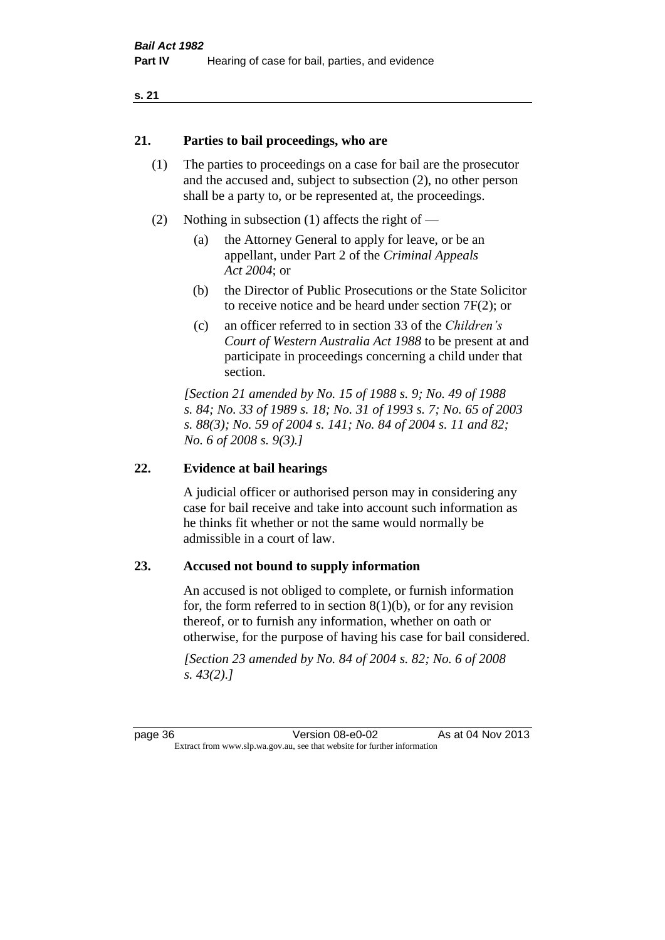#### **21. Parties to bail proceedings, who are**

- (1) The parties to proceedings on a case for bail are the prosecutor and the accused and, subject to subsection (2), no other person shall be a party to, or be represented at, the proceedings.
- (2) Nothing in subsection (1) affects the right of
	- (a) the Attorney General to apply for leave, or be an appellant, under Part 2 of the *Criminal Appeals Act 2004*; or
	- (b) the Director of Public Prosecutions or the State Solicitor to receive notice and be heard under section 7F(2); or
	- (c) an officer referred to in section 33 of the *Children's Court of Western Australia Act 1988* to be present at and participate in proceedings concerning a child under that section.

*[Section 21 amended by No. 15 of 1988 s. 9; No. 49 of 1988 s. 84; No. 33 of 1989 s. 18; No. 31 of 1993 s. 7; No. 65 of 2003 s. 88(3); No. 59 of 2004 s. 141; No. 84 of 2004 s. 11 and 82; No. 6 of 2008 s. 9(3).]* 

#### **22. Evidence at bail hearings**

A judicial officer or authorised person may in considering any case for bail receive and take into account such information as he thinks fit whether or not the same would normally be admissible in a court of law.

#### **23. Accused not bound to supply information**

An accused is not obliged to complete, or furnish information for, the form referred to in section  $8(1)(b)$ , or for any revision thereof, or to furnish any information, whether on oath or otherwise, for the purpose of having his case for bail considered.

*[Section 23 amended by No. 84 of 2004 s. 82; No. 6 of 2008 s. 43(2).]*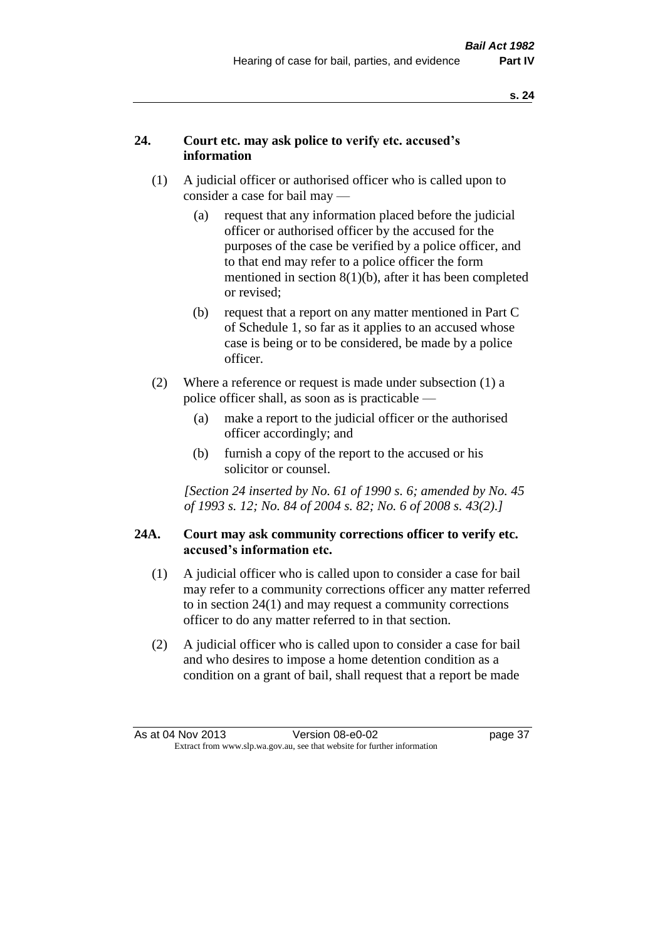## **24. Court etc. may ask police to verify etc. accused's information**

- (1) A judicial officer or authorised officer who is called upon to consider a case for bail may —
	- (a) request that any information placed before the judicial officer or authorised officer by the accused for the purposes of the case be verified by a police officer, and to that end may refer to a police officer the form mentioned in section 8(1)(b), after it has been completed or revised;
	- (b) request that a report on any matter mentioned in Part C of Schedule 1, so far as it applies to an accused whose case is being or to be considered, be made by a police officer.
- (2) Where a reference or request is made under subsection (1) a police officer shall, as soon as is practicable —
	- (a) make a report to the judicial officer or the authorised officer accordingly; and
	- (b) furnish a copy of the report to the accused or his solicitor or counsel.

*[Section 24 inserted by No. 61 of 1990 s. 6; amended by No. 45 of 1993 s. 12; No. 84 of 2004 s. 82; No. 6 of 2008 s. 43(2).]* 

#### **24A. Court may ask community corrections officer to verify etc. accused's information etc.**

- (1) A judicial officer who is called upon to consider a case for bail may refer to a community corrections officer any matter referred to in section 24(1) and may request a community corrections officer to do any matter referred to in that section.
- (2) A judicial officer who is called upon to consider a case for bail and who desires to impose a home detention condition as a condition on a grant of bail, shall request that a report be made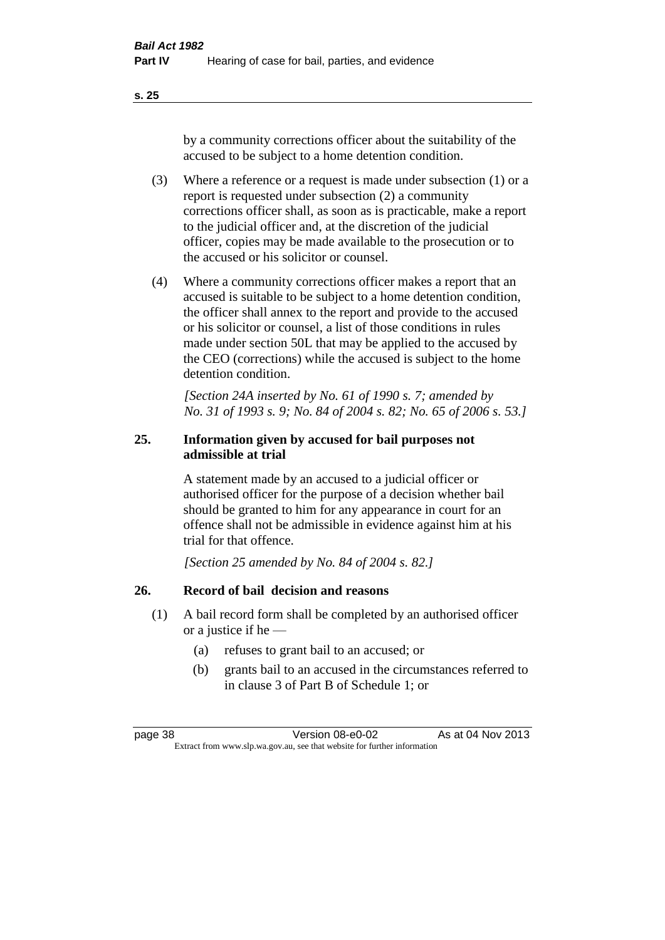**s. 25**

by a community corrections officer about the suitability of the accused to be subject to a home detention condition.

- (3) Where a reference or a request is made under subsection (1) or a report is requested under subsection (2) a community corrections officer shall, as soon as is practicable, make a report to the judicial officer and, at the discretion of the judicial officer, copies may be made available to the prosecution or to the accused or his solicitor or counsel.
- (4) Where a community corrections officer makes a report that an accused is suitable to be subject to a home detention condition, the officer shall annex to the report and provide to the accused or his solicitor or counsel, a list of those conditions in rules made under section 50L that may be applied to the accused by the CEO (corrections) while the accused is subject to the home detention condition.

*[Section 24A inserted by No. 61 of 1990 s. 7; amended by No. 31 of 1993 s. 9; No. 84 of 2004 s. 82; No. 65 of 2006 s. 53.]* 

## **25. Information given by accused for bail purposes not admissible at trial**

A statement made by an accused to a judicial officer or authorised officer for the purpose of a decision whether bail should be granted to him for any appearance in court for an offence shall not be admissible in evidence against him at his trial for that offence.

*[Section 25 amended by No. 84 of 2004 s. 82.]* 

## **26. Record of bail decision and reasons**

- (1) A bail record form shall be completed by an authorised officer or a justice if he —
	- (a) refuses to grant bail to an accused; or
	- (b) grants bail to an accused in the circumstances referred to in clause 3 of Part B of Schedule 1; or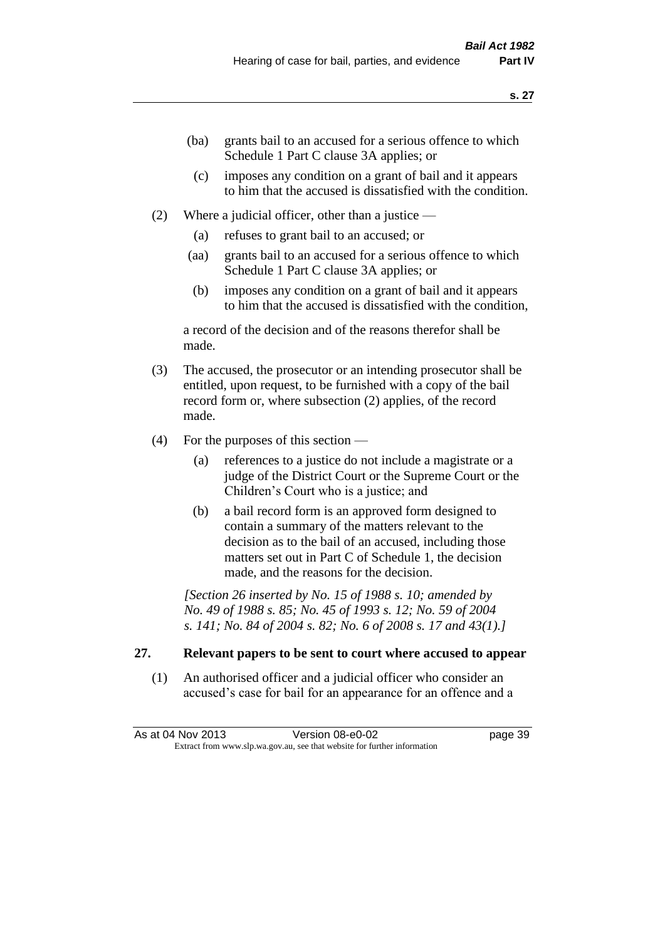- (ba) grants bail to an accused for a serious offence to which Schedule 1 Part C clause 3A applies; or
- (c) imposes any condition on a grant of bail and it appears to him that the accused is dissatisfied with the condition.
- (2) Where a judicial officer, other than a justice
	- (a) refuses to grant bail to an accused; or
	- (aa) grants bail to an accused for a serious offence to which Schedule 1 Part C clause 3A applies; or
	- (b) imposes any condition on a grant of bail and it appears to him that the accused is dissatisfied with the condition,

a record of the decision and of the reasons therefor shall be made.

- (3) The accused, the prosecutor or an intending prosecutor shall be entitled, upon request, to be furnished with a copy of the bail record form or, where subsection (2) applies, of the record made.
- (4) For the purposes of this section
	- (a) references to a justice do not include a magistrate or a judge of the District Court or the Supreme Court or the Children's Court who is a justice; and
	- (b) a bail record form is an approved form designed to contain a summary of the matters relevant to the decision as to the bail of an accused, including those matters set out in Part C of Schedule 1, the decision made, and the reasons for the decision.

*[Section 26 inserted by No. 15 of 1988 s. 10; amended by No. 49 of 1988 s. 85; No. 45 of 1993 s. 12; No. 59 of 2004 s. 141; No. 84 of 2004 s. 82; No. 6 of 2008 s. 17 and 43(1).]* 

## **27. Relevant papers to be sent to court where accused to appear**

(1) An authorised officer and a judicial officer who consider an accused's case for bail for an appearance for an offence and a

As at 04 Nov 2013 Version 08-e0-02 Page 39 Extract from www.slp.wa.gov.au, see that website for further information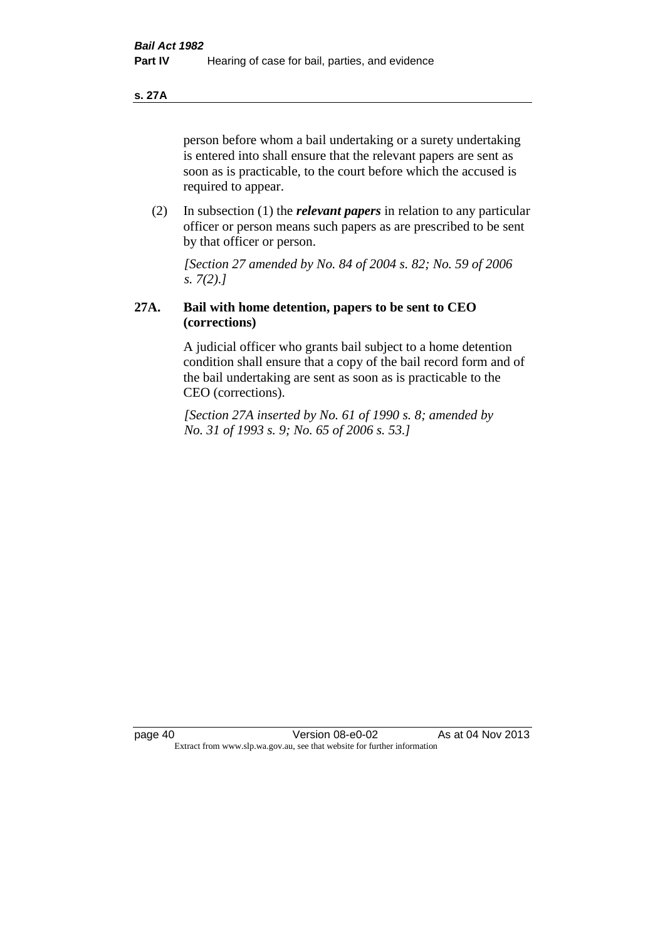**s. 27A**

person before whom a bail undertaking or a surety undertaking is entered into shall ensure that the relevant papers are sent as soon as is practicable, to the court before which the accused is required to appear.

(2) In subsection (1) the *relevant papers* in relation to any particular officer or person means such papers as are prescribed to be sent by that officer or person.

*[Section 27 amended by No. 84 of 2004 s. 82; No. 59 of 2006 s. 7(2).]* 

## **27A. Bail with home detention, papers to be sent to CEO (corrections)**

A judicial officer who grants bail subject to a home detention condition shall ensure that a copy of the bail record form and of the bail undertaking are sent as soon as is practicable to the CEO (corrections).

*[Section 27A inserted by No. 61 of 1990 s. 8; amended by No. 31 of 1993 s. 9; No. 65 of 2006 s. 53.]*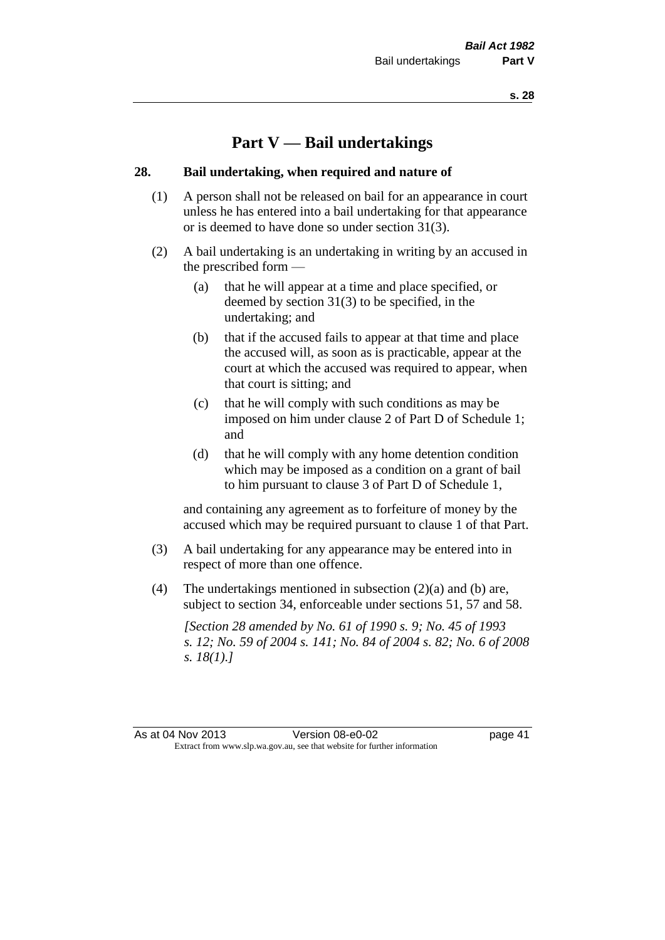# **Part V — Bail undertakings**

#### **28. Bail undertaking, when required and nature of**

- (1) A person shall not be released on bail for an appearance in court unless he has entered into a bail undertaking for that appearance or is deemed to have done so under section 31(3).
- (2) A bail undertaking is an undertaking in writing by an accused in the prescribed form —
	- (a) that he will appear at a time and place specified, or deemed by section 31(3) to be specified, in the undertaking; and
	- (b) that if the accused fails to appear at that time and place the accused will, as soon as is practicable, appear at the court at which the accused was required to appear, when that court is sitting; and
	- (c) that he will comply with such conditions as may be imposed on him under clause 2 of Part D of Schedule 1; and
	- (d) that he will comply with any home detention condition which may be imposed as a condition on a grant of bail to him pursuant to clause 3 of Part D of Schedule 1,

and containing any agreement as to forfeiture of money by the accused which may be required pursuant to clause 1 of that Part.

- (3) A bail undertaking for any appearance may be entered into in respect of more than one offence.
- (4) The undertakings mentioned in subsection (2)(a) and (b) are, subject to section 34, enforceable under sections 51, 57 and 58.

*[Section 28 amended by No. 61 of 1990 s. 9; No. 45 of 1993 s. 12; No. 59 of 2004 s. 141; No. 84 of 2004 s. 82; No. 6 of 2008 s. 18(1).]* 

As at 04 Nov 2013 Version 08-e0-02 Page 41 Extract from www.slp.wa.gov.au, see that website for further information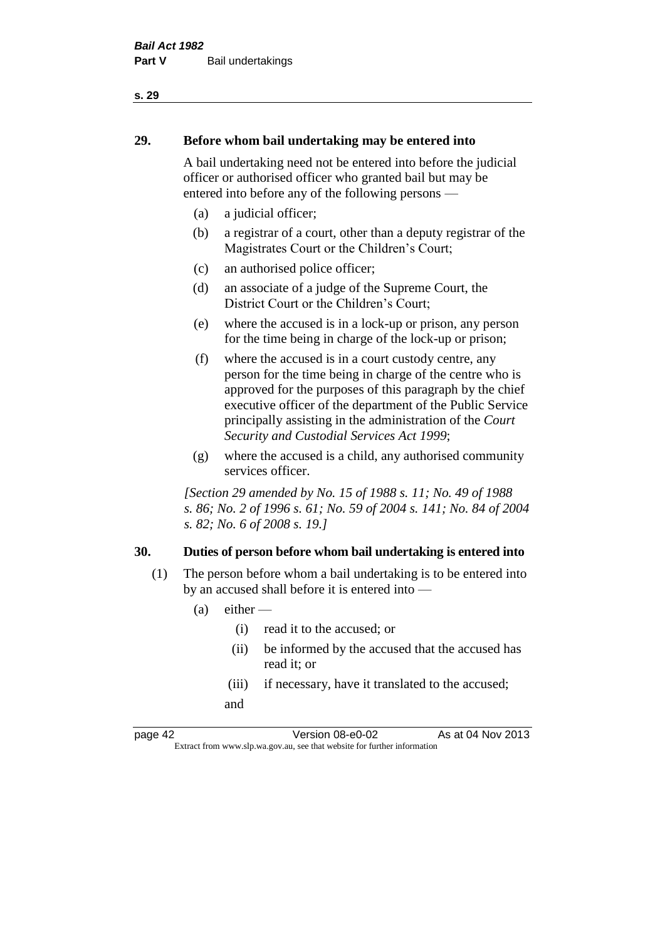# **29. Before whom bail undertaking may be entered into**

A bail undertaking need not be entered into before the judicial officer or authorised officer who granted bail but may be entered into before any of the following persons —

- (a) a judicial officer;
- (b) a registrar of a court, other than a deputy registrar of the Magistrates Court or the Children's Court;
- (c) an authorised police officer;
- (d) an associate of a judge of the Supreme Court, the District Court or the Children's Court;
- (e) where the accused is in a lock-up or prison, any person for the time being in charge of the lock-up or prison;
- (f) where the accused is in a court custody centre, any person for the time being in charge of the centre who is approved for the purposes of this paragraph by the chief executive officer of the department of the Public Service principally assisting in the administration of the *Court Security and Custodial Services Act 1999*;
- (g) where the accused is a child, any authorised community services officer.

*[Section 29 amended by No. 15 of 1988 s. 11; No. 49 of 1988 s. 86; No. 2 of 1996 s. 61; No. 59 of 2004 s. 141; No. 84 of 2004 s. 82; No. 6 of 2008 s. 19.]* 

#### **30. Duties of person before whom bail undertaking is entered into**

- (1) The person before whom a bail undertaking is to be entered into by an accused shall before it is entered into —
	- $(a)$  either
		- (i) read it to the accused; or
		- (ii) be informed by the accused that the accused has read it; or
		- (iii) if necessary, have it translated to the accused; and

page 42 Version 08-e0-02 As at 04 Nov 2013 Extract from www.slp.wa.gov.au, see that website for further information

**s. 29**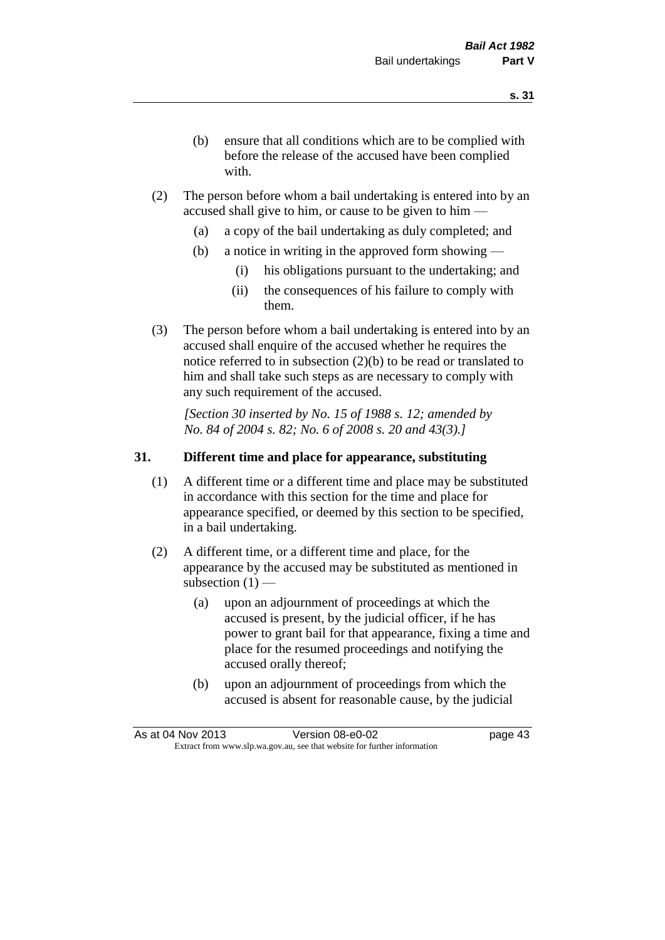- (b) ensure that all conditions which are to be complied with before the release of the accused have been complied with.
- (2) The person before whom a bail undertaking is entered into by an accused shall give to him, or cause to be given to him —
	- (a) a copy of the bail undertaking as duly completed; and
	- (b) a notice in writing in the approved form showing
		- (i) his obligations pursuant to the undertaking; and
		- (ii) the consequences of his failure to comply with them.
- (3) The person before whom a bail undertaking is entered into by an accused shall enquire of the accused whether he requires the notice referred to in subsection (2)(b) to be read or translated to him and shall take such steps as are necessary to comply with any such requirement of the accused.

*[Section 30 inserted by No. 15 of 1988 s. 12; amended by No. 84 of 2004 s. 82; No. 6 of 2008 s. 20 and 43(3).]* 

### **31. Different time and place for appearance, substituting**

- (1) A different time or a different time and place may be substituted in accordance with this section for the time and place for appearance specified, or deemed by this section to be specified, in a bail undertaking.
- (2) A different time, or a different time and place, for the appearance by the accused may be substituted as mentioned in subsection  $(1)$  —
	- (a) upon an adjournment of proceedings at which the accused is present, by the judicial officer, if he has power to grant bail for that appearance, fixing a time and place for the resumed proceedings and notifying the accused orally thereof;
	- (b) upon an adjournment of proceedings from which the accused is absent for reasonable cause, by the judicial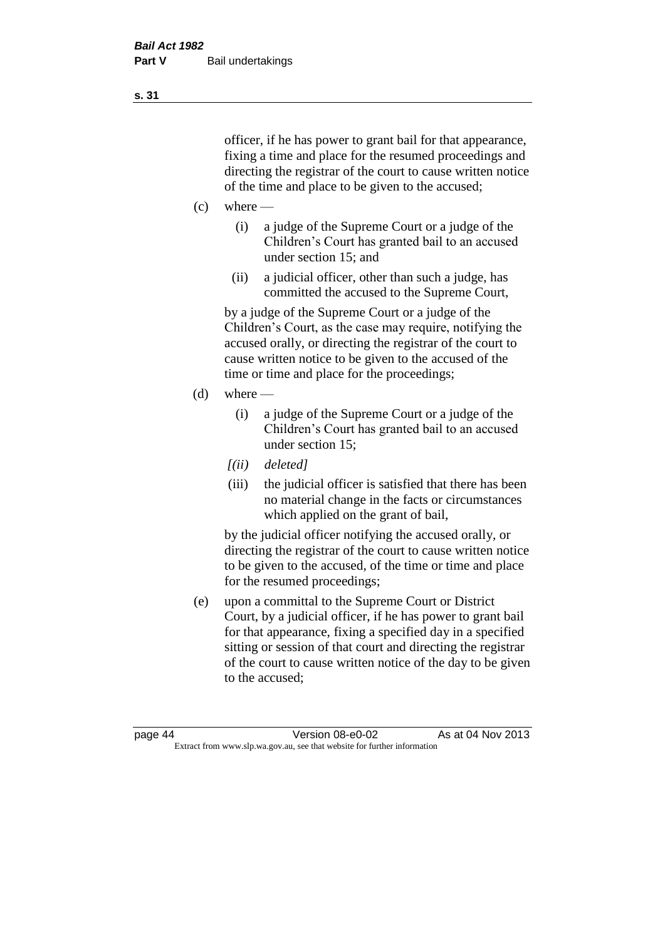officer, if he has power to grant bail for that appearance, fixing a time and place for the resumed proceedings and directing the registrar of the court to cause written notice of the time and place to be given to the accused;

- $(c)$  where
	- (i) a judge of the Supreme Court or a judge of the Children's Court has granted bail to an accused under section 15; and
	- (ii) a judicial officer, other than such a judge, has committed the accused to the Supreme Court,

by a judge of the Supreme Court or a judge of the Children's Court, as the case may require, notifying the accused orally, or directing the registrar of the court to cause written notice to be given to the accused of the time or time and place for the proceedings;

- $(d)$  where
	- (i) a judge of the Supreme Court or a judge of the Children's Court has granted bail to an accused under section 15;
	- *[(ii) deleted]*
	- (iii) the judicial officer is satisfied that there has been no material change in the facts or circumstances which applied on the grant of bail,

by the judicial officer notifying the accused orally, or directing the registrar of the court to cause written notice to be given to the accused, of the time or time and place for the resumed proceedings;

(e) upon a committal to the Supreme Court or District Court, by a judicial officer, if he has power to grant bail for that appearance, fixing a specified day in a specified sitting or session of that court and directing the registrar of the court to cause written notice of the day to be given to the accused;

**s. 31**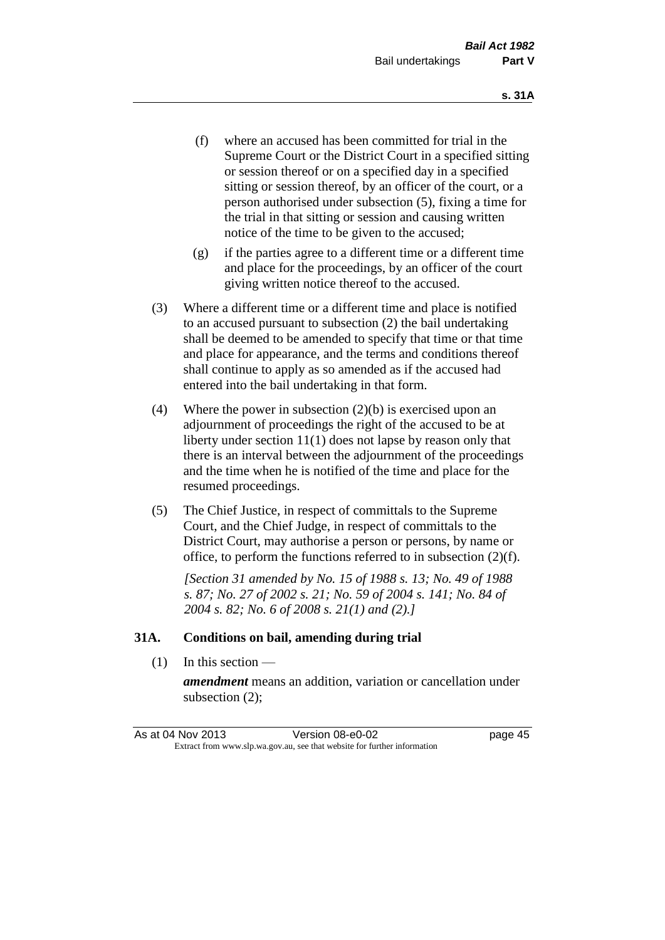- (f) where an accused has been committed for trial in the Supreme Court or the District Court in a specified sitting or session thereof or on a specified day in a specified sitting or session thereof, by an officer of the court, or a person authorised under subsection (5), fixing a time for the trial in that sitting or session and causing written notice of the time to be given to the accused;
- (g) if the parties agree to a different time or a different time and place for the proceedings, by an officer of the court giving written notice thereof to the accused.
- (3) Where a different time or a different time and place is notified to an accused pursuant to subsection (2) the bail undertaking shall be deemed to be amended to specify that time or that time and place for appearance, and the terms and conditions thereof shall continue to apply as so amended as if the accused had entered into the bail undertaking in that form.
- (4) Where the power in subsection (2)(b) is exercised upon an adjournment of proceedings the right of the accused to be at liberty under section 11(1) does not lapse by reason only that there is an interval between the adjournment of the proceedings and the time when he is notified of the time and place for the resumed proceedings.
- (5) The Chief Justice, in respect of committals to the Supreme Court, and the Chief Judge, in respect of committals to the District Court, may authorise a person or persons, by name or office, to perform the functions referred to in subsection (2)(f).

*[Section 31 amended by No. 15 of 1988 s. 13; No. 49 of 1988 s. 87; No. 27 of 2002 s. 21; No. 59 of 2004 s. 141; No. 84 of 2004 s. 82; No. 6 of 2008 s. 21(1) and (2).]* 

#### **31A. Conditions on bail, amending during trial**

(1) In this section —

*amendment* means an addition, variation or cancellation under subsection (2);

| As at 04 Nov 2013 | Version 08-e0-02                                                         | page 45 |
|-------------------|--------------------------------------------------------------------------|---------|
|                   | Extract from www.slp.wa.gov.au, see that website for further information |         |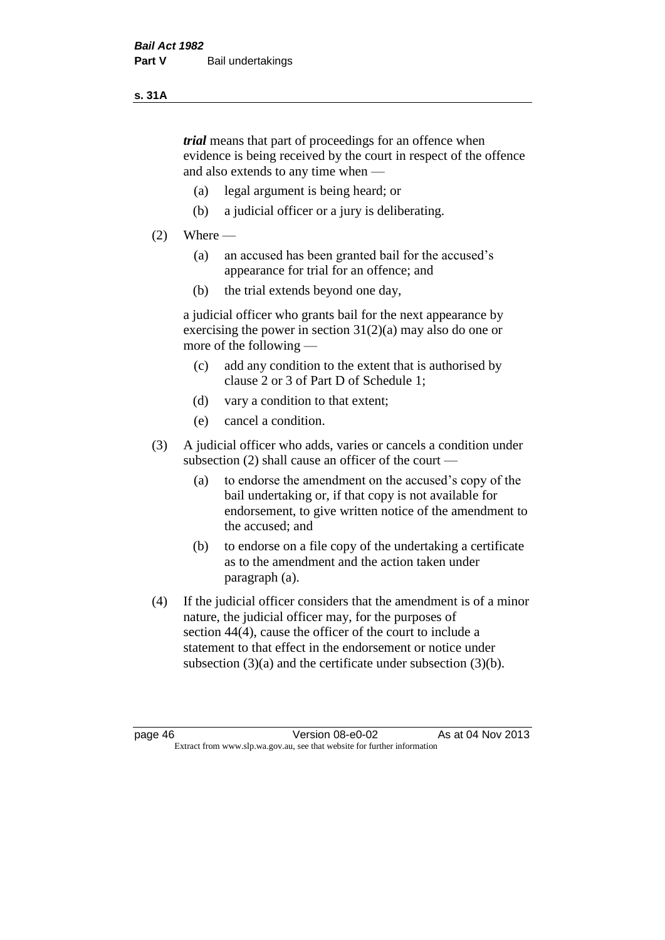#### **s. 31A**

*trial* means that part of proceedings for an offence when evidence is being received by the court in respect of the offence and also extends to any time when —

- (a) legal argument is being heard; or
- (b) a judicial officer or a jury is deliberating.

#### $(2)$  Where —

- (a) an accused has been granted bail for the accused's appearance for trial for an offence; and
- (b) the trial extends beyond one day,

a judicial officer who grants bail for the next appearance by exercising the power in section  $31(2)(a)$  may also do one or more of the following —

- (c) add any condition to the extent that is authorised by clause 2 or 3 of Part D of Schedule 1;
- (d) vary a condition to that extent;
- (e) cancel a condition.
- (3) A judicial officer who adds, varies or cancels a condition under subsection (2) shall cause an officer of the court —
	- (a) to endorse the amendment on the accused's copy of the bail undertaking or, if that copy is not available for endorsement, to give written notice of the amendment to the accused; and
	- (b) to endorse on a file copy of the undertaking a certificate as to the amendment and the action taken under paragraph (a).
- (4) If the judicial officer considers that the amendment is of a minor nature, the judicial officer may, for the purposes of section 44(4), cause the officer of the court to include a statement to that effect in the endorsement or notice under subsection (3)(a) and the certificate under subsection (3)(b).

page 46 Version 08-e0-02 As at 04 Nov 2013 Extract from www.slp.wa.gov.au, see that website for further information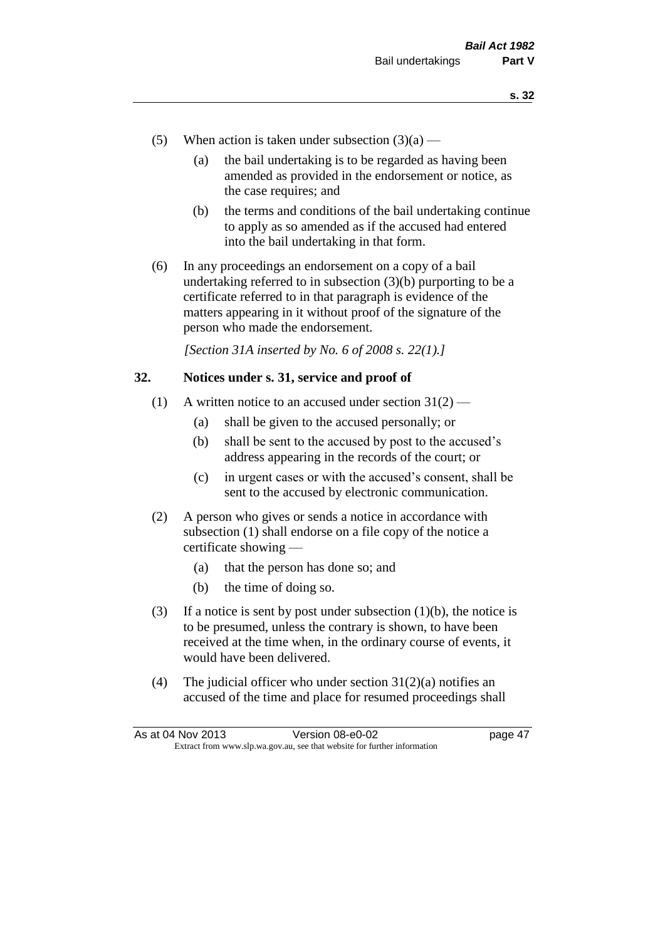- (5) When action is taken under subsection  $(3)(a)$ 
	- (a) the bail undertaking is to be regarded as having been amended as provided in the endorsement or notice, as the case requires; and
	- (b) the terms and conditions of the bail undertaking continue to apply as so amended as if the accused had entered into the bail undertaking in that form.
- (6) In any proceedings an endorsement on a copy of a bail undertaking referred to in subsection (3)(b) purporting to be a certificate referred to in that paragraph is evidence of the matters appearing in it without proof of the signature of the person who made the endorsement.

*[Section 31A inserted by No. 6 of 2008 s. 22(1).]*

#### **32. Notices under s. 31, service and proof of**

- (1) A written notice to an accused under section  $31(2)$ 
	- (a) shall be given to the accused personally; or
	- (b) shall be sent to the accused by post to the accused's address appearing in the records of the court; or
	- (c) in urgent cases or with the accused's consent, shall be sent to the accused by electronic communication.
- (2) A person who gives or sends a notice in accordance with subsection (1) shall endorse on a file copy of the notice a certificate showing —
	- (a) that the person has done so; and
	- (b) the time of doing so.
- (3) If a notice is sent by post under subsection  $(1)(b)$ , the notice is to be presumed, unless the contrary is shown, to have been received at the time when, in the ordinary course of events, it would have been delivered.
- (4) The judicial officer who under section  $31(2)(a)$  notifies an accused of the time and place for resumed proceedings shall

| As at 04 Nov 2013 | Version 08-e0-02                                                         | page 47 |
|-------------------|--------------------------------------------------------------------------|---------|
|                   | Extract from www.slp.wa.gov.au, see that website for further information |         |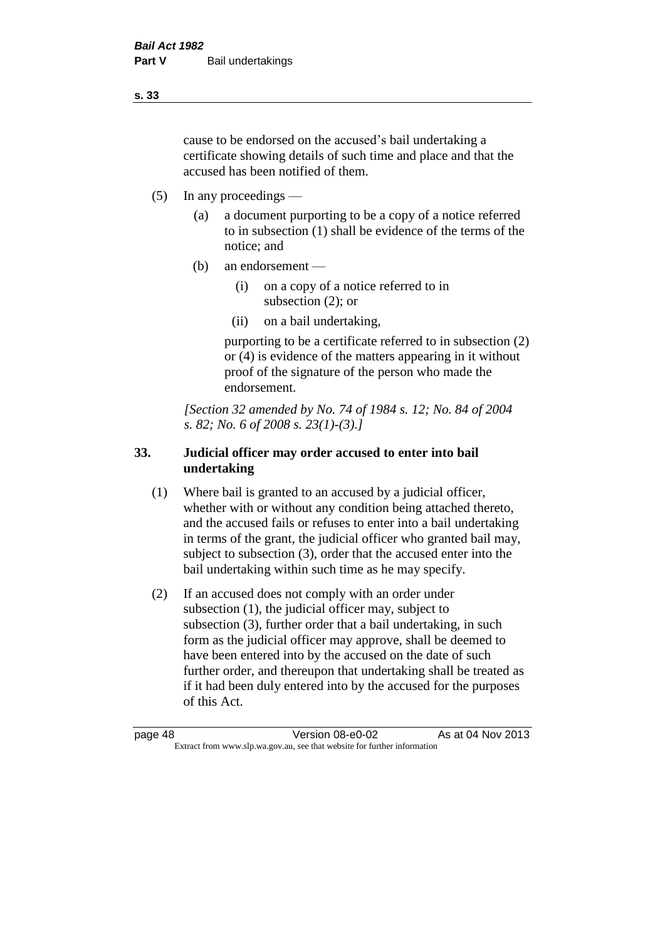cause to be endorsed on the accused's bail undertaking a certificate showing details of such time and place and that the accused has been notified of them.

- (5) In any proceedings
	- (a) a document purporting to be a copy of a notice referred to in subsection (1) shall be evidence of the terms of the notice; and
	- (b) an endorsement
		- (i) on a copy of a notice referred to in subsection (2); or
		- (ii) on a bail undertaking,

purporting to be a certificate referred to in subsection (2) or (4) is evidence of the matters appearing in it without proof of the signature of the person who made the endorsement.

*[Section 32 amended by No. 74 of 1984 s. 12; No. 84 of 2004 s. 82; No. 6 of 2008 s. 23(1)-(3).]* 

### **33. Judicial officer may order accused to enter into bail undertaking**

- (1) Where bail is granted to an accused by a judicial officer, whether with or without any condition being attached thereto, and the accused fails or refuses to enter into a bail undertaking in terms of the grant, the judicial officer who granted bail may, subject to subsection (3), order that the accused enter into the bail undertaking within such time as he may specify.
- (2) If an accused does not comply with an order under subsection (1), the judicial officer may, subject to subsection (3), further order that a bail undertaking, in such form as the judicial officer may approve, shall be deemed to have been entered into by the accused on the date of such further order, and thereupon that undertaking shall be treated as if it had been duly entered into by the accused for the purposes of this Act.

page 48 Version 08-e0-02 As at 04 Nov 2013 Extract from www.slp.wa.gov.au, see that website for further information

**s. 33**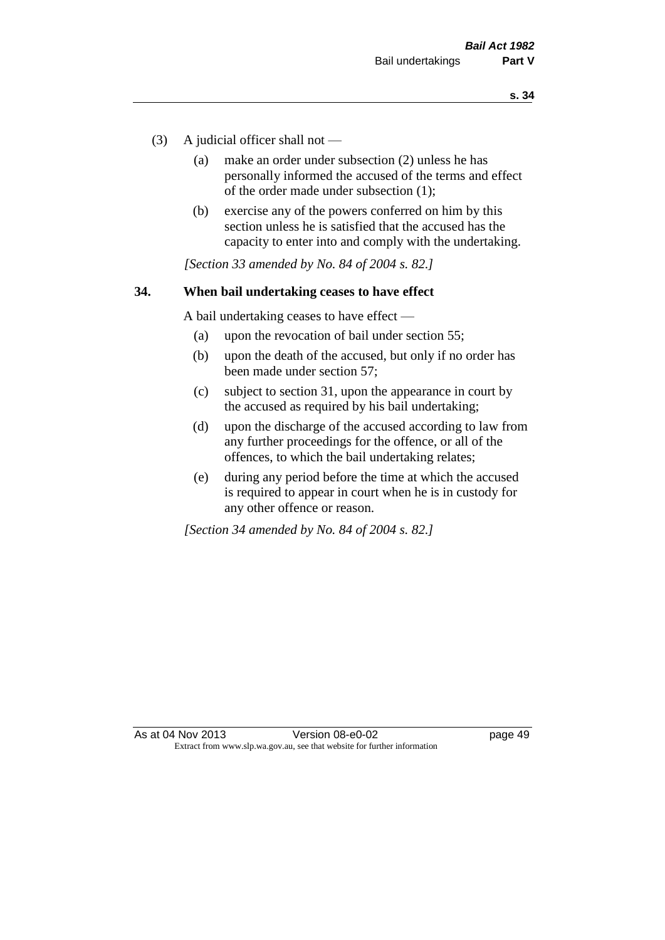- (3) A judicial officer shall not
	- (a) make an order under subsection (2) unless he has personally informed the accused of the terms and effect of the order made under subsection (1);
	- (b) exercise any of the powers conferred on him by this section unless he is satisfied that the accused has the capacity to enter into and comply with the undertaking.

*[Section 33 amended by No. 84 of 2004 s. 82.]* 

#### **34. When bail undertaking ceases to have effect**

A bail undertaking ceases to have effect —

- (a) upon the revocation of bail under section 55;
- (b) upon the death of the accused, but only if no order has been made under section 57;
- (c) subject to section 31, upon the appearance in court by the accused as required by his bail undertaking;
- (d) upon the discharge of the accused according to law from any further proceedings for the offence, or all of the offences, to which the bail undertaking relates;
- (e) during any period before the time at which the accused is required to appear in court when he is in custody for any other offence or reason.

*[Section 34 amended by No. 84 of 2004 s. 82.]*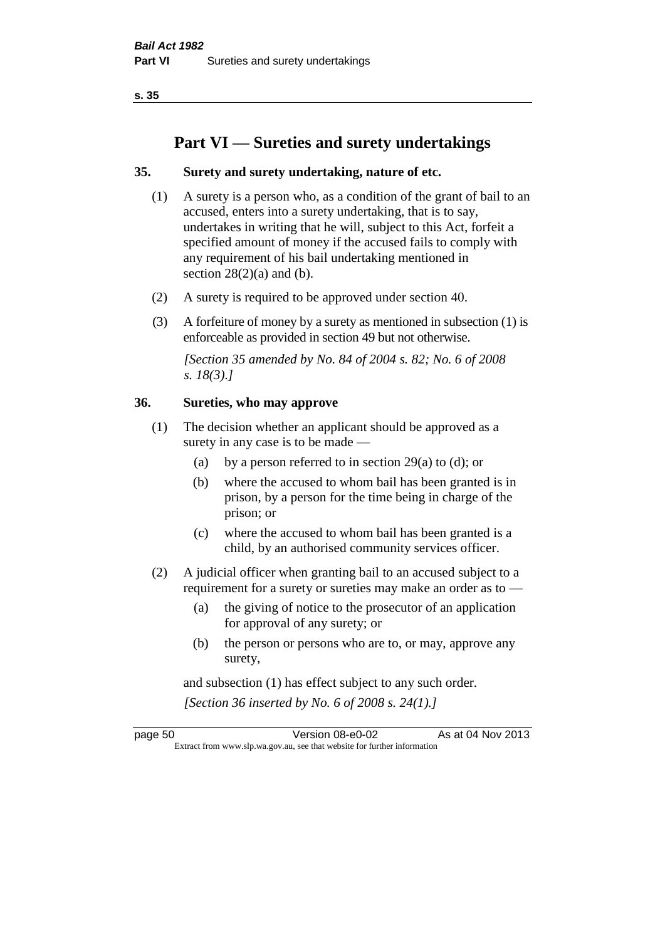**s. 35**

# **Part VI — Sureties and surety undertakings**

#### **35. Surety and surety undertaking, nature of etc.**

- (1) A surety is a person who, as a condition of the grant of bail to an accused, enters into a surety undertaking, that is to say, undertakes in writing that he will, subject to this Act, forfeit a specified amount of money if the accused fails to comply with any requirement of his bail undertaking mentioned in section  $28(2)(a)$  and (b).
- (2) A surety is required to be approved under section 40.
- (3) A forfeiture of money by a surety as mentioned in subsection (1) is enforceable as provided in section 49 but not otherwise.

*[Section 35 amended by No. 84 of 2004 s. 82; No. 6 of 2008 s. 18(3).]* 

#### **36. Sureties, who may approve**

- (1) The decision whether an applicant should be approved as a surety in any case is to be made —
	- (a) by a person referred to in section 29(a) to (d); or
	- (b) where the accused to whom bail has been granted is in prison, by a person for the time being in charge of the prison; or
	- (c) where the accused to whom bail has been granted is a child, by an authorised community services officer.
- (2) A judicial officer when granting bail to an accused subject to a requirement for a surety or sureties may make an order as to —
	- (a) the giving of notice to the prosecutor of an application for approval of any surety; or
	- (b) the person or persons who are to, or may, approve any surety,

and subsection (1) has effect subject to any such order. *[Section 36 inserted by No. 6 of 2008 s. 24(1).]*

page 50 Version 08-e0-02 As at 04 Nov 2013 Extract from www.slp.wa.gov.au, see that website for further information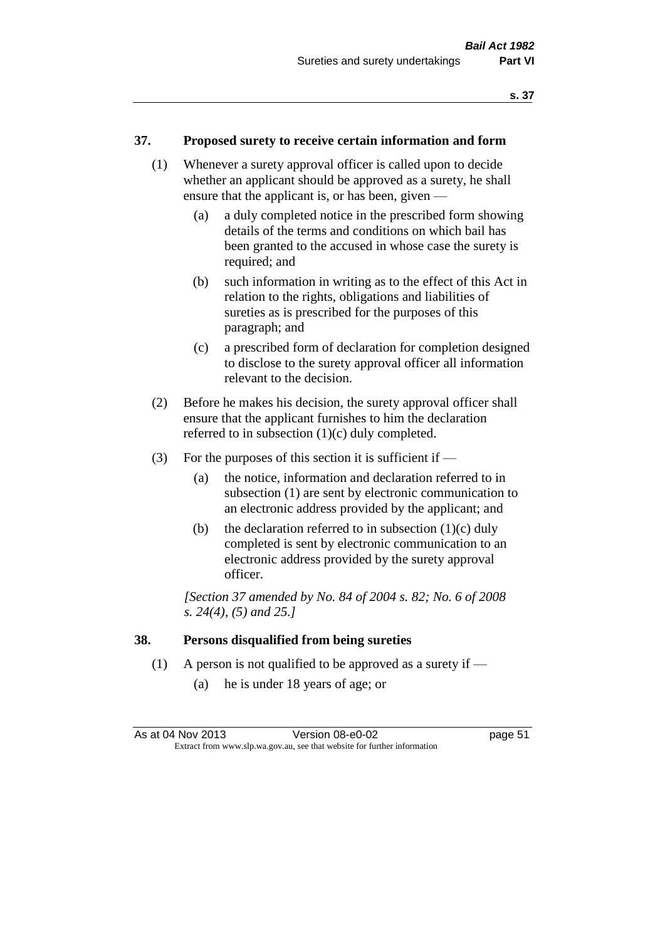#### **37. Proposed surety to receive certain information and form**

- (1) Whenever a surety approval officer is called upon to decide whether an applicant should be approved as a surety, he shall ensure that the applicant is, or has been, given —
	- (a) a duly completed notice in the prescribed form showing details of the terms and conditions on which bail has been granted to the accused in whose case the surety is required; and
	- (b) such information in writing as to the effect of this Act in relation to the rights, obligations and liabilities of sureties as is prescribed for the purposes of this paragraph; and
	- (c) a prescribed form of declaration for completion designed to disclose to the surety approval officer all information relevant to the decision.
- (2) Before he makes his decision, the surety approval officer shall ensure that the applicant furnishes to him the declaration referred to in subsection (1)(c) duly completed.
- (3) For the purposes of this section it is sufficient if  $-$ 
	- (a) the notice, information and declaration referred to in subsection (1) are sent by electronic communication to an electronic address provided by the applicant; and
	- (b) the declaration referred to in subsection  $(1)(c)$  duly completed is sent by electronic communication to an electronic address provided by the surety approval officer.

*[Section 37 amended by No. 84 of 2004 s. 82; No. 6 of 2008 s. 24(4), (5) and 25.]* 

#### **38. Persons disqualified from being sureties**

- (1) A person is not qualified to be approved as a surety if
	- (a) he is under 18 years of age; or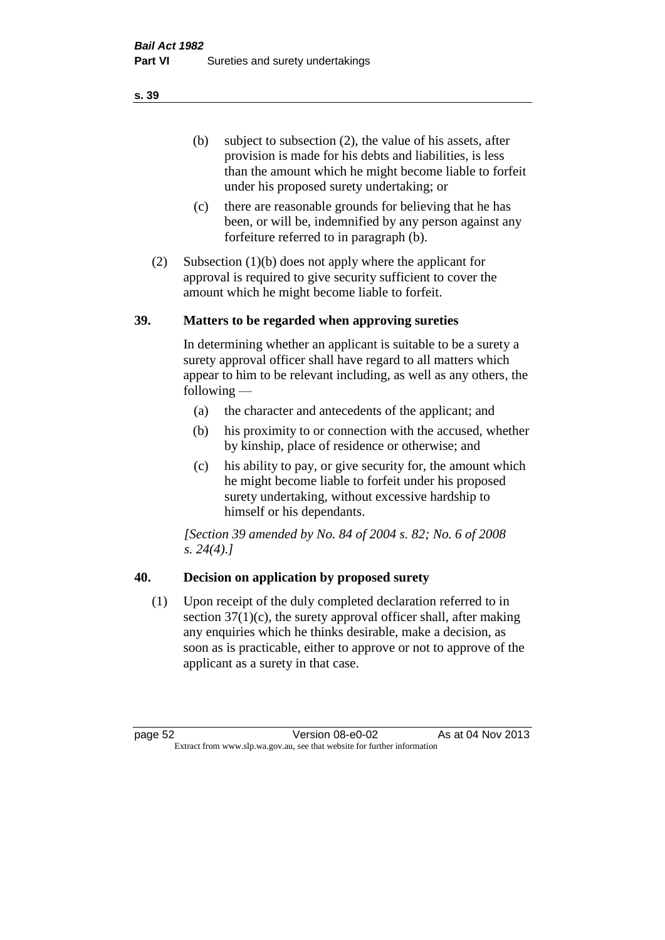(b) subject to subsection (2), the value of his assets, after provision is made for his debts and liabilities, is less than the amount which he might become liable to forfeit under his proposed surety undertaking; or

- (c) there are reasonable grounds for believing that he has been, or will be, indemnified by any person against any forfeiture referred to in paragraph (b).
- (2) Subsection (1)(b) does not apply where the applicant for approval is required to give security sufficient to cover the amount which he might become liable to forfeit.

#### **39. Matters to be regarded when approving sureties**

In determining whether an applicant is suitable to be a surety a surety approval officer shall have regard to all matters which appear to him to be relevant including, as well as any others, the following —

- (a) the character and antecedents of the applicant; and
- (b) his proximity to or connection with the accused, whether by kinship, place of residence or otherwise; and
- (c) his ability to pay, or give security for, the amount which he might become liable to forfeit under his proposed surety undertaking, without excessive hardship to himself or his dependants.

*[Section 39 amended by No. 84 of 2004 s. 82; No. 6 of 2008 s. 24(4).]* 

## **40. Decision on application by proposed surety**

(1) Upon receipt of the duly completed declaration referred to in section  $37(1)(c)$ , the surety approval officer shall, after making any enquiries which he thinks desirable, make a decision, as soon as is practicable, either to approve or not to approve of the applicant as a surety in that case.

page 52 Version 08-e0-02 As at 04 Nov 2013 Extract from www.slp.wa.gov.au, see that website for further information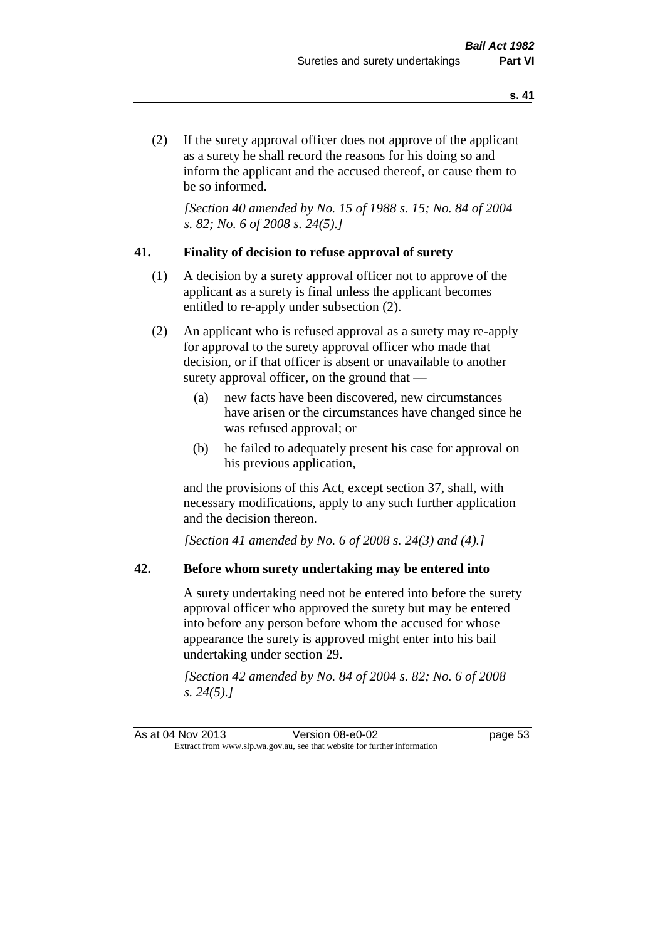(2) If the surety approval officer does not approve of the applicant as a surety he shall record the reasons for his doing so and inform the applicant and the accused thereof, or cause them to be so informed.

*[Section 40 amended by No. 15 of 1988 s. 15; No. 84 of 2004 s. 82; No. 6 of 2008 s. 24(5).]* 

#### **41. Finality of decision to refuse approval of surety**

- (1) A decision by a surety approval officer not to approve of the applicant as a surety is final unless the applicant becomes entitled to re-apply under subsection (2).
- (2) An applicant who is refused approval as a surety may re-apply for approval to the surety approval officer who made that decision, or if that officer is absent or unavailable to another surety approval officer, on the ground that —
	- (a) new facts have been discovered, new circumstances have arisen or the circumstances have changed since he was refused approval; or
	- (b) he failed to adequately present his case for approval on his previous application,

and the provisions of this Act, except section 37, shall, with necessary modifications, apply to any such further application and the decision thereon.

*[Section 41 amended by No. 6 of 2008 s. 24(3) and (4).]*

#### **42. Before whom surety undertaking may be entered into**

A surety undertaking need not be entered into before the surety approval officer who approved the surety but may be entered into before any person before whom the accused for whose appearance the surety is approved might enter into his bail undertaking under section 29.

*[Section 42 amended by No. 84 of 2004 s. 82; No. 6 of 2008 s. 24(5).]*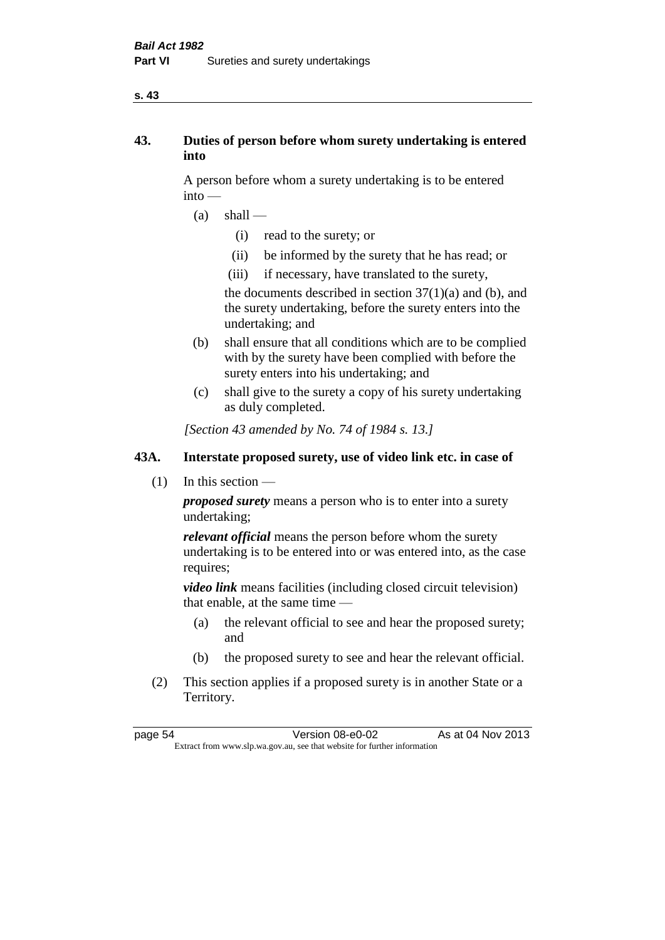#### **s. 43**

## **43. Duties of person before whom surety undertaking is entered into**

A person before whom a surety undertaking is to be entered into —

- $(a)$  shall
	- (i) read to the surety; or
	- (ii) be informed by the surety that he has read; or
	- (iii) if necessary, have translated to the surety,

the documents described in section  $37(1)(a)$  and (b), and the surety undertaking, before the surety enters into the undertaking; and

- (b) shall ensure that all conditions which are to be complied with by the surety have been complied with before the surety enters into his undertaking; and
- (c) shall give to the surety a copy of his surety undertaking as duly completed.

*[Section 43 amended by No. 74 of 1984 s. 13.]* 

## **43A. Interstate proposed surety, use of video link etc. in case of**

(1) In this section —

*proposed surety* means a person who is to enter into a surety undertaking;

*relevant official* means the person before whom the surety undertaking is to be entered into or was entered into, as the case requires;

*video link* means facilities (including closed circuit television) that enable, at the same time —

- (a) the relevant official to see and hear the proposed surety; and
- (b) the proposed surety to see and hear the relevant official.
- (2) This section applies if a proposed surety is in another State or a Territory.

page 54 Version 08-e0-02 As at 04 Nov 2013 Extract from www.slp.wa.gov.au, see that website for further information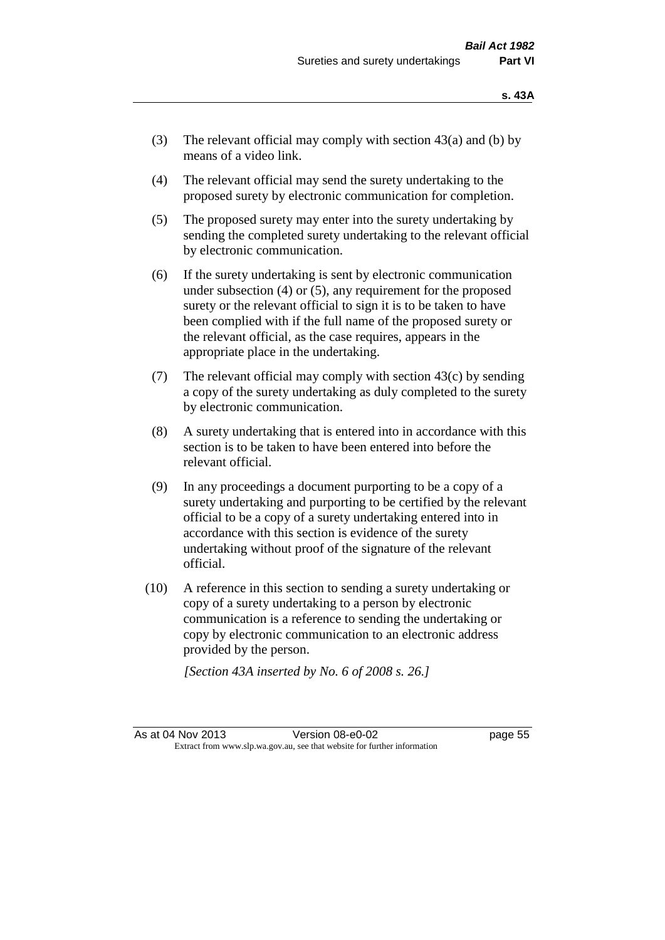- (3) The relevant official may comply with section  $43(a)$  and (b) by means of a video link.
- (4) The relevant official may send the surety undertaking to the proposed surety by electronic communication for completion.
- (5) The proposed surety may enter into the surety undertaking by sending the completed surety undertaking to the relevant official by electronic communication.
- (6) If the surety undertaking is sent by electronic communication under subsection (4) or (5), any requirement for the proposed surety or the relevant official to sign it is to be taken to have been complied with if the full name of the proposed surety or the relevant official, as the case requires, appears in the appropriate place in the undertaking.
- (7) The relevant official may comply with section 43(c) by sending a copy of the surety undertaking as duly completed to the surety by electronic communication.
- (8) A surety undertaking that is entered into in accordance with this section is to be taken to have been entered into before the relevant official.
- (9) In any proceedings a document purporting to be a copy of a surety undertaking and purporting to be certified by the relevant official to be a copy of a surety undertaking entered into in accordance with this section is evidence of the surety undertaking without proof of the signature of the relevant official.
- (10) A reference in this section to sending a surety undertaking or copy of a surety undertaking to a person by electronic communication is a reference to sending the undertaking or copy by electronic communication to an electronic address provided by the person.

*[Section 43A inserted by No. 6 of 2008 s. 26.]*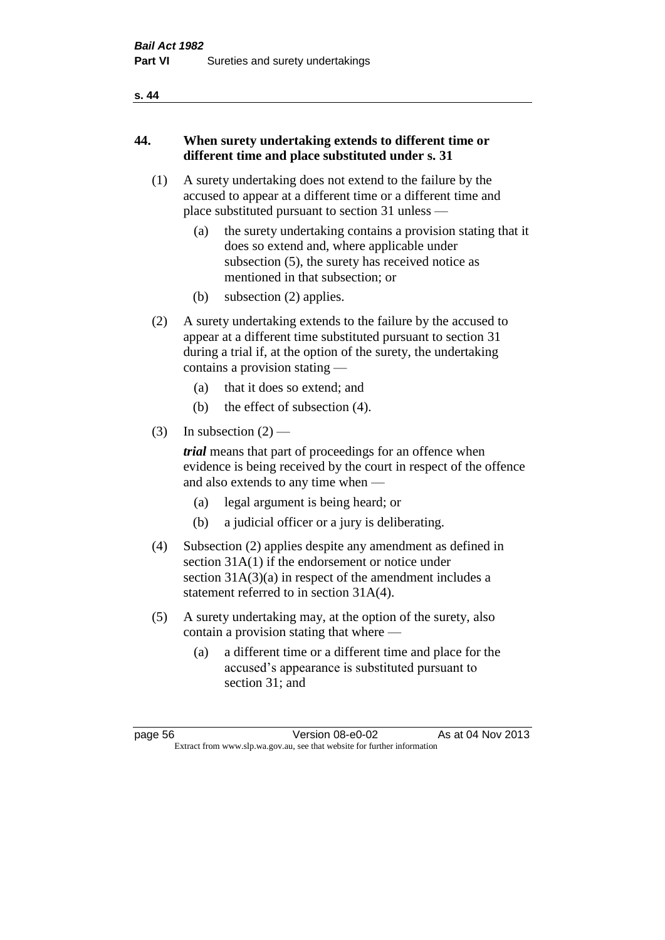#### **s. 44**

## **44. When surety undertaking extends to different time or different time and place substituted under s. 31**

- (1) A surety undertaking does not extend to the failure by the accused to appear at a different time or a different time and place substituted pursuant to section 31 unless —
	- (a) the surety undertaking contains a provision stating that it does so extend and, where applicable under subsection (5), the surety has received notice as mentioned in that subsection; or
	- (b) subsection (2) applies.
- (2) A surety undertaking extends to the failure by the accused to appear at a different time substituted pursuant to section 31 during a trial if, at the option of the surety, the undertaking contains a provision stating —
	- (a) that it does so extend; and
	- (b) the effect of subsection (4).
- (3) In subsection  $(2)$  —

*trial* means that part of proceedings for an offence when evidence is being received by the court in respect of the offence and also extends to any time when —

- (a) legal argument is being heard; or
- (b) a judicial officer or a jury is deliberating.
- (4) Subsection (2) applies despite any amendment as defined in section 31A(1) if the endorsement or notice under section 31A(3)(a) in respect of the amendment includes a statement referred to in section 31A(4).
- (5) A surety undertaking may, at the option of the surety, also contain a provision stating that where —
	- (a) a different time or a different time and place for the accused's appearance is substituted pursuant to section 31; and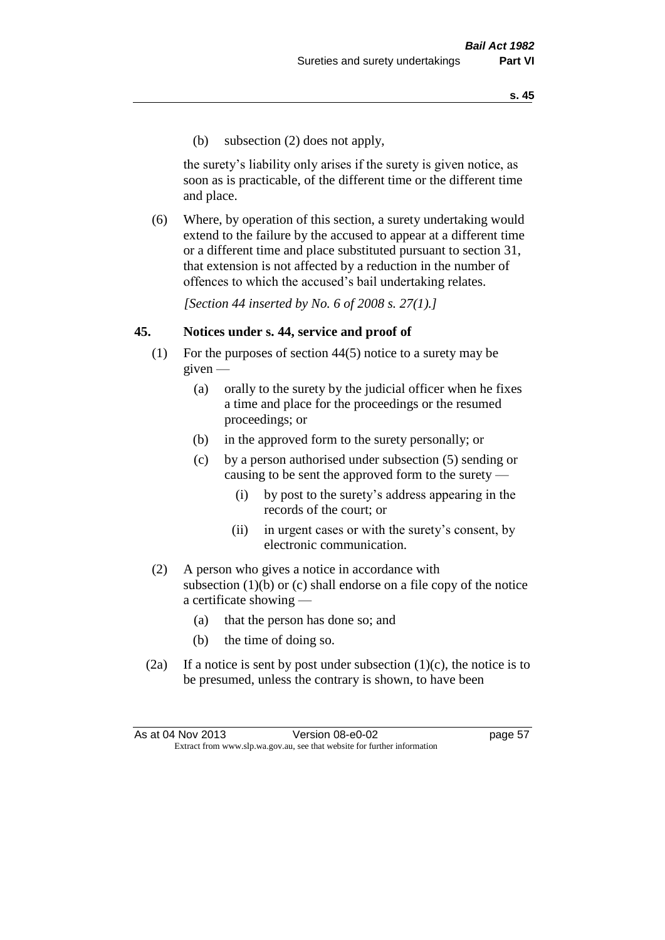(b) subsection (2) does not apply,

the surety's liability only arises if the surety is given notice, as soon as is practicable, of the different time or the different time and place.

(6) Where, by operation of this section, a surety undertaking would extend to the failure by the accused to appear at a different time or a different time and place substituted pursuant to section 31, that extension is not affected by a reduction in the number of offences to which the accused's bail undertaking relates.

*[Section 44 inserted by No. 6 of 2008 s. 27(1).]*

#### **45. Notices under s. 44, service and proof of**

- (1) For the purposes of section 44(5) notice to a surety may be given —
	- (a) orally to the surety by the judicial officer when he fixes a time and place for the proceedings or the resumed proceedings; or
	- (b) in the approved form to the surety personally; or
	- (c) by a person authorised under subsection (5) sending or causing to be sent the approved form to the surety —
		- (i) by post to the surety's address appearing in the records of the court; or
		- (ii) in urgent cases or with the surety's consent, by electronic communication.
- (2) A person who gives a notice in accordance with subsection  $(1)(b)$  or  $(c)$  shall endorse on a file copy of the notice a certificate showing —
	- (a) that the person has done so; and
	- (b) the time of doing so.
- (2a) If a notice is sent by post under subsection  $(1)(c)$ , the notice is to be presumed, unless the contrary is shown, to have been

As at 04 Nov 2013 Version 08-e0-02 Page 57 Extract from www.slp.wa.gov.au, see that website for further information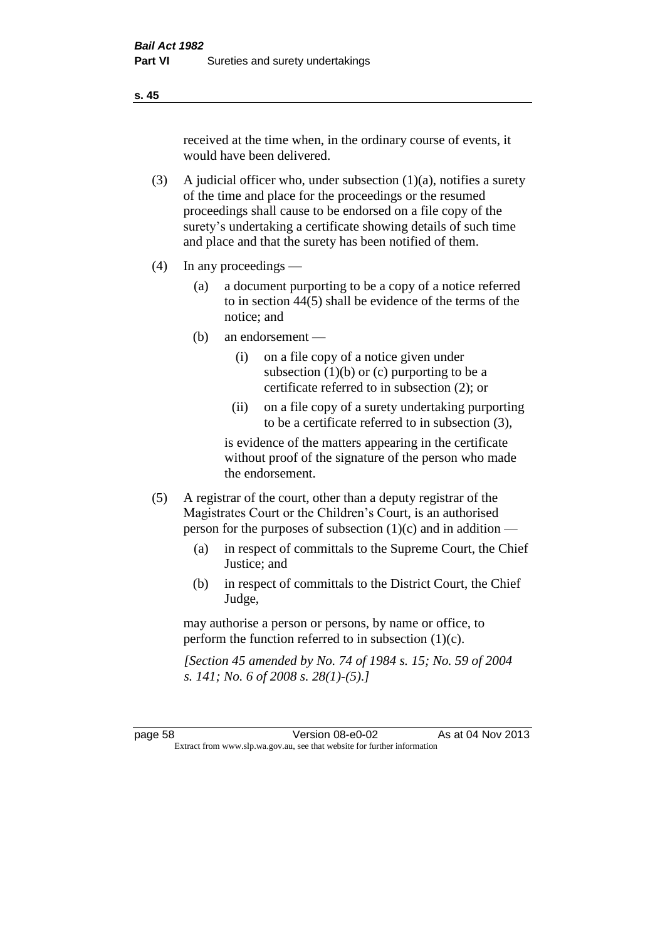received at the time when, in the ordinary course of events, it would have been delivered.

- (3) A judicial officer who, under subsection  $(1)(a)$ , notifies a surety of the time and place for the proceedings or the resumed proceedings shall cause to be endorsed on a file copy of the surety's undertaking a certificate showing details of such time and place and that the surety has been notified of them.
- (4) In any proceedings
	- (a) a document purporting to be a copy of a notice referred to in section 44(5) shall be evidence of the terms of the notice; and
	- (b) an endorsement
		- (i) on a file copy of a notice given under subsection  $(1)(b)$  or  $(c)$  purporting to be a certificate referred to in subsection (2); or
		- (ii) on a file copy of a surety undertaking purporting to be a certificate referred to in subsection (3),

is evidence of the matters appearing in the certificate without proof of the signature of the person who made the endorsement.

- (5) A registrar of the court, other than a deputy registrar of the Magistrates Court or the Children's Court, is an authorised person for the purposes of subsection (1)(c) and in addition —
	- (a) in respect of committals to the Supreme Court, the Chief Justice; and
	- (b) in respect of committals to the District Court, the Chief Judge,

may authorise a person or persons, by name or office, to perform the function referred to in subsection (1)(c).

*[Section 45 amended by No. 74 of 1984 s. 15; No. 59 of 2004 s. 141; No. 6 of 2008 s. 28(1)-(5).]* 

**s. 45**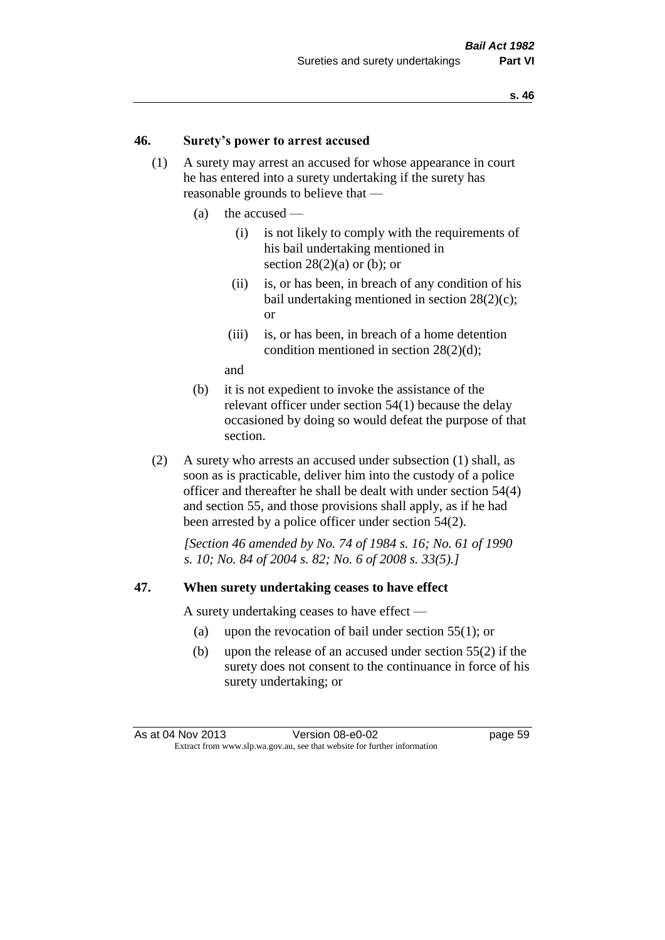#### **46. Surety's power to arrest accused**

- (1) A surety may arrest an accused for whose appearance in court he has entered into a surety undertaking if the surety has reasonable grounds to believe that —
	- (a) the accused
		- (i) is not likely to comply with the requirements of his bail undertaking mentioned in section  $28(2)(a)$  or (b); or
		- (ii) is, or has been, in breach of any condition of his bail undertaking mentioned in section 28(2)(c); or
		- (iii) is, or has been, in breach of a home detention condition mentioned in section 28(2)(d);

and

- (b) it is not expedient to invoke the assistance of the relevant officer under section 54(1) because the delay occasioned by doing so would defeat the purpose of that section.
- (2) A surety who arrests an accused under subsection (1) shall, as soon as is practicable, deliver him into the custody of a police officer and thereafter he shall be dealt with under section 54(4) and section 55, and those provisions shall apply, as if he had been arrested by a police officer under section 54(2).

*[Section 46 amended by No. 74 of 1984 s. 16; No. 61 of 1990 s. 10; No. 84 of 2004 s. 82; No. 6 of 2008 s. 33(5).]* 

#### **47. When surety undertaking ceases to have effect**

A surety undertaking ceases to have effect —

- (a) upon the revocation of bail under section 55(1); or
- (b) upon the release of an accused under section 55(2) if the surety does not consent to the continuance in force of his surety undertaking; or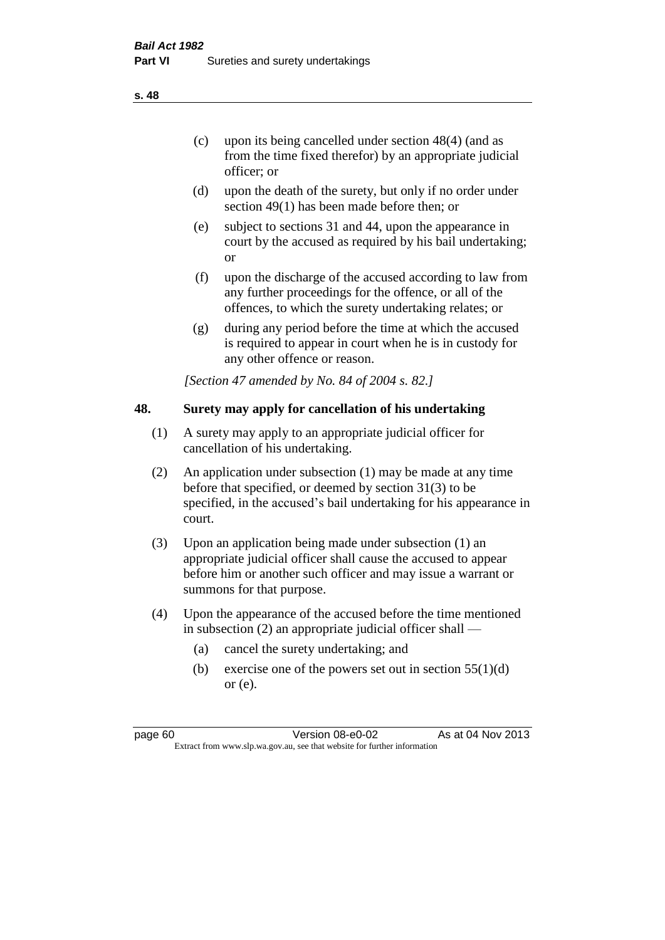- (d) upon the death of the surety, but only if no order under section 49(1) has been made before then; or
- (e) subject to sections 31 and 44, upon the appearance in court by the accused as required by his bail undertaking; or
- (f) upon the discharge of the accused according to law from any further proceedings for the offence, or all of the offences, to which the surety undertaking relates; or
- (g) during any period before the time at which the accused is required to appear in court when he is in custody for any other offence or reason.

*[Section 47 amended by No. 84 of 2004 s. 82.]* 

## **48. Surety may apply for cancellation of his undertaking**

- (1) A surety may apply to an appropriate judicial officer for cancellation of his undertaking.
- (2) An application under subsection (1) may be made at any time before that specified, or deemed by section 31(3) to be specified, in the accused's bail undertaking for his appearance in court.
- (3) Upon an application being made under subsection (1) an appropriate judicial officer shall cause the accused to appear before him or another such officer and may issue a warrant or summons for that purpose.
- (4) Upon the appearance of the accused before the time mentioned in subsection (2) an appropriate judicial officer shall —
	- (a) cancel the surety undertaking; and
	- (b) exercise one of the powers set out in section  $55(1)(d)$ or (e).

page 60 Version 08-e0-02 As at 04 Nov 2013 Extract from www.slp.wa.gov.au, see that website for further information

**s. 48**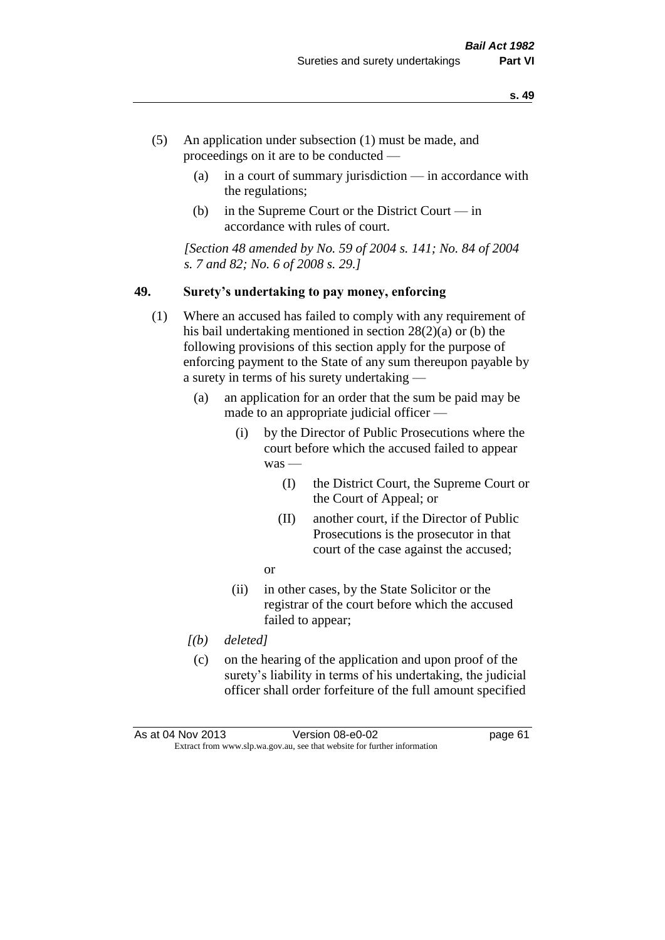- (5) An application under subsection (1) must be made, and proceedings on it are to be conducted —
	- (a) in a court of summary jurisdiction in accordance with the regulations;
	- (b) in the Supreme Court or the District Court in accordance with rules of court.

*[Section 48 amended by No. 59 of 2004 s. 141; No. 84 of 2004 s. 7 and 82; No. 6 of 2008 s. 29.]* 

#### **49. Surety's undertaking to pay money, enforcing**

- (1) Where an accused has failed to comply with any requirement of his bail undertaking mentioned in section 28(2)(a) or (b) the following provisions of this section apply for the purpose of enforcing payment to the State of any sum thereupon payable by a surety in terms of his surety undertaking —
	- (a) an application for an order that the sum be paid may be made to an appropriate judicial officer —
		- (i) by the Director of Public Prosecutions where the court before which the accused failed to appear was —
			- (I) the District Court, the Supreme Court or the Court of Appeal; or
			- (II) another court, if the Director of Public Prosecutions is the prosecutor in that court of the case against the accused;
			- or
		- (ii) in other cases, by the State Solicitor or the registrar of the court before which the accused failed to appear;
	- *[(b) deleted]*
	- (c) on the hearing of the application and upon proof of the surety's liability in terms of his undertaking, the judicial officer shall order forfeiture of the full amount specified

| As at 04 Nov 2013 | Version 08-e0-02                                                         | page 61 |
|-------------------|--------------------------------------------------------------------------|---------|
|                   | Extract from www.slp.wa.gov.au, see that website for further information |         |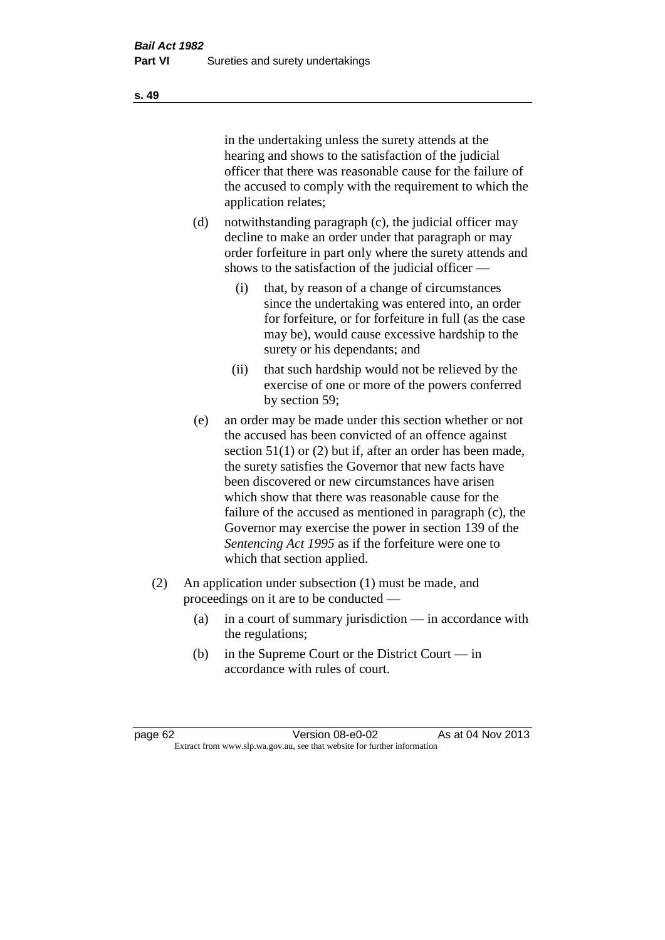in the undertaking unless the surety attends at the hearing and shows to the satisfaction of the judicial officer that there was reasonable cause for the failure of the accused to comply with the requirement to which the application relates;

- (d) notwithstanding paragraph (c), the judicial officer may decline to make an order under that paragraph or may order forfeiture in part only where the surety attends and shows to the satisfaction of the judicial officer —
	- (i) that, by reason of a change of circumstances since the undertaking was entered into, an order for forfeiture, or for forfeiture in full (as the case may be), would cause excessive hardship to the surety or his dependants; and
	- (ii) that such hardship would not be relieved by the exercise of one or more of the powers conferred by section 59;
- (e) an order may be made under this section whether or not the accused has been convicted of an offence against section 51(1) or (2) but if, after an order has been made, the surety satisfies the Governor that new facts have been discovered or new circumstances have arisen which show that there was reasonable cause for the failure of the accused as mentioned in paragraph (c), the Governor may exercise the power in section 139 of the *Sentencing Act 1995* as if the forfeiture were one to which that section applied.
- (2) An application under subsection (1) must be made, and proceedings on it are to be conducted —
	- (a) in a court of summary jurisdiction in accordance with the regulations;
	- (b) in the Supreme Court or the District Court in accordance with rules of court.

**s. 49**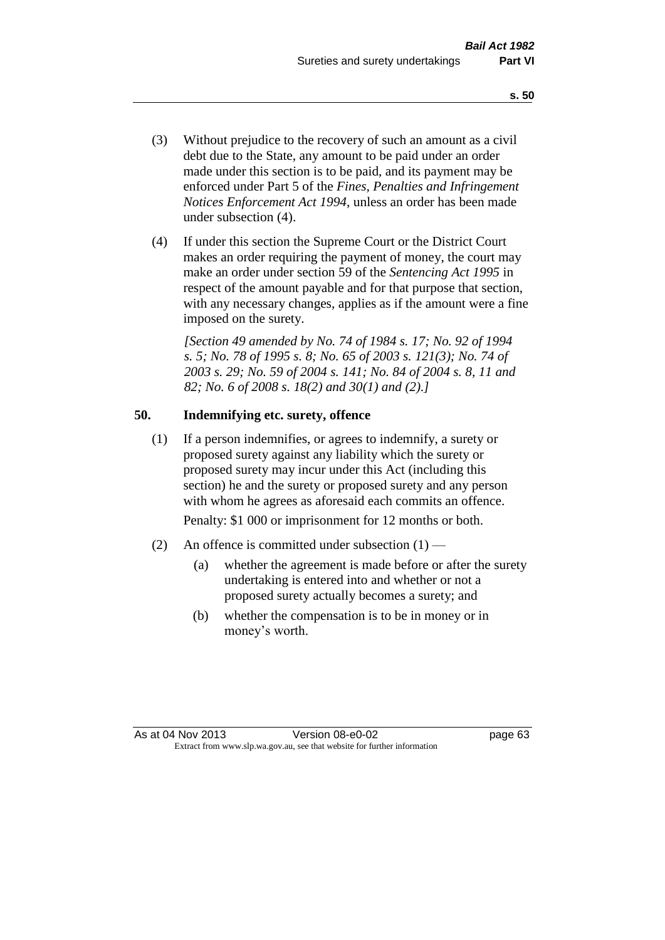- (3) Without prejudice to the recovery of such an amount as a civil debt due to the State, any amount to be paid under an order made under this section is to be paid, and its payment may be enforced under Part 5 of the *Fines, Penalties and Infringement Notices Enforcement Act 1994*, unless an order has been made under subsection (4).
- (4) If under this section the Supreme Court or the District Court makes an order requiring the payment of money, the court may make an order under section 59 of the *Sentencing Act 1995* in respect of the amount payable and for that purpose that section, with any necessary changes, applies as if the amount were a fine imposed on the surety.

*[Section 49 amended by No. 74 of 1984 s. 17; No. 92 of 1994 s. 5; No. 78 of 1995 s. 8; No. 65 of 2003 s. 121(3); No. 74 of 2003 s. 29; No. 59 of 2004 s. 141; No. 84 of 2004 s. 8, 11 and 82; No. 6 of 2008 s. 18(2) and 30(1) and (2).]* 

## **50. Indemnifying etc. surety, offence**

(1) If a person indemnifies, or agrees to indemnify, a surety or proposed surety against any liability which the surety or proposed surety may incur under this Act (including this section) he and the surety or proposed surety and any person with whom he agrees as aforesaid each commits an offence.

Penalty: \$1 000 or imprisonment for 12 months or both.

- (2) An offence is committed under subsection  $(1)$ 
	- (a) whether the agreement is made before or after the surety undertaking is entered into and whether or not a proposed surety actually becomes a surety; and
	- (b) whether the compensation is to be in money or in money's worth.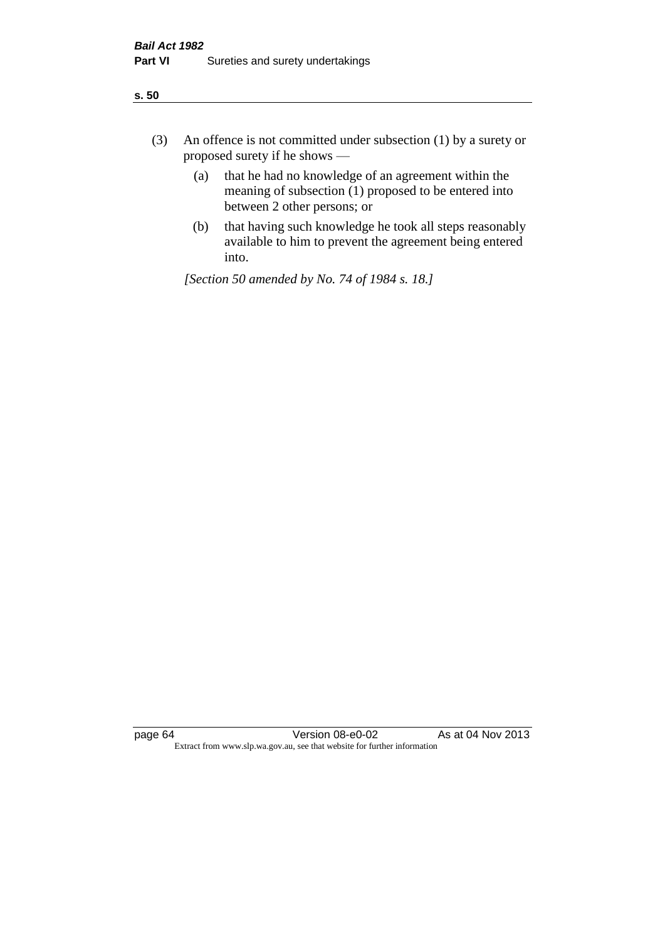| ×<br>. .<br>×<br>×<br>۰.<br>v<br>۰. |
|-------------------------------------|
|-------------------------------------|

- (3) An offence is not committed under subsection (1) by a surety or proposed surety if he shows —
	- (a) that he had no knowledge of an agreement within the meaning of subsection  $(1)$  proposed to be entered into between 2 other persons; or
	- (b) that having such knowledge he took all steps reasonably available to him to prevent the agreement being entered into.

*[Section 50 amended by No. 74 of 1984 s. 18.]*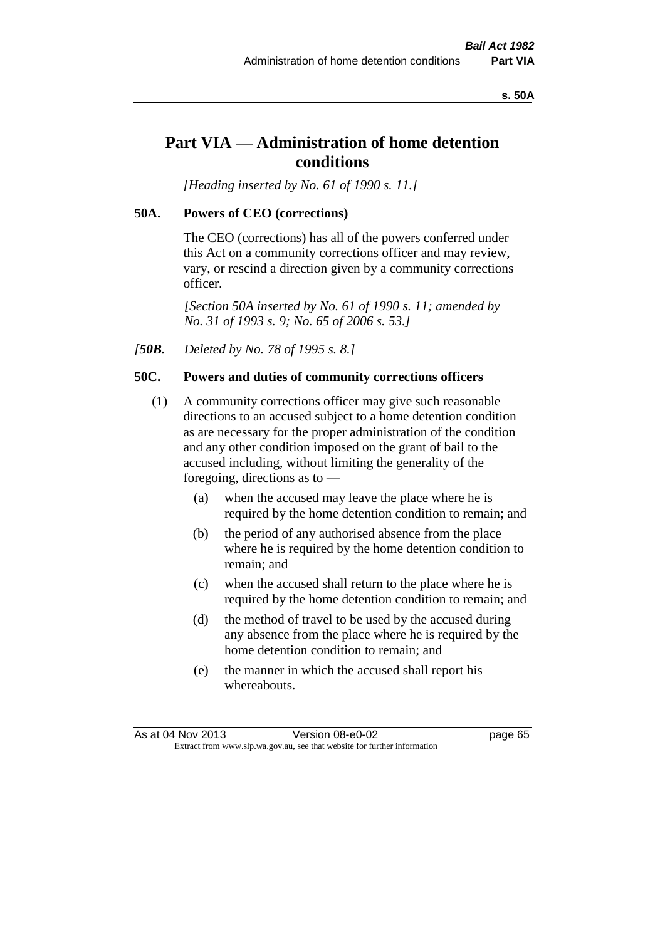#### **s. 50A**

# **Part VIA — Administration of home detention conditions**

*[Heading inserted by No. 61 of 1990 s. 11.]* 

## **50A. Powers of CEO (corrections)**

The CEO (corrections) has all of the powers conferred under this Act on a community corrections officer and may review, vary, or rescind a direction given by a community corrections officer.

*[Section 50A inserted by No. 61 of 1990 s. 11; amended by No. 31 of 1993 s. 9; No. 65 of 2006 s. 53.]* 

*[50B. Deleted by No. 78 of 1995 s. 8.]* 

# **50C. Powers and duties of community corrections officers**

- (1) A community corrections officer may give such reasonable directions to an accused subject to a home detention condition as are necessary for the proper administration of the condition and any other condition imposed on the grant of bail to the accused including, without limiting the generality of the foregoing, directions as to —
	- (a) when the accused may leave the place where he is required by the home detention condition to remain; and
	- (b) the period of any authorised absence from the place where he is required by the home detention condition to remain; and
	- (c) when the accused shall return to the place where he is required by the home detention condition to remain; and
	- (d) the method of travel to be used by the accused during any absence from the place where he is required by the home detention condition to remain; and
	- (e) the manner in which the accused shall report his whereabouts.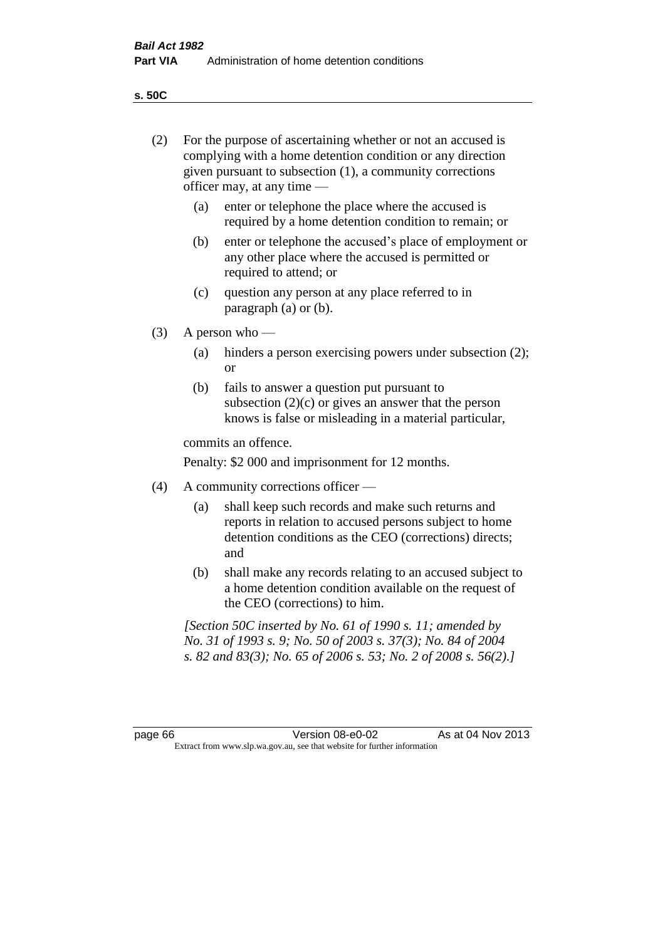**s. 50C**

| (2)     |     | For the purpose of ascertaining whether or not an accused is<br>complying with a home detention condition or any direction<br>given pursuant to subsection (1), a community corrections<br>officer may, at any time - |
|---------|-----|-----------------------------------------------------------------------------------------------------------------------------------------------------------------------------------------------------------------------|
|         | (a) | enter or telephone the place where the accused is<br>required by a home detention condition to remain; or                                                                                                             |
|         | (b) | enter or telephone the accused's place of employment or<br>any other place where the accused is permitted or<br>required to attend; or                                                                                |
|         | (c) | question any person at any place referred to in<br>paragraph $(a)$ or $(b)$ .                                                                                                                                         |
| (3)     |     | A person who $-$                                                                                                                                                                                                      |
|         | (a) | hinders a person exercising powers under subsection (2);<br><sub>or</sub>                                                                                                                                             |
|         | (b) | fails to answer a question put pursuant to<br>subsection $(2)(c)$ or gives an answer that the person<br>knows is false or misleading in a material particular,                                                        |
|         |     | commits an offence.                                                                                                                                                                                                   |
|         |     | Penalty: \$2 000 and imprisonment for 12 months.                                                                                                                                                                      |
| (4)     |     | A community corrections officer —                                                                                                                                                                                     |
|         | (a) | shall keep such records and make such returns and<br>reports in relation to accused persons subject to home<br>detention conditions as the CEO (corrections) directs;<br>and                                          |
|         | (b) | shall make any records relating to an accused subject to<br>a home detention condition available on the request of<br>the CEO (corrections) to him.                                                                   |
|         |     | [Section 50C inserted by No. 61 of 1990 s. 11; amended by<br>No. 31 of 1993 s. 9; No. 50 of 2003 s. 37(3); No. 84 of 2004<br>s. 82 and 83(3); No. 65 of 2006 s. 53; No. 2 of 2008 s. 56(2).]                          |
|         |     |                                                                                                                                                                                                                       |
| page 66 |     | Version 08-e0-02<br>As at 04 Nov 2013<br>Extract from www.slp.wa.gov.au, see that website for further information                                                                                                     |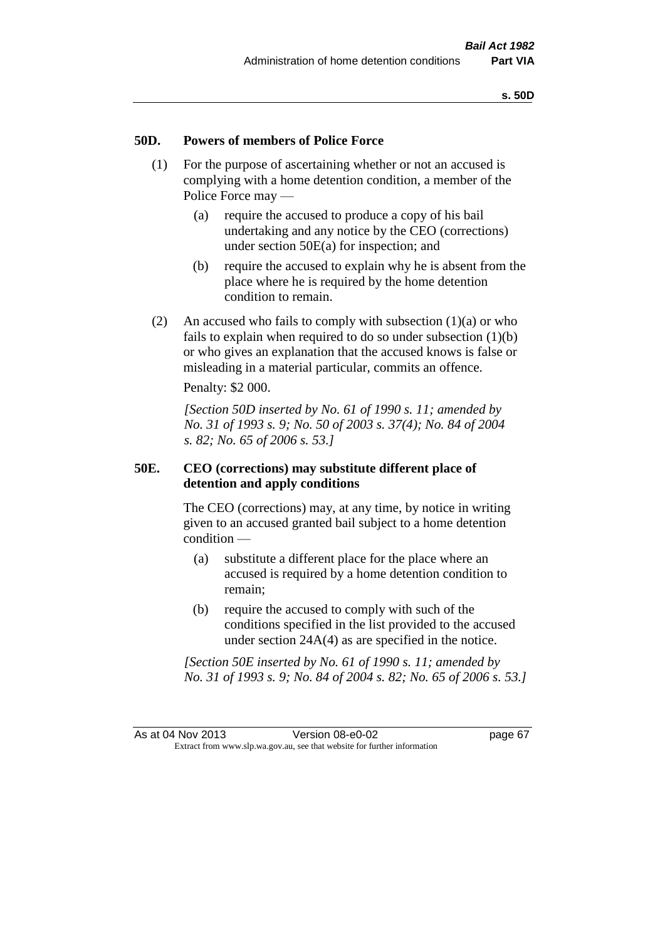## **50D. Powers of members of Police Force**

- (1) For the purpose of ascertaining whether or not an accused is complying with a home detention condition, a member of the Police Force may —
	- (a) require the accused to produce a copy of his bail undertaking and any notice by the CEO (corrections) under section 50E(a) for inspection; and
	- (b) require the accused to explain why he is absent from the place where he is required by the home detention condition to remain.
- (2) An accused who fails to comply with subsection  $(1)(a)$  or who fails to explain when required to do so under subsection  $(1)(b)$ or who gives an explanation that the accused knows is false or misleading in a material particular, commits an offence.

Penalty: \$2 000.

*[Section 50D inserted by No. 61 of 1990 s. 11; amended by No. 31 of 1993 s. 9; No. 50 of 2003 s. 37(4); No. 84 of 2004 s. 82; No. 65 of 2006 s. 53.]* 

# **50E. CEO (corrections) may substitute different place of detention and apply conditions**

The CEO (corrections) may, at any time, by notice in writing given to an accused granted bail subject to a home detention condition —

- (a) substitute a different place for the place where an accused is required by a home detention condition to remain;
- (b) require the accused to comply with such of the conditions specified in the list provided to the accused under section 24A(4) as are specified in the notice.

*[Section 50E inserted by No. 61 of 1990 s. 11; amended by No. 31 of 1993 s. 9; No. 84 of 2004 s. 82; No. 65 of 2006 s. 53.]*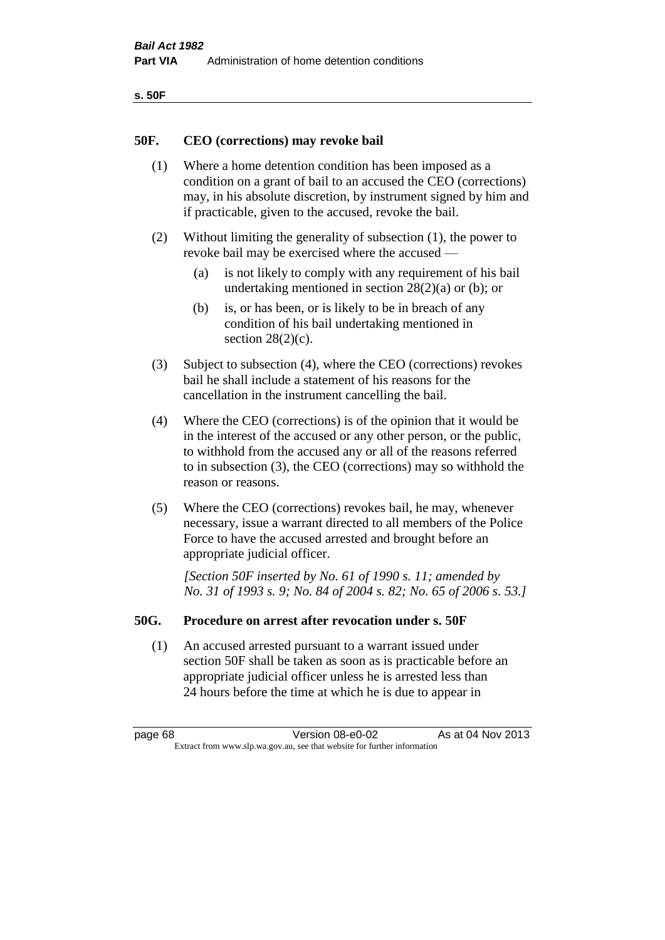| ۰.<br>×<br>-<br>۰.<br>× |  |
|-------------------------|--|
|-------------------------|--|

## **50F. CEO (corrections) may revoke bail**

- (1) Where a home detention condition has been imposed as a condition on a grant of bail to an accused the CEO (corrections) may, in his absolute discretion, by instrument signed by him and if practicable, given to the accused, revoke the bail.
- (2) Without limiting the generality of subsection (1), the power to revoke bail may be exercised where the accused —
	- (a) is not likely to comply with any requirement of his bail undertaking mentioned in section 28(2)(a) or (b); or
	- (b) is, or has been, or is likely to be in breach of any condition of his bail undertaking mentioned in section  $28(2)(c)$ .
- (3) Subject to subsection (4), where the CEO (corrections) revokes bail he shall include a statement of his reasons for the cancellation in the instrument cancelling the bail.
- (4) Where the CEO (corrections) is of the opinion that it would be in the interest of the accused or any other person, or the public, to withhold from the accused any or all of the reasons referred to in subsection (3), the CEO (corrections) may so withhold the reason or reasons.
- (5) Where the CEO (corrections) revokes bail, he may, whenever necessary, issue a warrant directed to all members of the Police Force to have the accused arrested and brought before an appropriate judicial officer.

*[Section 50F inserted by No. 61 of 1990 s. 11; amended by No. 31 of 1993 s. 9; No. 84 of 2004 s. 82; No. 65 of 2006 s. 53.]* 

## **50G. Procedure on arrest after revocation under s. 50F**

(1) An accused arrested pursuant to a warrant issued under section 50F shall be taken as soon as is practicable before an appropriate judicial officer unless he is arrested less than 24 hours before the time at which he is due to appear in

page 68 **Version 08-e0-02** As at 04 Nov 2013 Extract from www.slp.wa.gov.au, see that website for further information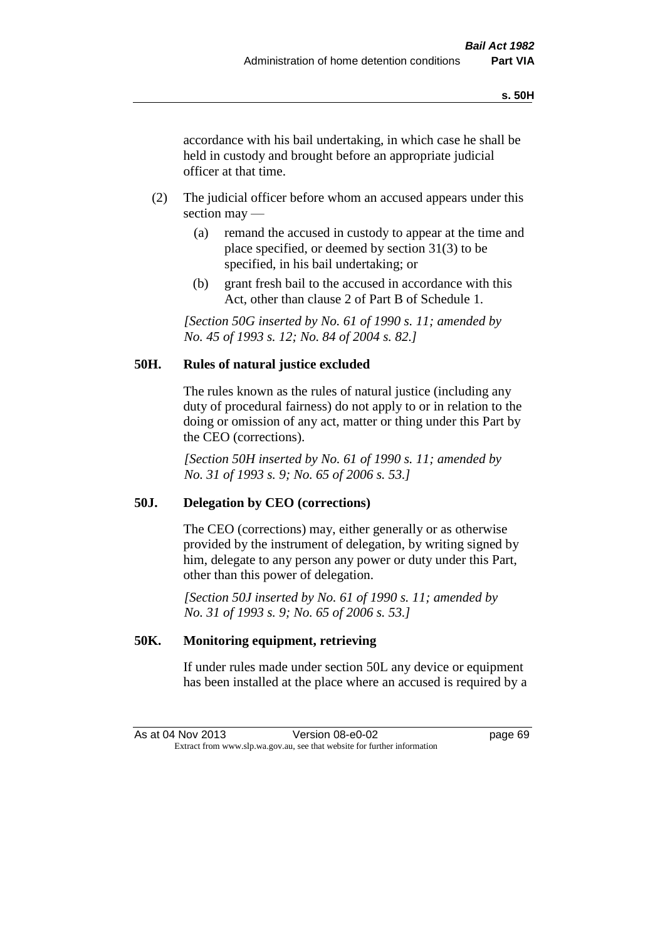accordance with his bail undertaking, in which case he shall be held in custody and brought before an appropriate judicial officer at that time.

- (2) The judicial officer before whom an accused appears under this section may —
	- (a) remand the accused in custody to appear at the time and place specified, or deemed by section 31(3) to be specified, in his bail undertaking; or
	- (b) grant fresh bail to the accused in accordance with this Act, other than clause 2 of Part B of Schedule 1.

*[Section 50G inserted by No. 61 of 1990 s. 11; amended by No. 45 of 1993 s. 12; No. 84 of 2004 s. 82.]* 

# **50H. Rules of natural justice excluded**

The rules known as the rules of natural justice (including any duty of procedural fairness) do not apply to or in relation to the doing or omission of any act, matter or thing under this Part by the CEO (corrections).

*[Section 50H inserted by No. 61 of 1990 s. 11; amended by No. 31 of 1993 s. 9; No. 65 of 2006 s. 53.]* 

# **50J. Delegation by CEO (corrections)**

The CEO (corrections) may, either generally or as otherwise provided by the instrument of delegation, by writing signed by him, delegate to any person any power or duty under this Part, other than this power of delegation.

*[Section 50J inserted by No. 61 of 1990 s. 11; amended by No. 31 of 1993 s. 9; No. 65 of 2006 s. 53.]* 

# **50K. Monitoring equipment, retrieving**

If under rules made under section 50L any device or equipment has been installed at the place where an accused is required by a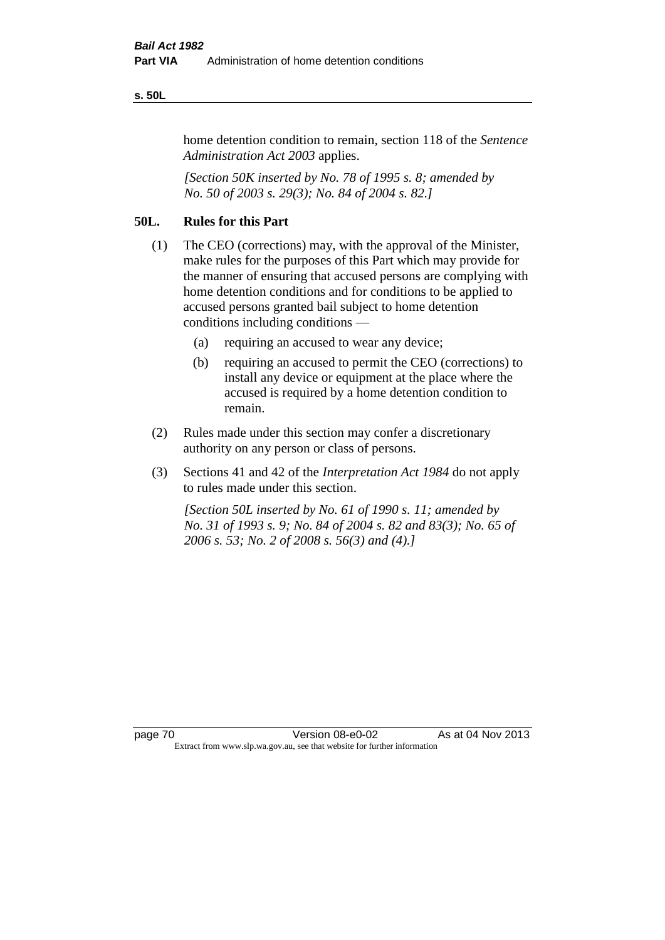#### **s. 50L**

home detention condition to remain, section 118 of the *Sentence Administration Act 2003* applies.

*[Section 50K inserted by No. 78 of 1995 s. 8; amended by No. 50 of 2003 s. 29(3); No. 84 of 2004 s. 82.]* 

# **50L. Rules for this Part**

- (1) The CEO (corrections) may, with the approval of the Minister, make rules for the purposes of this Part which may provide for the manner of ensuring that accused persons are complying with home detention conditions and for conditions to be applied to accused persons granted bail subject to home detention conditions including conditions —
	- (a) requiring an accused to wear any device;
	- (b) requiring an accused to permit the CEO (corrections) to install any device or equipment at the place where the accused is required by a home detention condition to remain.
- (2) Rules made under this section may confer a discretionary authority on any person or class of persons.
- (3) Sections 41 and 42 of the *Interpretation Act 1984* do not apply to rules made under this section.

*[Section 50L inserted by No. 61 of 1990 s. 11; amended by No. 31 of 1993 s. 9; No. 84 of 2004 s. 82 and 83(3); No. 65 of 2006 s. 53; No. 2 of 2008 s. 56(3) and (4).]*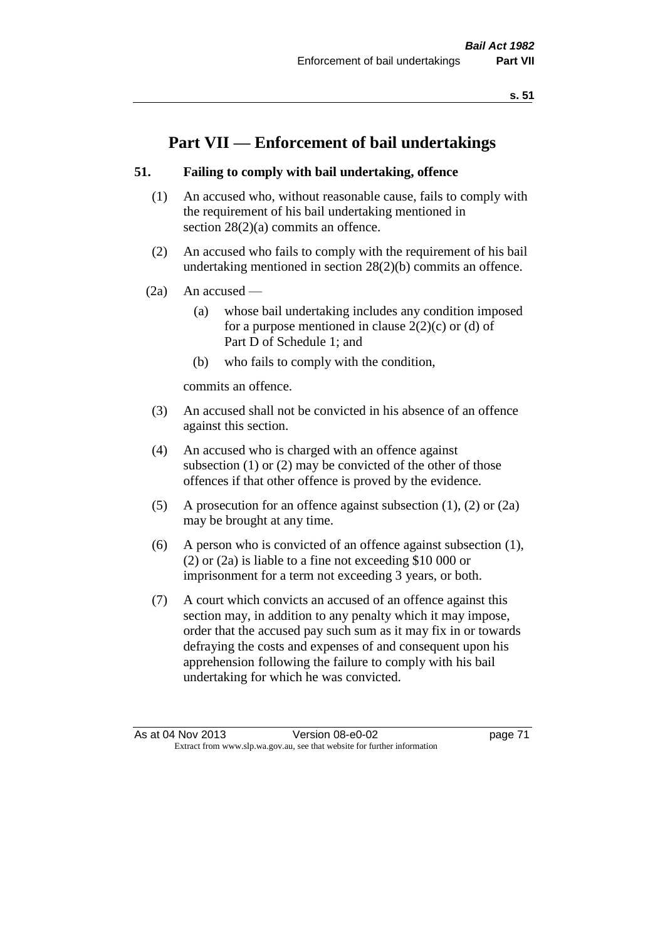# **Part VII — Enforcement of bail undertakings**

# **51. Failing to comply with bail undertaking, offence**

- (1) An accused who, without reasonable cause, fails to comply with the requirement of his bail undertaking mentioned in section 28(2)(a) commits an offence.
- (2) An accused who fails to comply with the requirement of his bail undertaking mentioned in section 28(2)(b) commits an offence.
- $(2a)$  An accused
	- (a) whose bail undertaking includes any condition imposed for a purpose mentioned in clause  $2(2)(c)$  or (d) of Part D of Schedule 1; and
	- (b) who fails to comply with the condition,

commits an offence.

- (3) An accused shall not be convicted in his absence of an offence against this section.
- (4) An accused who is charged with an offence against subsection (1) or (2) may be convicted of the other of those offences if that other offence is proved by the evidence.
- (5) A prosecution for an offence against subsection (1), (2) or (2a) may be brought at any time.
- (6) A person who is convicted of an offence against subsection (1), (2) or (2a) is liable to a fine not exceeding \$10 000 or imprisonment for a term not exceeding 3 years, or both.
- (7) A court which convicts an accused of an offence against this section may, in addition to any penalty which it may impose, order that the accused pay such sum as it may fix in or towards defraying the costs and expenses of and consequent upon his apprehension following the failure to comply with his bail undertaking for which he was convicted.

As at 04 Nov 2013 Version 08-e0-02 page 71 Extract from www.slp.wa.gov.au, see that website for further information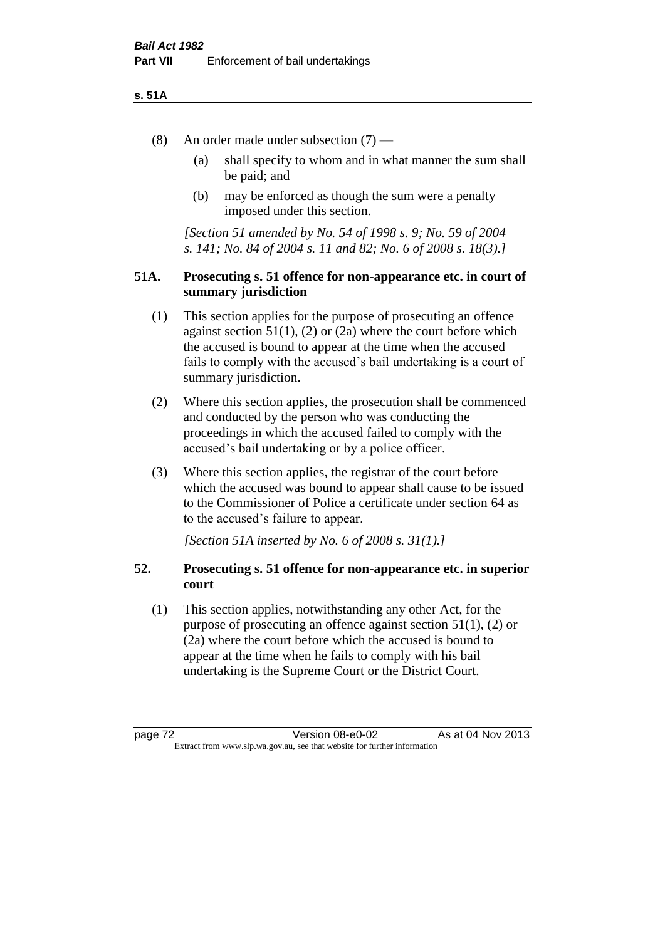### **s. 51A**

- (8) An order made under subsection (7)
	- (a) shall specify to whom and in what manner the sum shall be paid; and
	- (b) may be enforced as though the sum were a penalty imposed under this section.

*[Section 51 amended by No. 54 of 1998 s. 9; No. 59 of 2004 s. 141; No. 84 of 2004 s. 11 and 82; No. 6 of 2008 s. 18(3).]*

# **51A. Prosecuting s. 51 offence for non-appearance etc. in court of summary jurisdiction**

- (1) This section applies for the purpose of prosecuting an offence against section  $51(1)$ ,  $(2)$  or  $(2a)$  where the court before which the accused is bound to appear at the time when the accused fails to comply with the accused's bail undertaking is a court of summary jurisdiction.
- (2) Where this section applies, the prosecution shall be commenced and conducted by the person who was conducting the proceedings in which the accused failed to comply with the accused's bail undertaking or by a police officer.
- (3) Where this section applies, the registrar of the court before which the accused was bound to appear shall cause to be issued to the Commissioner of Police a certificate under section 64 as to the accused's failure to appear.

*[Section 51A inserted by No. 6 of 2008 s. 31(1).]*

# **52. Prosecuting s. 51 offence for non-appearance etc. in superior court**

(1) This section applies, notwithstanding any other Act, for the purpose of prosecuting an offence against section 51(1), (2) or (2a) where the court before which the accused is bound to appear at the time when he fails to comply with his bail undertaking is the Supreme Court or the District Court.

page 72 Version 08-e0-02 As at 04 Nov 2013 Extract from www.slp.wa.gov.au, see that website for further information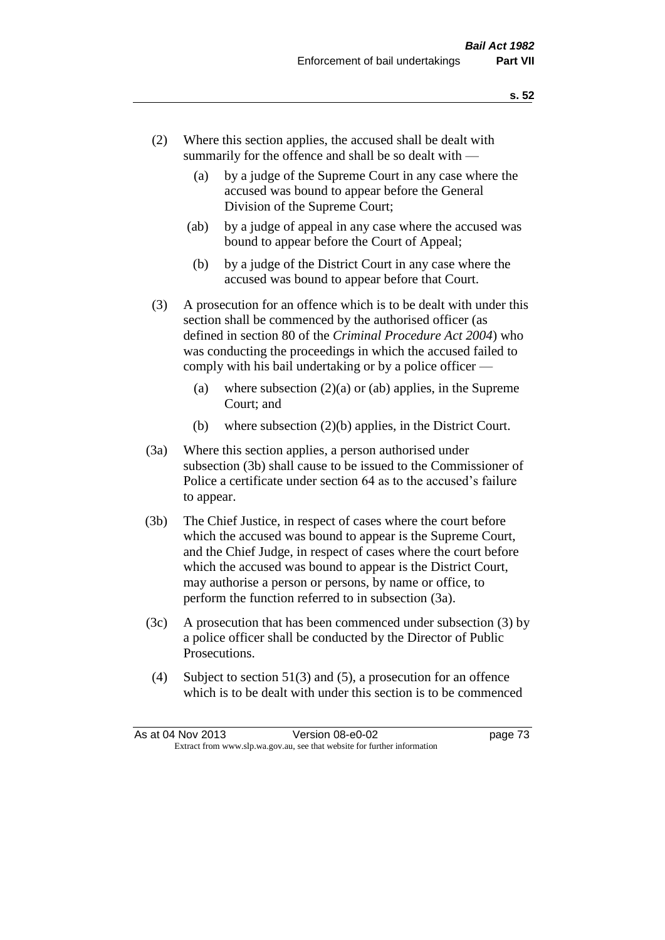- (2) Where this section applies, the accused shall be dealt with summarily for the offence and shall be so dealt with —
	- (a) by a judge of the Supreme Court in any case where the accused was bound to appear before the General Division of the Supreme Court;
	- (ab) by a judge of appeal in any case where the accused was bound to appear before the Court of Appeal;
	- (b) by a judge of the District Court in any case where the accused was bound to appear before that Court.
- (3) A prosecution for an offence which is to be dealt with under this section shall be commenced by the authorised officer (as defined in section 80 of the *Criminal Procedure Act 2004*) who was conducting the proceedings in which the accused failed to comply with his bail undertaking or by a police officer —
	- (a) where subsection  $(2)(a)$  or (ab) applies, in the Supreme Court; and
	- (b) where subsection (2)(b) applies, in the District Court.
- (3a) Where this section applies, a person authorised under subsection (3b) shall cause to be issued to the Commissioner of Police a certificate under section 64 as to the accused's failure to appear.
- (3b) The Chief Justice, in respect of cases where the court before which the accused was bound to appear is the Supreme Court, and the Chief Judge, in respect of cases where the court before which the accused was bound to appear is the District Court, may authorise a person or persons, by name or office, to perform the function referred to in subsection (3a).
- (3c) A prosecution that has been commenced under subsection (3) by a police officer shall be conducted by the Director of Public Prosecutions.
- (4) Subject to section 51(3) and (5), a prosecution for an offence which is to be dealt with under this section is to be commenced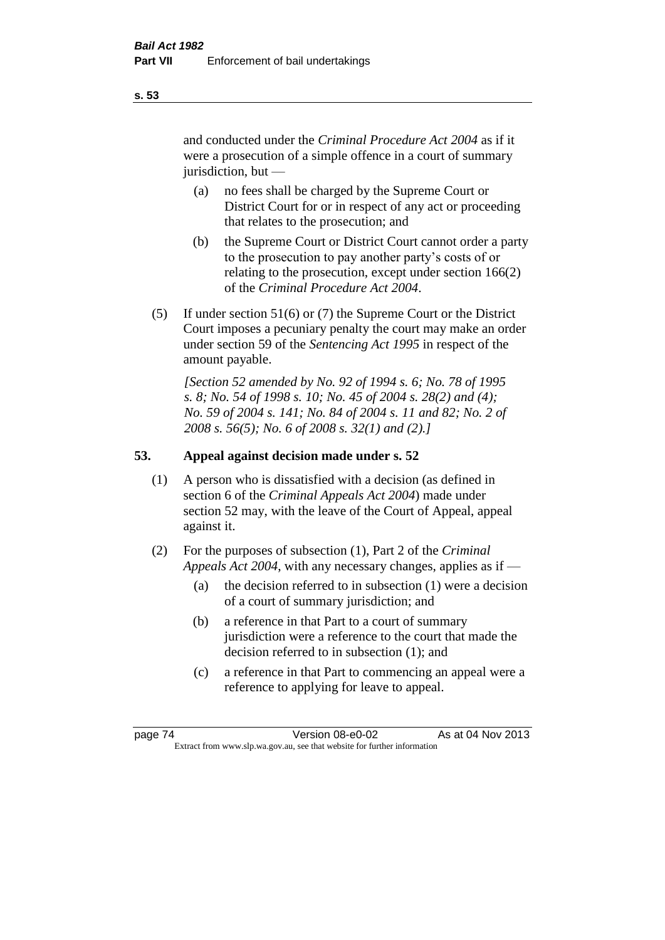and conducted under the *Criminal Procedure Act 2004* as if it were a prosecution of a simple offence in a court of summary jurisdiction, but —

- (a) no fees shall be charged by the Supreme Court or District Court for or in respect of any act or proceeding that relates to the prosecution; and
- (b) the Supreme Court or District Court cannot order a party to the prosecution to pay another party's costs of or relating to the prosecution, except under section 166(2) of the *Criminal Procedure Act 2004*.
- (5) If under section 51(6) or (7) the Supreme Court or the District Court imposes a pecuniary penalty the court may make an order under section 59 of the *Sentencing Act 1995* in respect of the amount payable.

*[Section 52 amended by No. 92 of 1994 s. 6; No. 78 of 1995 s. 8; No. 54 of 1998 s. 10; No. 45 of 2004 s. 28(2) and (4); No. 59 of 2004 s. 141; No. 84 of 2004 s. 11 and 82; No. 2 of 2008 s. 56(5); No. 6 of 2008 s. 32(1) and (2).]* 

# **53. Appeal against decision made under s. 52**

- (1) A person who is dissatisfied with a decision (as defined in section 6 of the *Criminal Appeals Act 2004*) made under section 52 may, with the leave of the Court of Appeal, appeal against it.
- (2) For the purposes of subsection (1), Part 2 of the *Criminal Appeals Act 2004*, with any necessary changes, applies as if —
	- (a) the decision referred to in subsection (1) were a decision of a court of summary jurisdiction; and
	- (b) a reference in that Part to a court of summary jurisdiction were a reference to the court that made the decision referred to in subsection (1); and
	- (c) a reference in that Part to commencing an appeal were a reference to applying for leave to appeal.

**s. 53**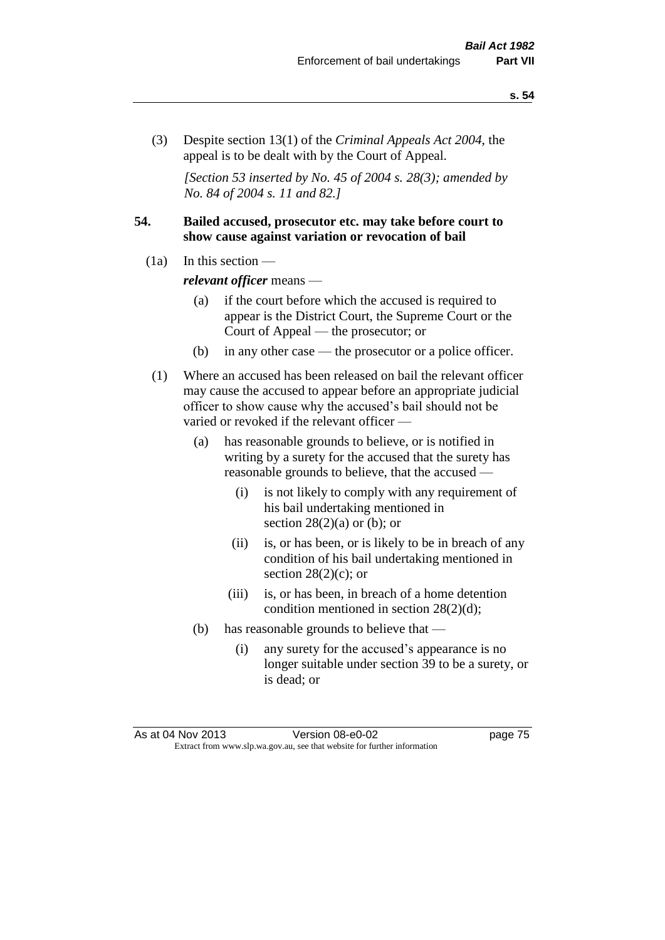(3) Despite section 13(1) of the *Criminal Appeals Act 2004*, the appeal is to be dealt with by the Court of Appeal.

*[Section 53 inserted by No. 45 of 2004 s. 28(3); amended by No. 84 of 2004 s. 11 and 82.]*

# **54. Bailed accused, prosecutor etc. may take before court to show cause against variation or revocation of bail**

 $(1a)$  In this section —

*relevant officer* means —

- (a) if the court before which the accused is required to appear is the District Court, the Supreme Court or the Court of Appeal — the prosecutor; or
- (b) in any other case the prosecutor or a police officer.
- (1) Where an accused has been released on bail the relevant officer may cause the accused to appear before an appropriate judicial officer to show cause why the accused's bail should not be varied or revoked if the relevant officer —
	- (a) has reasonable grounds to believe, or is notified in writing by a surety for the accused that the surety has reasonable grounds to believe, that the accused —
		- (i) is not likely to comply with any requirement of his bail undertaking mentioned in section  $28(2)(a)$  or (b); or
		- (ii) is, or has been, or is likely to be in breach of any condition of his bail undertaking mentioned in section  $28(2)(c)$ ; or
		- (iii) is, or has been, in breach of a home detention condition mentioned in section 28(2)(d);
	- (b) has reasonable grounds to believe that
		- (i) any surety for the accused's appearance is no longer suitable under section 39 to be a surety, or is dead; or

As at 04 Nov 2013 Version 08-e0-02 page 75 Extract from www.slp.wa.gov.au, see that website for further information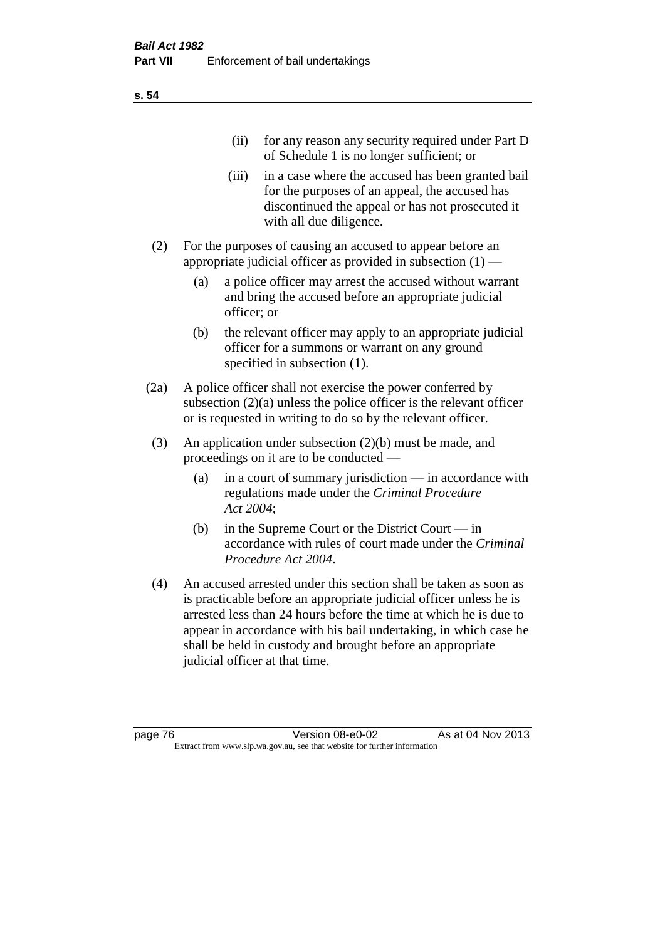|     | (11)  | for any reason any security required under Part D<br>of Schedule 1 is no longer sufficient; or                                                                                     |
|-----|-------|------------------------------------------------------------------------------------------------------------------------------------------------------------------------------------|
|     | (iii) | in a case where the accused has been granted bail<br>for the purposes of an appeal, the accused has<br>discontinued the appeal or has not prosecuted it<br>with all due diligence. |
| (2) |       | For the purposes of causing an accused to appear before an<br>appropriate judicial officer as provided in subsection $(1)$ —                                                       |

- (a) a police officer may arrest the accused without warrant and bring the accused before an appropriate judicial officer; or
- (b) the relevant officer may apply to an appropriate judicial officer for a summons or warrant on any ground specified in subsection  $(1)$ .
- (2a) A police officer shall not exercise the power conferred by subsection (2)(a) unless the police officer is the relevant officer or is requested in writing to do so by the relevant officer.
- (3) An application under subsection (2)(b) must be made, and proceedings on it are to be conducted —
	- (a) in a court of summary jurisdiction in accordance with regulations made under the *Criminal Procedure Act 2004*;
	- (b) in the Supreme Court or the District Court in accordance with rules of court made under the *Criminal Procedure Act 2004*.
- (4) An accused arrested under this section shall be taken as soon as is practicable before an appropriate judicial officer unless he is arrested less than 24 hours before the time at which he is due to appear in accordance with his bail undertaking, in which case he shall be held in custody and brought before an appropriate judicial officer at that time.

**s. 54**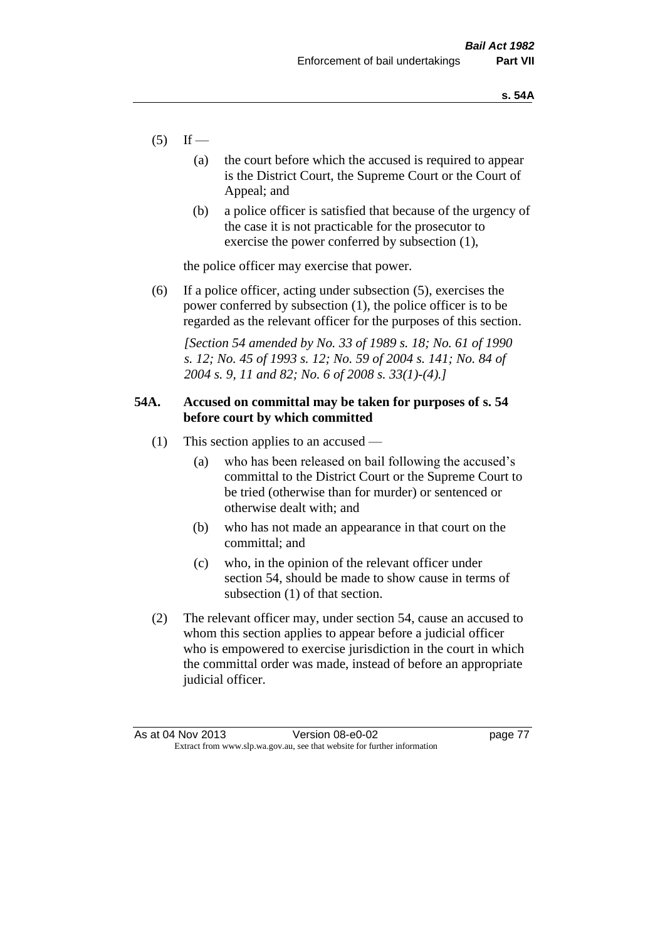- $(5)$  If
	- (a) the court before which the accused is required to appear is the District Court, the Supreme Court or the Court of Appeal; and
	- (b) a police officer is satisfied that because of the urgency of the case it is not practicable for the prosecutor to exercise the power conferred by subsection (1),

the police officer may exercise that power.

(6) If a police officer, acting under subsection (5), exercises the power conferred by subsection (1), the police officer is to be regarded as the relevant officer for the purposes of this section.

*[Section 54 amended by No. 33 of 1989 s. 18; No. 61 of 1990 s. 12; No. 45 of 1993 s. 12; No. 59 of 2004 s. 141; No. 84 of 2004 s. 9, 11 and 82; No. 6 of 2008 s. 33(1)-(4).]* 

# **54A. Accused on committal may be taken for purposes of s. 54 before court by which committed**

- (1) This section applies to an accused
	- (a) who has been released on bail following the accused's committal to the District Court or the Supreme Court to be tried (otherwise than for murder) or sentenced or otherwise dealt with; and
	- (b) who has not made an appearance in that court on the committal; and
	- (c) who, in the opinion of the relevant officer under section 54, should be made to show cause in terms of subsection (1) of that section.
- (2) The relevant officer may, under section 54, cause an accused to whom this section applies to appear before a judicial officer who is empowered to exercise jurisdiction in the court in which the committal order was made, instead of before an appropriate judicial officer.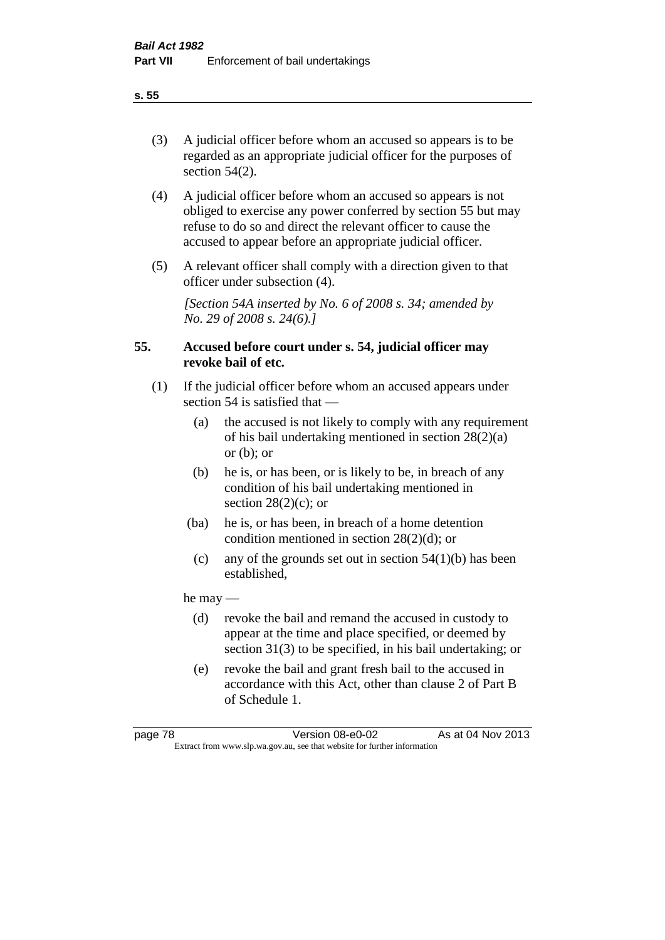(3) A judicial officer before whom an accused so appears is to be regarded as an appropriate judicial officer for the purposes of section 54(2).

- (4) A judicial officer before whom an accused so appears is not obliged to exercise any power conferred by section 55 but may refuse to do so and direct the relevant officer to cause the accused to appear before an appropriate judicial officer.
- (5) A relevant officer shall comply with a direction given to that officer under subsection (4).

*[Section 54A inserted by No. 6 of 2008 s. 34; amended by No. 29 of 2008 s. 24(6).]*

# **55. Accused before court under s. 54, judicial officer may revoke bail of etc.**

- (1) If the judicial officer before whom an accused appears under section 54 is satisfied that —
	- (a) the accused is not likely to comply with any requirement of his bail undertaking mentioned in section 28(2)(a) or  $(b)$ ; or
	- (b) he is, or has been, or is likely to be, in breach of any condition of his bail undertaking mentioned in section  $28(2)(c)$ ; or
	- (ba) he is, or has been, in breach of a home detention condition mentioned in section 28(2)(d); or
	- (c) any of the grounds set out in section  $54(1)(b)$  has been established,

he may —

- (d) revoke the bail and remand the accused in custody to appear at the time and place specified, or deemed by section 31(3) to be specified, in his bail undertaking; or
- (e) revoke the bail and grant fresh bail to the accused in accordance with this Act, other than clause 2 of Part B of Schedule 1.

**s. 55**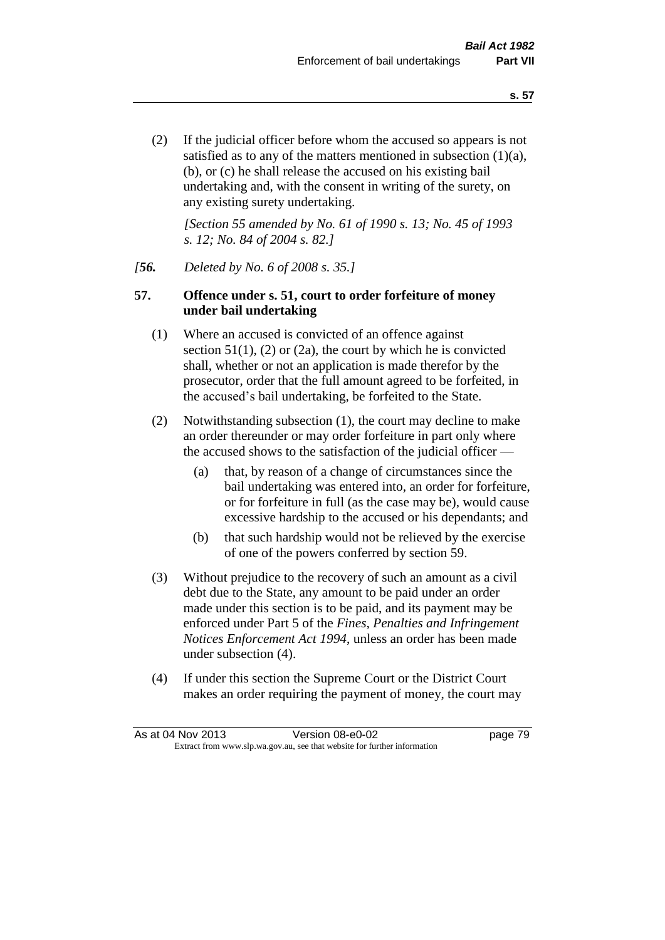(2) If the judicial officer before whom the accused so appears is not satisfied as to any of the matters mentioned in subsection (1)(a), (b), or (c) he shall release the accused on his existing bail undertaking and, with the consent in writing of the surety, on any existing surety undertaking.

*[Section 55 amended by No. 61 of 1990 s. 13; No. 45 of 1993 s. 12; No. 84 of 2004 s. 82.]* 

## *[56. Deleted by No. 6 of 2008 s. 35.]*

## **57. Offence under s. 51, court to order forfeiture of money under bail undertaking**

- (1) Where an accused is convicted of an offence against section  $51(1)$ ,  $(2)$  or  $(2a)$ , the court by which he is convicted shall, whether or not an application is made therefor by the prosecutor, order that the full amount agreed to be forfeited, in the accused's bail undertaking, be forfeited to the State.
- (2) Notwithstanding subsection (1), the court may decline to make an order thereunder or may order forfeiture in part only where the accused shows to the satisfaction of the judicial officer —
	- (a) that, by reason of a change of circumstances since the bail undertaking was entered into, an order for forfeiture, or for forfeiture in full (as the case may be), would cause excessive hardship to the accused or his dependants; and
	- (b) that such hardship would not be relieved by the exercise of one of the powers conferred by section 59.
- (3) Without prejudice to the recovery of such an amount as a civil debt due to the State, any amount to be paid under an order made under this section is to be paid, and its payment may be enforced under Part 5 of the *Fines, Penalties and Infringement Notices Enforcement Act 1994*, unless an order has been made under subsection (4).
- (4) If under this section the Supreme Court or the District Court makes an order requiring the payment of money, the court may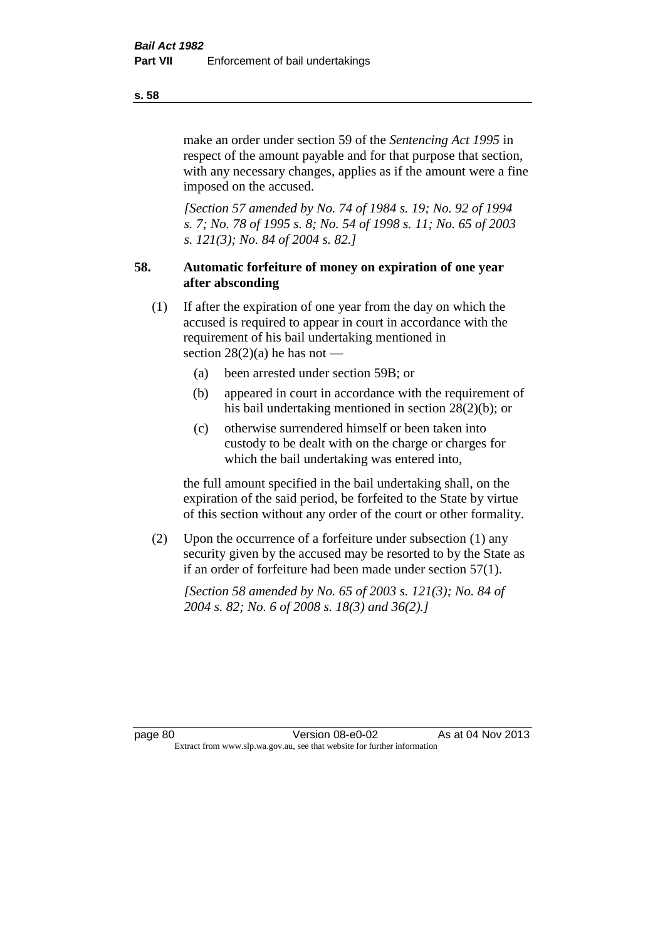make an order under section 59 of the *Sentencing Act 1995* in respect of the amount payable and for that purpose that section, with any necessary changes, applies as if the amount were a fine imposed on the accused.

*[Section 57 amended by No. 74 of 1984 s. 19; No. 92 of 1994 s. 7; No. 78 of 1995 s. 8; No. 54 of 1998 s. 11; No. 65 of 2003 s. 121(3); No. 84 of 2004 s. 82.]* 

# **58. Automatic forfeiture of money on expiration of one year after absconding**

- (1) If after the expiration of one year from the day on which the accused is required to appear in court in accordance with the requirement of his bail undertaking mentioned in section  $28(2)(a)$  he has not —
	- (a) been arrested under section 59B; or
	- (b) appeared in court in accordance with the requirement of his bail undertaking mentioned in section 28(2)(b); or
	- (c) otherwise surrendered himself or been taken into custody to be dealt with on the charge or charges for which the bail undertaking was entered into,

the full amount specified in the bail undertaking shall, on the expiration of the said period, be forfeited to the State by virtue of this section without any order of the court or other formality.

(2) Upon the occurrence of a forfeiture under subsection (1) any security given by the accused may be resorted to by the State as if an order of forfeiture had been made under section 57(1).

*[Section 58 amended by No. 65 of 2003 s. 121(3); No. 84 of 2004 s. 82; No. 6 of 2008 s. 18(3) and 36(2).]*

page 80 Version 08-e0-02 As at 04 Nov 2013 Extract from www.slp.wa.gov.au, see that website for further information

**s. 58**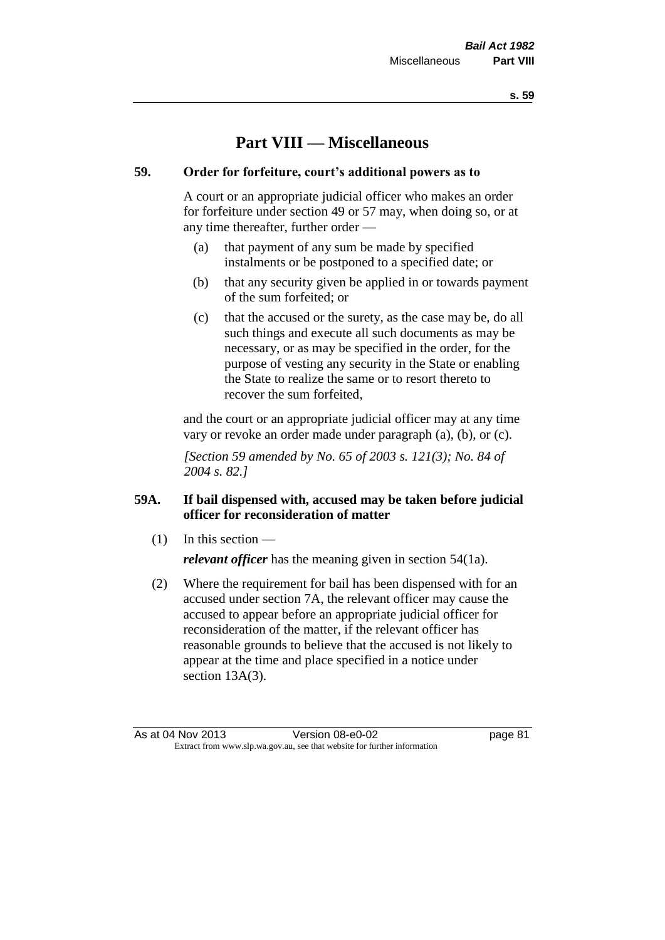# **Part VIII — Miscellaneous**

# **59. Order for forfeiture, court's additional powers as to**

A court or an appropriate judicial officer who makes an order for forfeiture under section 49 or 57 may, when doing so, or at any time thereafter, further order —

- (a) that payment of any sum be made by specified instalments or be postponed to a specified date; or
- (b) that any security given be applied in or towards payment of the sum forfeited; or
- (c) that the accused or the surety, as the case may be, do all such things and execute all such documents as may be necessary, or as may be specified in the order, for the purpose of vesting any security in the State or enabling the State to realize the same or to resort thereto to recover the sum forfeited,

and the court or an appropriate judicial officer may at any time vary or revoke an order made under paragraph (a), (b), or (c).

*[Section 59 amended by No. 65 of 2003 s. 121(3); No. 84 of 2004 s. 82.]*

# **59A. If bail dispensed with, accused may be taken before judicial officer for reconsideration of matter**

(1) In this section —

*relevant officer* has the meaning given in section 54(1a).

(2) Where the requirement for bail has been dispensed with for an accused under section 7A, the relevant officer may cause the accused to appear before an appropriate judicial officer for reconsideration of the matter, if the relevant officer has reasonable grounds to believe that the accused is not likely to appear at the time and place specified in a notice under section 13A(3).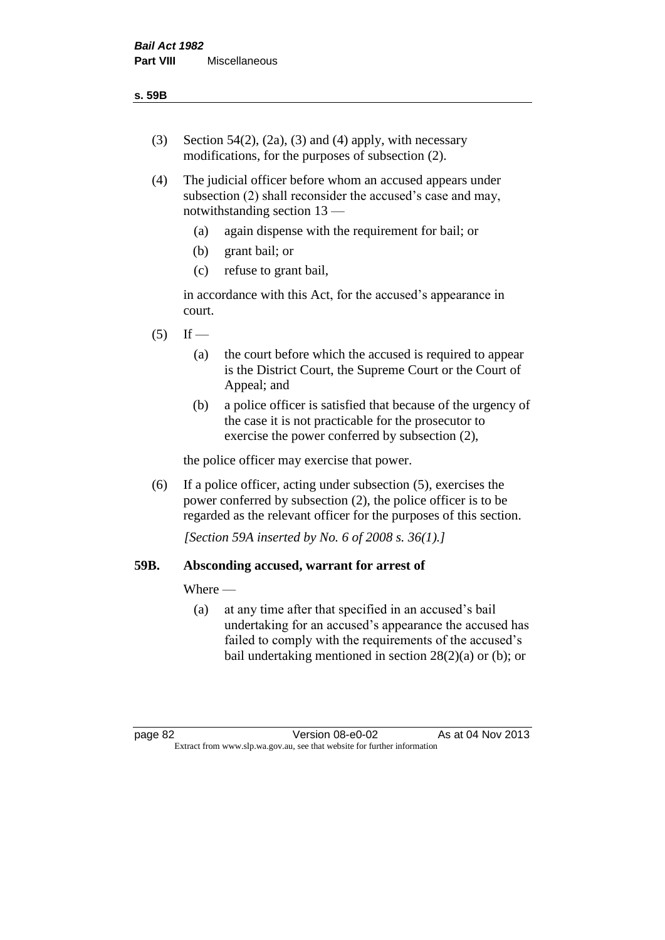- (3) Section 54(2), (2a), (3) and (4) apply, with necessary modifications, for the purposes of subsection (2).
- (4) The judicial officer before whom an accused appears under subsection (2) shall reconsider the accused's case and may, notwithstanding section 13 —
	- (a) again dispense with the requirement for bail; or
	- (b) grant bail; or
	- (c) refuse to grant bail,

in accordance with this Act, for the accused's appearance in court.

- $(5)$  If
	- (a) the court before which the accused is required to appear is the District Court, the Supreme Court or the Court of Appeal; and
	- (b) a police officer is satisfied that because of the urgency of the case it is not practicable for the prosecutor to exercise the power conferred by subsection (2),

the police officer may exercise that power.

(6) If a police officer, acting under subsection (5), exercises the power conferred by subsection (2), the police officer is to be regarded as the relevant officer for the purposes of this section.

*[Section 59A inserted by No. 6 of 2008 s. 36(1).]*

# **59B. Absconding accused, warrant for arrest of**

Where —

(a) at any time after that specified in an accused's bail undertaking for an accused's appearance the accused has failed to comply with the requirements of the accused's bail undertaking mentioned in section  $28(2)(a)$  or (b); or

page 82 Version 08-e0-02 As at 04 Nov 2013 Extract from www.slp.wa.gov.au, see that website for further information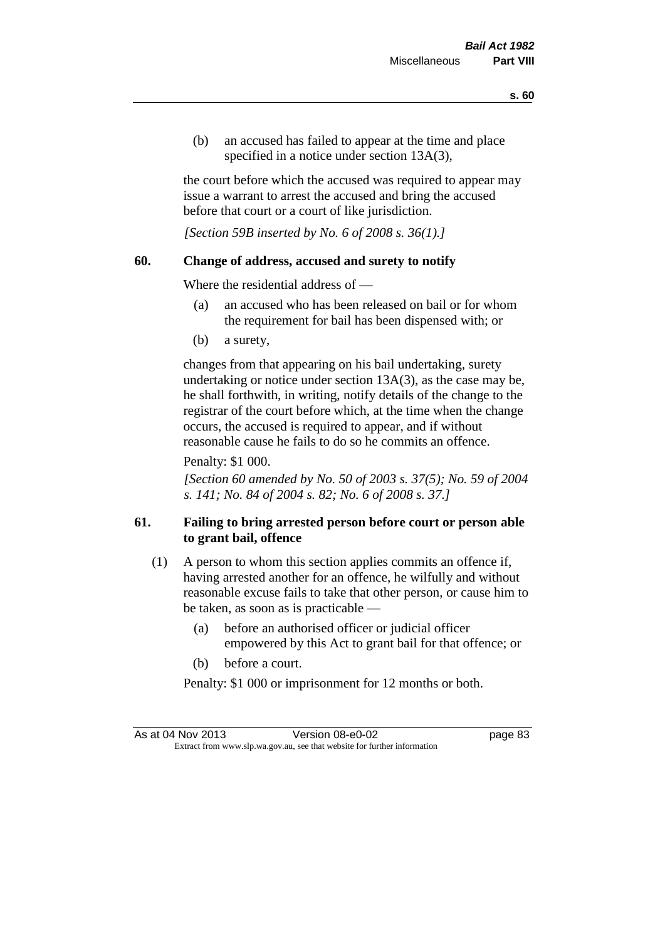(b) an accused has failed to appear at the time and place specified in a notice under section 13A(3).

the court before which the accused was required to appear may issue a warrant to arrest the accused and bring the accused before that court or a court of like jurisdiction.

*[Section 59B inserted by No. 6 of 2008 s. 36(1).]*

## **60. Change of address, accused and surety to notify**

Where the residential address of —

- (a) an accused who has been released on bail or for whom the requirement for bail has been dispensed with; or
- (b) a surety,

changes from that appearing on his bail undertaking, surety undertaking or notice under section 13A(3), as the case may be, he shall forthwith, in writing, notify details of the change to the registrar of the court before which, at the time when the change occurs, the accused is required to appear, and if without reasonable cause he fails to do so he commits an offence.

Penalty: \$1 000.

*[Section 60 amended by No. 50 of 2003 s. 37(5); No. 59 of 2004 s. 141; No. 84 of 2004 s. 82; No. 6 of 2008 s. 37.]*

# **61. Failing to bring arrested person before court or person able to grant bail, offence**

- (1) A person to whom this section applies commits an offence if, having arrested another for an offence, he wilfully and without reasonable excuse fails to take that other person, or cause him to be taken, as soon as is practicable —
	- (a) before an authorised officer or judicial officer empowered by this Act to grant bail for that offence; or
	- (b) before a court.

Penalty: \$1 000 or imprisonment for 12 months or both.

As at 04 Nov 2013 Version 08-e0-02 Page 83 Extract from www.slp.wa.gov.au, see that website for further information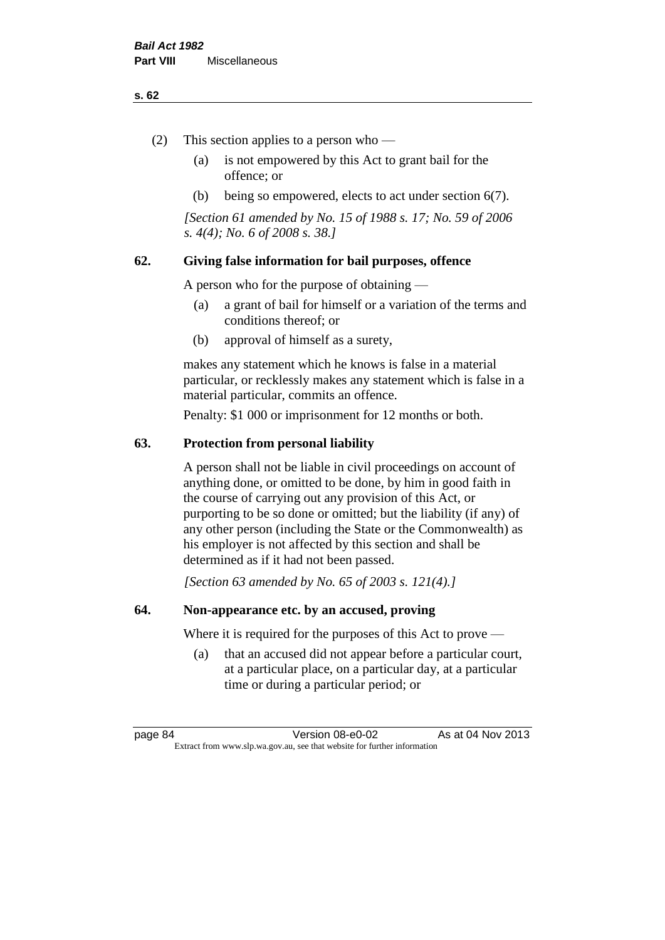#### **s. 62**

- (2) This section applies to a person who
	- (a) is not empowered by this Act to grant bail for the offence; or
	- (b) being so empowered, elects to act under section 6(7).

*[Section 61 amended by No. 15 of 1988 s. 17; No. 59 of 2006 s. 4(4); No. 6 of 2008 s. 38.]* 

# **62. Giving false information for bail purposes, offence**

A person who for the purpose of obtaining —

- (a) a grant of bail for himself or a variation of the terms and conditions thereof; or
- (b) approval of himself as a surety,

makes any statement which he knows is false in a material particular, or recklessly makes any statement which is false in a material particular, commits an offence.

Penalty: \$1 000 or imprisonment for 12 months or both.

## **63. Protection from personal liability**

A person shall not be liable in civil proceedings on account of anything done, or omitted to be done, by him in good faith in the course of carrying out any provision of this Act, or purporting to be so done or omitted; but the liability (if any) of any other person (including the State or the Commonwealth) as his employer is not affected by this section and shall be determined as if it had not been passed.

*[Section 63 amended by No. 65 of 2003 s. 121(4).]*

# **64. Non-appearance etc. by an accused, proving**

Where it is required for the purposes of this Act to prove —

(a) that an accused did not appear before a particular court, at a particular place, on a particular day, at a particular time or during a particular period; or

page 84 Version 08-e0-02 As at 04 Nov 2013 Extract from www.slp.wa.gov.au, see that website for further information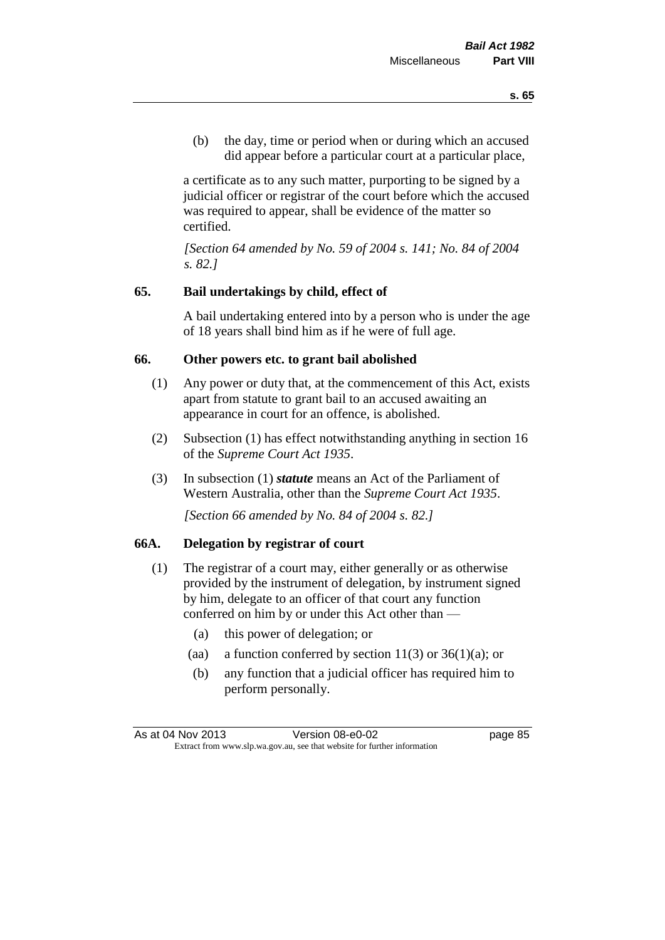(b) the day, time or period when or during which an accused did appear before a particular court at a particular place,

a certificate as to any such matter, purporting to be signed by a judicial officer or registrar of the court before which the accused was required to appear, shall be evidence of the matter so certified.

*[Section 64 amended by No. 59 of 2004 s. 141; No. 84 of 2004 s. 82.]* 

# **65. Bail undertakings by child, effect of**

A bail undertaking entered into by a person who is under the age of 18 years shall bind him as if he were of full age.

#### **66. Other powers etc. to grant bail abolished**

- (1) Any power or duty that, at the commencement of this Act, exists apart from statute to grant bail to an accused awaiting an appearance in court for an offence, is abolished.
- (2) Subsection (1) has effect notwithstanding anything in section 16 of the *Supreme Court Act 1935*.
- (3) In subsection (1) *statute* means an Act of the Parliament of Western Australia, other than the *Supreme Court Act 1935*.

*[Section 66 amended by No. 84 of 2004 s. 82.]*

## **66A. Delegation by registrar of court**

- (1) The registrar of a court may, either generally or as otherwise provided by the instrument of delegation, by instrument signed by him, delegate to an officer of that court any function conferred on him by or under this Act other than —
	- (a) this power of delegation; or
	- (aa) a function conferred by section  $11(3)$  or  $36(1)(a)$ ; or
	- (b) any function that a judicial officer has required him to perform personally.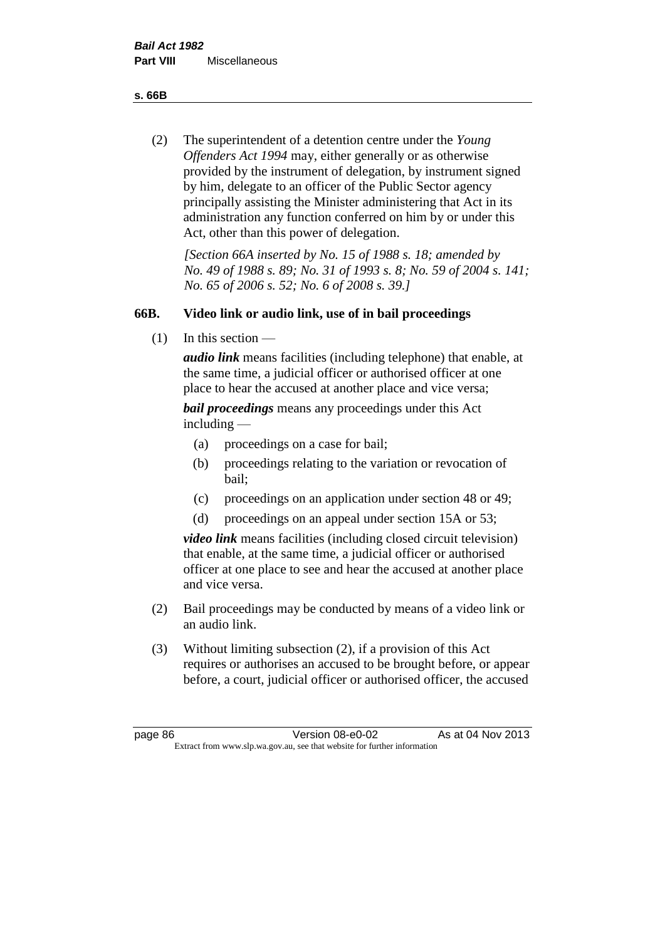**s. 66B**

(2) The superintendent of a detention centre under the *Young Offenders Act 1994* may, either generally or as otherwise provided by the instrument of delegation, by instrument signed by him, delegate to an officer of the Public Sector agency principally assisting the Minister administering that Act in its administration any function conferred on him by or under this Act, other than this power of delegation.

*[Section 66A inserted by No. 15 of 1988 s. 18; amended by No. 49 of 1988 s. 89; No. 31 of 1993 s. 8; No. 59 of 2004 s. 141; No. 65 of 2006 s. 52; No. 6 of 2008 s. 39.]* 

# **66B. Video link or audio link, use of in bail proceedings**

(1) In this section —

*audio link* means facilities (including telephone) that enable, at the same time, a judicial officer or authorised officer at one place to hear the accused at another place and vice versa;

*bail proceedings* means any proceedings under this Act including —

- (a) proceedings on a case for bail;
- (b) proceedings relating to the variation or revocation of bail;
- (c) proceedings on an application under section 48 or 49;
- (d) proceedings on an appeal under section 15A or 53;

*video link* means facilities (including closed circuit television) that enable, at the same time, a judicial officer or authorised officer at one place to see and hear the accused at another place and vice versa.

- (2) Bail proceedings may be conducted by means of a video link or an audio link.
- (3) Without limiting subsection (2), if a provision of this Act requires or authorises an accused to be brought before, or appear before, a court, judicial officer or authorised officer, the accused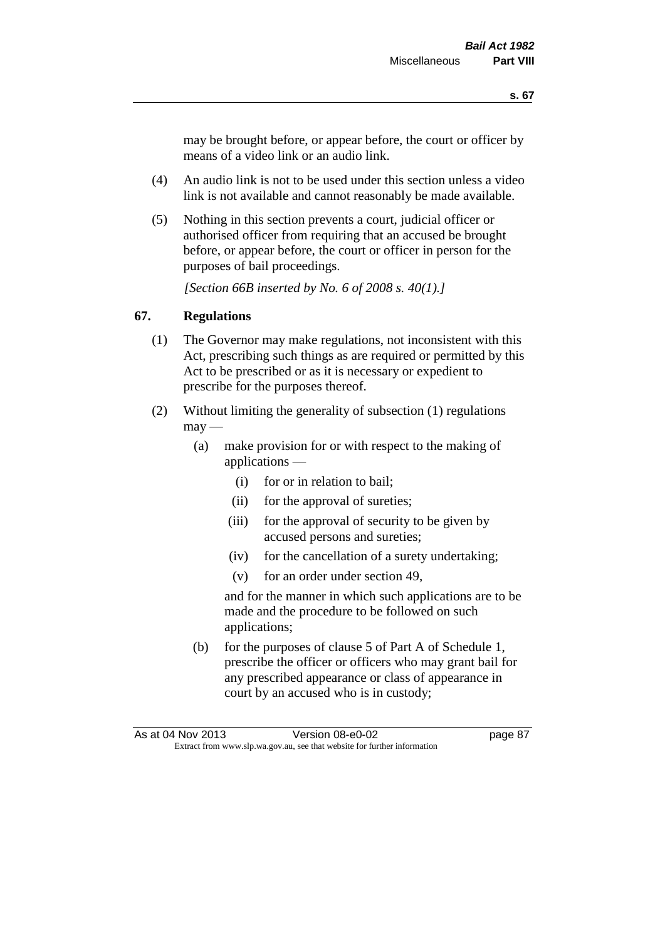may be brought before, or appear before, the court or officer by means of a video link or an audio link.

- (4) An audio link is not to be used under this section unless a video link is not available and cannot reasonably be made available.
- (5) Nothing in this section prevents a court, judicial officer or authorised officer from requiring that an accused be brought before, or appear before, the court or officer in person for the purposes of bail proceedings.

*[Section 66B inserted by No. 6 of 2008 s. 40(1).]*

# **67. Regulations**

- (1) The Governor may make regulations, not inconsistent with this Act, prescribing such things as are required or permitted by this Act to be prescribed or as it is necessary or expedient to prescribe for the purposes thereof.
- (2) Without limiting the generality of subsection (1) regulations  $\text{max}$  —
	- (a) make provision for or with respect to the making of applications —
		- (i) for or in relation to bail;
		- (ii) for the approval of sureties;
		- (iii) for the approval of security to be given by accused persons and sureties;
		- (iv) for the cancellation of a surety undertaking;
		- (v) for an order under section 49,

and for the manner in which such applications are to be made and the procedure to be followed on such applications;

(b) for the purposes of clause 5 of Part A of Schedule 1, prescribe the officer or officers who may grant bail for any prescribed appearance or class of appearance in court by an accused who is in custody;

As at 04 Nov 2013 Version 08-e0-02 Page 87 Extract from www.slp.wa.gov.au, see that website for further information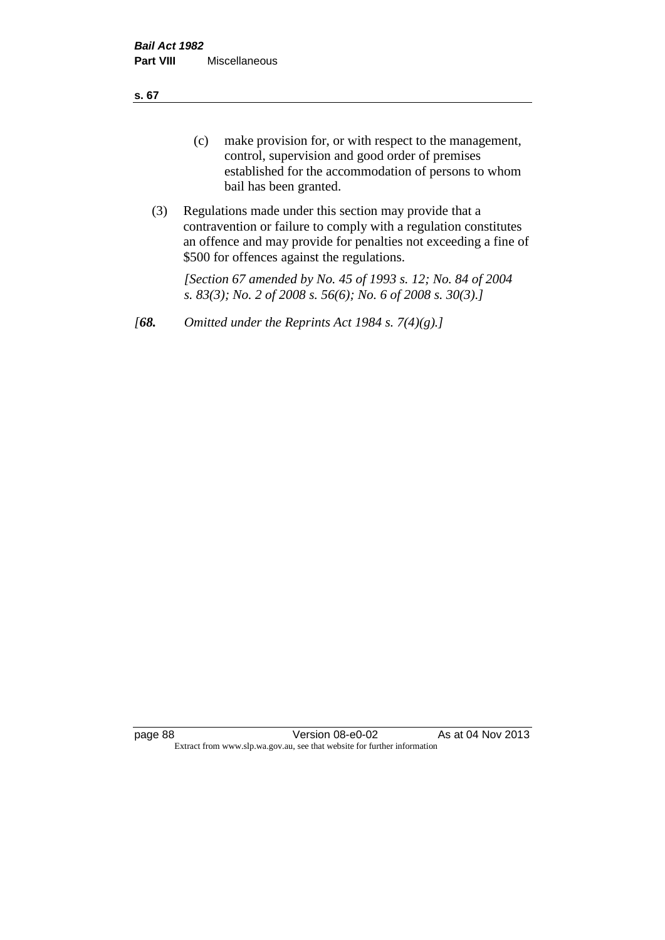**s. 67**

- (c) make provision for, or with respect to the management, control, supervision and good order of premises established for the accommodation of persons to whom bail has been granted.
- (3) Regulations made under this section may provide that a contravention or failure to comply with a regulation constitutes an offence and may provide for penalties not exceeding a fine of \$500 for offences against the regulations.

*[Section 67 amended by No. 45 of 1993 s. 12; No. 84 of 2004 s. 83(3); No. 2 of 2008 s. 56(6); No. 6 of 2008 s. 30(3).]* 

*[68. Omitted under the Reprints Act 1984 s. 7(4)(g).]*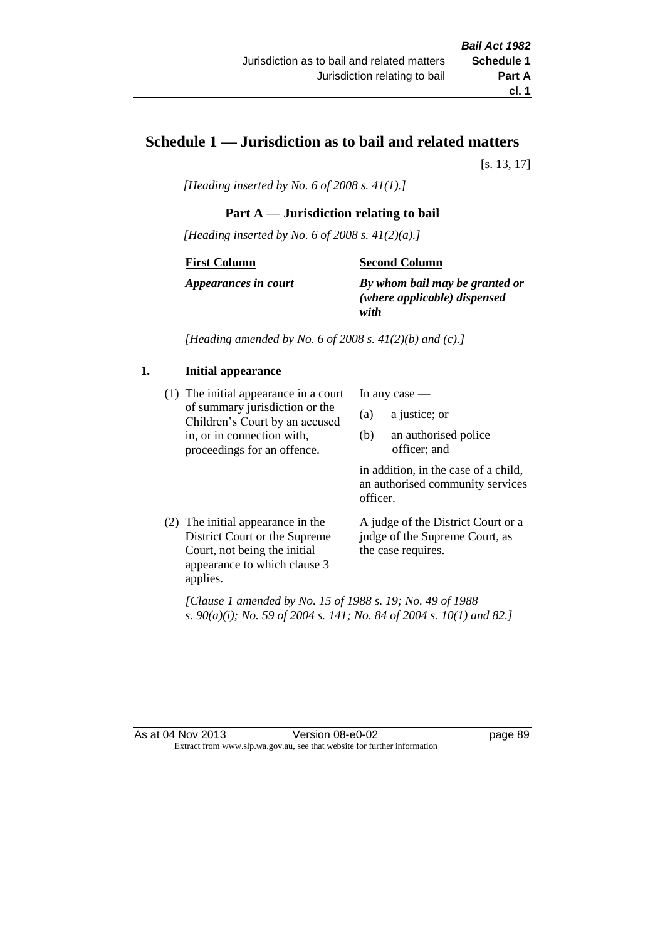# **Schedule 1 — Jurisdiction as to bail and related matters**

[s. 13, 17]

*[Heading inserted by No. 6 of 2008 s. 41(1).]*

# **Part A** — **Jurisdiction relating to bail**

*[Heading inserted by No. 6 of 2008 s. 41(2)(a).]*

#### **First Column**

#### **Second Column**

*Appearances in court*

*By whom bail may be granted or (where applicable) dispensed with*

*[Heading amended by No. 6 of 2008 s. 41(2)(b) and (c).]*

# **1. Initial appearance**

(1) The initial appearance in a court of summary jurisdiction or the Children's Court by an accused in, or in connection with, proceedings for an offence.

In any case —

- (a) a justice; or
- (b) an authorised police officer; and

in addition, in the case of a child, an authorised community services officer.

(2) The initial appearance in the District Court or the Supreme Court, not being the initial appearance to which clause 3 applies.

A judge of the District Court or a judge of the Supreme Court, as the case requires.

*[Clause 1 amended by No. 15 of 1988 s. 19; No. 49 of 1988 s. 90(a)(i); No. 59 of 2004 s. 141; No. 84 of 2004 s. 10(1) and 82.]*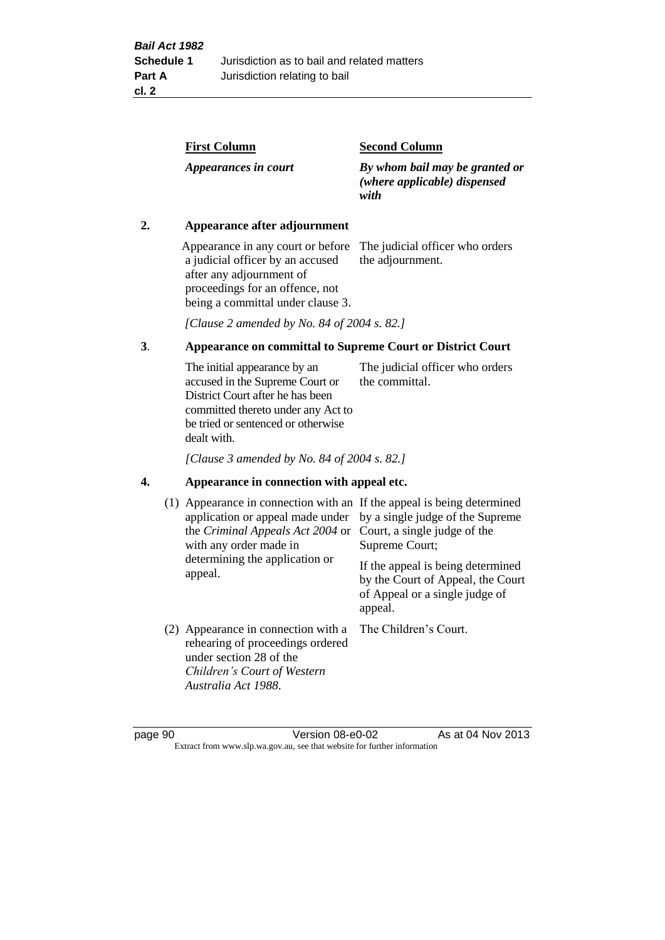| <b>First Column</b>  | <b>Second Column</b>                                                   |
|----------------------|------------------------------------------------------------------------|
| Appearances in court | By whom bail may be granted or<br>(where applicable) dispensed<br>with |

### **2. Appearance after adjournment**

Appearance in any court or before The judicial officer who orders a judicial officer by an accused after any adjournment of proceedings for an offence, not being a committal under clause 3.

the adjournment.

*[Clause 2 amended by No. 84 of 2004 s. 82.]*

# **3**. **Appearance on committal to Supreme Court or District Court**

The initial appearance by an accused in the Supreme Court or District Court after he has been committed thereto under any Act to be tried or sentenced or otherwise dealt with. The judicial officer who orders the committal.

*[Clause 3 amended by No. 84 of 2004 s. 82.]*

#### **4. Appearance in connection with appeal etc.**

| (1) Appearance in connection with an If the appeal is being determined<br>application or appeal made under<br>the Criminal Appeals Act 2004 or<br>with any order made in<br>determining the application or<br>appeal. | by a single judge of the Supreme<br>Court, a single judge of the<br>Supreme Court;<br>If the appeal is being determined<br>by the Court of Appeal, the Court<br>of Appeal or a single judge of<br>appeal. |
|-----------------------------------------------------------------------------------------------------------------------------------------------------------------------------------------------------------------------|-----------------------------------------------------------------------------------------------------------------------------------------------------------------------------------------------------------|
| (2) Appearance in connection with a<br>rehearing of proceedings ordered<br>under section 28 of the<br>Children's Court of Western<br>Australia Act 1988.                                                              | The Children's Court.                                                                                                                                                                                     |

page 90 Version 08-e0-02 As at 04 Nov 2013 Extract from www.slp.wa.gov.au, see that website for further information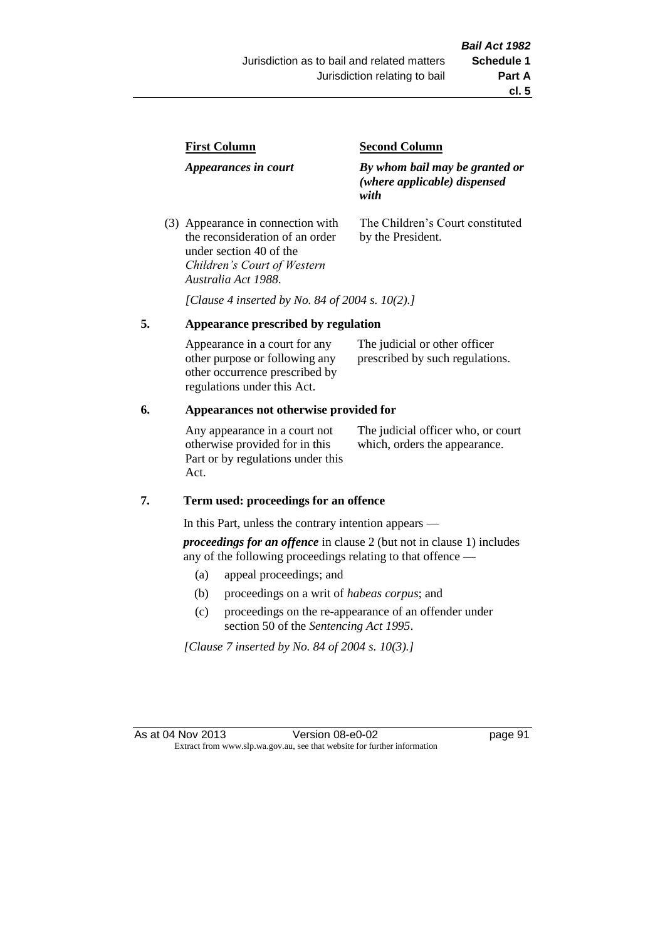| <b>First Column</b>                                                  | <b>Second Column</b>                                                   |
|----------------------------------------------------------------------|------------------------------------------------------------------------|
| Appearances in court                                                 | By whom bail may be granted or<br>(where applicable) dispensed<br>with |
| (3) Appearance in connection with<br>the reconsideration of an order | The Children's Court constituted<br>by the President.                  |

*[Clause 4 inserted by No. 84 of 2004 s. 10(2).]*

# **5. Appearance prescribed by regulation**

under section 40 of the *Children's Court of Western* 

*Australia Act 1988*.

| Appearance in a court for any  | The judicial or other officer   |
|--------------------------------|---------------------------------|
| other purpose or following any | prescribed by such regulations. |
| other occurrence prescribed by |                                 |
| regulations under this Act.    |                                 |

## **6. Appearances not otherwise provided for**

Any appearance in a court not otherwise provided for in this Part or by regulations under this Act.

The judicial officer who, or court which, orders the appearance.

#### **7. Term used: proceedings for an offence**

In this Part, unless the contrary intention appears —

*proceedings for an offence* in clause 2 (but not in clause 1) includes any of the following proceedings relating to that offence —

- (a) appeal proceedings; and
- (b) proceedings on a writ of *habeas corpus*; and
- (c) proceedings on the re-appearance of an offender under section 50 of the *Sentencing Act 1995*.

*[Clause 7 inserted by No. 84 of 2004 s. 10(3).]*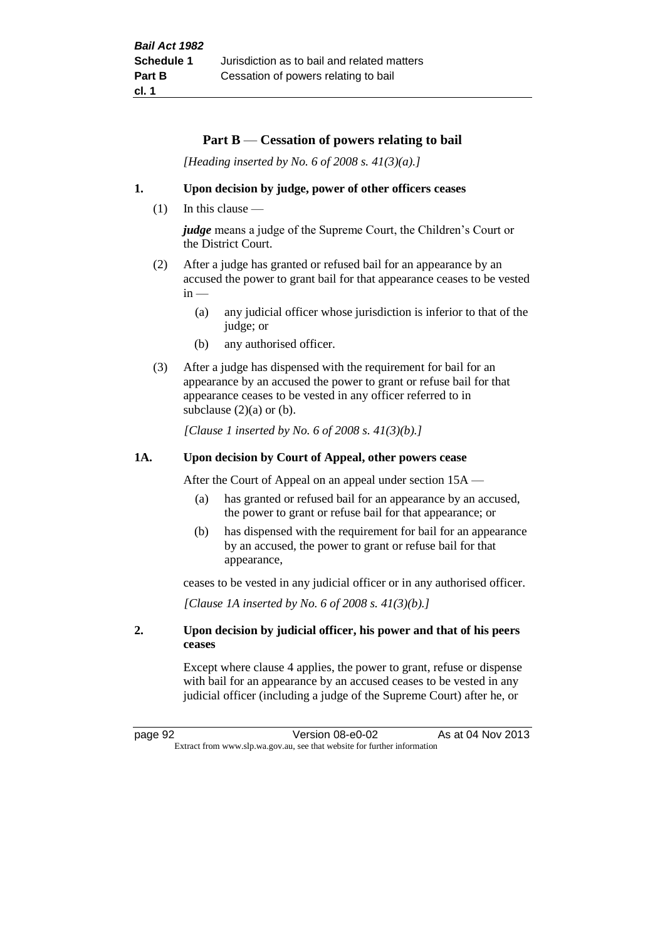## **Part B** — **Cessation of powers relating to bail**

*[Heading inserted by No. 6 of 2008 s. 41(3)(a).]*

#### **1. Upon decision by judge, power of other officers ceases**

 $(1)$  In this clause —

*judge* means a judge of the Supreme Court, the Children's Court or the District Court.

- (2) After a judge has granted or refused bail for an appearance by an accused the power to grant bail for that appearance ceases to be vested  $in -$ 
	- (a) any judicial officer whose jurisdiction is inferior to that of the judge; or
	- (b) any authorised officer.
- (3) After a judge has dispensed with the requirement for bail for an appearance by an accused the power to grant or refuse bail for that appearance ceases to be vested in any officer referred to in subclause  $(2)(a)$  or  $(b)$ .

*[Clause 1 inserted by No. 6 of 2008 s. 41(3)(b).]*

#### **1A. Upon decision by Court of Appeal, other powers cease**

After the Court of Appeal on an appeal under section 15A —

- (a) has granted or refused bail for an appearance by an accused, the power to grant or refuse bail for that appearance; or
- (b) has dispensed with the requirement for bail for an appearance by an accused, the power to grant or refuse bail for that appearance,

ceases to be vested in any judicial officer or in any authorised officer.

*[Clause 1A inserted by No. 6 of 2008 s. 41(3)(b).]*

#### **2. Upon decision by judicial officer, his power and that of his peers ceases**

Except where clause 4 applies, the power to grant, refuse or dispense with bail for an appearance by an accused ceases to be vested in any judicial officer (including a judge of the Supreme Court) after he, or

page 92 Version 08-e0-02 As at 04 Nov 2013 Extract from www.slp.wa.gov.au, see that website for further information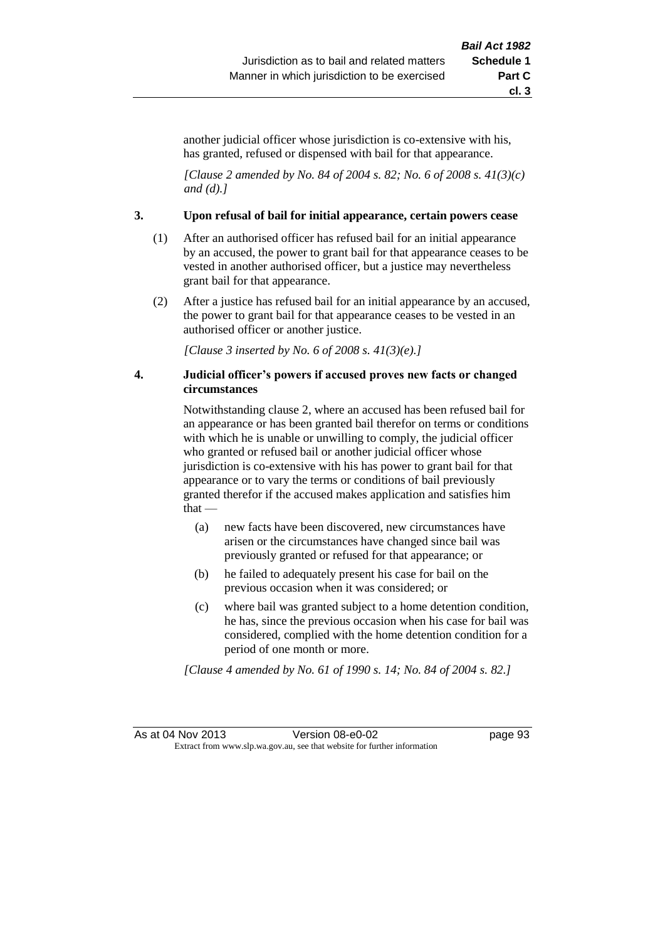another judicial officer whose jurisdiction is co-extensive with his, has granted, refused or dispensed with bail for that appearance.

*[Clause 2 amended by No. 84 of 2004 s. 82; No. 6 of 2008 s. 41(3)(c) and (d).]*

#### **3. Upon refusal of bail for initial appearance, certain powers cease**

- (1) After an authorised officer has refused bail for an initial appearance by an accused, the power to grant bail for that appearance ceases to be vested in another authorised officer, but a justice may nevertheless grant bail for that appearance.
- (2) After a justice has refused bail for an initial appearance by an accused, the power to grant bail for that appearance ceases to be vested in an authorised officer or another justice.

*[Clause 3 inserted by No. 6 of 2008 s. 41(3)(e).]*

#### **4. Judicial officer's powers if accused proves new facts or changed circumstances**

Notwithstanding clause 2, where an accused has been refused bail for an appearance or has been granted bail therefor on terms or conditions with which he is unable or unwilling to comply, the judicial officer who granted or refused bail or another judicial officer whose jurisdiction is co-extensive with his has power to grant bail for that appearance or to vary the terms or conditions of bail previously granted therefor if the accused makes application and satisfies him that —

- (a) new facts have been discovered, new circumstances have arisen or the circumstances have changed since bail was previously granted or refused for that appearance; or
- (b) he failed to adequately present his case for bail on the previous occasion when it was considered; or
- (c) where bail was granted subject to a home detention condition, he has, since the previous occasion when his case for bail was considered, complied with the home detention condition for a period of one month or more.

*[Clause 4 amended by No. 61 of 1990 s. 14; No. 84 of 2004 s. 82.]*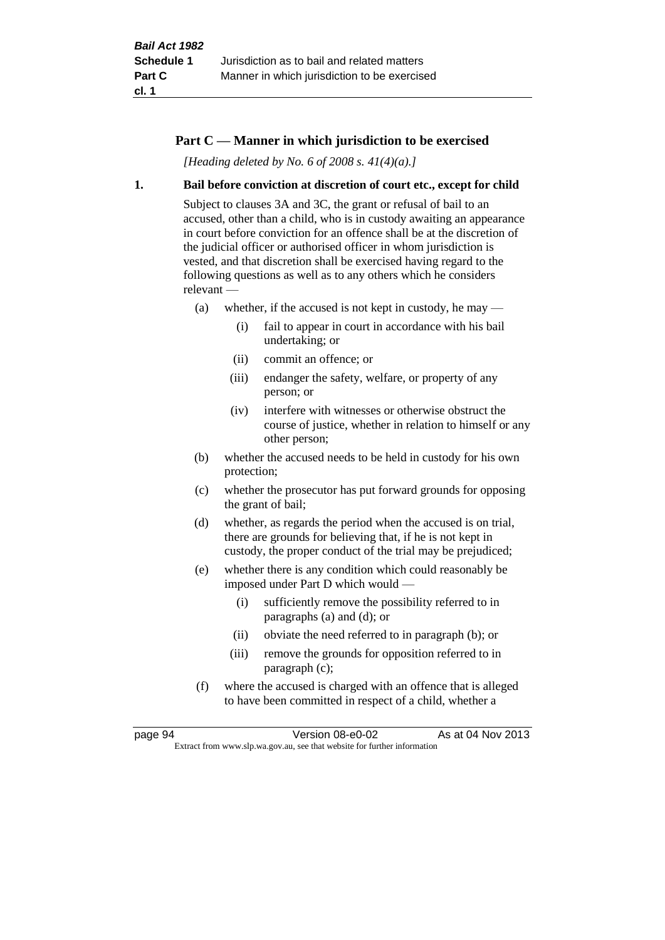## **Part C — Manner in which jurisdiction to be exercised**

*[Heading deleted by No. 6 of 2008 s. 41(4)(a).]*

#### **1. Bail before conviction at discretion of court etc., except for child**

Subject to clauses 3A and 3C, the grant or refusal of bail to an accused, other than a child, who is in custody awaiting an appearance in court before conviction for an offence shall be at the discretion of the judicial officer or authorised officer in whom jurisdiction is vested, and that discretion shall be exercised having regard to the following questions as well as to any others which he considers relevant —

- (a) whether, if the accused is not kept in custody, he may
	- (i) fail to appear in court in accordance with his bail undertaking; or
	- (ii) commit an offence; or
	- (iii) endanger the safety, welfare, or property of any person; or
	- (iv) interfere with witnesses or otherwise obstruct the course of justice, whether in relation to himself or any other person;
- (b) whether the accused needs to be held in custody for his own protection;
- (c) whether the prosecutor has put forward grounds for opposing the grant of bail;
- (d) whether, as regards the period when the accused is on trial, there are grounds for believing that, if he is not kept in custody, the proper conduct of the trial may be prejudiced;
- (e) whether there is any condition which could reasonably be imposed under Part D which would —
	- (i) sufficiently remove the possibility referred to in paragraphs (a) and (d); or
	- (ii) obviate the need referred to in paragraph (b); or
	- (iii) remove the grounds for opposition referred to in paragraph (c);
- (f) where the accused is charged with an offence that is alleged to have been committed in respect of a child, whether a

page 94 Version 08-e0-02 As at 04 Nov 2013 Extract from www.slp.wa.gov.au, see that website for further information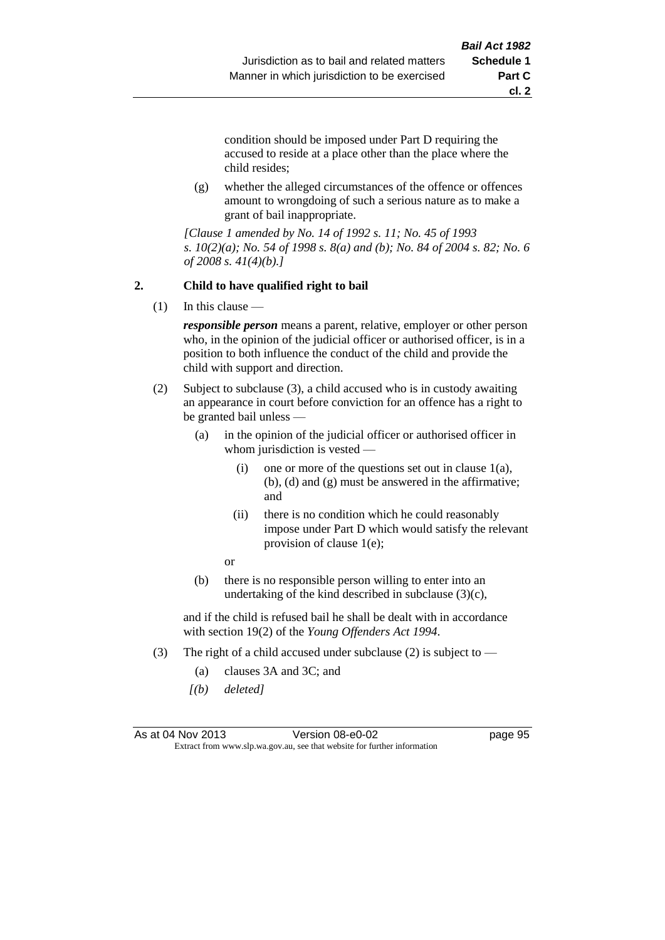**cl. 2**

condition should be imposed under Part D requiring the accused to reside at a place other than the place where the child resides;

(g) whether the alleged circumstances of the offence or offences amount to wrongdoing of such a serious nature as to make a grant of bail inappropriate.

*[Clause 1 amended by No. 14 of 1992 s. 11; No. 45 of 1993 s. 10(2)(a); No. 54 of 1998 s. 8(a) and (b); No. 84 of 2004 s. 82; No. 6 of 2008 s. 41(4)(b).]*

## **2. Child to have qualified right to bail**

(1) In this clause —

*responsible person* means a parent, relative, employer or other person who, in the opinion of the judicial officer or authorised officer, is in a position to both influence the conduct of the child and provide the child with support and direction.

- (2) Subject to subclause (3), a child accused who is in custody awaiting an appearance in court before conviction for an offence has a right to be granted bail unless —
	- (a) in the opinion of the judicial officer or authorised officer in whom jurisdiction is vested —
		- (i) one or more of the questions set out in clause  $1(a)$ , (b), (d) and (g) must be answered in the affirmative; and
		- (ii) there is no condition which he could reasonably impose under Part D which would satisfy the relevant provision of clause 1(e);

or

(b) there is no responsible person willing to enter into an undertaking of the kind described in subclause  $(3)(c)$ ,

and if the child is refused bail he shall be dealt with in accordance with section 19(2) of the *Young Offenders Act 1994*.

- (3) The right of a child accused under subclause (2) is subject to  $-$ 
	- (a) clauses 3A and 3C; and
	- *[(b) deleted]*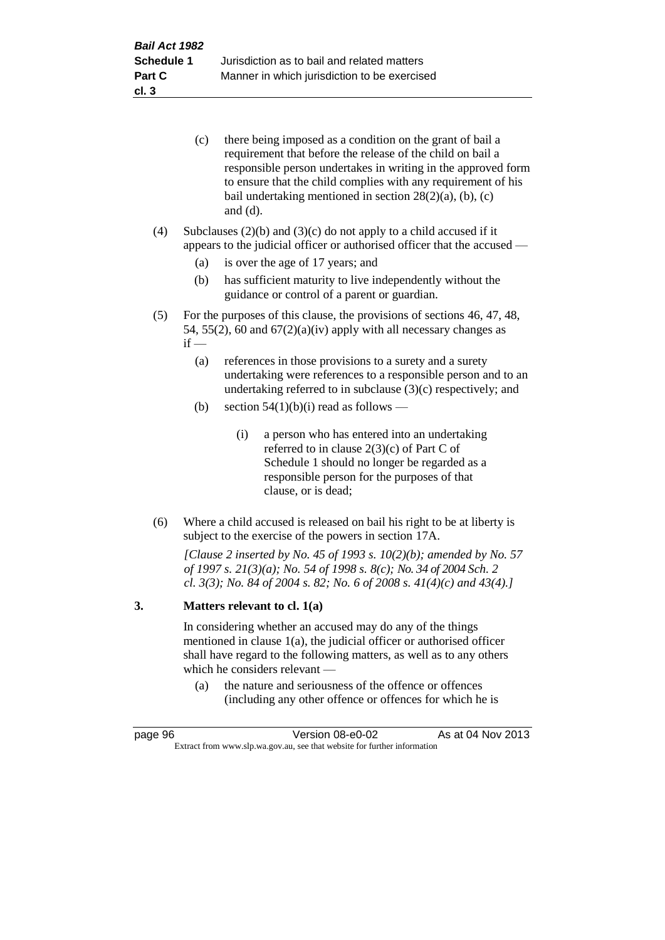| (c) | there being imposed as a condition on the grant of bail a     |
|-----|---------------------------------------------------------------|
|     | requirement that before the release of the child on bail a    |
|     | responsible person undertakes in writing in the approved form |
|     | to ensure that the child complies with any requirement of his |
|     | bail undertaking mentioned in section $28(2)(a)$ , (b), (c)   |
|     | and $(d)$ .                                                   |

(4) Subclauses  $(2)(b)$  and  $(3)(c)$  do not apply to a child accused if it appears to the judicial officer or authorised officer that the accused —

- (a) is over the age of 17 years; and
- (b) has sufficient maturity to live independently without the guidance or control of a parent or guardian.
- (5) For the purposes of this clause, the provisions of sections 46, 47, 48, 54, 55(2), 60 and  $67(2)(a)(iv)$  apply with all necessary changes as  $if -$ 
	- (a) references in those provisions to a surety and a surety undertaking were references to a responsible person and to an undertaking referred to in subclause (3)(c) respectively; and
	- (b) section  $54(1)(b)(i)$  read as follows
		- (i) a person who has entered into an undertaking referred to in clause 2(3)(c) of Part C of Schedule 1 should no longer be regarded as a responsible person for the purposes of that clause, or is dead;
- (6) Where a child accused is released on bail his right to be at liberty is subject to the exercise of the powers in section 17A.

*[Clause 2 inserted by No. 45 of 1993 s. 10(2)(b); amended by No. 57 of 1997 s. 21(3)(a); No. 54 of 1998 s. 8(c); No. 34 of 2004 Sch. 2 cl. 3(3); No. 84 of 2004 s. 82; No. 6 of 2008 s. 41(4)(c) and 43(4).]*

#### **3. Matters relevant to cl. 1(a)**

In considering whether an accused may do any of the things mentioned in clause 1(a), the judicial officer or authorised officer shall have regard to the following matters, as well as to any others which he considers relevant —

(a) the nature and seriousness of the offence or offences (including any other offence or offences for which he is

| page 96                                                                  | Version 08-e0-02 | As at 04 Nov 2013 |
|--------------------------------------------------------------------------|------------------|-------------------|
| Extract from www.slp.wa.gov.au, see that website for further information |                  |                   |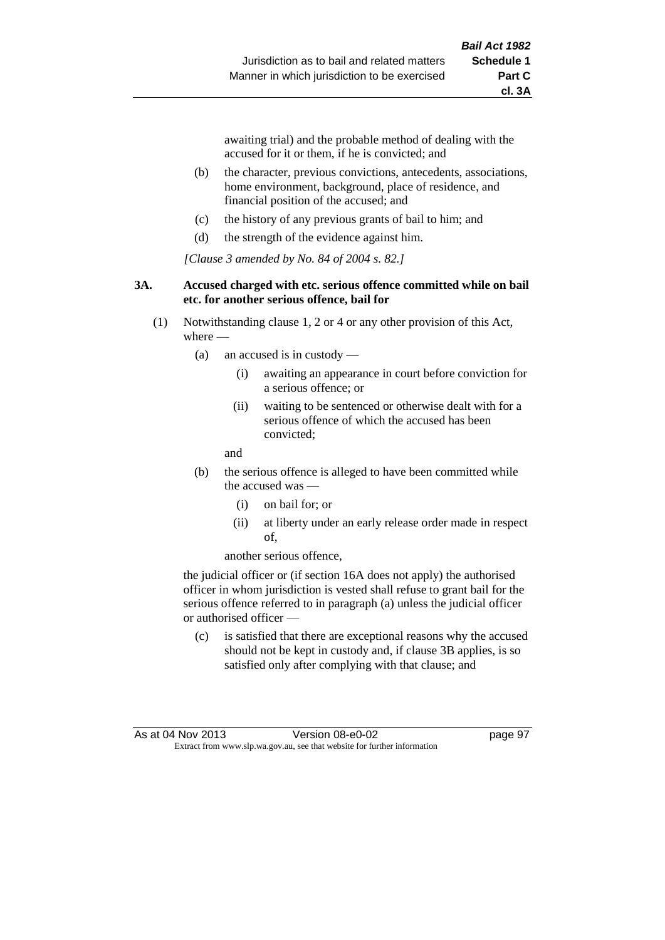awaiting trial) and the probable method of dealing with the accused for it or them, if he is convicted; and

- (b) the character, previous convictions, antecedents, associations, home environment, background, place of residence, and financial position of the accused; and
- (c) the history of any previous grants of bail to him; and
- (d) the strength of the evidence against him.

*[Clause 3 amended by No. 84 of 2004 s. 82.]*

#### **3A. Accused charged with etc. serious offence committed while on bail etc. for another serious offence, bail for**

- (1) Notwithstanding clause 1, 2 or 4 or any other provision of this Act, where -
	- (a) an accused is in custody
		- (i) awaiting an appearance in court before conviction for a serious offence; or
		- (ii) waiting to be sentenced or otherwise dealt with for a serious offence of which the accused has been convicted;

and

- (b) the serious offence is alleged to have been committed while the accused was
	- (i) on bail for; or
	- (ii) at liberty under an early release order made in respect of,

another serious offence,

the judicial officer or (if section 16A does not apply) the authorised officer in whom jurisdiction is vested shall refuse to grant bail for the serious offence referred to in paragraph (a) unless the judicial officer or authorised officer —

(c) is satisfied that there are exceptional reasons why the accused should not be kept in custody and, if clause 3B applies, is so satisfied only after complying with that clause; and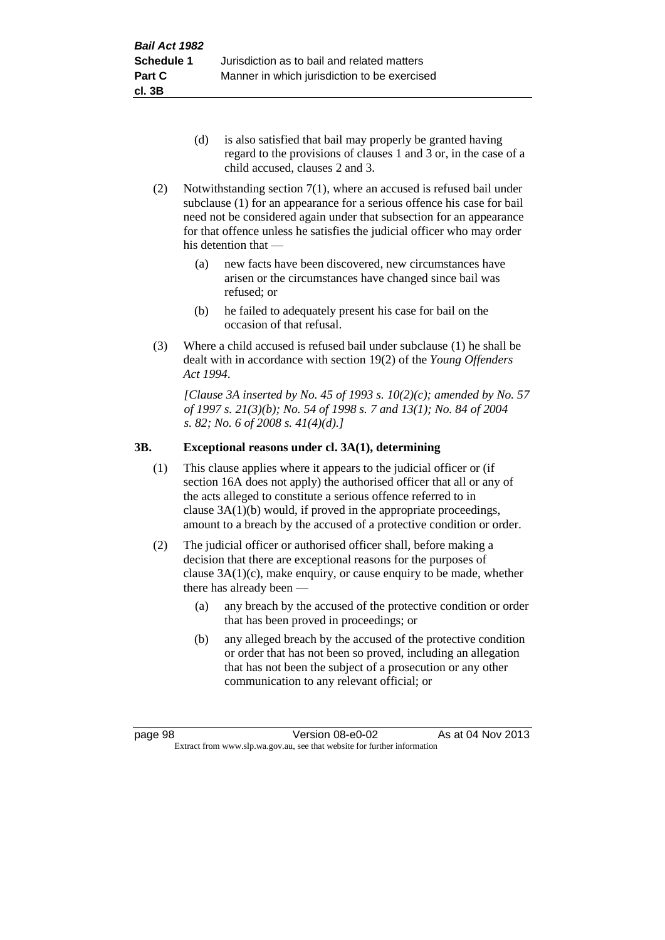- (d) is also satisfied that bail may properly be granted having regard to the provisions of clauses 1 and 3 or, in the case of a child accused, clauses 2 and 3.
- (2) Notwithstanding section 7(1), where an accused is refused bail under subclause (1) for an appearance for a serious offence his case for bail need not be considered again under that subsection for an appearance for that offence unless he satisfies the judicial officer who may order his detention that —
	- (a) new facts have been discovered, new circumstances have arisen or the circumstances have changed since bail was refused; or
	- (b) he failed to adequately present his case for bail on the occasion of that refusal.
- (3) Where a child accused is refused bail under subclause (1) he shall be dealt with in accordance with section 19(2) of the *Young Offenders Act 1994*.

*[Clause 3A inserted by No. 45 of 1993 s. 10(2)(c); amended by No. 57 of 1997 s. 21(3)(b); No. 54 of 1998 s. 7 and 13(1); No. 84 of 2004 s. 82; No. 6 of 2008 s. 41(4)(d).]*

# **3B. Exceptional reasons under cl. 3A(1), determining**

- (1) This clause applies where it appears to the judicial officer or (if section 16A does not apply) the authorised officer that all or any of the acts alleged to constitute a serious offence referred to in clause 3A(1)(b) would, if proved in the appropriate proceedings, amount to a breach by the accused of a protective condition or order.
- (2) The judicial officer or authorised officer shall, before making a decision that there are exceptional reasons for the purposes of clause  $3A(1)(c)$ , make enquiry, or cause enquiry to be made, whether there has already been —
	- (a) any breach by the accused of the protective condition or order that has been proved in proceedings; or
	- (b) any alleged breach by the accused of the protective condition or order that has not been so proved, including an allegation that has not been the subject of a prosecution or any other communication to any relevant official; or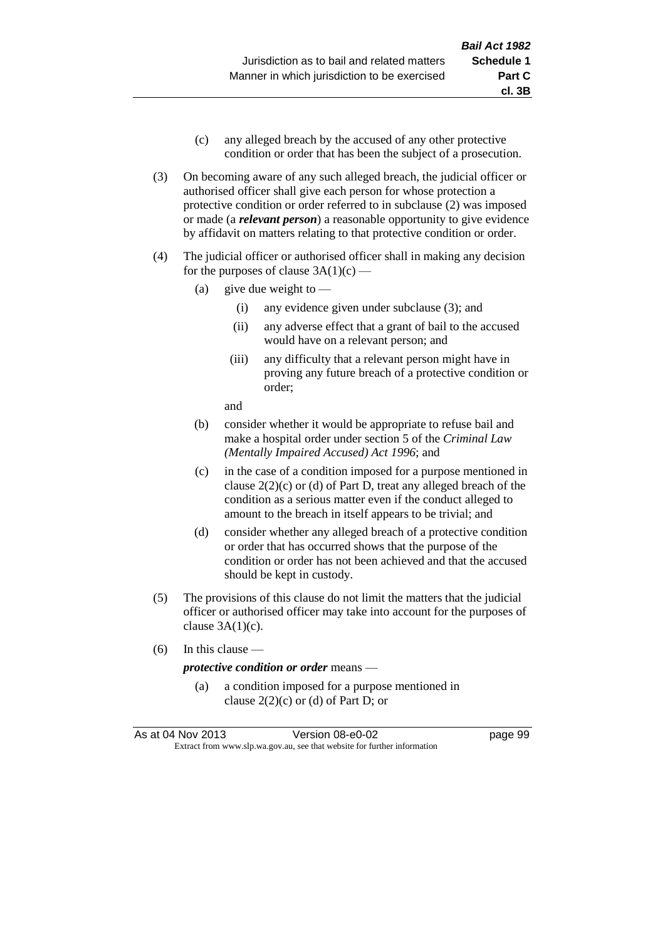- (c) any alleged breach by the accused of any other protective condition or order that has been the subject of a prosecution.
- (3) On becoming aware of any such alleged breach, the judicial officer or authorised officer shall give each person for whose protection a protective condition or order referred to in subclause (2) was imposed or made (a *relevant person*) a reasonable opportunity to give evidence by affidavit on matters relating to that protective condition or order.
- (4) The judicial officer or authorised officer shall in making any decision for the purposes of clause  $3A(1)(c)$  —
	- (a) give due weight to  $-$ 
		- (i) any evidence given under subclause (3); and
		- (ii) any adverse effect that a grant of bail to the accused would have on a relevant person; and
		- (iii) any difficulty that a relevant person might have in proving any future breach of a protective condition or order;

and

- (b) consider whether it would be appropriate to refuse bail and make a hospital order under section 5 of the *Criminal Law (Mentally Impaired Accused) Act 1996*; and
- (c) in the case of a condition imposed for a purpose mentioned in clause 2(2)(c) or (d) of Part D, treat any alleged breach of the condition as a serious matter even if the conduct alleged to amount to the breach in itself appears to be trivial; and
- (d) consider whether any alleged breach of a protective condition or order that has occurred shows that the purpose of the condition or order has not been achieved and that the accused should be kept in custody.
- (5) The provisions of this clause do not limit the matters that the judicial officer or authorised officer may take into account for the purposes of clause  $3A(1)(c)$ .
- (6) In this clause —

#### *protective condition or order* means —

(a) a condition imposed for a purpose mentioned in clause  $2(2)(c)$  or (d) of Part D; or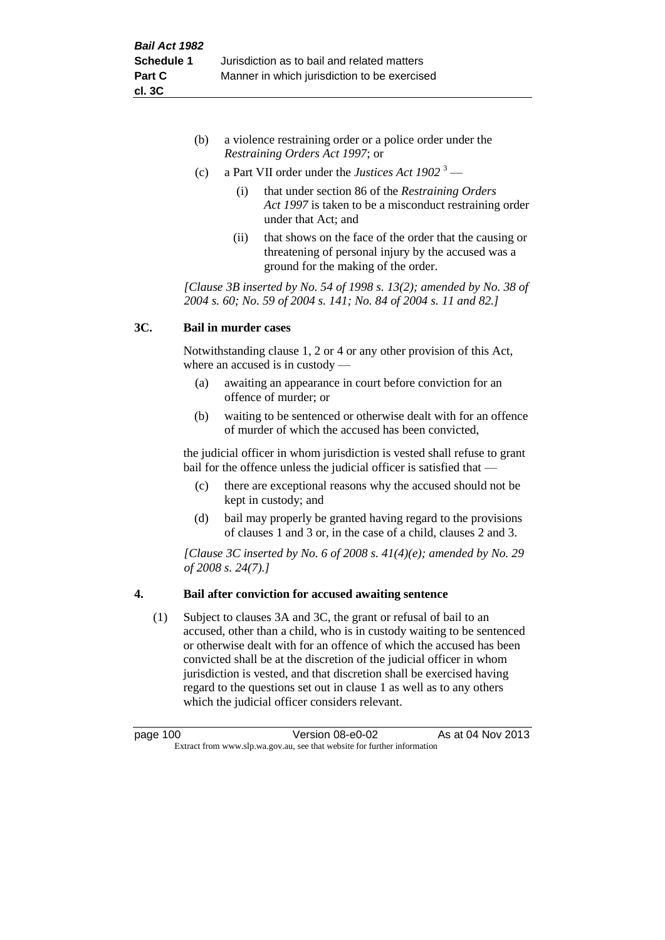- (b) a violence restraining order or a police order under the *Restraining Orders Act 1997*; or
- (c) a Part VII order under the *Justices Act 1902* <sup>3</sup>
	- (i) that under section 86 of the *Restraining Orders Act 1997* is taken to be a misconduct restraining order under that Act; and
	- (ii) that shows on the face of the order that the causing or threatening of personal injury by the accused was a ground for the making of the order.

*[Clause 3B inserted by No. 54 of 1998 s. 13(2); amended by No. 38 of 2004 s. 60; No. 59 of 2004 s. 141; No. 84 of 2004 s. 11 and 82.]*

# **3C. Bail in murder cases**

Notwithstanding clause 1, 2 or 4 or any other provision of this Act, where an accused is in custody —

- (a) awaiting an appearance in court before conviction for an offence of murder; or
- (b) waiting to be sentenced or otherwise dealt with for an offence of murder of which the accused has been convicted,

the judicial officer in whom jurisdiction is vested shall refuse to grant bail for the offence unless the judicial officer is satisfied that —

- (c) there are exceptional reasons why the accused should not be kept in custody; and
- (d) bail may properly be granted having regard to the provisions of clauses 1 and 3 or, in the case of a child, clauses 2 and 3.

*[Clause 3C inserted by No. 6 of 2008 s. 41(4)(e); amended by No. 29 of 2008 s. 24(7).]*

# **4. Bail after conviction for accused awaiting sentence**

(1) Subject to clauses 3A and 3C, the grant or refusal of bail to an accused, other than a child, who is in custody waiting to be sentenced or otherwise dealt with for an offence of which the accused has been convicted shall be at the discretion of the judicial officer in whom jurisdiction is vested, and that discretion shall be exercised having regard to the questions set out in clause 1 as well as to any others which the judicial officer considers relevant.

| page 100                                                                 | Version 08-e0-02 | As at 04 Nov 2013 |
|--------------------------------------------------------------------------|------------------|-------------------|
| Extract from www.slp.wa.gov.au, see that website for further information |                  |                   |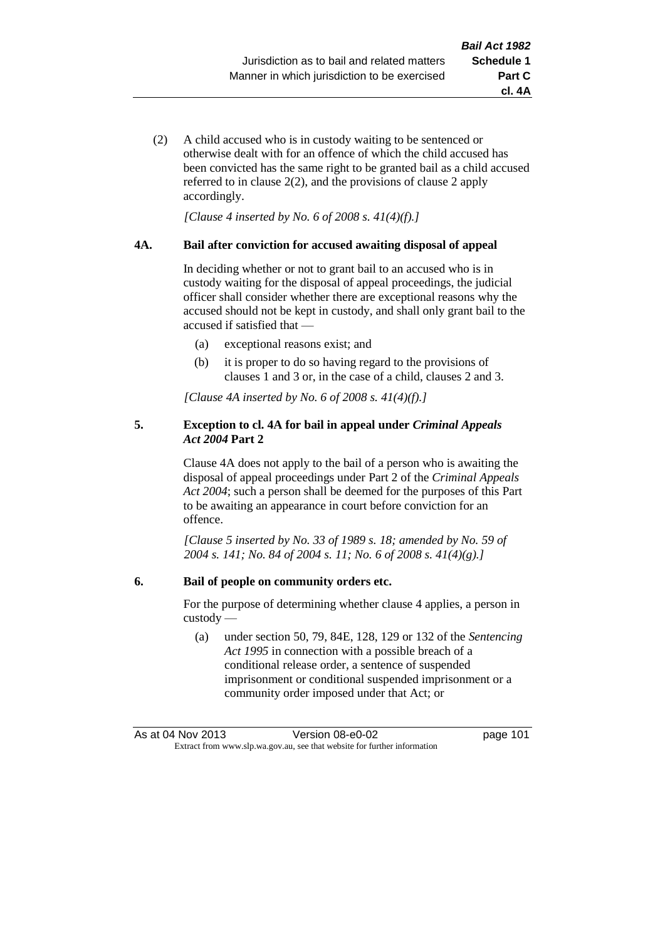**cl. 4A**

(2) A child accused who is in custody waiting to be sentenced or otherwise dealt with for an offence of which the child accused has been convicted has the same right to be granted bail as a child accused referred to in clause 2(2), and the provisions of clause 2 apply accordingly.

*[Clause 4 inserted by No. 6 of 2008 s. 41(4)(f).]*

### **4A. Bail after conviction for accused awaiting disposal of appeal**

In deciding whether or not to grant bail to an accused who is in custody waiting for the disposal of appeal proceedings, the judicial officer shall consider whether there are exceptional reasons why the accused should not be kept in custody, and shall only grant bail to the accused if satisfied that —

- (a) exceptional reasons exist; and
- (b) it is proper to do so having regard to the provisions of clauses 1 and 3 or, in the case of a child, clauses 2 and 3.

*[Clause 4A inserted by No. 6 of 2008 s. 41(4)(f).]*

### **5. Exception to cl. 4A for bail in appeal under** *Criminal Appeals Act 2004* **Part 2**

Clause 4A does not apply to the bail of a person who is awaiting the disposal of appeal proceedings under Part 2 of the *Criminal Appeals Act 2004*; such a person shall be deemed for the purposes of this Part to be awaiting an appearance in court before conviction for an offence.

*[Clause 5 inserted by No. 33 of 1989 s. 18; amended by No. 59 of 2004 s. 141; No. 84 of 2004 s. 11; No. 6 of 2008 s. 41(4)(g).]*

### **6. Bail of people on community orders etc.**

For the purpose of determining whether clause 4 applies, a person in custody —

(a) under section 50, 79, 84E, 128, 129 or 132 of the *Sentencing Act 1995* in connection with a possible breach of a conditional release order, a sentence of suspended imprisonment or conditional suspended imprisonment or a community order imposed under that Act; or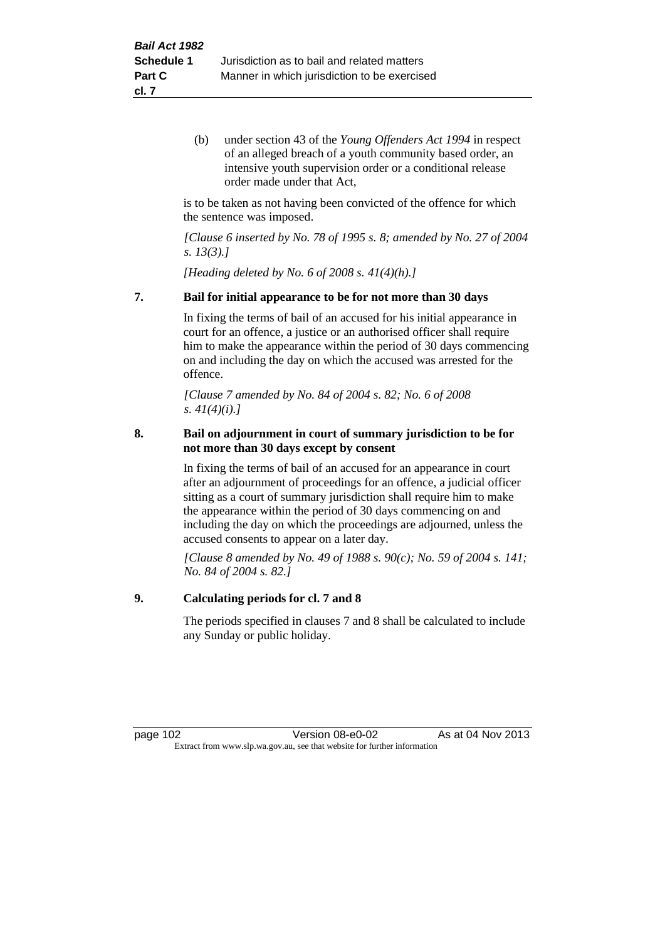(b) under section 43 of the *Young Offenders Act 1994* in respect of an alleged breach of a youth community based order, an intensive youth supervision order or a conditional release order made under that Act,

is to be taken as not having been convicted of the offence for which the sentence was imposed.

*[Clause 6 inserted by No. 78 of 1995 s. 8; amended by No. 27 of 2004 s. 13(3).]*

*[Heading deleted by No. 6 of 2008 s. 41(4)(h).]*

### **7. Bail for initial appearance to be for not more than 30 days**

In fixing the terms of bail of an accused for his initial appearance in court for an offence, a justice or an authorised officer shall require him to make the appearance within the period of 30 days commencing on and including the day on which the accused was arrested for the offence.

*[Clause 7 amended by No. 84 of 2004 s. 82; No. 6 of 2008 s. 41(4)(i).]*

### **8. Bail on adjournment in court of summary jurisdiction to be for not more than 30 days except by consent**

In fixing the terms of bail of an accused for an appearance in court after an adjournment of proceedings for an offence, a judicial officer sitting as a court of summary jurisdiction shall require him to make the appearance within the period of 30 days commencing on and including the day on which the proceedings are adjourned, unless the accused consents to appear on a later day.

*[Clause 8 amended by No. 49 of 1988 s. 90(c); No. 59 of 2004 s. 141; No. 84 of 2004 s. 82.]*

### **9. Calculating periods for cl. 7 and 8**

The periods specified in clauses 7 and 8 shall be calculated to include any Sunday or public holiday.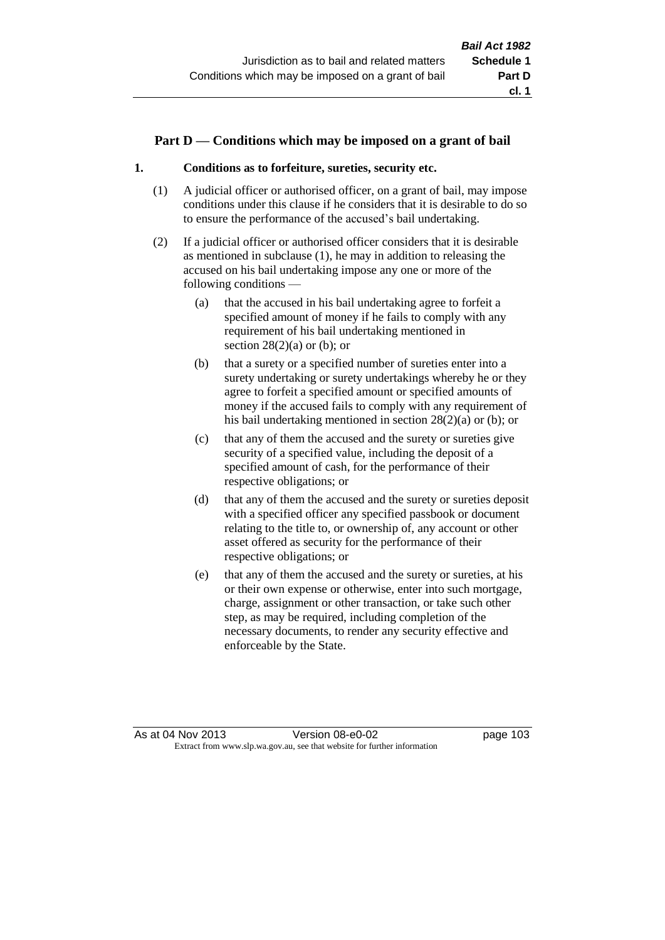### **Part D — Conditions which may be imposed on a grant of bail**

### **1. Conditions as to forfeiture, sureties, security etc.**

- (1) A judicial officer or authorised officer, on a grant of bail, may impose conditions under this clause if he considers that it is desirable to do so to ensure the performance of the accused's bail undertaking.
- (2) If a judicial officer or authorised officer considers that it is desirable as mentioned in subclause (1), he may in addition to releasing the accused on his bail undertaking impose any one or more of the following conditions —
	- (a) that the accused in his bail undertaking agree to forfeit a specified amount of money if he fails to comply with any requirement of his bail undertaking mentioned in section  $28(2)(a)$  or (b); or
	- (b) that a surety or a specified number of sureties enter into a surety undertaking or surety undertakings whereby he or they agree to forfeit a specified amount or specified amounts of money if the accused fails to comply with any requirement of his bail undertaking mentioned in section 28(2)(a) or (b); or
	- (c) that any of them the accused and the surety or sureties give security of a specified value, including the deposit of a specified amount of cash, for the performance of their respective obligations; or
	- (d) that any of them the accused and the surety or sureties deposit with a specified officer any specified passbook or document relating to the title to, or ownership of, any account or other asset offered as security for the performance of their respective obligations; or
	- (e) that any of them the accused and the surety or sureties, at his or their own expense or otherwise, enter into such mortgage, charge, assignment or other transaction, or take such other step, as may be required, including completion of the necessary documents, to render any security effective and enforceable by the State.

As at 04 Nov 2013 Version 08-e0-02 page 103 Extract from www.slp.wa.gov.au, see that website for further information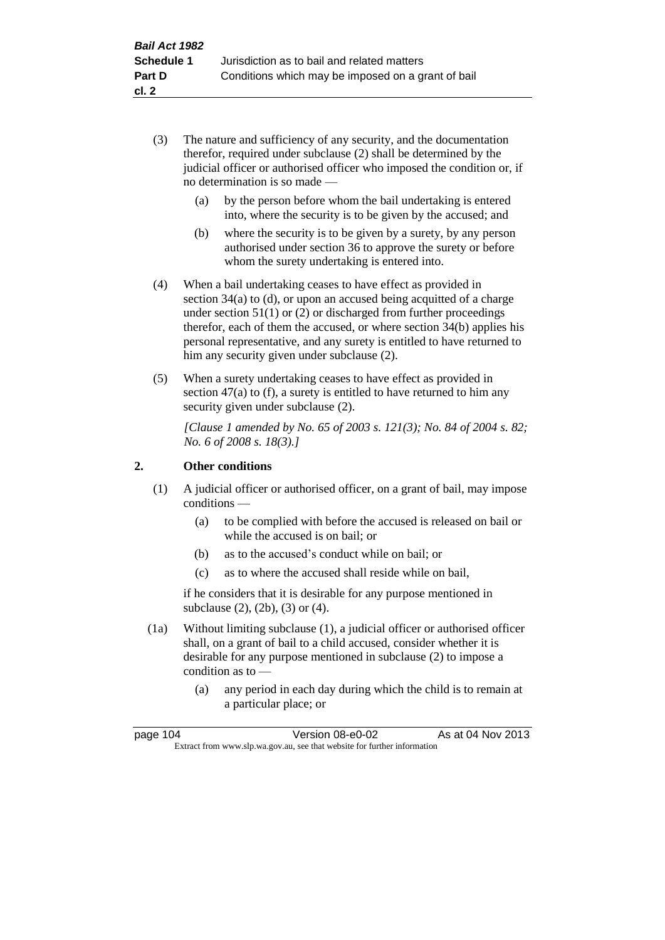- (3) The nature and sufficiency of any security, and the documentation therefor, required under subclause (2) shall be determined by the judicial officer or authorised officer who imposed the condition or, if no determination is so made —
	- (a) by the person before whom the bail undertaking is entered into, where the security is to be given by the accused; and
	- (b) where the security is to be given by a surety, by any person authorised under section 36 to approve the surety or before whom the surety undertaking is entered into.
- (4) When a bail undertaking ceases to have effect as provided in section 34(a) to (d), or upon an accused being acquitted of a charge under section 51(1) or (2) or discharged from further proceedings therefor, each of them the accused, or where section 34(b) applies his personal representative, and any surety is entitled to have returned to him any security given under subclause (2).
- (5) When a surety undertaking ceases to have effect as provided in section 47(a) to (f), a surety is entitled to have returned to him any security given under subclause  $(2)$ .

*[Clause 1 amended by No. 65 of 2003 s. 121(3); No. 84 of 2004 s. 82; No. 6 of 2008 s. 18(3).]*

## **2. Other conditions**

- (1) A judicial officer or authorised officer, on a grant of bail, may impose conditions —
	- (a) to be complied with before the accused is released on bail or while the accused is on bail; or
	- (b) as to the accused's conduct while on bail; or
	- (c) as to where the accused shall reside while on bail,

if he considers that it is desirable for any purpose mentioned in subclause (2), (2b), (3) or (4).

- (1a) Without limiting subclause (1), a judicial officer or authorised officer shall, on a grant of bail to a child accused, consider whether it is desirable for any purpose mentioned in subclause (2) to impose a condition as to —
	- (a) any period in each day during which the child is to remain at a particular place; or

| page 104                                                                 | Version 08-e0-02 | As at 04 Nov 2013 |
|--------------------------------------------------------------------------|------------------|-------------------|
| Extract from www.slp.wa.gov.au, see that website for further information |                  |                   |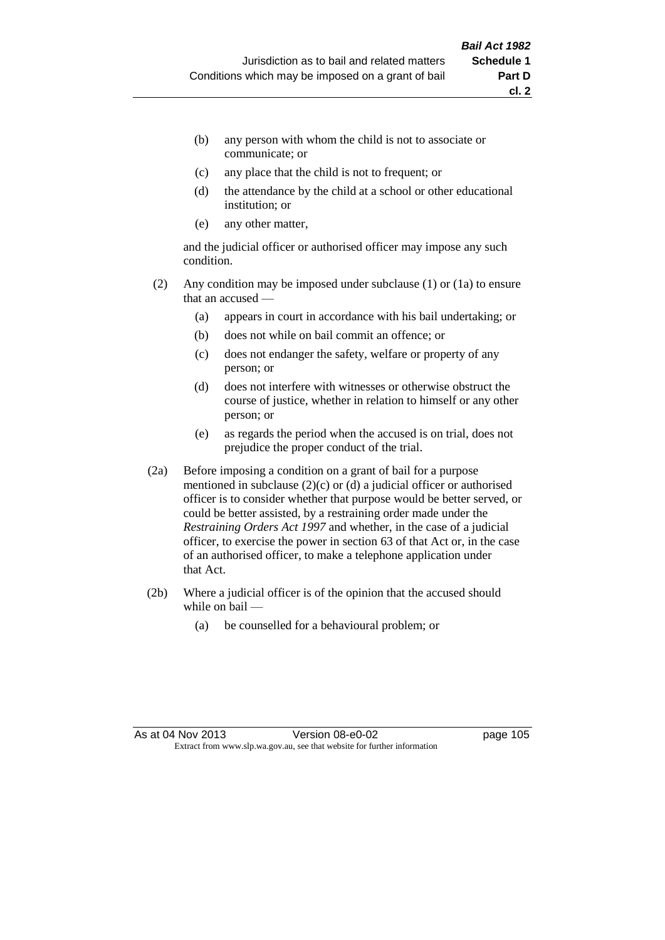- (b) any person with whom the child is not to associate or communicate; or
- (c) any place that the child is not to frequent; or
- (d) the attendance by the child at a school or other educational institution; or
- (e) any other matter,

and the judicial officer or authorised officer may impose any such condition.

- (2) Any condition may be imposed under subclause (1) or (1a) to ensure that an accused —
	- (a) appears in court in accordance with his bail undertaking; or
	- (b) does not while on bail commit an offence; or
	- (c) does not endanger the safety, welfare or property of any person; or
	- (d) does not interfere with witnesses or otherwise obstruct the course of justice, whether in relation to himself or any other person; or
	- (e) as regards the period when the accused is on trial, does not prejudice the proper conduct of the trial.
- (2a) Before imposing a condition on a grant of bail for a purpose mentioned in subclause (2)(c) or (d) a judicial officer or authorised officer is to consider whether that purpose would be better served, or could be better assisted, by a restraining order made under the *Restraining Orders Act 1997* and whether, in the case of a judicial officer, to exercise the power in section 63 of that Act or, in the case of an authorised officer, to make a telephone application under that Act.
- (2b) Where a judicial officer is of the opinion that the accused should while on bail —
	- (a) be counselled for a behavioural problem; or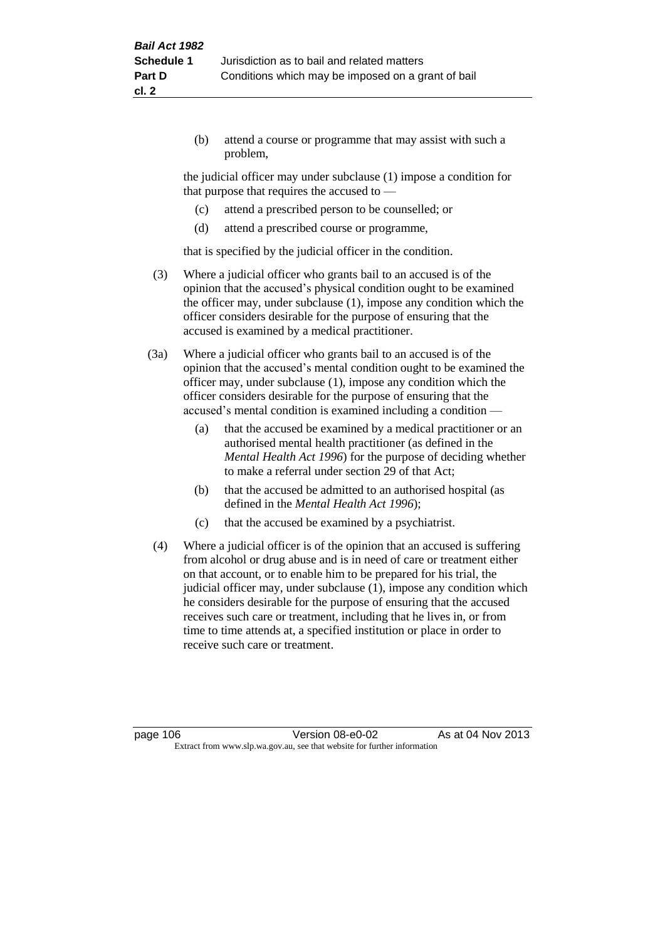(b) attend a course or programme that may assist with such a problem,

the judicial officer may under subclause (1) impose a condition for that purpose that requires the accused to —

- (c) attend a prescribed person to be counselled; or
- (d) attend a prescribed course or programme,

that is specified by the judicial officer in the condition.

- (3) Where a judicial officer who grants bail to an accused is of the opinion that the accused's physical condition ought to be examined the officer may, under subclause (1), impose any condition which the officer considers desirable for the purpose of ensuring that the accused is examined by a medical practitioner.
- (3a) Where a judicial officer who grants bail to an accused is of the opinion that the accused's mental condition ought to be examined the officer may, under subclause (1), impose any condition which the officer considers desirable for the purpose of ensuring that the accused's mental condition is examined including a condition —
	- (a) that the accused be examined by a medical practitioner or an authorised mental health practitioner (as defined in the *Mental Health Act 1996*) for the purpose of deciding whether to make a referral under section 29 of that Act;
	- (b) that the accused be admitted to an authorised hospital (as defined in the *Mental Health Act 1996*);
	- (c) that the accused be examined by a psychiatrist.
- (4) Where a judicial officer is of the opinion that an accused is suffering from alcohol or drug abuse and is in need of care or treatment either on that account, or to enable him to be prepared for his trial, the judicial officer may, under subclause (1), impose any condition which he considers desirable for the purpose of ensuring that the accused receives such care or treatment, including that he lives in, or from time to time attends at, a specified institution or place in order to receive such care or treatment.

page 106 **Version 08-e0-02** As at 04 Nov 2013 Extract from www.slp.wa.gov.au, see that website for further information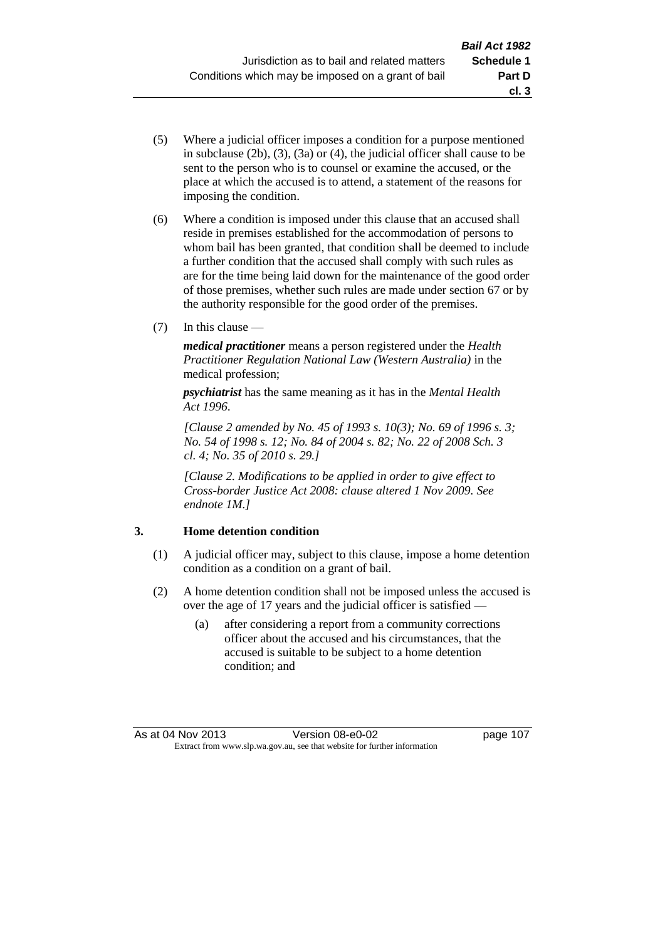- (5) Where a judicial officer imposes a condition for a purpose mentioned in subclause (2b), (3), (3a) or (4), the judicial officer shall cause to be sent to the person who is to counsel or examine the accused, or the place at which the accused is to attend, a statement of the reasons for imposing the condition.
- (6) Where a condition is imposed under this clause that an accused shall reside in premises established for the accommodation of persons to whom bail has been granted, that condition shall be deemed to include a further condition that the accused shall comply with such rules as are for the time being laid down for the maintenance of the good order of those premises, whether such rules are made under section 67 or by the authority responsible for the good order of the premises.
- (7) In this clause —

*medical practitioner* means a person registered under the *Health Practitioner Regulation National Law (Western Australia)* in the medical profession;

*psychiatrist* has the same meaning as it has in the *Mental Health Act 1996*.

*[Clause 2 amended by No. 45 of 1993 s. 10(3); No. 69 of 1996 s. 3; No. 54 of 1998 s. 12; No. 84 of 2004 s. 82; No. 22 of 2008 Sch. 3 cl. 4; No. 35 of 2010 s. 29.]*

*[Clause 2. Modifications to be applied in order to give effect to Cross-border Justice Act 2008: clause altered 1 Nov 2009. See endnote 1M.]*

## **3. Home detention condition**

- (1) A judicial officer may, subject to this clause, impose a home detention condition as a condition on a grant of bail.
- (2) A home detention condition shall not be imposed unless the accused is over the age of 17 years and the judicial officer is satisfied —
	- (a) after considering a report from a community corrections officer about the accused and his circumstances, that the accused is suitable to be subject to a home detention condition; and

**cl. 3**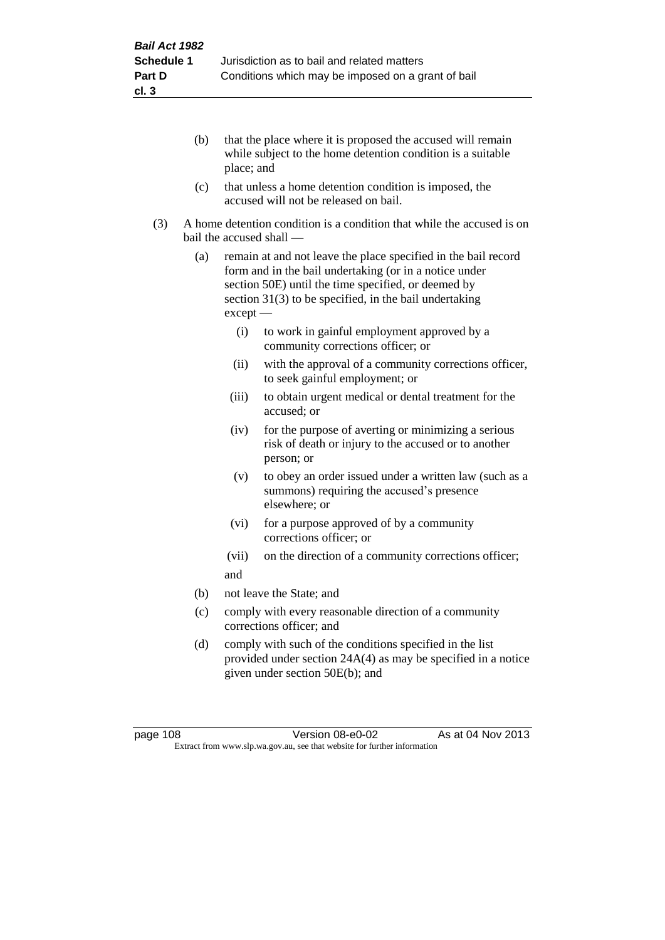- (b) that the place where it is proposed the accused will remain while subject to the home detention condition is a suitable place; and
- (c) that unless a home detention condition is imposed, the accused will not be released on bail.
- (3) A home detention condition is a condition that while the accused is on bail the accused shall —
	- (a) remain at and not leave the place specified in the bail record form and in the bail undertaking (or in a notice under section 50E) until the time specified, or deemed by section 31(3) to be specified, in the bail undertaking except —
		- (i) to work in gainful employment approved by a community corrections officer; or
		- (ii) with the approval of a community corrections officer, to seek gainful employment; or
		- (iii) to obtain urgent medical or dental treatment for the accused; or
		- (iv) for the purpose of averting or minimizing a serious risk of death or injury to the accused or to another person; or
		- (v) to obey an order issued under a written law (such as a summons) requiring the accused's presence elsewhere; or
		- (vi) for a purpose approved of by a community corrections officer; or
		- (vii) on the direction of a community corrections officer; and
	- (b) not leave the State; and
	- (c) comply with every reasonable direction of a community corrections officer; and
	- (d) comply with such of the conditions specified in the list provided under section 24A(4) as may be specified in a notice given under section 50E(b); and

page 108 **Version 08-e0-02** As at 04 Nov 2013 Extract from www.slp.wa.gov.au, see that website for further information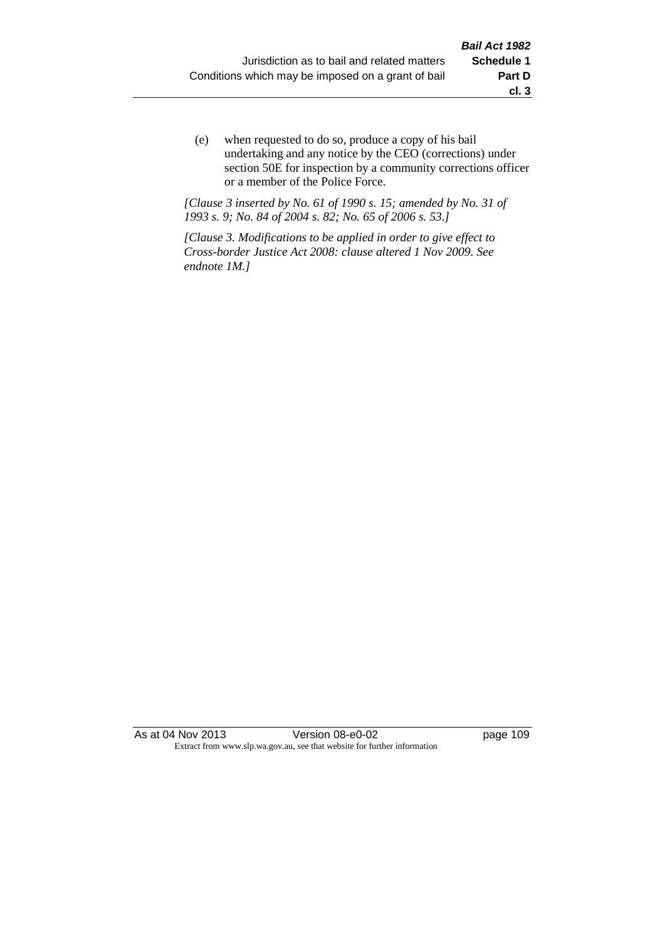(e) when requested to do so, produce a copy of his bail undertaking and any notice by the CEO (corrections) under section 50E for inspection by a community corrections officer or a member of the Police Force.

*[Clause 3 inserted by No. 61 of 1990 s. 15; amended by No. 31 of 1993 s. 9; No. 84 of 2004 s. 82; No. 65 of 2006 s. 53.]*

*[Clause 3. Modifications to be applied in order to give effect to Cross-border Justice Act 2008: clause altered 1 Nov 2009. See endnote 1M.]*

As at 04 Nov 2013 Version 08-e0-02 Page 109 Extract from www.slp.wa.gov.au, see that website for further information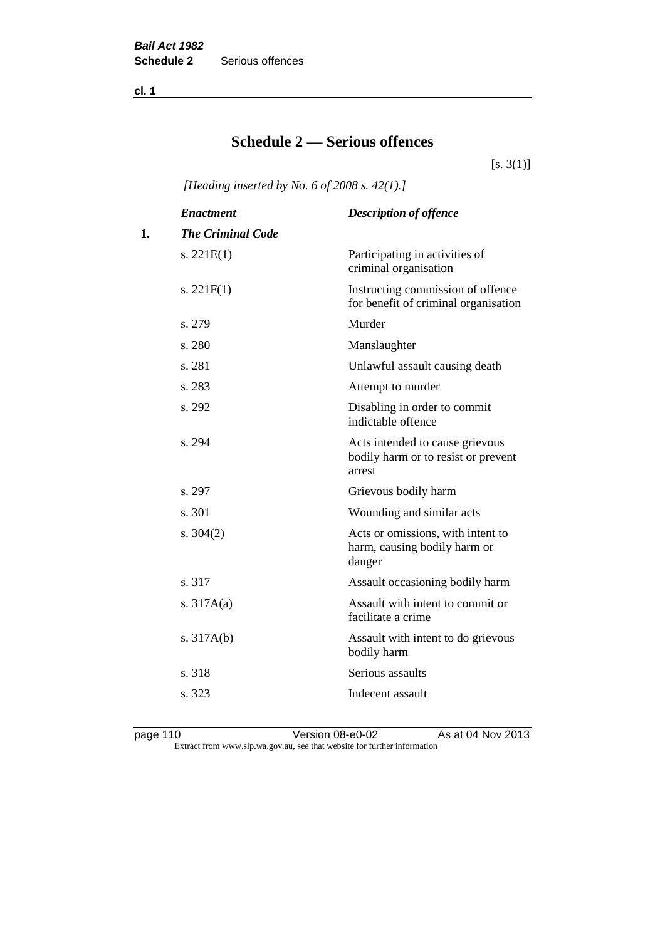**cl. 1**

# **Schedule 2 — Serious offences**

 $[s. 3(1)]$ 

*[Heading inserted by No. 6 of 2008 s. 42(1).]*

|    | <b>Enactment</b>         | <b>Description of offence</b>                                                    |
|----|--------------------------|----------------------------------------------------------------------------------|
| 1. | <b>The Criminal Code</b> |                                                                                  |
|    | s. $221E(1)$             | Participating in activities of<br>criminal organisation                          |
|    | s. $221F(1)$             | Instructing commission of offence<br>for benefit of criminal organisation        |
|    | s. 279                   | Murder                                                                           |
|    | s. 280                   | Manslaughter                                                                     |
|    | s. 281                   | Unlawful assault causing death                                                   |
|    | s. 283                   | Attempt to murder                                                                |
|    | s. 292                   | Disabling in order to commit<br>indictable offence                               |
|    | s. 294                   | Acts intended to cause grievous<br>bodily harm or to resist or prevent<br>arrest |
|    | s. 297                   | Grievous bodily harm                                                             |
|    | s. 301                   | Wounding and similar acts                                                        |
|    | s. $304(2)$              | Acts or omissions, with intent to<br>harm, causing bodily harm or<br>danger      |
|    | s. 317                   | Assault occasioning bodily harm                                                  |
|    | s. $317A(a)$             | Assault with intent to commit or<br>facilitate a crime                           |
|    | s. $317A(b)$             | Assault with intent to do grievous<br>bodily harm                                |
|    | s. 318                   | Serious assaults                                                                 |
|    | s. 323                   | Indecent assault                                                                 |
|    |                          |                                                                                  |

page 110 Version 08-e0-02 As at 04 Nov 2013 Extract from www.slp.wa.gov.au, see that website for further information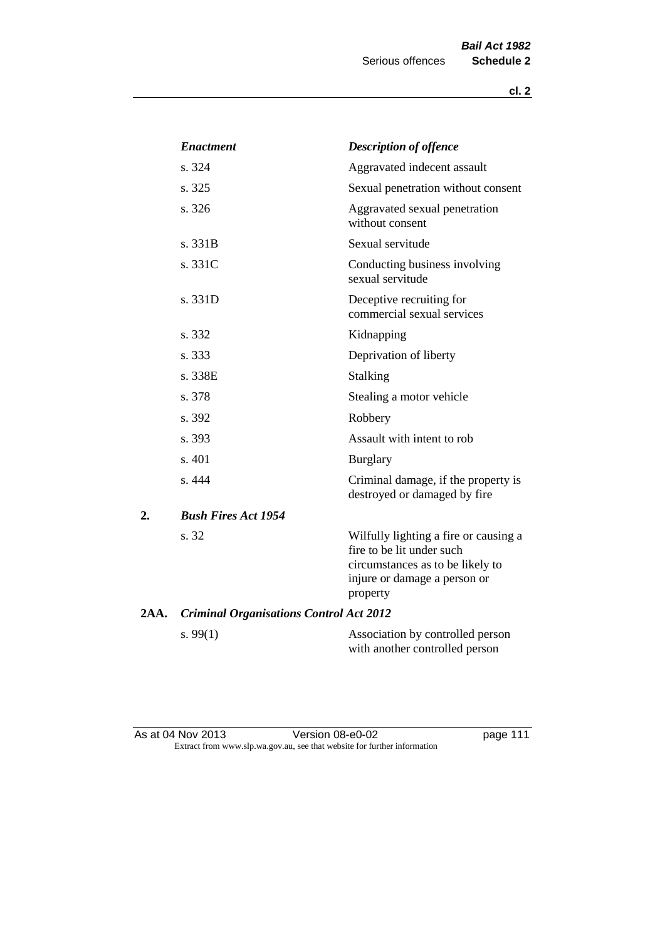|      | <b>Enactment</b>                               | <b>Description of offence</b>                                                                                                                      |
|------|------------------------------------------------|----------------------------------------------------------------------------------------------------------------------------------------------------|
|      | s. 324                                         | Aggravated indecent assault                                                                                                                        |
|      | s. 325                                         | Sexual penetration without consent                                                                                                                 |
|      | s. 326                                         | Aggravated sexual penetration<br>without consent                                                                                                   |
|      | s. 331B                                        | Sexual servitude                                                                                                                                   |
|      | s. 331C                                        | Conducting business involving<br>sexual servitude                                                                                                  |
|      | s. 331D                                        | Deceptive recruiting for<br>commercial sexual services                                                                                             |
|      | s. 332                                         | Kidnapping                                                                                                                                         |
|      | s. 333                                         | Deprivation of liberty                                                                                                                             |
|      | s. 338E                                        | Stalking                                                                                                                                           |
|      | s. 378                                         | Stealing a motor vehicle                                                                                                                           |
|      | s. 392                                         | Robbery                                                                                                                                            |
|      | s. 393                                         | Assault with intent to rob                                                                                                                         |
|      | s. 401                                         | <b>Burglary</b>                                                                                                                                    |
|      | s. 444                                         | Criminal damage, if the property is<br>destroyed or damaged by fire                                                                                |
| 2.   | <b>Bush Fires Act 1954</b>                     |                                                                                                                                                    |
|      | s. 32                                          | Wilfully lighting a fire or causing a<br>fire to be lit under such<br>circumstances as to be likely to<br>injure or damage a person or<br>property |
| 2AA. | <b>Criminal Organisations Control Act 2012</b> |                                                                                                                                                    |
|      | s. $99(1)$                                     | Association by controlled person<br>with another controlled person                                                                                 |

As at 04 Nov 2013 **Details Accede 111** Version 08-e0-02 **page 111** Extract from www.slp.wa.gov.au, see that website for further information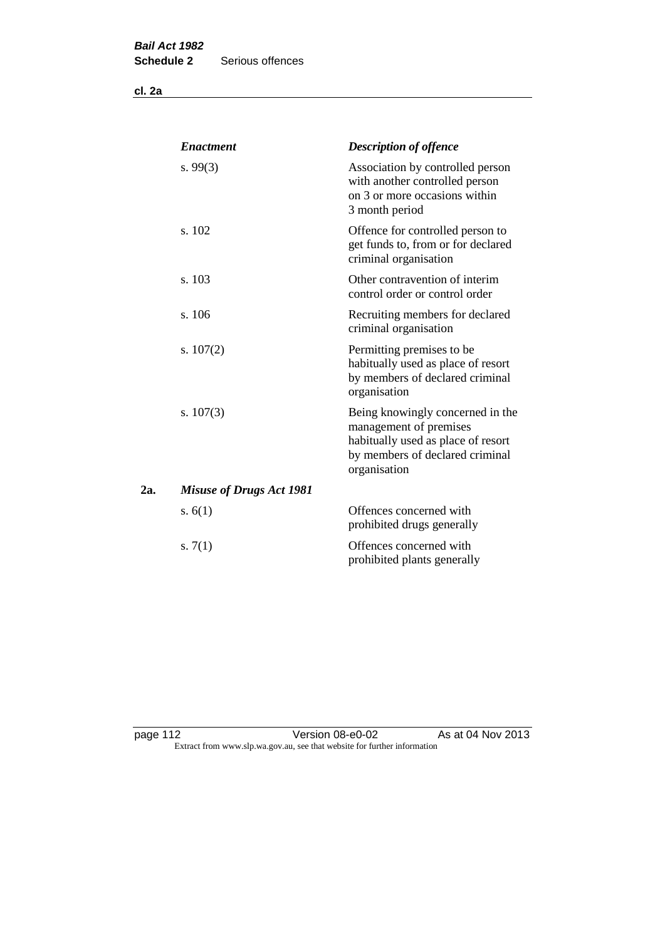**cl. 2a**

|     | <b>Enactment</b>                | <b>Description of offence</b>                                                                                                                       |
|-----|---------------------------------|-----------------------------------------------------------------------------------------------------------------------------------------------------|
|     | s. $99(3)$                      | Association by controlled person<br>with another controlled person<br>on 3 or more occasions within<br>3 month period                               |
|     | s. 102                          | Offence for controlled person to<br>get funds to, from or for declared<br>criminal organisation                                                     |
|     | s. 103                          | Other contravention of interim<br>control order or control order                                                                                    |
|     | s. 106                          | Recruiting members for declared<br>criminal organisation                                                                                            |
|     | s. $107(2)$                     | Permitting premises to be<br>habitually used as place of resort<br>by members of declared criminal<br>organisation                                  |
|     | s. $107(3)$                     | Being knowingly concerned in the<br>management of premises<br>habitually used as place of resort<br>by members of declared criminal<br>organisation |
| 2а. | <b>Misuse of Drugs Act 1981</b> |                                                                                                                                                     |
|     | s. $6(1)$                       | Offences concerned with<br>prohibited drugs generally                                                                                               |
|     | s. $7(1)$                       | Offences concerned with<br>prohibited plants generally                                                                                              |

page 112 **Detail Contract Version 08-e0-02** As at 04 Nov 2013 Extract from www.slp.wa.gov.au, see that website for further information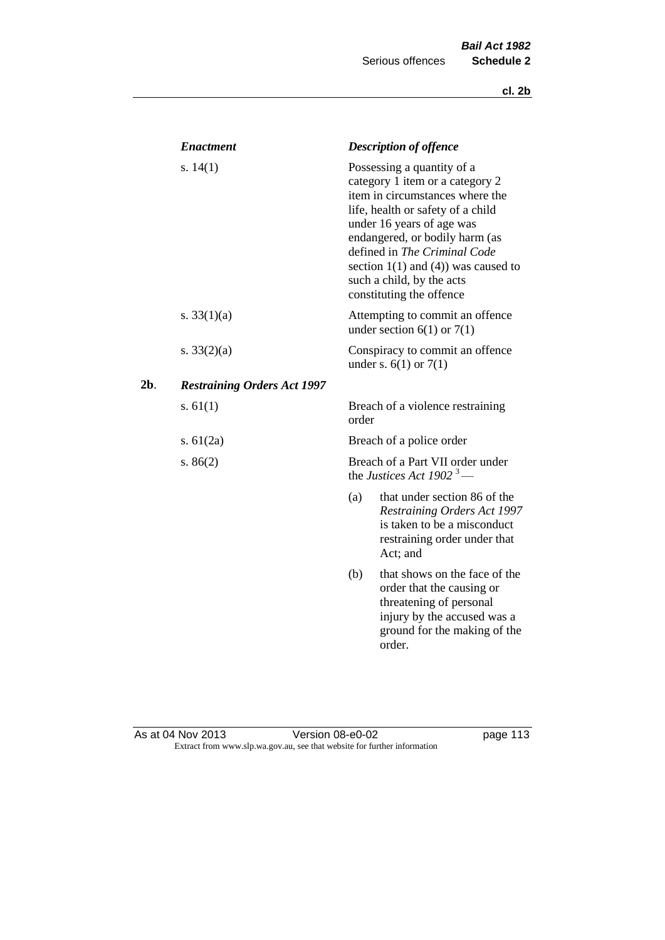|        | <b>Enactment</b>                   |                          | <b>Description of offence</b>                                                                                                                                                                                                                                                                                                             |
|--------|------------------------------------|--------------------------|-------------------------------------------------------------------------------------------------------------------------------------------------------------------------------------------------------------------------------------------------------------------------------------------------------------------------------------------|
|        | s. $14(1)$                         |                          | Possessing a quantity of a<br>category 1 item or a category 2<br>item in circumstances where the<br>life, health or safety of a child<br>under 16 years of age was<br>endangered, or bodily harm (as<br>defined in The Criminal Code<br>section $1(1)$ and $(4)$ ) was caused to<br>such a child, by the acts<br>constituting the offence |
|        | s. $33(1)(a)$                      |                          | Attempting to commit an offence<br>under section $6(1)$ or $7(1)$                                                                                                                                                                                                                                                                         |
|        | s. $33(2)(a)$                      |                          | Conspiracy to commit an offence<br>under s. $6(1)$ or $7(1)$                                                                                                                                                                                                                                                                              |
| $2b$ . | <b>Restraining Orders Act 1997</b> |                          |                                                                                                                                                                                                                                                                                                                                           |
|        | s. $61(1)$                         | order                    | Breach of a violence restraining                                                                                                                                                                                                                                                                                                          |
|        | s. $61(2a)$                        | Breach of a police order |                                                                                                                                                                                                                                                                                                                                           |
|        | s. $86(2)$                         |                          | Breach of a Part VII order under<br>the Justices Act 1902 <sup>3</sup> —                                                                                                                                                                                                                                                                  |
|        |                                    | (a)                      | that under section 86 of the<br><b>Restraining Orders Act 1997</b><br>is taken to be a misconduct<br>restraining order under that<br>Act; and                                                                                                                                                                                             |
|        |                                    | (b)                      | that shows on the face of the<br>order that the causing or<br>threatening of personal<br>injury by the accused was a<br>ground for the making of the<br>order.                                                                                                                                                                            |

#### As at 04 Nov 2013 **Details Accede 113** Version 08-e0-02 **page 113** Extract from www.slp.wa.gov.au, see that website for further information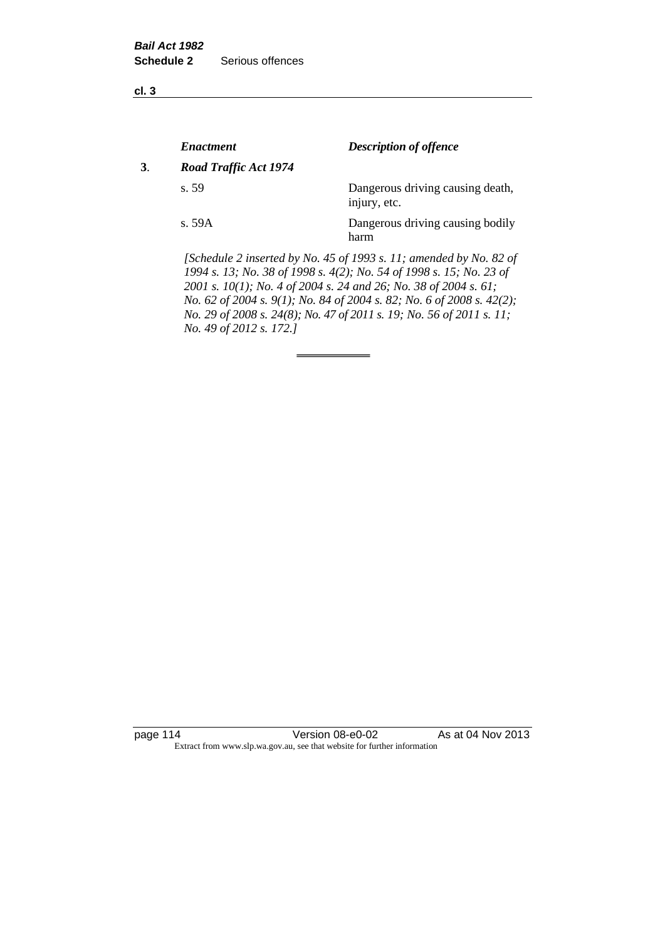**cl. 3**

|    | <i><b>Enactment</b></i> | <b>Description of offence</b>                                                                                                             |
|----|-------------------------|-------------------------------------------------------------------------------------------------------------------------------------------|
| 3. | Road Traffic Act 1974   |                                                                                                                                           |
|    | s.59                    | Dangerous driving causing death,<br>injury, etc.                                                                                          |
|    | s. 59A                  | Dangerous driving causing bodily<br>harm                                                                                                  |
|    |                         | [Schedule 2 inserted by No. 45 of 1993 s. 11; amended by No. 82 of<br>1994 s. 13; No. 38 of 1998 s. 4(2); No. 54 of 1998 s. 15; No. 23 of |

*2001 s. 10(1); No. 4 of 2004 s. 24 and 26; No. 38 of 2004 s. 61; No. 62 of 2004 s. 9(1); No. 84 of 2004 s. 82; No. 6 of 2008 s. 42(2); No. 29 of 2008 s. 24(8); No. 47 of 2011 s. 19; No. 56 of 2011 s. 11; No. 49 of 2012 s. 172.]* 

page 114 Version 08-e0-02 As at 04 Nov 2013 Extract from www.slp.wa.gov.au, see that website for further information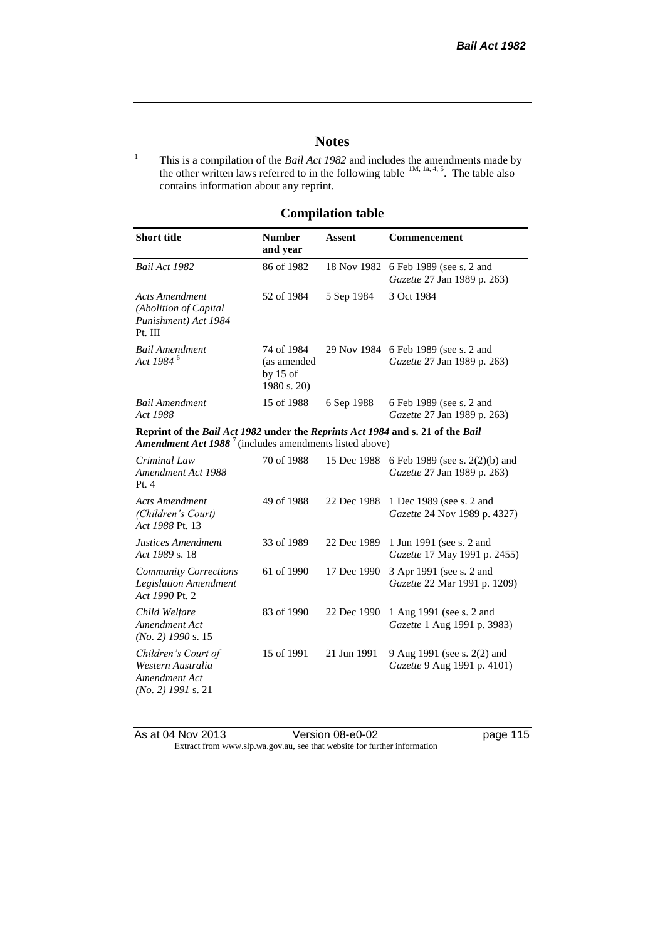## **Notes**

<sup>1</sup> This is a compilation of the *Bail Act 1982* and includes the amendments made by the other written laws referred to in the following table  $^{1M, 1a, 4, 5}$ . The table also contains information about any reprint.

## **Compilation table**

| <b>Short title</b>                                                                                                                                   | <b>Number</b><br>and year                              | <b>Assent</b> | <b>Commencement</b>                                           |
|------------------------------------------------------------------------------------------------------------------------------------------------------|--------------------------------------------------------|---------------|---------------------------------------------------------------|
| Bail Act 1982                                                                                                                                        | 86 of 1982                                             | 18 Nov 1982   | 6 Feb 1989 (see s. 2 and<br>Gazette 27 Jan 1989 p. 263)       |
| <b>Acts Amendment</b><br>(Abolition of Capital<br>Punishment) Act 1984<br>Pt. III                                                                    | 52 of 1984                                             | 5 Sep 1984    | 3 Oct 1984                                                    |
| <b>Bail Amendment</b><br>Act 1984 <sup>6</sup>                                                                                                       | 74 of 1984<br>(as amended<br>by $15$ of<br>1980 s. 20) | 29 Nov 1984   | 6 Feb 1989 (see s. 2 and<br>Gazette 27 Jan 1989 p. 263)       |
| <b>Bail Amendment</b><br>Act 1988                                                                                                                    | 15 of 1988                                             | 6 Sep 1988    | 6 Feb 1989 (see s. 2 and<br>Gazette 27 Jan 1989 p. 263)       |
| Reprint of the Bail Act 1982 under the Reprints Act 1984 and s. 21 of the Bail<br>Amendment Act 1988 <sup>7</sup> (includes amendments listed above) |                                                        |               |                                                               |
| Criminal Law<br>Amendment Act 1988<br>Pt. 4                                                                                                          | 70 of 1988                                             | 15 Dec 1988   | 6 Feb 1989 (see s. 2(2)(b) and<br>Gazette 27 Jan 1989 p. 263) |
| <b>Acts Amendment</b><br>(Children's Court)<br>Act 1988 Pt. 13                                                                                       | 49 of 1988                                             | 22 Dec 1988   | 1 Dec 1989 (see s. 2 and<br>Gazette 24 Nov 1989 p. 4327)      |
| Justices Amendment<br>Act 1989 s. 18                                                                                                                 | 33 of 1989                                             | 22 Dec 1989   | 1 Jun 1991 (see s. 2 and<br>Gazette 17 May 1991 p. 2455)      |
| <b>Community Corrections</b><br><b>Legislation Amendment</b><br>Act 1990 Pt. 2                                                                       | 61 of 1990                                             | 17 Dec 1990   | 3 Apr 1991 (see s. 2 and<br>Gazette 22 Mar 1991 p. 1209)      |
| Child Welfare<br>Amendment Act<br>$(No. 2)$ 1990 s. 15                                                                                               | 83 of 1990                                             | 22 Dec 1990   | 1 Aug 1991 (see s. 2 and<br>Gazette 1 Aug 1991 p. 3983)       |
| Children's Court of<br>Western Australia<br>Amendment Act<br>$(No. 2)$ 1991 s. 21                                                                    | 15 of 1991                                             | 21 Jun 1991   | 9 Aug 1991 (see s. 2(2) and<br>Gazette 9 Aug 1991 p. 4101)    |

As at 04 Nov 2013 Version 08-e0-02 page 115 Extract from www.slp.wa.gov.au, see that website for further information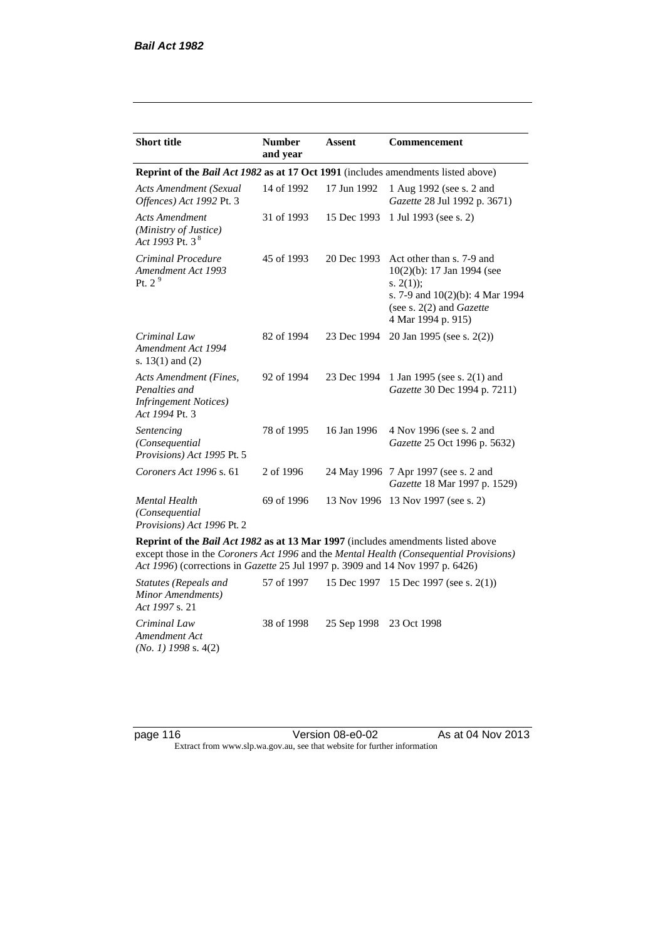| <b>Short title</b>                                                                         | <b>Number</b><br>and year | Assent      | <b>Commencement</b>                                                                                                                                                        |  |
|--------------------------------------------------------------------------------------------|---------------------------|-------------|----------------------------------------------------------------------------------------------------------------------------------------------------------------------------|--|
| Reprint of the <i>Bail Act 1982</i> as at 17 Oct 1991 (includes amendments listed above)   |                           |             |                                                                                                                                                                            |  |
| <b>Acts Amendment (Sexual</b><br>Offences) Act 1992 Pt. 3                                  | 14 of 1992                | 17 Jun 1992 | 1 Aug 1992 (see s. 2 and<br>Gazette 28 Jul 1992 p. 3671)                                                                                                                   |  |
| <b>Acts Amendment</b><br>(Ministry of Justice)<br>Act 1993 Pt. 3 $^{8}$                    | 31 of 1993                | 15 Dec 1993 | 1 Jul 1993 (see s. 2)                                                                                                                                                      |  |
| Criminal Procedure<br>Amendment Act 1993<br>Pt. $2^9$                                      | 45 of 1993                | 20 Dec 1993 | Act other than s. 7-9 and<br>$10(2)(b)$ : 17 Jan 1994 (see<br>s. $2(1)$ ;<br>s. 7-9 and $10(2)(b)$ : 4 Mar 1994<br>(see s. $2(2)$ and <i>Gazette</i><br>4 Mar 1994 p. 915) |  |
| Criminal Law<br>Amendment Act 1994<br>s. $13(1)$ and $(2)$                                 | 82 of 1994                | 23 Dec 1994 | 20 Jan 1995 (see s. 2(2))                                                                                                                                                  |  |
| Acts Amendment (Fines,<br>Penalties and<br><b>Infringement Notices</b> )<br>Act 1994 Pt. 3 | 92 of 1994                | 23 Dec 1994 | 1 Jan 1995 (see s. 2(1) and<br>Gazette 30 Dec 1994 p. 7211)                                                                                                                |  |
| Sentencing<br>(Consequential<br>Provisions) Act 1995 Pt. 5                                 | 78 of 1995                | 16 Jan 1996 | 4 Nov 1996 (see s. 2 and<br>Gazette 25 Oct 1996 p. 5632)                                                                                                                   |  |
| Coroners Act 1996 s. 61                                                                    | 2 of 1996                 |             | 24 May 1996 7 Apr 1997 (see s. 2 and<br>Gazette 18 Mar 1997 p. 1529)                                                                                                       |  |
| <b>Mental Health</b><br>(Consequential<br>Provisions) Act 1996 Pt. 2                       | 69 of 1996                | 13 Nov 1996 | 13 Nov 1997 (see s. 2)                                                                                                                                                     |  |

**Reprint of the** *Bail Act 1982* **as at 13 Mar 1997** (includes amendments listed above except those in the *Coroners Act 1996* and the *Mental Health (Consequential Provisions) Act 1996*) (corrections in *Gazette* 25 Jul 1997 p. 3909 and 14 Nov 1997 p. 6426)

*Statutes (Repeals and Minor Amendments) Act 1997* s. 21 57 of 1997 15 Dec 1997 15 Dec 1997 (see s. 2(1)) *Criminal Law Amendment Act (No. 1) 1998* s. 4(2) 38 of 1998 25 Sep 1998 23 Oct 1998

page 116 **Version 08-e0-02** As at 04 Nov 2013 Extract from www.slp.wa.gov.au, see that website for further information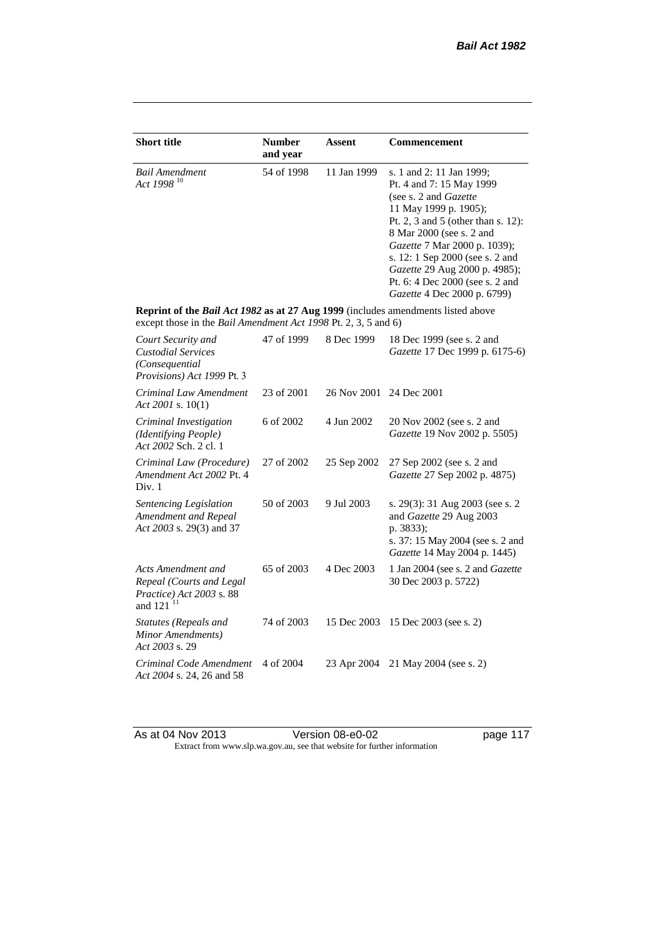| <b>Short title</b>                                                                                                                                 | <b>Number</b><br>and year | <b>Assent</b> | <b>Commencement</b>                                                                                                                                                                                                                                                                                                                                     |
|----------------------------------------------------------------------------------------------------------------------------------------------------|---------------------------|---------------|---------------------------------------------------------------------------------------------------------------------------------------------------------------------------------------------------------------------------------------------------------------------------------------------------------------------------------------------------------|
| Bail Amendment<br>Act 1998 <sup>10</sup>                                                                                                           | 54 of 1998                | 11 Jan 1999   | s. 1 and 2: 11 Jan 1999;<br>Pt. 4 and 7: 15 May 1999<br>(see s. 2 and <i>Gazette</i> )<br>11 May 1999 p. 1905);<br>Pt. 2, 3 and 5 (other than s. 12):<br>8 Mar 2000 (see s. 2 and<br>Gazette 7 Mar 2000 p. 1039);<br>s. 12: 1 Sep 2000 (see s. 2 and<br>Gazette 29 Aug 2000 p. 4985);<br>Pt. 6: 4 Dec 2000 (see s. 2 and<br>Gazette 4 Dec 2000 p. 6799) |
| Reprint of the Bail Act 1982 as at 27 Aug 1999 (includes amendments listed above<br>except those in the Bail Amendment Act 1998 Pt. 2, 3, 5 and 6) |                           |               |                                                                                                                                                                                                                                                                                                                                                         |
| Court Security and<br><b>Custodial Services</b><br>(Consequential<br>Provisions) Act 1999 Pt. 3                                                    | 47 of 1999                | 8 Dec 1999    | 18 Dec 1999 (see s. 2 and<br>Gazette 17 Dec 1999 p. 6175-6)                                                                                                                                                                                                                                                                                             |
| Criminal Law Amendment<br>Act 2001 s. $10(1)$                                                                                                      | 23 of 2001                | 26 Nov 2001   | 24 Dec 2001                                                                                                                                                                                                                                                                                                                                             |
| Criminal Investigation<br>(Identifying People)<br>Act 2002 Sch. 2 cl. 1                                                                            | 6 of 2002                 | 4 Jun 2002    | 20 Nov 2002 (see s. 2 and<br>Gazette 19 Nov 2002 p. 5505)                                                                                                                                                                                                                                                                                               |
| Criminal Law (Procedure)<br>Amendment Act 2002 Pt. 4<br>Div. 1                                                                                     | 27 of 2002                | 25 Sep 2002   | 27 Sep 2002 (see s. 2 and<br>Gazette 27 Sep 2002 p. 4875)                                                                                                                                                                                                                                                                                               |
| Sentencing Legislation<br>Amendment and Repeal<br>Act 2003 s. 29(3) and 37                                                                         | 50 of 2003                | 9 Jul 2003    | s. 29(3): 31 Aug 2003 (see s. 2)<br>and Gazette 29 Aug 2003<br>p. 3833);<br>s. 37: 15 May 2004 (see s. 2 and<br>Gazette 14 May 2004 p. 1445)                                                                                                                                                                                                            |
| Acts Amendment and<br>Repeal (Courts and Legal<br>Practice) Act 2003 s. 88<br>and 121 <sup>11</sup>                                                | 65 of 2003                | 4 Dec 2003    | 1 Jan 2004 (see s. 2 and <i>Gazette</i><br>30 Dec 2003 p. 5722)                                                                                                                                                                                                                                                                                         |
| <b>Statutes (Repeals and</b><br>Minor Amendments)<br>Act 2003 s. 29                                                                                | 74 of 2003                | 15 Dec 2003   | 15 Dec 2003 (see s. 2)                                                                                                                                                                                                                                                                                                                                  |
| Criminal Code Amendment<br>Act 2004 s. 24, 26 and 58                                                                                               | 4 of 2004                 | 23 Apr 2004   | 21 May 2004 (see s. 2)                                                                                                                                                                                                                                                                                                                                  |

As at 04 Nov 2013 **Details Accede 117** Version 08-e0-02 **page 117** Extract from www.slp.wa.gov.au, see that website for further information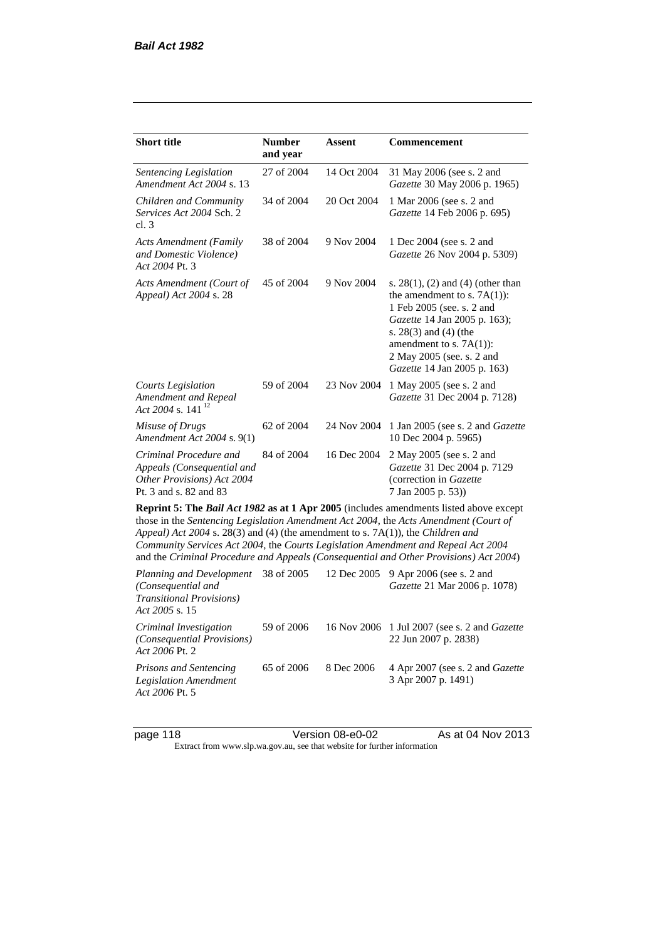| <b>Short title</b>                                                                                                                                                                                                                                                                                                                                                                                                                              | <b>Number</b><br>and year | Assent      | <b>Commencement</b>                                                                                                                                                                                                                                      |
|-------------------------------------------------------------------------------------------------------------------------------------------------------------------------------------------------------------------------------------------------------------------------------------------------------------------------------------------------------------------------------------------------------------------------------------------------|---------------------------|-------------|----------------------------------------------------------------------------------------------------------------------------------------------------------------------------------------------------------------------------------------------------------|
| Sentencing Legislation<br>Amendment Act 2004 s. 13                                                                                                                                                                                                                                                                                                                                                                                              | 27 of 2004                | 14 Oct 2004 | 31 May 2006 (see s. 2 and<br>Gazette 30 May 2006 p. 1965)                                                                                                                                                                                                |
| Children and Community<br>Services Act 2004 Sch. 2<br>cl.3                                                                                                                                                                                                                                                                                                                                                                                      | 34 of 2004                | 20 Oct 2004 | 1 Mar 2006 (see s. 2 and<br>Gazette 14 Feb 2006 p. 695)                                                                                                                                                                                                  |
| <b>Acts Amendment (Family</b><br>and Domestic Violence)<br>Act 2004 Pt. 3                                                                                                                                                                                                                                                                                                                                                                       | 38 of 2004                | 9 Nov 2004  | 1 Dec 2004 (see s. 2 and<br>Gazette 26 Nov 2004 p. 5309)                                                                                                                                                                                                 |
| Acts Amendment (Court of<br>Appeal) Act 2004 s. 28                                                                                                                                                                                                                                                                                                                                                                                              | 45 of 2004                | 9 Nov 2004  | s. $28(1)$ , (2) and (4) (other than<br>the amendment to s. $7A(1)$ :<br>1 Feb 2005 (see. s. 2 and<br>Gazette 14 Jan 2005 p. 163);<br>s. $28(3)$ and $(4)$ (the<br>amendment to s. $7A(1)$ :<br>2 May 2005 (see. s. 2 and<br>Gazette 14 Jan 2005 p. 163) |
| <b>Courts Legislation</b><br>Amendment and Repeal<br>Act 2004 s. 141 <sup>12</sup>                                                                                                                                                                                                                                                                                                                                                              | 59 of 2004                | 23 Nov 2004 | 1 May 2005 (see s. 2 and<br>Gazette 31 Dec 2004 p. 7128)                                                                                                                                                                                                 |
| Misuse of Drugs<br>Amendment Act 2004 s. 9(1)                                                                                                                                                                                                                                                                                                                                                                                                   | 62 of 2004                | 24 Nov 2004 | 1 Jan 2005 (see s. 2 and <i>Gazette</i><br>10 Dec 2004 p. 5965)                                                                                                                                                                                          |
| Criminal Procedure and<br>Appeals (Consequential and<br>Other Provisions) Act 2004<br>Pt. 3 and s. 82 and 83                                                                                                                                                                                                                                                                                                                                    | 84 of 2004                | 16 Dec 2004 | 2 May 2005 (see s. 2 and<br>Gazette 31 Dec 2004 p. 7129<br>(correction in Gazette<br>7 Jan 2005 p. 53))                                                                                                                                                  |
| Reprint 5: The Bail Act 1982 as at 1 Apr 2005 (includes amendments listed above except<br>those in the Sentencing Legislation Amendment Act 2004, the Acts Amendment (Court of<br>Appeal) Act 2004 s. 28(3) and (4) (the amendment to s. 7A(1)), the Children and<br>Community Services Act 2004, the Courts Legislation Amendment and Repeal Act 2004<br>and the Criminal Procedure and Appeals (Consequential and Other Provisions) Act 2004) |                           |             |                                                                                                                                                                                                                                                          |
| Planning and Development<br>(Consequential and<br><b>Transitional Provisions)</b><br>Act 2005 s. 15                                                                                                                                                                                                                                                                                                                                             | 38 of 2005                | 12 Dec 2005 | 9 Apr 2006 (see s. 2 and<br>Gazette 21 Mar 2006 p. 1078)                                                                                                                                                                                                 |
| Criminal Investigation<br>(Consequential Provisions)                                                                                                                                                                                                                                                                                                                                                                                            | 59 of 2006                | 16 Nov 2006 | 1 Jul 2007 (see s. 2 and Gazette<br>22 Jun 2007 p. 2838)                                                                                                                                                                                                 |

*Act 2006* Pt. 2 *Prisons and Sentencing Legislation Amendment Act 2006* Pt. 5 65 of 2006 8 Dec 2006 4 Apr 2007 (see s. 2 and *Gazette* 3 Apr 2007 p. 1491)

page 118 **Version 08-e0-02** As at 04 Nov 2013 Extract from www.slp.wa.gov.au, see that website for further information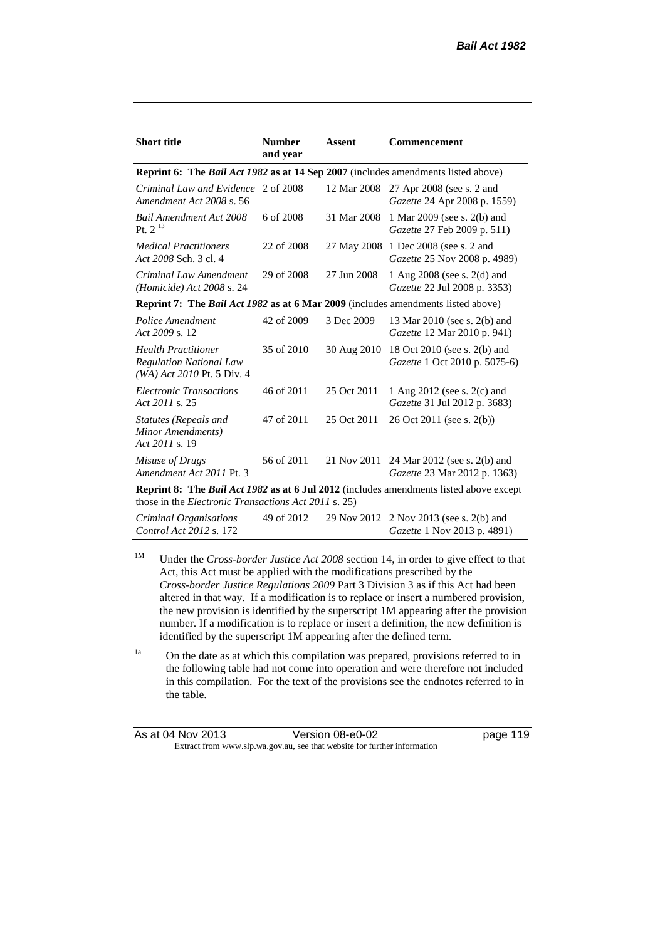| <b>Short title</b>                                                                           | <b>Number</b><br>and year | <b>Assent</b> | <b>Commencement</b>                                                                           |
|----------------------------------------------------------------------------------------------|---------------------------|---------------|-----------------------------------------------------------------------------------------------|
| Reprint 6: The Bail Act 1982 as at 14 Sep 2007 (includes amendments listed above)            |                           |               |                                                                                               |
| Criminal Law and Evidence 2 of 2008<br>Amendment Act 2008 s. 56                              |                           | 12 Mar 2008   | 27 Apr 2008 (see s. 2 and<br>Gazette 24 Apr 2008 p. 1559)                                     |
| <b>Bail Amendment Act 2008</b><br>Pt. $2^{13}$                                               | 6 of 2008                 | 31 Mar 2008   | 1 Mar 2009 (see s. 2(b) and<br>Gazette 27 Feb 2009 p. 511)                                    |
| <b>Medical Practitioners</b><br>Act 2008 Sch. 3 cl. 4                                        | 22 of 2008                | 27 May 2008   | 1 Dec 2008 (see s. 2 and<br>Gazette 25 Nov 2008 p. 4989)                                      |
| Criminal Law Amendment<br>$(Homicide)$ Act 2008 s. 24                                        | 29 of 2008                | 27 Jun 2008   | 1 Aug 2008 (see s. 2(d) and<br>Gazette 22 Jul 2008 p. 3353)                                   |
| <b>Reprint 7: The Bail Act 1982 as at 6 Mar 2009</b> (includes amendments listed above)      |                           |               |                                                                                               |
| Police Amendment<br>Act 2009 s. 12                                                           | 42 of 2009                | 3 Dec 2009    | 13 Mar 2010 (see s. 2(b) and<br>Gazette 12 Mar 2010 p. 941)                                   |
| <b>Health Practitioner</b><br><b>Regulation National Law</b><br>$(WA)$ Act 2010 Pt. 5 Div. 4 | 35 of 2010                | 30 Aug 2010   | 18 Oct 2010 (see s. 2(b) and<br>Gazette 1 Oct 2010 p. 5075-6)                                 |
| <b>Electronic Transactions</b><br>Act 2011 s. 25                                             | 46 of 2011                | 25 Oct 2011   | 1 Aug 2012 (see s. 2(c) and<br>Gazette 31 Jul 2012 p. 3683)                                   |
| <b>Statutes (Repeals and</b><br>Minor Amendments)<br>Act 2011 s. 19                          | 47 of 2011                | 25 Oct 2011   | 26 Oct 2011 (see s. 2(b))                                                                     |
| Misuse of Drugs<br>Amendment Act 2011 Pt. 3                                                  | 56 of 2011                | 21 Nov 2011   | 24 Mar 2012 (see s. 2(b) and<br>Gazette 23 Mar 2012 p. 1363)                                  |
| those in the <i>Electronic Transactions Act 2011</i> s. 25)                                  |                           |               | <b>Reprint 8: The Bail Act 1982 as at 6 Jul 2012</b> (includes amendments listed above except |
| Criminal Organisations                                                                       | 49 of 2012                |               | 29 Nov 2012 2 Nov 2013 (see s. 2(b) and                                                       |

<sup>1M</sup> Under the *Cross-border Justice Act 2008* section 14, in order to give effect to that Act, this Act must be applied with the modifications prescribed by the *Cross-border Justice Regulations 2009* Part 3 Division 3 as if this Act had been altered in that way. If a modification is to replace or insert a numbered provision, the new provision is identified by the superscript 1M appearing after the provision number. If a modification is to replace or insert a definition, the new definition is identified by the superscript 1M appearing after the defined term.

*Gazette* 1 Nov 2013 p. 4891)

*Control Act 2012* s. 172

<sup>1a</sup> On the date as at which this compilation was prepared, provisions referred to in the following table had not come into operation and were therefore not included in this compilation. For the text of the provisions see the endnotes referred to in the table.

| As at 04 Nov 2013 | Version 08-e0-02                                                         | page 119 |
|-------------------|--------------------------------------------------------------------------|----------|
|                   | Extract from www.slp.wa.gov.au, see that website for further information |          |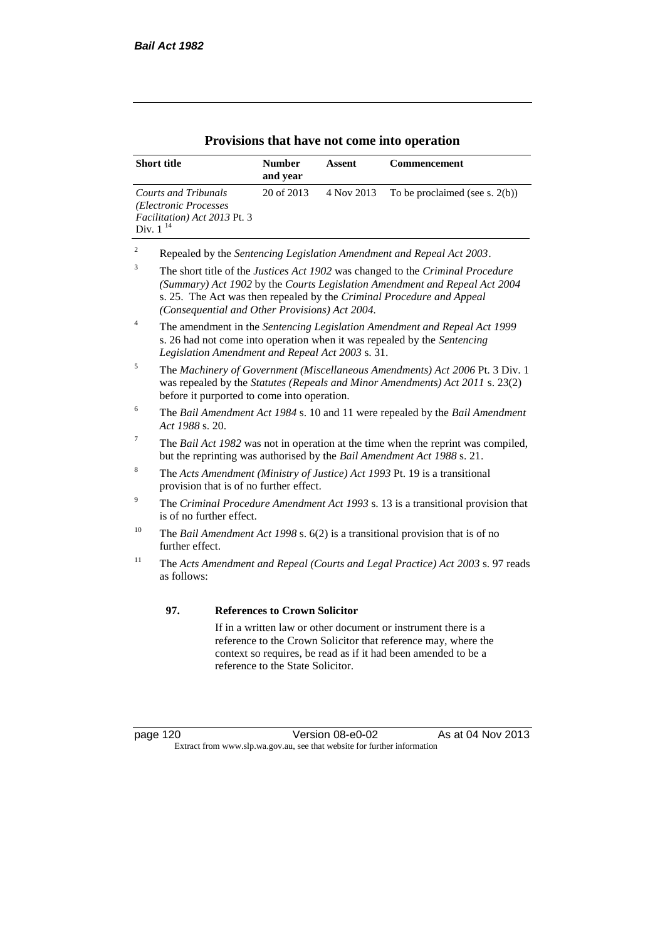| <b>Short title</b>                                                                             | <b>Number</b><br>and year | Assent     | <b>Commencement</b>               |
|------------------------------------------------------------------------------------------------|---------------------------|------------|-----------------------------------|
| Courts and Tribunals<br>(Electronic Processes<br>Facilitation) Act 2013 Pt. 3<br>Div. $1^{14}$ | 20 of 2013                | 4 Nov 2013 | To be proclaimed (see s. $2(b)$ ) |

### **Provisions that have not come into operation**

<sup>2</sup> Repealed by the *Sentencing Legislation Amendment and Repeal Act 2003*.

<sup>5</sup> The *Machinery of Government (Miscellaneous Amendments) Act 2006* Pt. 3 Div. 1 was repealed by the *Statutes (Repeals and Minor Amendments) Act 2011* s. 23(2) before it purported to come into operation.

- <sup>6</sup> The *Bail Amendment Act 1984* s. 10 and 11 were repealed by the *Bail Amendment Act 1988* s. 20.
- <sup>7</sup> The *Bail Act 1982* was not in operation at the time when the reprint was compiled, but the reprinting was authorised by the *Bail Amendment Act 1988* s. 21.
- <sup>8</sup> The *Acts Amendment (Ministry of Justice) Act 1993* Pt. 19 is a transitional provision that is of no further effect.
- <sup>9</sup> The *Criminal Procedure Amendment Act 1993* s. 13 is a transitional provision that is of no further effect.
- <sup>10</sup> The *Bail Amendment Act 1998* s. 6(2) is a transitional provision that is of no further effect.
- <sup>11</sup> The *Acts Amendment and Repeal (Courts and Legal Practice) Act 2003* s. 97 reads as follows:

#### **97. References to Crown Solicitor**

If in a written law or other document or instrument there is a reference to the Crown Solicitor that reference may, where the context so requires, be read as if it had been amended to be a reference to the State Solicitor.

page 120 Version 08-e0-02 As at 04 Nov 2013 Extract from www.slp.wa.gov.au, see that website for further information

<sup>3</sup> The short title of the *Justices Act 1902* was changed to the *Criminal Procedure (Summary) Act 1902* by the *Courts Legislation Amendment and Repeal Act 2004*  s. 25. The Act was then repealed by the *Criminal Procedure and Appeal (Consequential and Other Provisions) Act 2004.*

<sup>4</sup> The amendment in the *Sentencing Legislation Amendment and Repeal Act 1999* s. 26 had not come into operation when it was repealed by the *Sentencing Legislation Amendment and Repeal Act 2003* s. 31.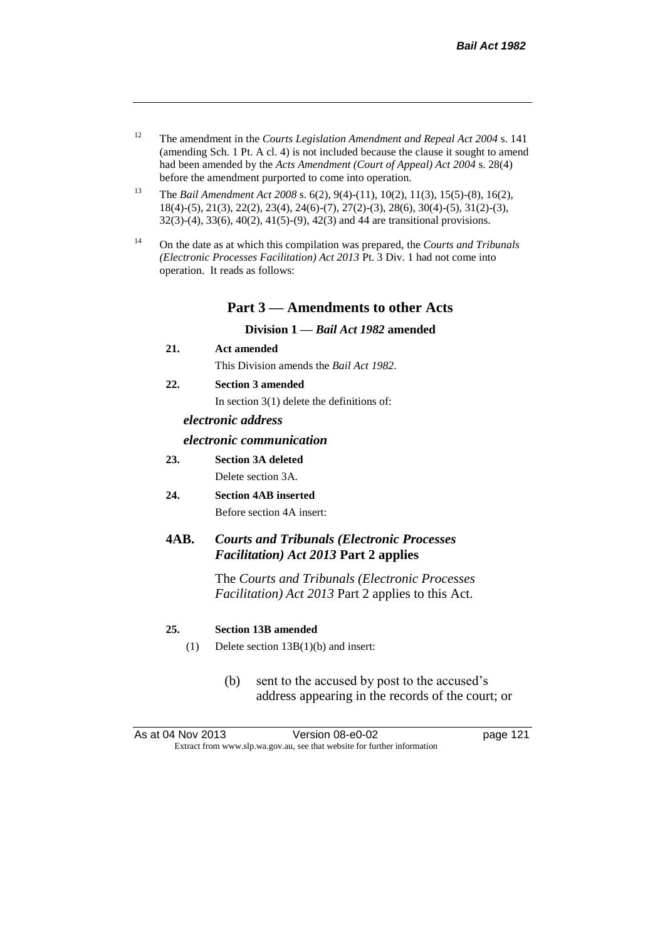- <sup>12</sup> The amendment in the *Courts Legislation Amendment and Repeal Act 2004* s. 141 (amending Sch. 1 Pt. A cl. 4) is not included because the clause it sought to amend had been amended by the *Acts Amendment (Court of Appeal) Act 2004* s. 28(4) before the amendment purported to come into operation.
- <sup>13</sup> The *Bail Amendment Act 2008* s. 6(2), 9(4)-(11), 10(2), 11(3), 15(5)-(8), 16(2), 18(4)-(5), 21(3), 22(2), 23(4), 24(6)-(7), 27(2)-(3), 28(6), 30(4)-(5), 31(2)-(3), 32(3)-(4), 33(6), 40(2), 41(5)-(9), 42(3) and 44 are transitional provisions.
- <sup>14</sup> On the date as at which this compilation was prepared, the *Courts and Tribunals (Electronic Processes Facilitation) Act 2013* Pt. 3 Div. 1 had not come into operation. It reads as follows:

### **Part 3 — Amendments to other Acts**

**Division 1 —** *Bail Act 1982* **amended**

**21. Act amended**

This Division amends the *Bail Act 1982*.

**22. Section 3 amended**

In section 3(1) delete the definitions of:

### *electronic address*

#### *electronic communication*

- **23. Section 3A deleted** Delete section 3A.
- **24. Section 4AB inserted** Before section 4A insert:

# **4AB.** *Courts and Tribunals (Electronic Processes Facilitation) Act 2013* **Part 2 applies**

The *Courts and Tribunals (Electronic Processes Facilitation) Act 2013* Part 2 applies to this Act.

#### **25. Section 13B amended**

- (1) Delete section 13B(1)(b) and insert:
	- (b) sent to the accused by post to the accused's address appearing in the records of the court; or

As at 04 Nov 2013 Version 08-e0-02 Page 121 Extract from www.slp.wa.gov.au, see that website for further information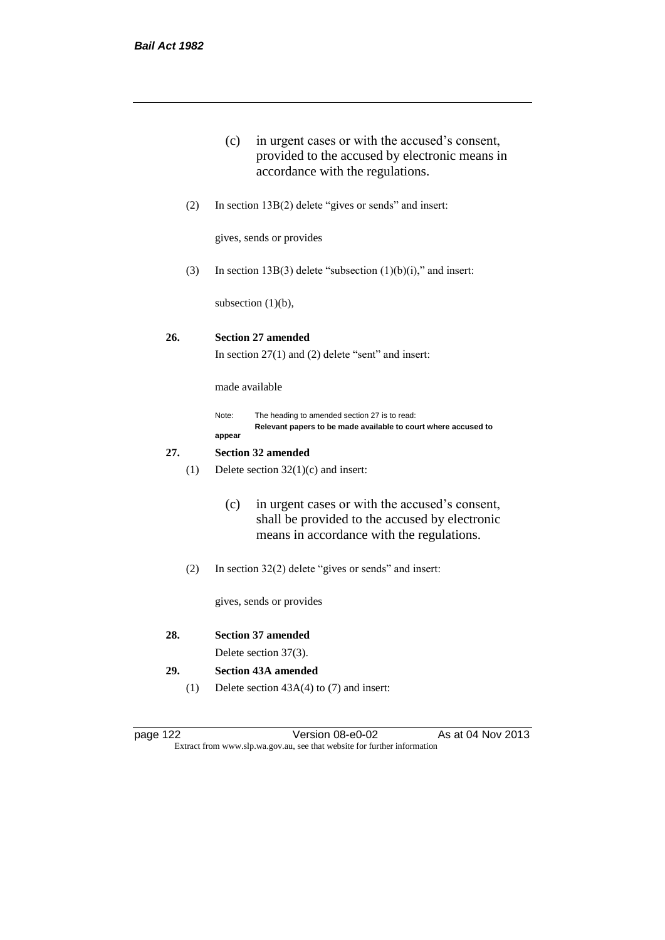|     |     | in urgent cases or with the accused's consent,<br>(c)<br>provided to the accused by electronic means in<br>accordance with the regulations.          |  |  |  |
|-----|-----|------------------------------------------------------------------------------------------------------------------------------------------------------|--|--|--|
|     | (2) | In section $13B(2)$ delete "gives or sends" and insert:                                                                                              |  |  |  |
|     |     | gives, sends or provides                                                                                                                             |  |  |  |
|     | (3) | In section 13B(3) delete "subsection $(1)(b)(i)$ ," and insert:                                                                                      |  |  |  |
|     |     | subsection $(1)(b)$ ,                                                                                                                                |  |  |  |
| 26. |     | <b>Section 27 amended</b><br>In section $27(1)$ and $(2)$ delete "sent" and insert:                                                                  |  |  |  |
|     |     | made available                                                                                                                                       |  |  |  |
|     |     | Note:<br>The heading to amended section 27 is to read:<br>Relevant papers to be made available to court where accused to<br>appear                   |  |  |  |
| 27. |     | <b>Section 32 amended</b>                                                                                                                            |  |  |  |
|     | (1) | Delete section $32(1)(c)$ and insert:                                                                                                                |  |  |  |
|     |     | (c)<br>in urgent cases or with the accused's consent,<br>shall be provided to the accused by electronic<br>means in accordance with the regulations. |  |  |  |
|     | (2) | In section $32(2)$ delete "gives or sends" and insert:                                                                                               |  |  |  |
|     |     | gives, sends or provides                                                                                                                             |  |  |  |
|     |     |                                                                                                                                                      |  |  |  |

**28. Section 37 amended**

Delete section 37(3).

- **29. Section 43A amended**
	- (1) Delete section 43A(4) to (7) and insert:

| page |  |
|------|--|
|      |  |

Version 08-e0-02 As at 04 Nov 2013 Extract from www.slp.wa.gov.au, see that website for further information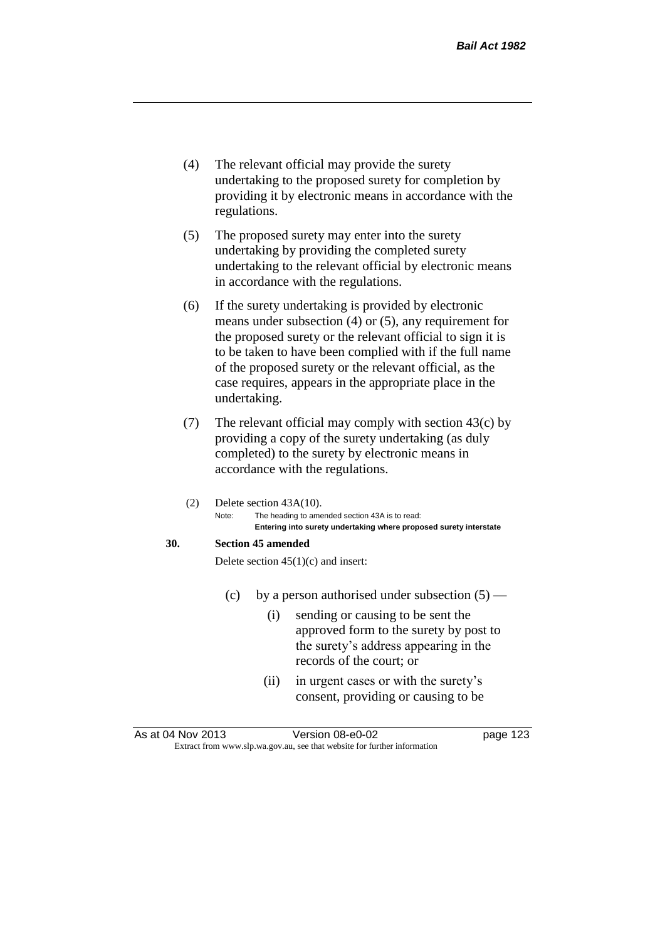- (4) The relevant official may provide the surety undertaking to the proposed surety for completion by providing it by electronic means in accordance with the regulations.
- (5) The proposed surety may enter into the surety undertaking by providing the completed surety undertaking to the relevant official by electronic means in accordance with the regulations.
- (6) If the surety undertaking is provided by electronic means under subsection (4) or (5), any requirement for the proposed surety or the relevant official to sign it is to be taken to have been complied with if the full name of the proposed surety or the relevant official, as the case requires, appears in the appropriate place in the undertaking.
- (7) The relevant official may comply with section 43(c) by providing a copy of the surety undertaking (as duly completed) to the surety by electronic means in accordance with the regulations.
- (2) Delete section 43A(10). Note: The heading to amended section 43A is to read: **Entering into surety undertaking where proposed surety interstate**

### **30. Section 45 amended**

Delete section  $45(1)(c)$  and insert:

- (c) by a person authorised under subsection  $(5)$ 
	- (i) sending or causing to be sent the approved form to the surety by post to the surety's address appearing in the records of the court; or
	- (ii) in urgent cases or with the surety's consent, providing or causing to be

As at 04 Nov 2013 Version 08-e0-02 Page 123 Extract from www.slp.wa.gov.au, see that website for further information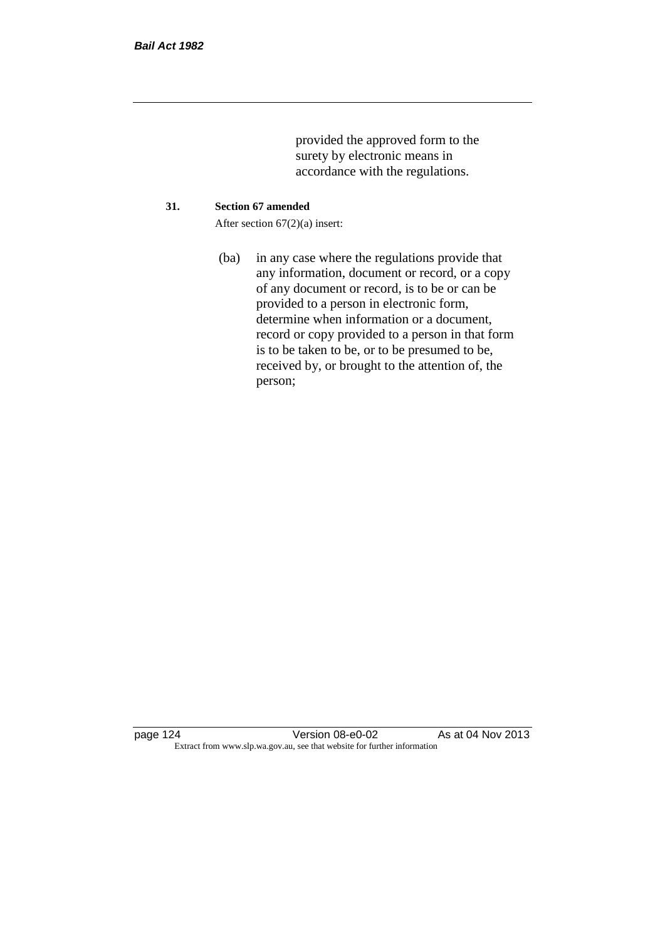provided the approved form to the surety by electronic means in accordance with the regulations.

#### **31. Section 67 amended**

After section 67(2)(a) insert:

(ba) in any case where the regulations provide that any information, document or record, or a copy of any document or record, is to be or can be provided to a person in electronic form, determine when information or a document, record or copy provided to a person in that form is to be taken to be, or to be presumed to be, received by, or brought to the attention of, the person;

page 124 Version 08-e0-02 As at 04 Nov 2013 Extract from www.slp.wa.gov.au, see that website for further information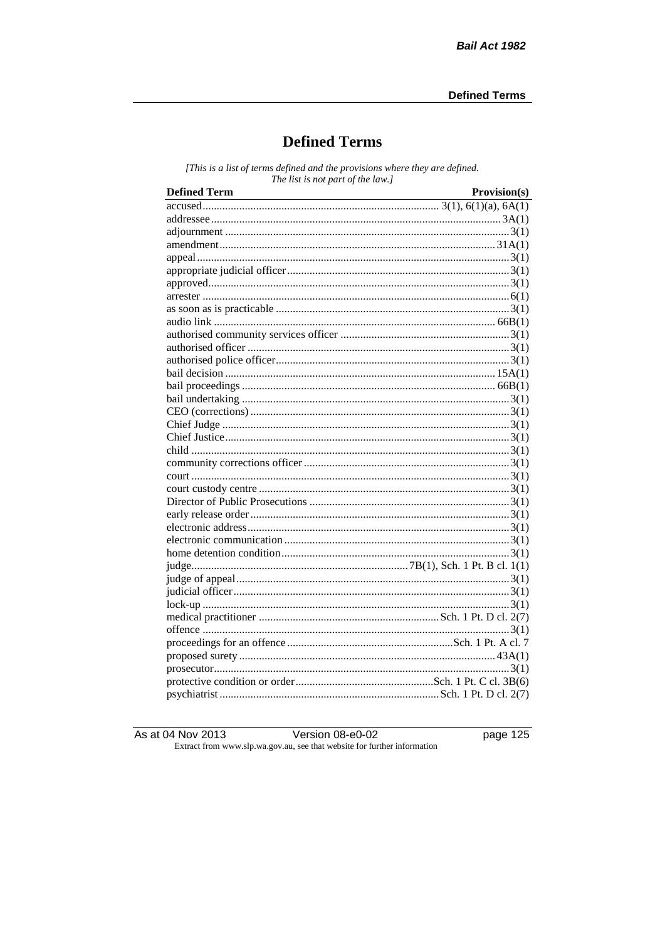# **Defined Terms**

[This is a list of terms defined and the provisions where they are defined. The list is not part of the law.]

| <b>Defined Term</b> | Provision(s) |
|---------------------|--------------|
|                     |              |
|                     |              |
|                     |              |
|                     |              |
|                     |              |
|                     |              |
|                     |              |
|                     |              |
|                     |              |
|                     |              |
|                     |              |
|                     |              |
|                     |              |
|                     |              |
|                     |              |
|                     |              |
|                     |              |
|                     |              |
|                     |              |
|                     |              |
|                     |              |
|                     |              |
|                     |              |
|                     |              |
|                     |              |
|                     |              |
|                     |              |
|                     |              |
|                     |              |
|                     |              |
|                     |              |
|                     |              |
|                     |              |
|                     |              |
|                     |              |
|                     |              |
|                     |              |
|                     |              |
|                     |              |

As at 04 Nov 2013

Version 08-e0-02

page  $125$ 

Extract from www.slp.wa.gov.au, see that website for further information